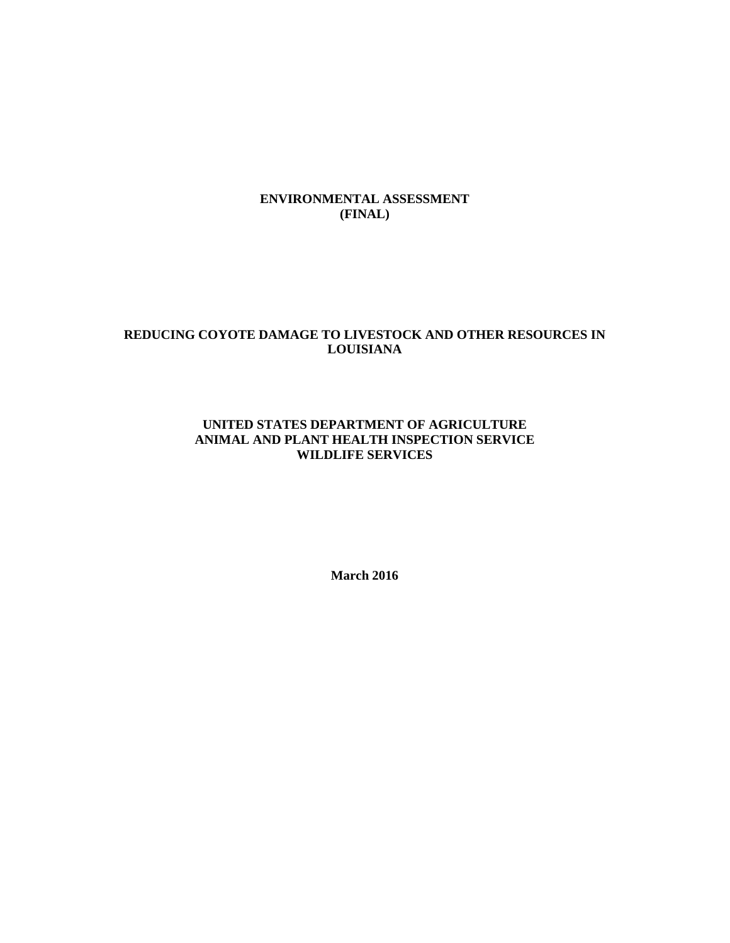## **ENVIRONMENTAL ASSESSMENT (FINAL)**

# **REDUCING COYOTE DAMAGE TO LIVESTOCK AND OTHER RESOURCES IN LOUISIANA**

### **UNITED STATES DEPARTMENT OF AGRICULTURE ANIMAL AND PLANT HEALTH INSPECTION SERVICE WILDLIFE SERVICES**

**March 2016**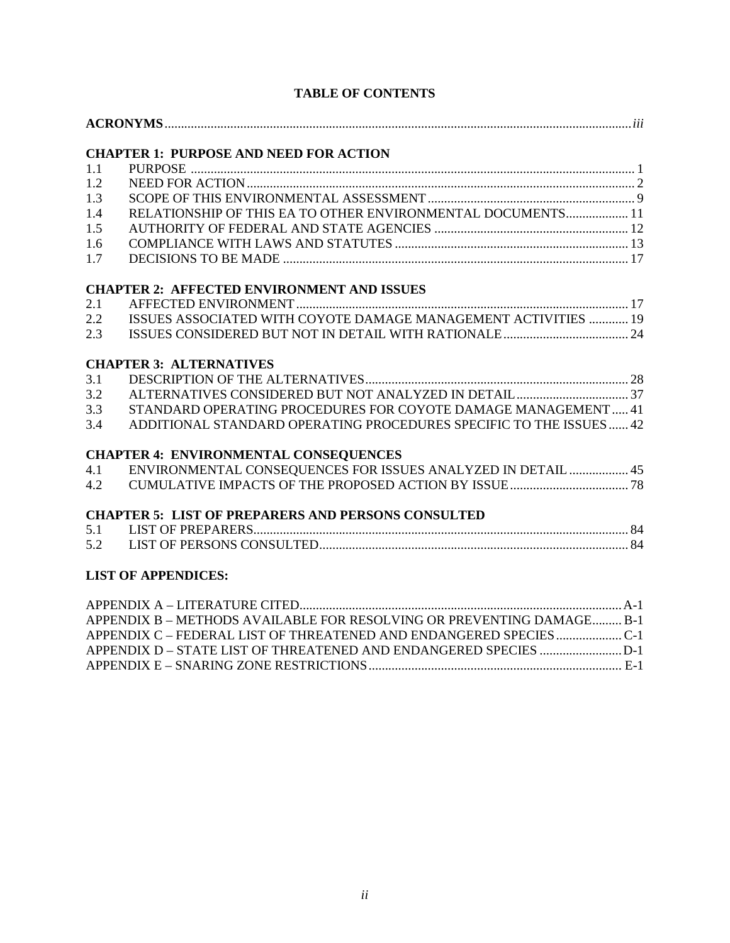|     | <b>CHAPTER 1: PURPOSE AND NEED FOR ACTION</b>                         |
|-----|-----------------------------------------------------------------------|
| 1.1 |                                                                       |
| 1.2 |                                                                       |
| 1.3 |                                                                       |
| 1.4 | RELATIONSHIP OF THIS EA TO OTHER ENVIRONMENTAL DOCUMENTS 11           |
| 1.5 |                                                                       |
| 1.6 |                                                                       |
| 1.7 |                                                                       |
|     | <b>CHAPTER 2: AFFECTED ENVIRONMENT AND ISSUES</b>                     |
| 2.1 |                                                                       |
| 2.2 | ISSUES ASSOCIATED WITH COYOTE DAMAGE MANAGEMENT ACTIVITIES  19        |
| 2.3 |                                                                       |
|     | <b>CHAPTER 3: ALTERNATIVES</b>                                        |
| 3.1 |                                                                       |
| 3.2 |                                                                       |
| 3.3 | STANDARD OPERATING PROCEDURES FOR COYOTE DAMAGE MANAGEMENT 41         |
| 3.4 | ADDITIONAL STANDARD OPERATING PROCEDURES SPECIFIC TO THE ISSUES  42   |
|     | <b>CHAPTER 4: ENVIRONMENTAL CONSEQUENCES</b>                          |
| 4.1 | ENVIRONMENTAL CONSEQUENCES FOR ISSUES ANALYZED IN DETAIL  45          |
| 4.2 |                                                                       |
|     | <b>CHAPTER 5: LIST OF PREPARERS AND PERSONS CONSULTED</b>             |
| 5.1 |                                                                       |
| 5.2 |                                                                       |
|     | <b>LIST OF APPENDICES:</b>                                            |
|     |                                                                       |
|     | APPENDIX B - METHODS AVAILABLE FOR RESOLVING OR PREVENTING DAMAGE B-1 |
|     | APPENDIX C - FEDERAL LIST OF THREATENED AND ENDANGERED SPECIESC-1     |
|     | APPENDIX D - STATE LIST OF THREATENED AND ENDANGERED SPECIES D-1      |

# **TABLE OF CONTENTS**

APPENDIX E – SNARING ZONE RESTRICTIONS............................................................................. E-1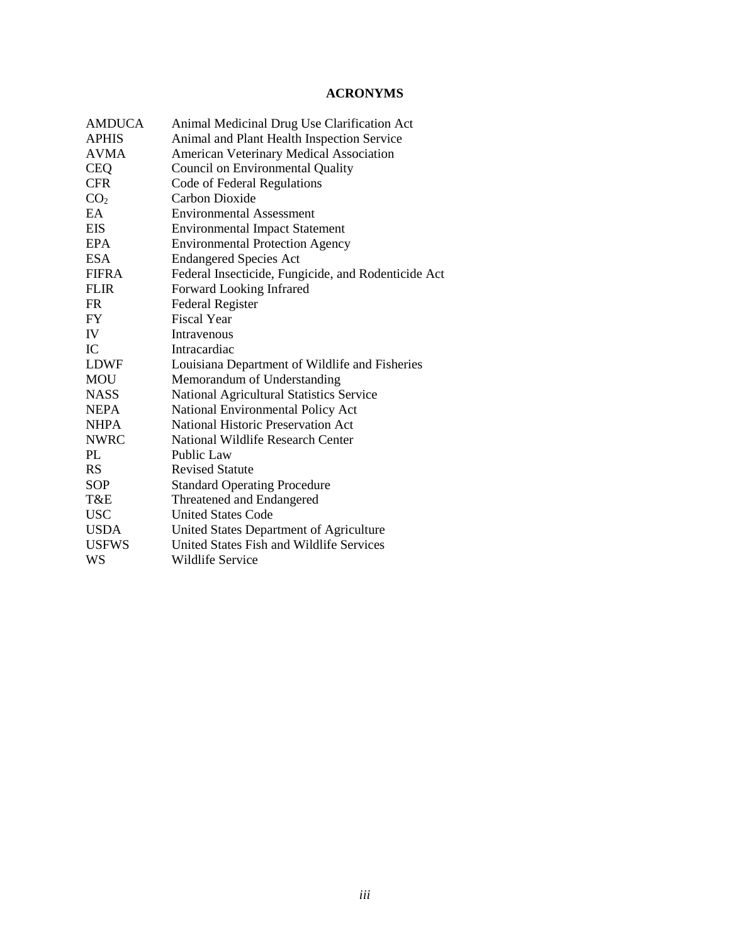# **ACRONYMS**

| <b>AMDUCA</b>   | Animal Medicinal Drug Use Clarification Act         |
|-----------------|-----------------------------------------------------|
| <b>APHIS</b>    | Animal and Plant Health Inspection Service          |
| <b>AVMA</b>     | American Veterinary Medical Association             |
| <b>CEQ</b>      | <b>Council on Environmental Quality</b>             |
| <b>CFR</b>      | Code of Federal Regulations                         |
| CO <sub>2</sub> | Carbon Dioxide                                      |
| EA              | <b>Environmental Assessment</b>                     |
| <b>EIS</b>      | <b>Environmental Impact Statement</b>               |
| <b>EPA</b>      | <b>Environmental Protection Agency</b>              |
| <b>ESA</b>      | <b>Endangered Species Act</b>                       |
| <b>FIFRA</b>    | Federal Insecticide, Fungicide, and Rodenticide Act |
| <b>FLIR</b>     | Forward Looking Infrared                            |
| <b>FR</b>       | <b>Federal Register</b>                             |
| <b>FY</b>       | <b>Fiscal Year</b>                                  |
| IV              | Intravenous                                         |
| IC              | Intracardiac                                        |
| LDWF            | Louisiana Department of Wildlife and Fisheries      |
| <b>MOU</b>      | Memorandum of Understanding                         |
| <b>NASS</b>     | National Agricultural Statistics Service            |
| <b>NEPA</b>     | National Environmental Policy Act                   |
| <b>NHPA</b>     | <b>National Historic Preservation Act</b>           |
| <b>NWRC</b>     | <b>National Wildlife Research Center</b>            |
| PL              | <b>Public Law</b>                                   |
| <b>RS</b>       | <b>Revised Statute</b>                              |
| <b>SOP</b>      | <b>Standard Operating Procedure</b>                 |
| T&E             | Threatened and Endangered                           |
| <b>USC</b>      | <b>United States Code</b>                           |
| <b>USDA</b>     | United States Department of Agriculture             |
| <b>USFWS</b>    | United States Fish and Wildlife Services            |
| WS              | Wildlife Service                                    |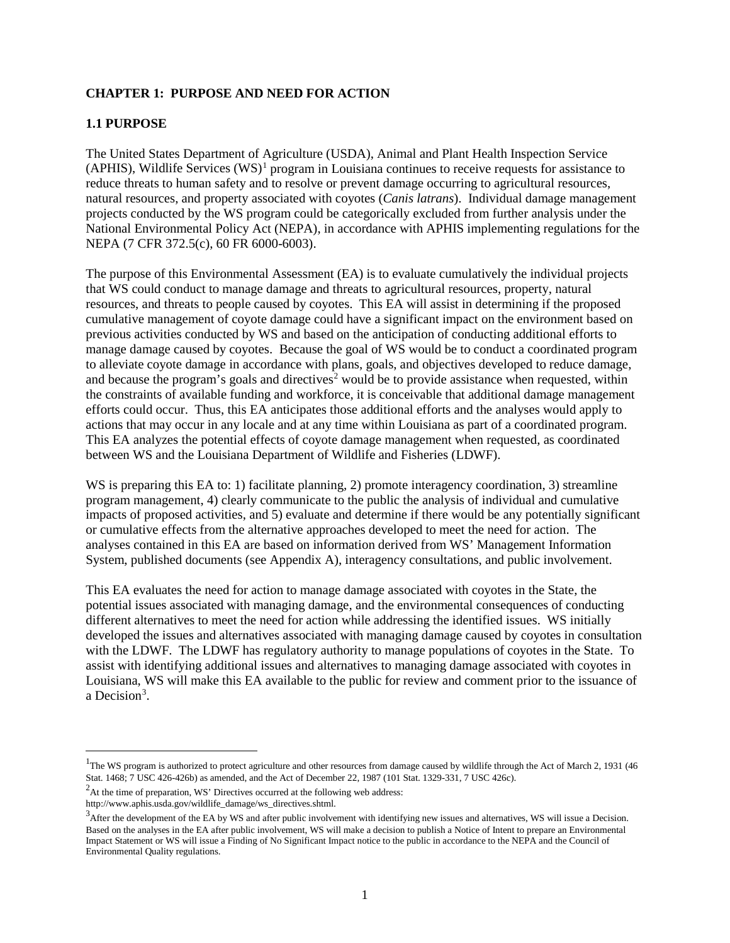## **CHAPTER 1: PURPOSE AND NEED FOR ACTION**

## **1.1 PURPOSE**

The United States Department of Agriculture (USDA), Animal and Plant Health Inspection Service (APHIS), Wildlife Services  $(WS)^1$  $(WS)^1$  program in Louisiana continues to receive requests for assistance to reduce threats to human safety and to resolve or prevent damage occurring to agricultural resources, natural resources, and property associated with coyotes (*Canis latrans*). Individual damage management projects conducted by the WS program could be categorically excluded from further analysis under the National Environmental Policy Act (NEPA), in accordance with APHIS implementing regulations for the NEPA (7 CFR 372.5(c), 60 FR 6000-6003).

The purpose of this Environmental Assessment (EA) is to evaluate cumulatively the individual projects that WS could conduct to manage damage and threats to agricultural resources, property, natural resources, and threats to people caused by coyotes. This EA will assist in determining if the proposed cumulative management of coyote damage could have a significant impact on the environment based on previous activities conducted by WS and based on the anticipation of conducting additional efforts to manage damage caused by coyotes. Because the goal of WS would be to conduct a coordinated program to alleviate coyote damage in accordance with plans, goals, and objectives developed to reduce damage, and because the program's goals and directives<sup>[2](#page-3-1)</sup> would be to provide assistance when requested, within the constraints of available funding and workforce, it is conceivable that additional damage management efforts could occur. Thus, this EA anticipates those additional efforts and the analyses would apply to actions that may occur in any locale and at any time within Louisiana as part of a coordinated program. This EA analyzes the potential effects of coyote damage management when requested, as coordinated between WS and the Louisiana Department of Wildlife and Fisheries (LDWF).

WS is preparing this EA to: 1) facilitate planning, 2) promote interagency coordination, 3) streamline program management, 4) clearly communicate to the public the analysis of individual and cumulative impacts of proposed activities, and 5) evaluate and determine if there would be any potentially significant or cumulative effects from the alternative approaches developed to meet the need for action. The analyses contained in this EA are based on information derived from WS' Management Information System, published documents (see Appendix A), interagency consultations, and public involvement.

This EA evaluates the need for action to manage damage associated with coyotes in the State, the potential issues associated with managing damage, and the environmental consequences of conducting different alternatives to meet the need for action while addressing the identified issues. WS initially developed the issues and alternatives associated with managing damage caused by coyotes in consultation with the LDWF. The LDWF has regulatory authority to manage populations of coyotes in the State. To assist with identifying additional issues and alternatives to managing damage associated with coyotes in Louisiana, WS will make this EA available to the public for review and comment prior to the issuance of a Decision<sup>[3](#page-3-2)</sup>.

<span id="page-3-0"></span> $\frac{1}{1}$ <sup>1</sup>The WS program is authorized to protect agriculture and other resources from damage caused by wildlife through the Act of March 2, 1931 (46 Stat. 1468; 7 USC 426-426b) as amended, and the Act of December 22, 1987 (101 Stat. 1329-331, 7 USC 426c). 2

<span id="page-3-1"></span><sup>&</sup>lt;sup>2</sup>At the time of preparation, WS' Directives occurred at the following web address:

http://www.aphis.usda.gov/wildlife\_damage/ws\_directives.shtml.

<span id="page-3-2"></span> $3$ After the development of the EA by WS and after public involvement with identifying new issues and alternatives, WS will issue a Decision. Based on the analyses in the EA after public involvement, WS will make a decision to publish a Notice of Intent to prepare an Environmental Impact Statement or WS will issue a Finding of No Significant Impact notice to the public in accordance to the NEPA and the Council of Environmental Quality regulations.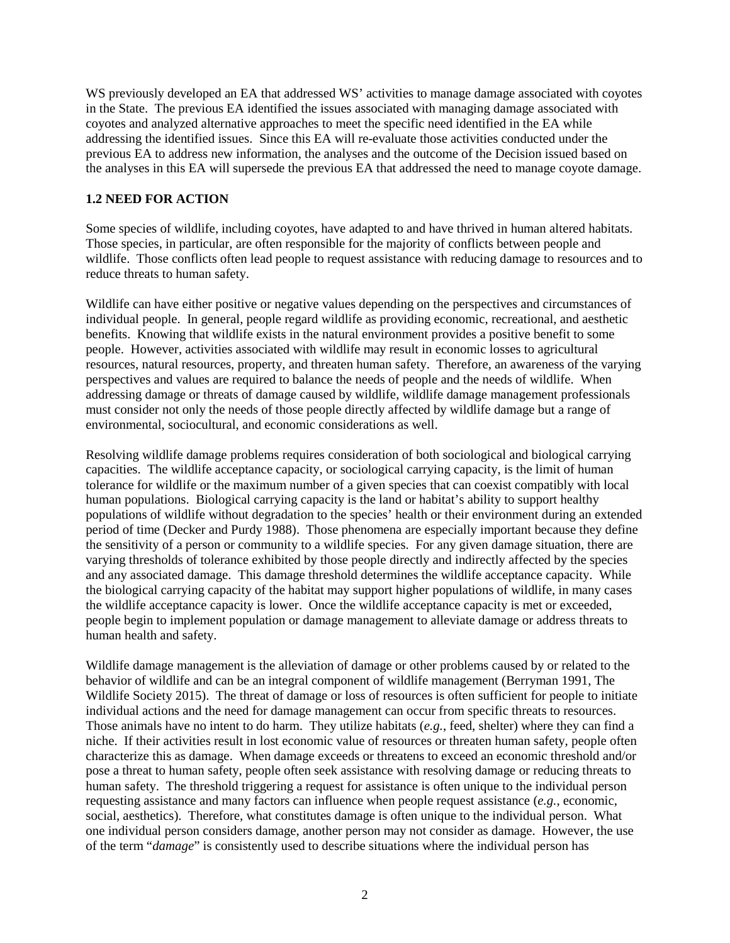WS previously developed an EA that addressed WS' activities to manage damage associated with coyotes in the State. The previous EA identified the issues associated with managing damage associated with coyotes and analyzed alternative approaches to meet the specific need identified in the EA while addressing the identified issues. Since this EA will re-evaluate those activities conducted under the previous EA to address new information, the analyses and the outcome of the Decision issued based on the analyses in this EA will supersede the previous EA that addressed the need to manage coyote damage.

# **1.2 NEED FOR ACTION**

Some species of wildlife, including coyotes, have adapted to and have thrived in human altered habitats. Those species, in particular, are often responsible for the majority of conflicts between people and wildlife. Those conflicts often lead people to request assistance with reducing damage to resources and to reduce threats to human safety.

Wildlife can have either positive or negative values depending on the perspectives and circumstances of individual people. In general, people regard wildlife as providing economic, recreational, and aesthetic benefits. Knowing that wildlife exists in the natural environment provides a positive benefit to some people. However, activities associated with wildlife may result in economic losses to agricultural resources, natural resources, property, and threaten human safety. Therefore, an awareness of the varying perspectives and values are required to balance the needs of people and the needs of wildlife. When addressing damage or threats of damage caused by wildlife, wildlife damage management professionals must consider not only the needs of those people directly affected by wildlife damage but a range of environmental, sociocultural, and economic considerations as well.

Resolving wildlife damage problems requires consideration of both sociological and biological carrying capacities. The wildlife acceptance capacity, or sociological carrying capacity, is the limit of human tolerance for wildlife or the maximum number of a given species that can coexist compatibly with local human populations. Biological carrying capacity is the land or habitat's ability to support healthy populations of wildlife without degradation to the species' health or their environment during an extended period of time (Decker and Purdy 1988). Those phenomena are especially important because they define the sensitivity of a person or community to a wildlife species. For any given damage situation, there are varying thresholds of tolerance exhibited by those people directly and indirectly affected by the species and any associated damage. This damage threshold determines the wildlife acceptance capacity. While the biological carrying capacity of the habitat may support higher populations of wildlife, in many cases the wildlife acceptance capacity is lower. Once the wildlife acceptance capacity is met or exceeded, people begin to implement population or damage management to alleviate damage or address threats to human health and safety.

Wildlife damage management is the alleviation of damage or other problems caused by or related to the behavior of wildlife and can be an integral component of wildlife management (Berryman 1991, The Wildlife Society 2015). The threat of damage or loss of resources is often sufficient for people to initiate individual actions and the need for damage management can occur from specific threats to resources. Those animals have no intent to do harm. They utilize habitats (*e.g.*, feed, shelter) where they can find a niche. If their activities result in lost economic value of resources or threaten human safety, people often characterize this as damage. When damage exceeds or threatens to exceed an economic threshold and/or pose a threat to human safety, people often seek assistance with resolving damage or reducing threats to human safety. The threshold triggering a request for assistance is often unique to the individual person requesting assistance and many factors can influence when people request assistance (*e.g.*, economic, social, aesthetics). Therefore, what constitutes damage is often unique to the individual person. What one individual person considers damage, another person may not consider as damage. However, the use of the term "*damage*" is consistently used to describe situations where the individual person has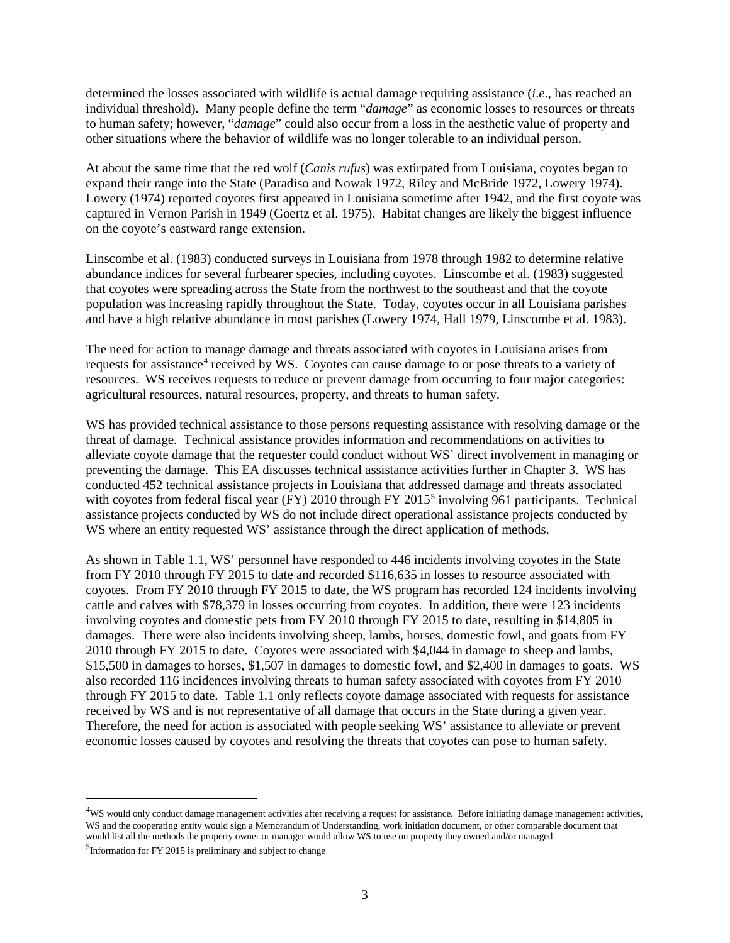determined the losses associated with wildlife is actual damage requiring assistance (*i*.*e*., has reached an individual threshold). Many people define the term "*damage*" as economic losses to resources or threats to human safety; however, "*damage*" could also occur from a loss in the aesthetic value of property and other situations where the behavior of wildlife was no longer tolerable to an individual person.

At about the same time that the red wolf (*Canis rufus*) was extirpated from Louisiana, coyotes began to expand their range into the State (Paradiso and Nowak 1972, Riley and McBride 1972, Lowery 1974). Lowery (1974) reported coyotes first appeared in Louisiana sometime after 1942, and the first coyote was captured in Vernon Parish in 1949 (Goertz et al. 1975). Habitat changes are likely the biggest influence on the coyote's eastward range extension.

Linscombe et al. (1983) conducted surveys in Louisiana from 1978 through 1982 to determine relative abundance indices for several furbearer species, including coyotes. Linscombe et al. (1983) suggested that coyotes were spreading across the State from the northwest to the southeast and that the coyote population was increasing rapidly throughout the State. Today, coyotes occur in all Louisiana parishes and have a high relative abundance in most parishes (Lowery 1974, Hall 1979, Linscombe et al. 1983).

The need for action to manage damage and threats associated with coyotes in Louisiana arises from requests for assistance[4](#page-5-0) received by WS. Coyotes can cause damage to or pose threats to a variety of resources. WS receives requests to reduce or prevent damage from occurring to four major categories: agricultural resources, natural resources, property, and threats to human safety.

WS has provided technical assistance to those persons requesting assistance with resolving damage or the threat of damage. Technical assistance provides information and recommendations on activities to alleviate coyote damage that the requester could conduct without WS' direct involvement in managing or preventing the damage. This EA discusses technical assistance activities further in Chapter 3. WS has conducted 452 technical assistance projects in Louisiana that addressed damage and threats associated with coyotes from federal fiscal year (FY) 2010 through FY 2015<sup>5</sup> involving 961 participants. Technical assistance projects conducted by WS do not include direct operational assistance projects conducted by WS where an entity requested WS' assistance through the direct application of methods.

As shown in Table 1.1, WS' personnel have responded to 446 incidents involving coyotes in the State from FY 2010 through FY 2015 to date and recorded \$116,635 in losses to resource associated with coyotes. From FY 2010 through FY 2015 to date, the WS program has recorded 124 incidents involving cattle and calves with \$78,379 in losses occurring from coyotes. In addition, there were 123 incidents involving coyotes and domestic pets from FY 2010 through FY 2015 to date, resulting in \$14,805 in damages. There were also incidents involving sheep, lambs, horses, domestic fowl, and goats from FY 2010 through FY 2015 to date. Coyotes were associated with \$4,044 in damage to sheep and lambs, \$15,500 in damages to horses, \$1,507 in damages to domestic fowl, and \$2,400 in damages to goats. WS also recorded 116 incidences involving threats to human safety associated with coyotes from FY 2010 through FY 2015 to date. Table 1.1 only reflects coyote damage associated with requests for assistance received by WS and is not representative of all damage that occurs in the State during a given year. Therefore, the need for action is associated with people seeking WS' assistance to alleviate or prevent economic losses caused by coyotes and resolving the threats that coyotes can pose to human safety.

<span id="page-5-0"></span> $\frac{1}{4}$ <sup>4</sup>WS would only conduct damage management activities after receiving a request for assistance. Before initiating damage management activities, WS and the cooperating entity would sign a Memorandum of Understanding, work initiation document, or other comparable document that would list all the methods the property owner or manager would allow WS to use on property they owned and/or managed.

<span id="page-5-1"></span> $5$ Information for FY 2015 is preliminary and subject to change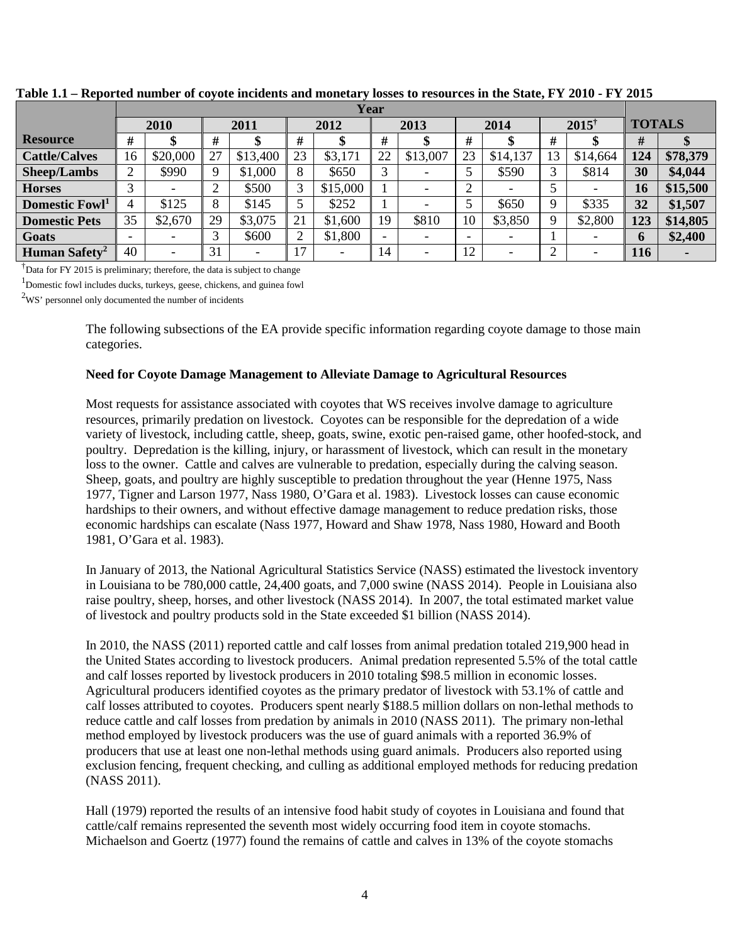|                            | Year   |                          |                   |          |                |          |      |          |                          |          |                  |          |               |          |
|----------------------------|--------|--------------------------|-------------------|----------|----------------|----------|------|----------|--------------------------|----------|------------------|----------|---------------|----------|
|                            |        | 2010                     | 2011              |          | 2012           |          | 2013 |          | 2014                     |          | $2015^{\dagger}$ |          | <b>TOTALS</b> |          |
| <b>Resource</b>            | #      |                          | #                 |          | #              |          | #    |          | #                        |          | #                |          | #             |          |
| <b>Cattle/Calves</b>       | 16     | \$20,000                 | 27                | \$13,400 | 23             | \$3,171  | 22   | \$13,007 | 23                       | \$14,137 | 13               | \$14,664 | 124           | \$78,379 |
| Sheep/Lambs                | ◠<br>∠ | \$990                    | Q                 | \$1,000  | 8              | \$650    |      |          | 5                        | \$590    |                  | \$814    | 30            | \$4,044  |
| <b>Horses</b>              | ⌒      |                          | ◠                 | \$500    | 3              | \$15,000 |      |          | $\overline{2}$           |          |                  |          | 16            | \$15,500 |
| Domestic Fowl <sup>1</sup> | 4      | \$125                    | 8                 | \$145    | 5              | \$252    |      |          |                          | \$650    | Q                | \$335    | 32            | \$1,507  |
| <b>Domestic Pets</b>       | 35     | \$2,670                  | 29                | \$3,075  | 21             | \$1,600  | 19   | \$810    | 10                       | \$3,850  | Q                | \$2,800  | 123           | \$14,805 |
| Goats                      | -      |                          | $\mathbf{\Omega}$ | \$600    | $\overline{2}$ | \$1,800  | -    |          | $\overline{\phantom{0}}$ |          |                  |          | 6             | \$2,400  |
| Human Safety <sup>2</sup>  | 40     | $\overline{\phantom{0}}$ | 31                |          | ۱7             |          | 14   |          | 12                       |          | ◠                |          | 116           |          |

**Table 1.1 – Reported number of coyote incidents and monetary losses to resources in the State, FY 2010 - FY 2015**

<sup>†</sup>Data for FY 2015 is preliminary; therefore, the data is subject to change

<sup>1</sup>Domestic fowl includes ducks, turkeys, geese, chickens, and guinea fowl

 $2WS'$  personnel only documented the number of incidents

The following subsections of the EA provide specific information regarding coyote damage to those main categories.

### **Need for Coyote Damage Management to Alleviate Damage to Agricultural Resources**

Most requests for assistance associated with coyotes that WS receives involve damage to agriculture resources, primarily predation on livestock. Coyotes can be responsible for the depredation of a wide variety of livestock, including cattle, sheep, goats, swine, exotic pen-raised game, other hoofed-stock, and poultry. Depredation is the killing, injury, or harassment of livestock, which can result in the monetary loss to the owner. Cattle and calves are vulnerable to predation, especially during the calving season. Sheep, goats, and poultry are highly susceptible to predation throughout the year (Henne 1975, Nass 1977, Tigner and Larson 1977, Nass 1980, O'Gara et al. 1983). Livestock losses can cause economic hardships to their owners, and without effective damage management to reduce predation risks, those economic hardships can escalate (Nass 1977, Howard and Shaw 1978, Nass 1980, Howard and Booth 1981, O'Gara et al. 1983).

In January of 2013, the National Agricultural Statistics Service (NASS) estimated the livestock inventory in Louisiana to be 780,000 cattle, 24,400 goats, and 7,000 swine (NASS 2014). People in Louisiana also raise poultry, sheep, horses, and other livestock (NASS 2014). In 2007, the total estimated market value of livestock and poultry products sold in the State exceeded \$1 billion (NASS 2014).

In 2010, the NASS (2011) reported cattle and calf losses from animal predation totaled 219,900 head in the United States according to livestock producers. Animal predation represented 5.5% of the total cattle and calf losses reported by livestock producers in 2010 totaling \$98.5 million in economic losses. Agricultural producers identified coyotes as the primary predator of livestock with 53.1% of cattle and calf losses attributed to coyotes. Producers spent nearly \$188.5 million dollars on non-lethal methods to reduce cattle and calf losses from predation by animals in 2010 (NASS 2011). The primary non-lethal method employed by livestock producers was the use of guard animals with a reported 36.9% of producers that use at least one non-lethal methods using guard animals. Producers also reported using exclusion fencing, frequent checking, and culling as additional employed methods for reducing predation (NASS 2011).

Hall (1979) reported the results of an intensive food habit study of coyotes in Louisiana and found that cattle/calf remains represented the seventh most widely occurring food item in coyote stomachs. Michaelson and Goertz (1977) found the remains of cattle and calves in 13% of the coyote stomachs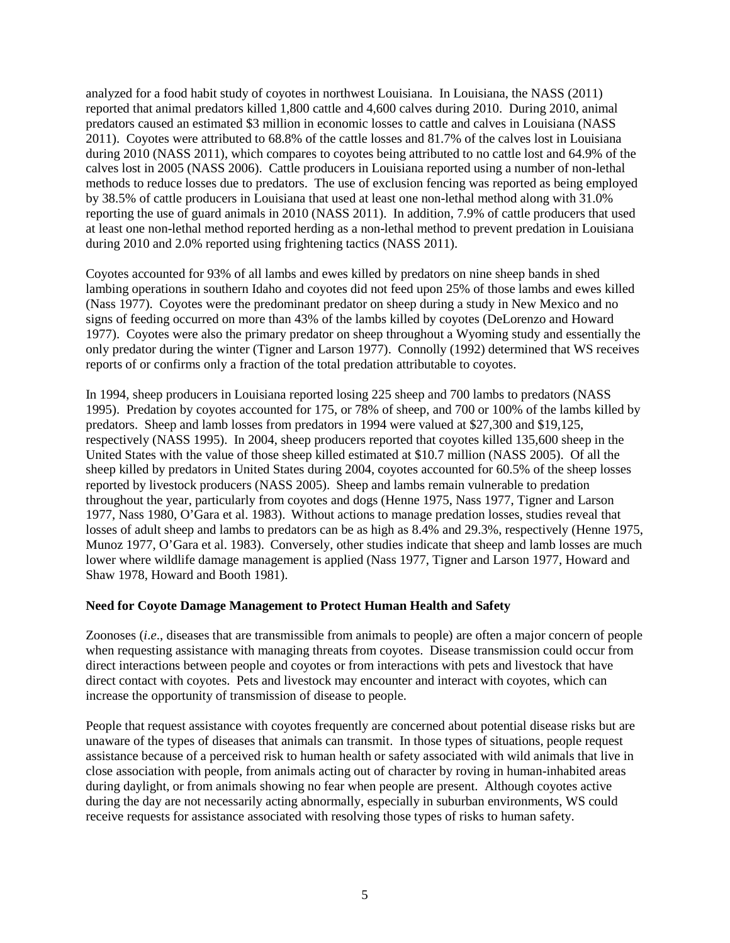analyzed for a food habit study of coyotes in northwest Louisiana. In Louisiana, the NASS (2011) reported that animal predators killed 1,800 cattle and 4,600 calves during 2010. During 2010, animal predators caused an estimated \$3 million in economic losses to cattle and calves in Louisiana (NASS 2011). Coyotes were attributed to 68.8% of the cattle losses and 81.7% of the calves lost in Louisiana during 2010 (NASS 2011), which compares to coyotes being attributed to no cattle lost and 64.9% of the calves lost in 2005 (NASS 2006). Cattle producers in Louisiana reported using a number of non-lethal methods to reduce losses due to predators. The use of exclusion fencing was reported as being employed by 38.5% of cattle producers in Louisiana that used at least one non-lethal method along with 31.0% reporting the use of guard animals in 2010 (NASS 2011). In addition, 7.9% of cattle producers that used at least one non-lethal method reported herding as a non-lethal method to prevent predation in Louisiana during 2010 and 2.0% reported using frightening tactics (NASS 2011).

Coyotes accounted for 93% of all lambs and ewes killed by predators on nine sheep bands in shed lambing operations in southern Idaho and coyotes did not feed upon 25% of those lambs and ewes killed (Nass 1977). Coyotes were the predominant predator on sheep during a study in New Mexico and no signs of feeding occurred on more than 43% of the lambs killed by coyotes (DeLorenzo and Howard 1977). Coyotes were also the primary predator on sheep throughout a Wyoming study and essentially the only predator during the winter (Tigner and Larson 1977). Connolly (1992) determined that WS receives reports of or confirms only a fraction of the total predation attributable to coyotes.

In 1994, sheep producers in Louisiana reported losing 225 sheep and 700 lambs to predators (NASS 1995). Predation by coyotes accounted for 175, or 78% of sheep, and 700 or 100% of the lambs killed by predators. Sheep and lamb losses from predators in 1994 were valued at \$27,300 and \$19,125, respectively (NASS 1995). In 2004, sheep producers reported that coyotes killed 135,600 sheep in the United States with the value of those sheep killed estimated at \$10.7 million (NASS 2005). Of all the sheep killed by predators in United States during 2004, coyotes accounted for 60.5% of the sheep losses reported by livestock producers (NASS 2005). Sheep and lambs remain vulnerable to predation throughout the year, particularly from coyotes and dogs (Henne 1975, Nass 1977, Tigner and Larson 1977, Nass 1980, O'Gara et al. 1983). Without actions to manage predation losses, studies reveal that losses of adult sheep and lambs to predators can be as high as 8.4% and 29.3%, respectively (Henne 1975, Munoz 1977, O'Gara et al. 1983). Conversely, other studies indicate that sheep and lamb losses are much lower where wildlife damage management is applied (Nass 1977, Tigner and Larson 1977, Howard and Shaw 1978, Howard and Booth 1981).

### **Need for Coyote Damage Management to Protect Human Health and Safety**

Zoonoses (*i*.*e*., diseases that are transmissible from animals to people) are often a major concern of people when requesting assistance with managing threats from coyotes. Disease transmission could occur from direct interactions between people and coyotes or from interactions with pets and livestock that have direct contact with coyotes. Pets and livestock may encounter and interact with coyotes, which can increase the opportunity of transmission of disease to people.

People that request assistance with coyotes frequently are concerned about potential disease risks but are unaware of the types of diseases that animals can transmit. In those types of situations, people request assistance because of a perceived risk to human health or safety associated with wild animals that live in close association with people, from animals acting out of character by roving in human-inhabited areas during daylight, or from animals showing no fear when people are present. Although coyotes active during the day are not necessarily acting abnormally, especially in suburban environments, WS could receive requests for assistance associated with resolving those types of risks to human safety.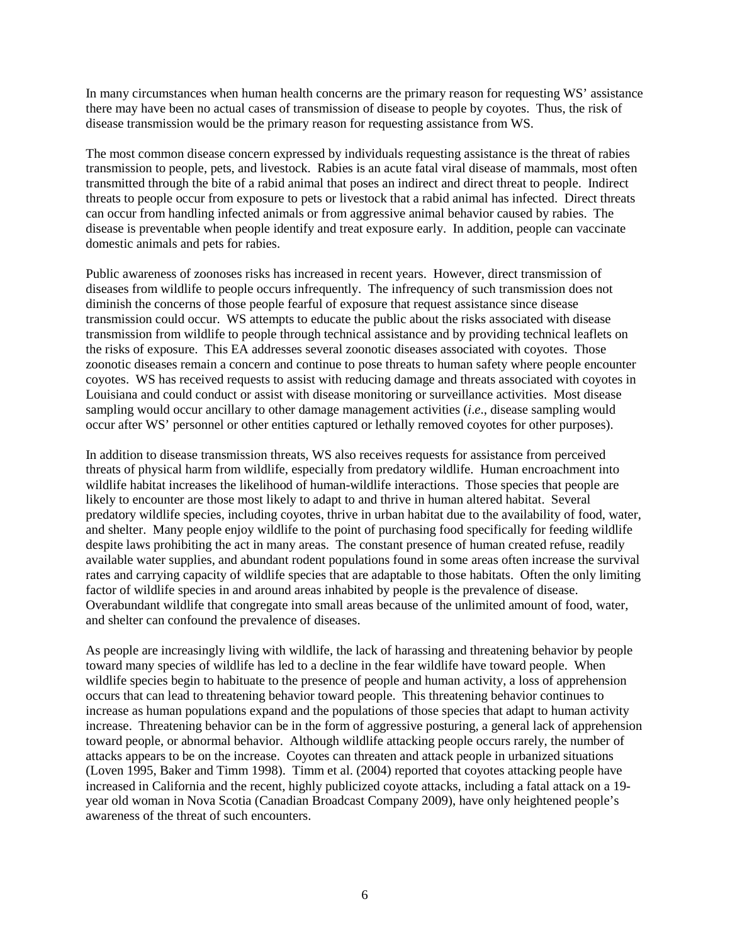In many circumstances when human health concerns are the primary reason for requesting WS' assistance there may have been no actual cases of transmission of disease to people by coyotes. Thus, the risk of disease transmission would be the primary reason for requesting assistance from WS.

The most common disease concern expressed by individuals requesting assistance is the threat of rabies transmission to people, pets, and livestock. Rabies is an acute fatal viral disease of mammals, most often transmitted through the bite of a rabid animal that poses an indirect and direct threat to people. Indirect threats to people occur from exposure to pets or livestock that a rabid animal has infected. Direct threats can occur from handling infected animals or from aggressive animal behavior caused by rabies. The disease is preventable when people identify and treat exposure early. In addition, people can vaccinate domestic animals and pets for rabies.

Public awareness of zoonoses risks has increased in recent years. However, direct transmission of diseases from wildlife to people occurs infrequently. The infrequency of such transmission does not diminish the concerns of those people fearful of exposure that request assistance since disease transmission could occur. WS attempts to educate the public about the risks associated with disease transmission from wildlife to people through technical assistance and by providing technical leaflets on the risks of exposure. This EA addresses several zoonotic diseases associated with coyotes. Those zoonotic diseases remain a concern and continue to pose threats to human safety where people encounter coyotes. WS has received requests to assist with reducing damage and threats associated with coyotes in Louisiana and could conduct or assist with disease monitoring or surveillance activities. Most disease sampling would occur ancillary to other damage management activities (*i*.*e*., disease sampling would occur after WS' personnel or other entities captured or lethally removed coyotes for other purposes).

In addition to disease transmission threats, WS also receives requests for assistance from perceived threats of physical harm from wildlife, especially from predatory wildlife. Human encroachment into wildlife habitat increases the likelihood of human-wildlife interactions. Those species that people are likely to encounter are those most likely to adapt to and thrive in human altered habitat. Several predatory wildlife species, including coyotes, thrive in urban habitat due to the availability of food, water, and shelter. Many people enjoy wildlife to the point of purchasing food specifically for feeding wildlife despite laws prohibiting the act in many areas. The constant presence of human created refuse, readily available water supplies, and abundant rodent populations found in some areas often increase the survival rates and carrying capacity of wildlife species that are adaptable to those habitats. Often the only limiting factor of wildlife species in and around areas inhabited by people is the prevalence of disease. Overabundant wildlife that congregate into small areas because of the unlimited amount of food, water, and shelter can confound the prevalence of diseases.

As people are increasingly living with wildlife, the lack of harassing and threatening behavior by people toward many species of wildlife has led to a decline in the fear wildlife have toward people. When wildlife species begin to habituate to the presence of people and human activity, a loss of apprehension occurs that can lead to threatening behavior toward people. This threatening behavior continues to increase as human populations expand and the populations of those species that adapt to human activity increase. Threatening behavior can be in the form of aggressive posturing, a general lack of apprehension toward people, or abnormal behavior. Although wildlife attacking people occurs rarely, the number of attacks appears to be on the increase. Coyotes can threaten and attack people in urbanized situations (Loven 1995, Baker and Timm 1998). Timm et al. (2004) reported that coyotes attacking people have increased in California and the recent, highly publicized coyote attacks, including a fatal attack on a 19 year old woman in Nova Scotia (Canadian Broadcast Company 2009), have only heightened people's awareness of the threat of such encounters.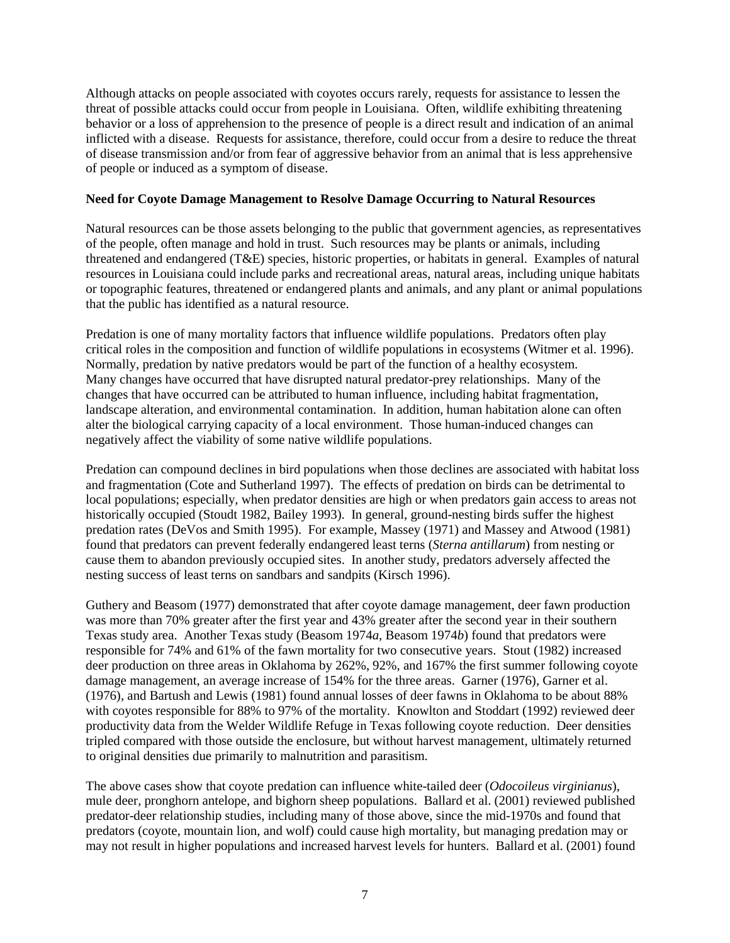Although attacks on people associated with coyotes occurs rarely, requests for assistance to lessen the threat of possible attacks could occur from people in Louisiana. Often, wildlife exhibiting threatening behavior or a loss of apprehension to the presence of people is a direct result and indication of an animal inflicted with a disease. Requests for assistance, therefore, could occur from a desire to reduce the threat of disease transmission and/or from fear of aggressive behavior from an animal that is less apprehensive of people or induced as a symptom of disease.

### **Need for Coyote Damage Management to Resolve Damage Occurring to Natural Resources**

Natural resources can be those assets belonging to the public that government agencies, as representatives of the people, often manage and hold in trust. Such resources may be plants or animals, including threatened and endangered (T&E) species, historic properties, or habitats in general. Examples of natural resources in Louisiana could include parks and recreational areas, natural areas, including unique habitats or topographic features, threatened or endangered plants and animals, and any plant or animal populations that the public has identified as a natural resource.

Predation is one of many mortality factors that influence wildlife populations. Predators often play critical roles in the composition and function of wildlife populations in ecosystems (Witmer et al. 1996). Normally, predation by native predators would be part of the function of a healthy ecosystem. Many changes have occurred that have disrupted natural predator-prey relationships. Many of the changes that have occurred can be attributed to human influence, including habitat fragmentation, landscape alteration, and environmental contamination. In addition, human habitation alone can often alter the biological carrying capacity of a local environment. Those human-induced changes can negatively affect the viability of some native wildlife populations.

Predation can compound declines in bird populations when those declines are associated with habitat loss and fragmentation (Cote and Sutherland 1997). The effects of predation on birds can be detrimental to local populations; especially, when predator densities are high or when predators gain access to areas not historically occupied (Stoudt 1982, Bailey 1993). In general, ground-nesting birds suffer the highest predation rates (DeVos and Smith 1995). For example, Massey (1971) and Massey and Atwood (1981) found that predators can prevent federally endangered least terns (*Sterna antillarum*) from nesting or cause them to abandon previously occupied sites. In another study, predators adversely affected the nesting success of least terns on sandbars and sandpits (Kirsch 1996).

Guthery and Beasom (1977) demonstrated that after coyote damage management, deer fawn production was more than 70% greater after the first year and 43% greater after the second year in their southern Texas study area. Another Texas study (Beasom 1974*a*, Beasom 1974*b*) found that predators were responsible for 74% and 61% of the fawn mortality for two consecutive years. Stout (1982) increased deer production on three areas in Oklahoma by 262%, 92%, and 167% the first summer following coyote damage management, an average increase of 154% for the three areas. Garner (1976), Garner et al. (1976), and Bartush and Lewis (1981) found annual losses of deer fawns in Oklahoma to be about 88% with coyotes responsible for 88% to 97% of the mortality. Knowlton and Stoddart (1992) reviewed deer productivity data from the Welder Wildlife Refuge in Texas following coyote reduction. Deer densities tripled compared with those outside the enclosure, but without harvest management, ultimately returned to original densities due primarily to malnutrition and parasitism.

The above cases show that coyote predation can influence white-tailed deer (*Odocoileus virginianus*), mule deer, pronghorn antelope, and bighorn sheep populations. Ballard et al. (2001) reviewed published predator-deer relationship studies, including many of those above, since the mid-1970s and found that predators (coyote, mountain lion, and wolf) could cause high mortality, but managing predation may or may not result in higher populations and increased harvest levels for hunters. Ballard et al. (2001) found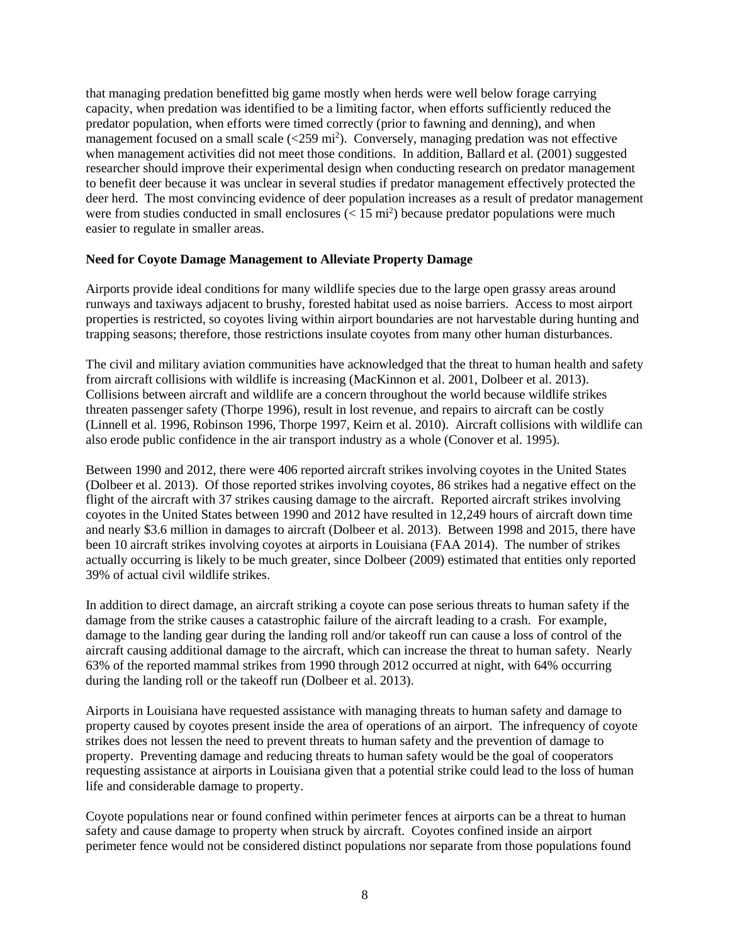that managing predation benefitted big game mostly when herds were well below forage carrying capacity, when predation was identified to be a limiting factor, when efforts sufficiently reduced the predator population, when efforts were timed correctly (prior to fawning and denning), and when management focused on a small scale  $(<259 \text{ mi}^2$ ). Conversely, managing predation was not effective when management activities did not meet those conditions. In addition, Ballard et al. (2001) suggested researcher should improve their experimental design when conducting research on predator management to benefit deer because it was unclear in several studies if predator management effectively protected the deer herd. The most convincing evidence of deer population increases as a result of predator management were from studies conducted in small enclosures  $(< 15 \text{ mi}^2)$  because predator populations were much easier to regulate in smaller areas.

### **Need for Coyote Damage Management to Alleviate Property Damage**

Airports provide ideal conditions for many wildlife species due to the large open grassy areas around runways and taxiways adjacent to brushy, forested habitat used as noise barriers. Access to most airport properties is restricted, so coyotes living within airport boundaries are not harvestable during hunting and trapping seasons; therefore, those restrictions insulate coyotes from many other human disturbances.

The civil and military aviation communities have acknowledged that the threat to human health and safety from aircraft collisions with wildlife is increasing (MacKinnon et al. 2001, Dolbeer et al. 2013). Collisions between aircraft and wildlife are a concern throughout the world because wildlife strikes threaten passenger safety (Thorpe 1996), result in lost revenue, and repairs to aircraft can be costly (Linnell et al. 1996, Robinson 1996, Thorpe 1997, Keirn et al. 2010). Aircraft collisions with wildlife can also erode public confidence in the air transport industry as a whole (Conover et al. 1995).

Between 1990 and 2012, there were 406 reported aircraft strikes involving coyotes in the United States (Dolbeer et al. 2013). Of those reported strikes involving coyotes, 86 strikes had a negative effect on the flight of the aircraft with 37 strikes causing damage to the aircraft. Reported aircraft strikes involving coyotes in the United States between 1990 and 2012 have resulted in 12,249 hours of aircraft down time and nearly \$3.6 million in damages to aircraft (Dolbeer et al. 2013). Between 1998 and 2015, there have been 10 aircraft strikes involving coyotes at airports in Louisiana (FAA 2014). The number of strikes actually occurring is likely to be much greater, since Dolbeer (2009) estimated that entities only reported 39% of actual civil wildlife strikes.

In addition to direct damage, an aircraft striking a coyote can pose serious threats to human safety if the damage from the strike causes a catastrophic failure of the aircraft leading to a crash. For example, damage to the landing gear during the landing roll and/or takeoff run can cause a loss of control of the aircraft causing additional damage to the aircraft, which can increase the threat to human safety. Nearly 63% of the reported mammal strikes from 1990 through 2012 occurred at night, with 64% occurring during the landing roll or the takeoff run (Dolbeer et al. 2013).

Airports in Louisiana have requested assistance with managing threats to human safety and damage to property caused by coyotes present inside the area of operations of an airport. The infrequency of coyote strikes does not lessen the need to prevent threats to human safety and the prevention of damage to property. Preventing damage and reducing threats to human safety would be the goal of cooperators requesting assistance at airports in Louisiana given that a potential strike could lead to the loss of human life and considerable damage to property.

Coyote populations near or found confined within perimeter fences at airports can be a threat to human safety and cause damage to property when struck by aircraft. Coyotes confined inside an airport perimeter fence would not be considered distinct populations nor separate from those populations found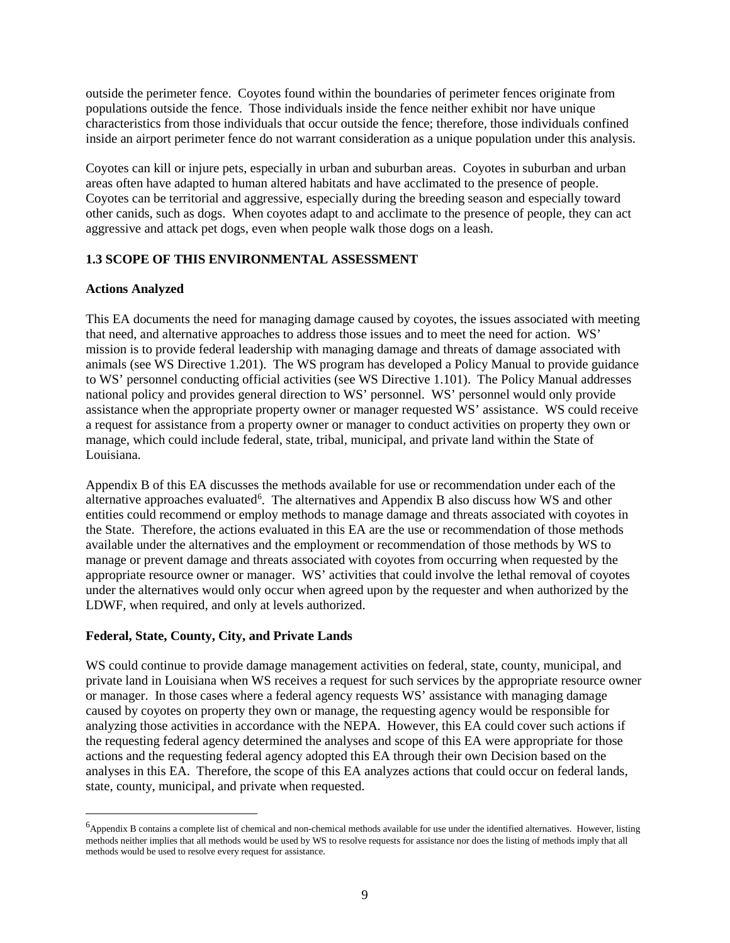outside the perimeter fence. Coyotes found within the boundaries of perimeter fences originate from populations outside the fence. Those individuals inside the fence neither exhibit nor have unique characteristics from those individuals that occur outside the fence; therefore, those individuals confined inside an airport perimeter fence do not warrant consideration as a unique population under this analysis.

Coyotes can kill or injure pets, especially in urban and suburban areas. Coyotes in suburban and urban areas often have adapted to human altered habitats and have acclimated to the presence of people. Coyotes can be territorial and aggressive, especially during the breeding season and especially toward other canids, such as dogs. When coyotes adapt to and acclimate to the presence of people, they can act aggressive and attack pet dogs, even when people walk those dogs on a leash.

# **1.3 SCOPE OF THIS ENVIRONMENTAL ASSESSMENT**

#### **Actions Analyzed**

This EA documents the need for managing damage caused by coyotes, the issues associated with meeting that need, and alternative approaches to address those issues and to meet the need for action. WS' mission is to provide federal leadership with managing damage and threats of damage associated with animals (see WS Directive 1.201). The WS program has developed a Policy Manual to provide guidance to WS' personnel conducting official activities (see WS Directive 1.101). The Policy Manual addresses national policy and provides general direction to WS' personnel. WS' personnel would only provide assistance when the appropriate property owner or manager requested WS' assistance. WS could receive a request for assistance from a property owner or manager to conduct activities on property they own or manage, which could include federal, state, tribal, municipal, and private land within the State of Louisiana.

Appendix B of this EA discusses the methods available for use or recommendation under each of the alternative approaches evaluated<sup>[6](#page-11-0)</sup>. The alternatives and Appendix B also discuss how WS and other entities could recommend or employ methods to manage damage and threats associated with coyotes in the State. Therefore, the actions evaluated in this EA are the use or recommendation of those methods available under the alternatives and the employment or recommendation of those methods by WS to manage or prevent damage and threats associated with coyotes from occurring when requested by the appropriate resource owner or manager. WS' activities that could involve the lethal removal of coyotes under the alternatives would only occur when agreed upon by the requester and when authorized by the LDWF, when required, and only at levels authorized.

### **Federal, State, County, City, and Private Lands**

WS could continue to provide damage management activities on federal, state, county, municipal, and private land in Louisiana when WS receives a request for such services by the appropriate resource owner or manager. In those cases where a federal agency requests WS' assistance with managing damage caused by coyotes on property they own or manage, the requesting agency would be responsible for analyzing those activities in accordance with the NEPA. However, this EA could cover such actions if the requesting federal agency determined the analyses and scope of this EA were appropriate for those actions and the requesting federal agency adopted this EA through their own Decision based on the analyses in this EA. Therefore, the scope of this EA analyzes actions that could occur on federal lands, state, county, municipal, and private when requested.

<span id="page-11-0"></span> <sup>6</sup>  $<sup>6</sup>$ Appendix B contains a complete list of chemical and non-chemical methods available for use under the identified alternatives. However, listing</sup> methods neither implies that all methods would be used by WS to resolve requests for assistance nor does the listing of methods imply that all methods would be used to resolve every request for assistance.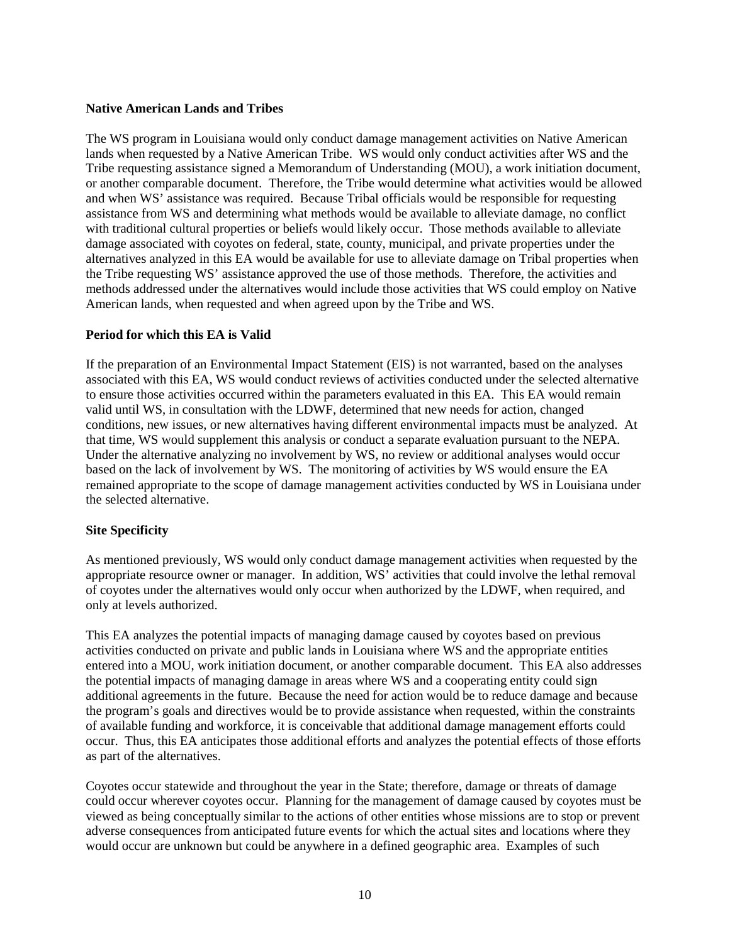### **Native American Lands and Tribes**

The WS program in Louisiana would only conduct damage management activities on Native American lands when requested by a Native American Tribe. WS would only conduct activities after WS and the Tribe requesting assistance signed a Memorandum of Understanding (MOU), a work initiation document, or another comparable document. Therefore, the Tribe would determine what activities would be allowed and when WS' assistance was required. Because Tribal officials would be responsible for requesting assistance from WS and determining what methods would be available to alleviate damage, no conflict with traditional cultural properties or beliefs would likely occur. Those methods available to alleviate damage associated with coyotes on federal, state, county, municipal, and private properties under the alternatives analyzed in this EA would be available for use to alleviate damage on Tribal properties when the Tribe requesting WS' assistance approved the use of those methods. Therefore, the activities and methods addressed under the alternatives would include those activities that WS could employ on Native American lands, when requested and when agreed upon by the Tribe and WS.

## **Period for which this EA is Valid**

If the preparation of an Environmental Impact Statement (EIS) is not warranted, based on the analyses associated with this EA, WS would conduct reviews of activities conducted under the selected alternative to ensure those activities occurred within the parameters evaluated in this EA. This EA would remain valid until WS, in consultation with the LDWF, determined that new needs for action, changed conditions, new issues, or new alternatives having different environmental impacts must be analyzed. At that time, WS would supplement this analysis or conduct a separate evaluation pursuant to the NEPA. Under the alternative analyzing no involvement by WS, no review or additional analyses would occur based on the lack of involvement by WS. The monitoring of activities by WS would ensure the EA remained appropriate to the scope of damage management activities conducted by WS in Louisiana under the selected alternative.

# **Site Specificity**

As mentioned previously, WS would only conduct damage management activities when requested by the appropriate resource owner or manager. In addition, WS' activities that could involve the lethal removal of coyotes under the alternatives would only occur when authorized by the LDWF, when required, and only at levels authorized.

This EA analyzes the potential impacts of managing damage caused by coyotes based on previous activities conducted on private and public lands in Louisiana where WS and the appropriate entities entered into a MOU, work initiation document, or another comparable document. This EA also addresses the potential impacts of managing damage in areas where WS and a cooperating entity could sign additional agreements in the future. Because the need for action would be to reduce damage and because the program's goals and directives would be to provide assistance when requested, within the constraints of available funding and workforce, it is conceivable that additional damage management efforts could occur. Thus, this EA anticipates those additional efforts and analyzes the potential effects of those efforts as part of the alternatives.

Coyotes occur statewide and throughout the year in the State; therefore, damage or threats of damage could occur wherever coyotes occur. Planning for the management of damage caused by coyotes must be viewed as being conceptually similar to the actions of other entities whose missions are to stop or prevent adverse consequences from anticipated future events for which the actual sites and locations where they would occur are unknown but could be anywhere in a defined geographic area. Examples of such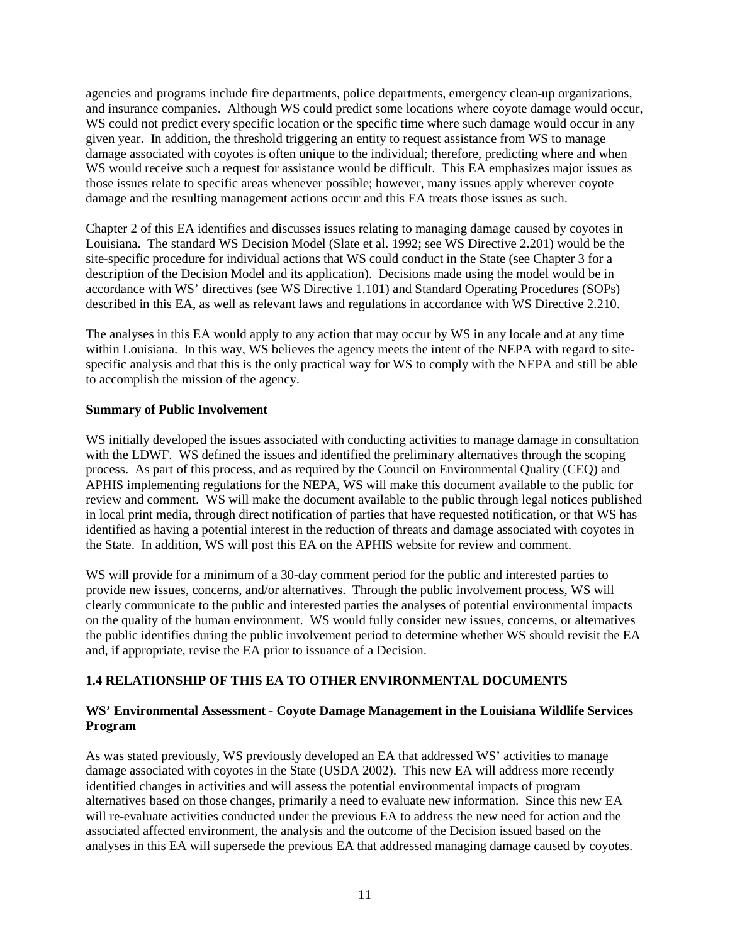agencies and programs include fire departments, police departments, emergency clean-up organizations, and insurance companies. Although WS could predict some locations where coyote damage would occur, WS could not predict every specific location or the specific time where such damage would occur in any given year. In addition, the threshold triggering an entity to request assistance from WS to manage damage associated with coyotes is often unique to the individual; therefore, predicting where and when WS would receive such a request for assistance would be difficult. This EA emphasizes major issues as those issues relate to specific areas whenever possible; however, many issues apply wherever coyote damage and the resulting management actions occur and this EA treats those issues as such.

Chapter 2 of this EA identifies and discusses issues relating to managing damage caused by coyotes in Louisiana. The standard WS Decision Model (Slate et al. 1992; see WS Directive 2.201) would be the site-specific procedure for individual actions that WS could conduct in the State (see Chapter 3 for a description of the Decision Model and its application). Decisions made using the model would be in accordance with WS' directives (see WS Directive 1.101) and Standard Operating Procedures (SOPs) described in this EA, as well as relevant laws and regulations in accordance with WS Directive 2.210.

The analyses in this EA would apply to any action that may occur by WS in any locale and at any time within Louisiana. In this way, WS believes the agency meets the intent of the NEPA with regard to sitespecific analysis and that this is the only practical way for WS to comply with the NEPA and still be able to accomplish the mission of the agency.

## **Summary of Public Involvement**

WS initially developed the issues associated with conducting activities to manage damage in consultation with the LDWF. WS defined the issues and identified the preliminary alternatives through the scoping process. As part of this process, and as required by the Council on Environmental Quality (CEQ) and APHIS implementing regulations for the NEPA, WS will make this document available to the public for review and comment. WS will make the document available to the public through legal notices published in local print media, through direct notification of parties that have requested notification, or that WS has identified as having a potential interest in the reduction of threats and damage associated with coyotes in the State. In addition, WS will post this EA on the APHIS website for review and comment.

WS will provide for a minimum of a 30-day comment period for the public and interested parties to provide new issues, concerns, and/or alternatives. Through the public involvement process, WS will clearly communicate to the public and interested parties the analyses of potential environmental impacts on the quality of the human environment. WS would fully consider new issues, concerns, or alternatives the public identifies during the public involvement period to determine whether WS should revisit the EA and, if appropriate, revise the EA prior to issuance of a Decision.

# **1.4 RELATIONSHIP OF THIS EA TO OTHER ENVIRONMENTAL DOCUMENTS**

## **WS' Environmental Assessment - Coyote Damage Management in the Louisiana Wildlife Services Program**

As was stated previously, WS previously developed an EA that addressed WS' activities to manage damage associated with coyotes in the State (USDA 2002). This new EA will address more recently identified changes in activities and will assess the potential environmental impacts of program alternatives based on those changes, primarily a need to evaluate new information. Since this new EA will re-evaluate activities conducted under the previous EA to address the new need for action and the associated affected environment, the analysis and the outcome of the Decision issued based on the analyses in this EA will supersede the previous EA that addressed managing damage caused by coyotes.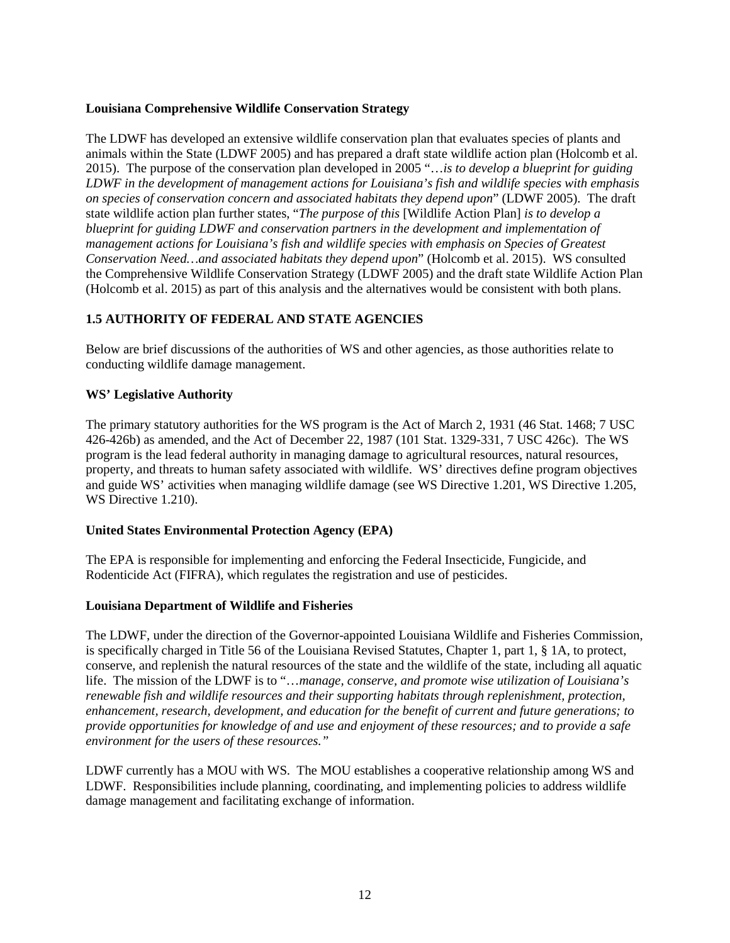## **Louisiana Comprehensive Wildlife Conservation Strategy**

The LDWF has developed an extensive wildlife conservation plan that evaluates species of plants and animals within the State (LDWF 2005) and has prepared a draft state wildlife action plan (Holcomb et al. 2015). The purpose of the conservation plan developed in 2005 "…*is to develop a blueprint for guiding LDWF in the development of management actions for Louisiana's fish and wildlife species with emphasis on species of conservation concern and associated habitats they depend upon*" (LDWF 2005). The draft state wildlife action plan further states, "*The purpose of this* [Wildlife Action Plan] *is to develop a blueprint for guiding LDWF and conservation partners in the development and implementation of management actions for Louisiana's fish and wildlife species with emphasis on Species of Greatest Conservation Need…and associated habitats they depend upon*" (Holcomb et al. 2015). WS consulted the Comprehensive Wildlife Conservation Strategy (LDWF 2005) and the draft state Wildlife Action Plan (Holcomb et al. 2015) as part of this analysis and the alternatives would be consistent with both plans.

# **1.5 AUTHORITY OF FEDERAL AND STATE AGENCIES**

Below are brief discussions of the authorities of WS and other agencies, as those authorities relate to conducting wildlife damage management.

## **WS' Legislative Authority**

The primary statutory authorities for the WS program is the Act of March 2, 1931 (46 Stat. 1468; 7 USC 426-426b) as amended, and the Act of December 22, 1987 (101 Stat. 1329-331, 7 USC 426c). The WS program is the lead federal authority in managing damage to agricultural resources, natural resources, property, and threats to human safety associated with wildlife. WS' directives define program objectives and guide WS' activities when managing wildlife damage (see WS Directive 1.201, WS Directive 1.205, WS Directive 1.210).

### **United States Environmental Protection Agency (EPA)**

The EPA is responsible for implementing and enforcing the Federal Insecticide, Fungicide, and Rodenticide Act (FIFRA), which regulates the registration and use of pesticides.

### **Louisiana Department of Wildlife and Fisheries**

The LDWF, under the direction of the Governor-appointed Louisiana Wildlife and Fisheries Commission, is specifically charged in Title 56 of the Louisiana Revised Statutes, Chapter 1, part 1, § 1A, to protect, conserve, and replenish the natural resources of the state and the wildlife of the state, including all aquatic life. The mission of the LDWF is to "…*manage, conserve, and promote wise utilization of Louisiana's renewable fish and wildlife resources and their supporting habitats through replenishment, protection, enhancement, research, development, and education for the benefit of current and future generations; to provide opportunities for knowledge of and use and enjoyment of these resources; and to provide a safe environment for the users of these resources."*

LDWF currently has a MOU with WS. The MOU establishes a cooperative relationship among WS and LDWF. Responsibilities include planning, coordinating, and implementing policies to address wildlife damage management and facilitating exchange of information.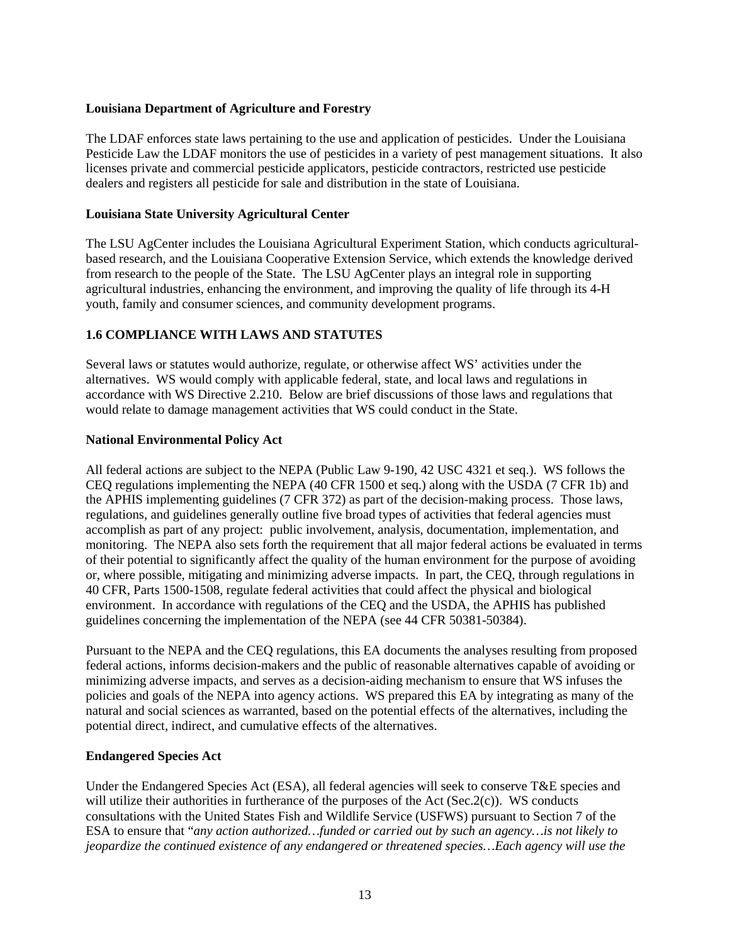## **Louisiana Department of Agriculture and Forestry**

The LDAF enforces state laws pertaining to the use and application of pesticides. Under the Louisiana Pesticide Law the LDAF monitors the use of pesticides in a variety of pest management situations. It also licenses private and commercial pesticide applicators, pesticide contractors, restricted use pesticide dealers and registers all pesticide for sale and distribution in the state of Louisiana.

## **Louisiana State University Agricultural Center**

The LSU AgCenter includes the Louisiana Agricultural Experiment Station, which conducts agriculturalbased research, and the Louisiana Cooperative Extension Service, which extends the knowledge derived from research to the people of the State. The LSU AgCenter plays an integral role in supporting agricultural industries, enhancing the environment, and improving the quality of life through its 4-H youth, family and consumer sciences, and community development programs.

# **1.6 COMPLIANCE WITH LAWS AND STATUTES**

Several laws or statutes would authorize, regulate, or otherwise affect WS' activities under the alternatives. WS would comply with applicable federal, state, and local laws and regulations in accordance with WS Directive 2.210. Below are brief discussions of those laws and regulations that would relate to damage management activities that WS could conduct in the State.

## **National Environmental Policy Act**

All federal actions are subject to the NEPA (Public Law 9-190, 42 USC 4321 et seq.). WS follows the CEQ regulations implementing the NEPA (40 CFR 1500 et seq.) along with the USDA (7 CFR 1b) and the APHIS implementing guidelines (7 CFR 372) as part of the decision-making process. Those laws, regulations, and guidelines generally outline five broad types of activities that federal agencies must accomplish as part of any project: public involvement, analysis, documentation, implementation, and monitoring. The NEPA also sets forth the requirement that all major federal actions be evaluated in terms of their potential to significantly affect the quality of the human environment for the purpose of avoiding or, where possible, mitigating and minimizing adverse impacts. In part, the CEQ, through regulations in 40 CFR, Parts 1500-1508, regulate federal activities that could affect the physical and biological environment. In accordance with regulations of the CEQ and the USDA, the APHIS has published guidelines concerning the implementation of the NEPA (see 44 CFR 50381-50384).

Pursuant to the NEPA and the CEQ regulations, this EA documents the analyses resulting from proposed federal actions, informs decision-makers and the public of reasonable alternatives capable of avoiding or minimizing adverse impacts, and serves as a decision-aiding mechanism to ensure that WS infuses the policies and goals of the NEPA into agency actions. WS prepared this EA by integrating as many of the natural and social sciences as warranted, based on the potential effects of the alternatives, including the potential direct, indirect, and cumulative effects of the alternatives.

# **Endangered Species Act**

Under the Endangered Species Act (ESA), all federal agencies will seek to conserve T&E species and will utilize their authorities in furtherance of the purposes of the Act (Sec.2(c)). WS conducts consultations with the United States Fish and Wildlife Service (USFWS) pursuant to Section 7 of the ESA to ensure that "*any action authorized…funded or carried out by such an agency…is not likely to jeopardize the continued existence of any endangered or threatened species…Each agency will use the*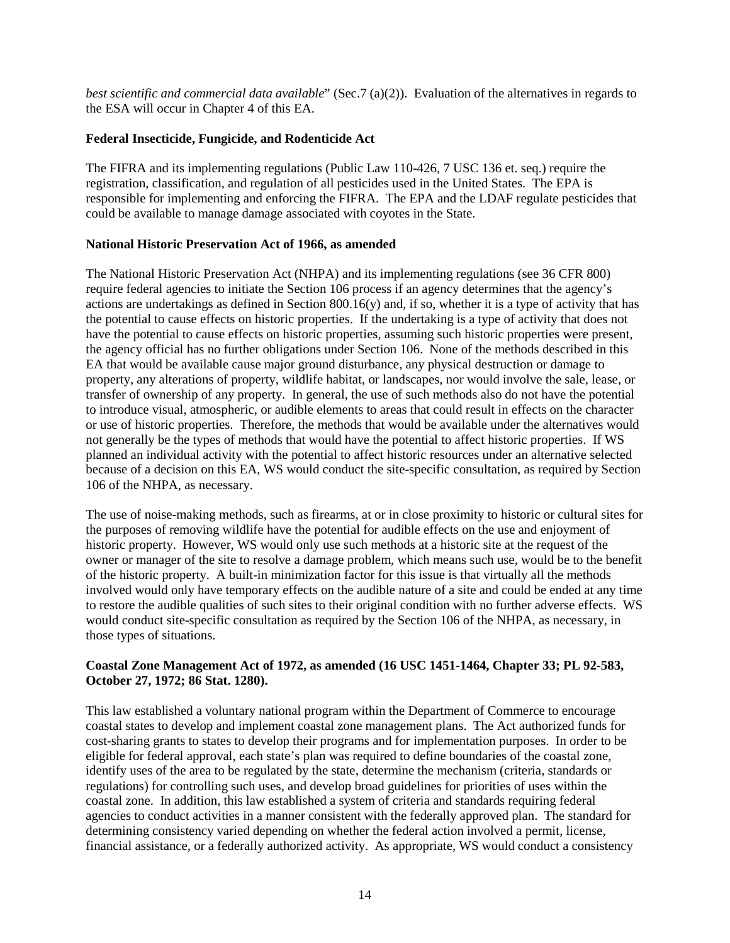*best scientific and commercial data available*" (Sec.7 (a)(2)). Evaluation of the alternatives in regards to the ESA will occur in Chapter 4 of this EA.

## **Federal Insecticide, Fungicide, and Rodenticide Act**

The FIFRA and its implementing regulations (Public Law 110-426, 7 USC 136 et. seq.) require the registration, classification, and regulation of all pesticides used in the United States. The EPA is responsible for implementing and enforcing the FIFRA. The EPA and the LDAF regulate pesticides that could be available to manage damage associated with coyotes in the State.

## **National Historic Preservation Act of 1966, as amended**

The National Historic Preservation Act (NHPA) and its implementing regulations (see 36 CFR 800) require federal agencies to initiate the Section 106 process if an agency determines that the agency's actions are undertakings as defined in Section 800.16(y) and, if so, whether it is a type of activity that has the potential to cause effects on historic properties. If the undertaking is a type of activity that does not have the potential to cause effects on historic properties, assuming such historic properties were present, the agency official has no further obligations under Section 106. None of the methods described in this EA that would be available cause major ground disturbance, any physical destruction or damage to property, any alterations of property, wildlife habitat, or landscapes, nor would involve the sale, lease, or transfer of ownership of any property. In general, the use of such methods also do not have the potential to introduce visual, atmospheric, or audible elements to areas that could result in effects on the character or use of historic properties. Therefore, the methods that would be available under the alternatives would not generally be the types of methods that would have the potential to affect historic properties. If WS planned an individual activity with the potential to affect historic resources under an alternative selected because of a decision on this EA, WS would conduct the site-specific consultation, as required by Section 106 of the NHPA, as necessary.

The use of noise-making methods, such as firearms, at or in close proximity to historic or cultural sites for the purposes of removing wildlife have the potential for audible effects on the use and enjoyment of historic property. However, WS would only use such methods at a historic site at the request of the owner or manager of the site to resolve a damage problem, which means such use, would be to the benefit of the historic property. A built-in minimization factor for this issue is that virtually all the methods involved would only have temporary effects on the audible nature of a site and could be ended at any time to restore the audible qualities of such sites to their original condition with no further adverse effects. WS would conduct site-specific consultation as required by the Section 106 of the NHPA, as necessary, in those types of situations.

## **Coastal Zone Management Act of 1972, as amended (16 USC 1451-1464, Chapter 33; PL 92-583, October 27, 1972; 86 Stat. 1280).**

This law established a voluntary national program within the Department of Commerce to encourage coastal states to develop and implement coastal zone management plans. The Act authorized funds for cost-sharing grants to states to develop their programs and for implementation purposes. In order to be eligible for federal approval, each state's plan was required to define boundaries of the coastal zone, identify uses of the area to be regulated by the state, determine the mechanism (criteria, standards or regulations) for controlling such uses, and develop broad guidelines for priorities of uses within the coastal zone. In addition, this law established a system of criteria and standards requiring federal agencies to conduct activities in a manner consistent with the federally approved plan. The standard for determining consistency varied depending on whether the federal action involved a permit, license, financial assistance, or a federally authorized activity. As appropriate, WS would conduct a consistency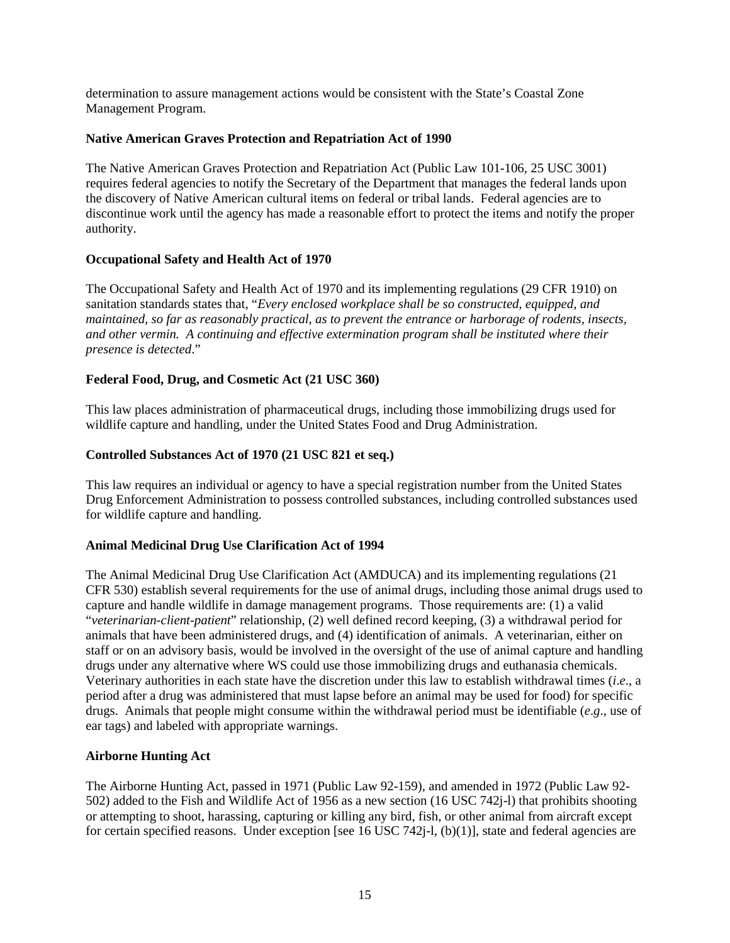determination to assure management actions would be consistent with the State's Coastal Zone Management Program.

## **Native American Graves Protection and Repatriation Act of 1990**

The Native American Graves Protection and Repatriation Act (Public Law 101-106, 25 USC 3001) requires federal agencies to notify the Secretary of the Department that manages the federal lands upon the discovery of Native American cultural items on federal or tribal lands. Federal agencies are to discontinue work until the agency has made a reasonable effort to protect the items and notify the proper authority.

# **Occupational Safety and Health Act of 1970**

The Occupational Safety and Health Act of 1970 and its implementing regulations (29 CFR 1910) on sanitation standards states that, "*Every enclosed workplace shall be so constructed, equipped, and maintained, so far as reasonably practical, as to prevent the entrance or harborage of rodents, insects, and other vermin. A continuing and effective extermination program shall be instituted where their presence is detected*."

# **Federal Food, Drug, and Cosmetic Act (21 USC 360)**

This law places administration of pharmaceutical drugs, including those immobilizing drugs used for wildlife capture and handling, under the United States Food and Drug Administration.

## **Controlled Substances Act of 1970 (21 USC 821 et seq.)**

This law requires an individual or agency to have a special registration number from the United States Drug Enforcement Administration to possess controlled substances, including controlled substances used for wildlife capture and handling.

### **Animal Medicinal Drug Use Clarification Act of 1994**

The Animal Medicinal Drug Use Clarification Act (AMDUCA) and its implementing regulations (21 CFR 530) establish several requirements for the use of animal drugs, including those animal drugs used to capture and handle wildlife in damage management programs. Those requirements are: (1) a valid "*veterinarian-client-patient*" relationship, (2) well defined record keeping, (3) a withdrawal period for animals that have been administered drugs, and (4) identification of animals. A veterinarian, either on staff or on an advisory basis, would be involved in the oversight of the use of animal capture and handling drugs under any alternative where WS could use those immobilizing drugs and euthanasia chemicals. Veterinary authorities in each state have the discretion under this law to establish withdrawal times (*i*.*e*., a period after a drug was administered that must lapse before an animal may be used for food) for specific drugs. Animals that people might consume within the withdrawal period must be identifiable (*e*.*g*., use of ear tags) and labeled with appropriate warnings.

### **Airborne Hunting Act**

The Airborne Hunting Act, passed in 1971 (Public Law 92-159), and amended in 1972 (Public Law 92- 502) added to the Fish and Wildlife Act of 1956 as a new section (16 USC 742j-l) that prohibits shooting or attempting to shoot, harassing, capturing or killing any bird, fish, or other animal from aircraft except for certain specified reasons. Under exception [see 16 USC 742j-l, (b)(1)], state and federal agencies are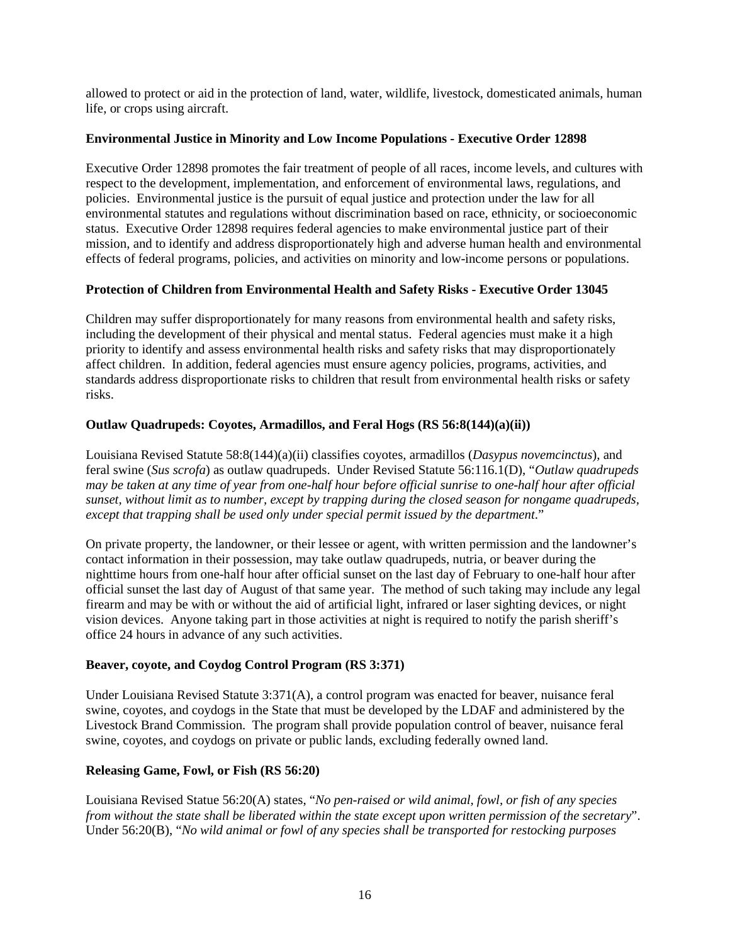allowed to protect or aid in the protection of land, water, wildlife, livestock, domesticated animals, human life, or crops using aircraft.

## **Environmental Justice in Minority and Low Income Populations - Executive Order 12898**

Executive Order 12898 promotes the fair treatment of people of all races, income levels, and cultures with respect to the development, implementation, and enforcement of environmental laws, regulations, and policies. Environmental justice is the pursuit of equal justice and protection under the law for all environmental statutes and regulations without discrimination based on race, ethnicity, or socioeconomic status. Executive Order 12898 requires federal agencies to make environmental justice part of their mission, and to identify and address disproportionately high and adverse human health and environmental effects of federal programs, policies, and activities on minority and low-income persons or populations.

## **Protection of Children from Environmental Health and Safety Risks - Executive Order 13045**

Children may suffer disproportionately for many reasons from environmental health and safety risks, including the development of their physical and mental status. Federal agencies must make it a high priority to identify and assess environmental health risks and safety risks that may disproportionately affect children. In addition, federal agencies must ensure agency policies, programs, activities, and standards address disproportionate risks to children that result from environmental health risks or safety risks.

## **Outlaw Quadrupeds: Coyotes, Armadillos, and Feral Hogs (RS 56:8(144)(a)(ii))**

Louisiana Revised Statute 58:8(144)(a)(ii) classifies coyotes, armadillos (*Dasypus novemcinctus*), and feral swine (*Sus scrofa*) as outlaw quadrupeds. Under Revised Statute 56:116.1(D), "*Outlaw quadrupeds may be taken at any time of year from one-half hour before official sunrise to one-half hour after official sunset, without limit as to number, except by trapping during the closed season for nongame quadrupeds, except that trapping shall be used only under special permit issued by the department*."

On private property, the landowner, or their lessee or agent, with written permission and the landowner's contact information in their possession, may take outlaw quadrupeds, nutria, or beaver during the nighttime hours from one-half hour after official sunset on the last day of February to one-half hour after official sunset the last day of August of that same year. The method of such taking may include any legal firearm and may be with or without the aid of artificial light, infrared or laser sighting devices, or night vision devices. Anyone taking part in those activities at night is required to notify the parish sheriff's office 24 hours in advance of any such activities.

# **Beaver, coyote, and Coydog Control Program (RS 3:371)**

Under Louisiana Revised Statute 3:371(A), a control program was enacted for beaver, nuisance feral swine, coyotes, and coydogs in the State that must be developed by the LDAF and administered by the Livestock Brand Commission. The program shall provide population control of beaver, nuisance feral swine, coyotes, and coydogs on private or public lands, excluding federally owned land.

### **Releasing Game, Fowl, or Fish (RS 56:20)**

Louisiana Revised Statue 56:20(A) states, "*No pen-raised or wild animal, fowl, or fish of any species from without the state shall be liberated within the state except upon written permission of the secretary*". Under 56:20(B), "*No wild animal or fowl of any species shall be transported for restocking purposes*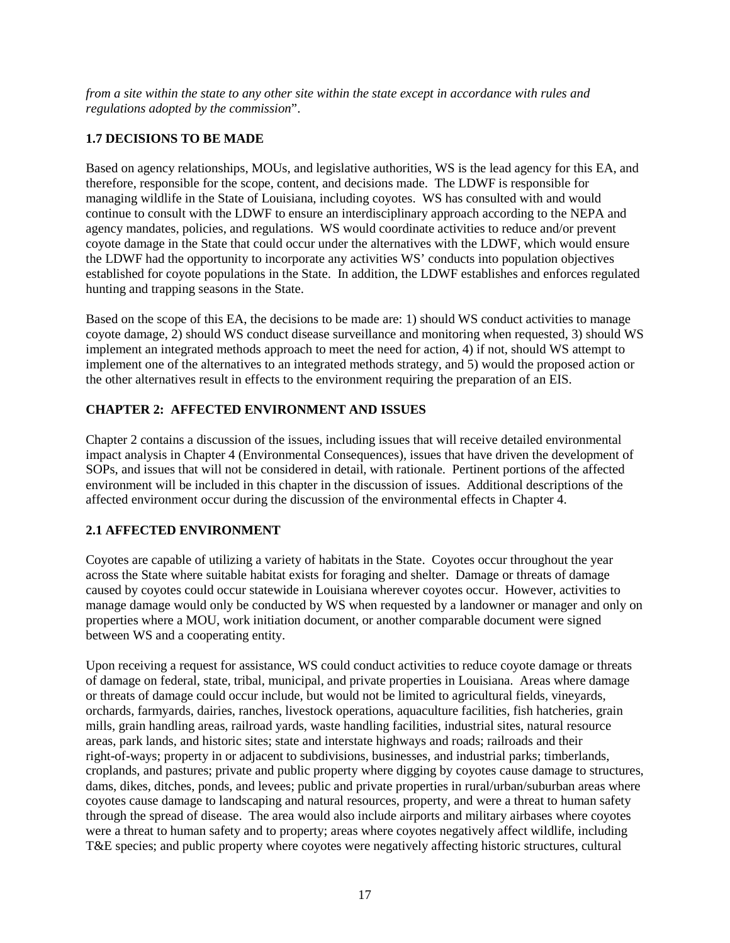*from a site within the state to any other site within the state except in accordance with rules and regulations adopted by the commission*".

# **1.7 DECISIONS TO BE MADE**

Based on agency relationships, MOUs, and legislative authorities, WS is the lead agency for this EA, and therefore, responsible for the scope, content, and decisions made. The LDWF is responsible for managing wildlife in the State of Louisiana, including coyotes. WS has consulted with and would continue to consult with the LDWF to ensure an interdisciplinary approach according to the NEPA and agency mandates, policies, and regulations. WS would coordinate activities to reduce and/or prevent coyote damage in the State that could occur under the alternatives with the LDWF, which would ensure the LDWF had the opportunity to incorporate any activities WS' conducts into population objectives established for coyote populations in the State. In addition, the LDWF establishes and enforces regulated hunting and trapping seasons in the State.

Based on the scope of this EA, the decisions to be made are: 1) should WS conduct activities to manage coyote damage, 2) should WS conduct disease surveillance and monitoring when requested, 3) should WS implement an integrated methods approach to meet the need for action, 4) if not, should WS attempt to implement one of the alternatives to an integrated methods strategy, and 5) would the proposed action or the other alternatives result in effects to the environment requiring the preparation of an EIS.

# **CHAPTER 2: AFFECTED ENVIRONMENT AND ISSUES**

Chapter 2 contains a discussion of the issues, including issues that will receive detailed environmental impact analysis in Chapter 4 (Environmental Consequences), issues that have driven the development of SOPs, and issues that will not be considered in detail, with rationale. Pertinent portions of the affected environment will be included in this chapter in the discussion of issues. Additional descriptions of the affected environment occur during the discussion of the environmental effects in Chapter 4.

# **2.1 AFFECTED ENVIRONMENT**

Coyotes are capable of utilizing a variety of habitats in the State. Coyotes occur throughout the year across the State where suitable habitat exists for foraging and shelter. Damage or threats of damage caused by coyotes could occur statewide in Louisiana wherever coyotes occur. However, activities to manage damage would only be conducted by WS when requested by a landowner or manager and only on properties where a MOU, work initiation document, or another comparable document were signed between WS and a cooperating entity.

Upon receiving a request for assistance, WS could conduct activities to reduce coyote damage or threats of damage on federal, state, tribal, municipal, and private properties in Louisiana. Areas where damage or threats of damage could occur include, but would not be limited to agricultural fields, vineyards, orchards, farmyards, dairies, ranches, livestock operations, aquaculture facilities, fish hatcheries, grain mills, grain handling areas, railroad yards, waste handling facilities, industrial sites, natural resource areas, park lands, and historic sites; state and interstate highways and roads; railroads and their right-of-ways; property in or adjacent to subdivisions, businesses, and industrial parks; timberlands, croplands, and pastures; private and public property where digging by coyotes cause damage to structures, dams, dikes, ditches, ponds, and levees; public and private properties in rural/urban/suburban areas where coyotes cause damage to landscaping and natural resources, property, and were a threat to human safety through the spread of disease. The area would also include airports and military airbases where coyotes were a threat to human safety and to property; areas where coyotes negatively affect wildlife, including T&E species; and public property where coyotes were negatively affecting historic structures, cultural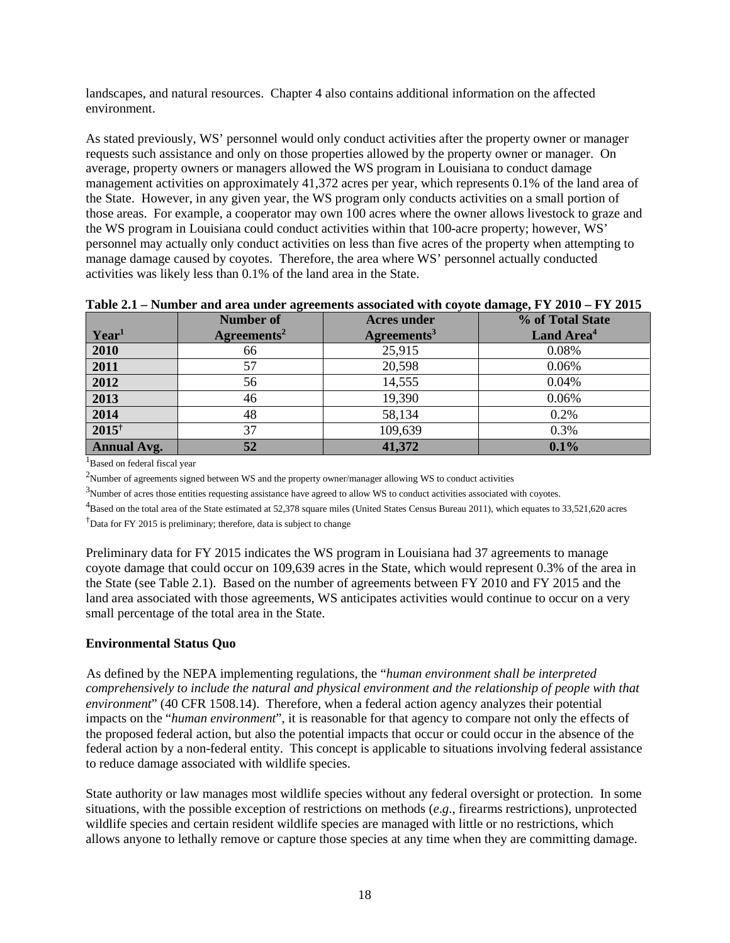landscapes, and natural resources. Chapter 4 also contains additional information on the affected environment.

As stated previously, WS' personnel would only conduct activities after the property owner or manager requests such assistance and only on those properties allowed by the property owner or manager. On average, property owners or managers allowed the WS program in Louisiana to conduct damage management activities on approximately 41,372 acres per year, which represents 0.1% of the land area of the State. However, in any given year, the WS program only conducts activities on a small portion of those areas. For example, a cooperator may own 100 acres where the owner allows livestock to graze and the WS program in Louisiana could conduct activities within that 100-acre property; however, WS' personnel may actually only conduct activities on less than five acres of the property when attempting to manage damage caused by coyotes. Therefore, the area where WS' personnel actually conducted activities was likely less than 0.1% of the land area in the State.

| THOICEL THEREOF BUG BLVB BUGGI BELVERIOUS BOOVERIVG THEI COTOU GRIDBEVIT I HOICE I I SOLU |                            |                         |                        |  |  |  |  |  |
|-------------------------------------------------------------------------------------------|----------------------------|-------------------------|------------------------|--|--|--|--|--|
|                                                                                           | <b>Number of</b>           | <b>Acres under</b>      | % of Total State       |  |  |  |  |  |
| Year <sup>1</sup>                                                                         | $A$ greements <sup>2</sup> | Agreenents <sup>3</sup> | Land Area <sup>4</sup> |  |  |  |  |  |
| 2010                                                                                      | 66                         | 25,915                  | 0.08%                  |  |  |  |  |  |
| 2011                                                                                      | 57                         | 20,598                  | 0.06%                  |  |  |  |  |  |
| 2012                                                                                      | 56                         | 14,555                  | 0.04%                  |  |  |  |  |  |
| 2013                                                                                      | 46                         | 19,390                  | 0.06%                  |  |  |  |  |  |
| 2014                                                                                      | 48                         | 58,134                  | 0.2%                   |  |  |  |  |  |
| $2015^{\dagger}$                                                                          | 37                         | 109,639                 | 0.3%                   |  |  |  |  |  |
| <b>Annual Avg.</b>                                                                        | 52                         | 41,372                  | 0.1%                   |  |  |  |  |  |

|  | Table 2.1 – Number and area under agreements associated with coyote damage, FY 2010 – FY 2015 |  |  |
|--|-----------------------------------------------------------------------------------------------|--|--|
|  |                                                                                               |  |  |

<sup>1</sup>Based on federal fiscal year

<sup>2</sup>Number of agreements signed between WS and the property owner/manager allowing WS to conduct activities

 $3$ Number of acres those entities requesting assistance have agreed to allow WS to conduct activities associated with coyotes.

 $^{4}$ Based on the total area of the State estimated at 52,378 square miles (United States Census Bureau 2011), which equates to 33,521,620 acres

<sup>†</sup>Data for FY 2015 is preliminary; therefore, data is subject to change

Preliminary data for FY 2015 indicates the WS program in Louisiana had 37 agreements to manage coyote damage that could occur on 109,639 acres in the State, which would represent 0.3% of the area in the State (see Table 2.1). Based on the number of agreements between FY 2010 and FY 2015 and the land area associated with those agreements, WS anticipates activities would continue to occur on a very small percentage of the total area in the State.

### **Environmental Status Quo**

As defined by the NEPA implementing regulations, the "*human environment shall be interpreted comprehensively to include the natural and physical environment and the relationship of people with that environment*" (40 CFR 1508.14). Therefore, when a federal action agency analyzes their potential impacts on the "*human environment*", it is reasonable for that agency to compare not only the effects of the proposed federal action, but also the potential impacts that occur or could occur in the absence of the federal action by a non-federal entity. This concept is applicable to situations involving federal assistance to reduce damage associated with wildlife species.

State authority or law manages most wildlife species without any federal oversight or protection. In some situations, with the possible exception of restrictions on methods (*e*.*g*., firearms restrictions), unprotected wildlife species and certain resident wildlife species are managed with little or no restrictions, which allows anyone to lethally remove or capture those species at any time when they are committing damage.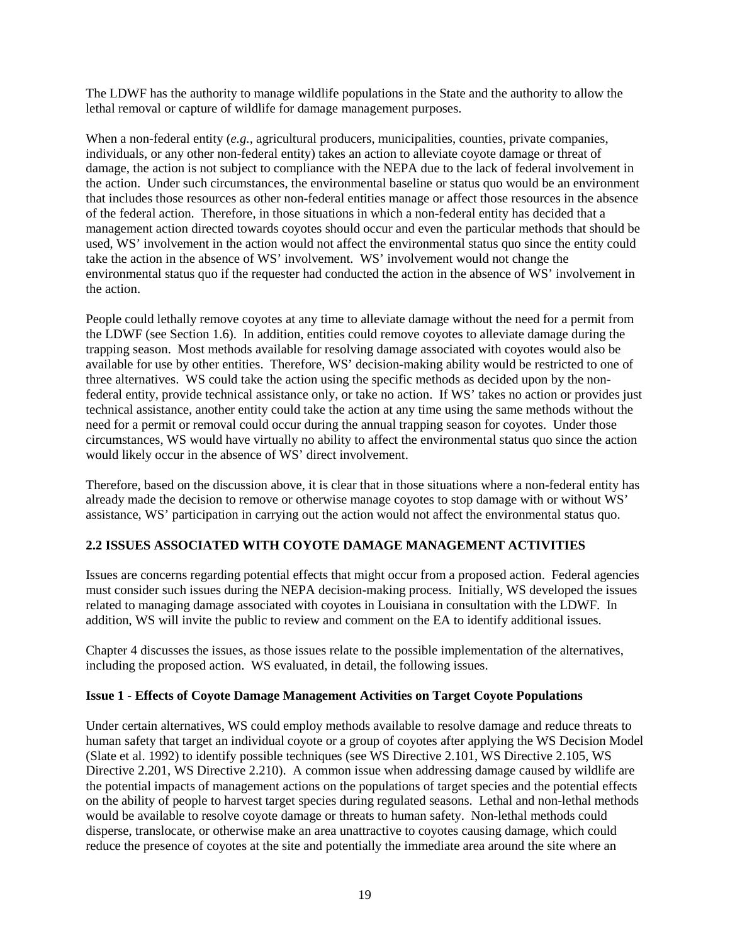The LDWF has the authority to manage wildlife populations in the State and the authority to allow the lethal removal or capture of wildlife for damage management purposes.

When a non-federal entity (*e.g.*, agricultural producers, municipalities, counties, private companies, individuals, or any other non-federal entity) takes an action to alleviate coyote damage or threat of damage, the action is not subject to compliance with the NEPA due to the lack of federal involvement in the action. Under such circumstances, the environmental baseline or status quo would be an environment that includes those resources as other non-federal entities manage or affect those resources in the absence of the federal action. Therefore, in those situations in which a non-federal entity has decided that a management action directed towards coyotes should occur and even the particular methods that should be used, WS' involvement in the action would not affect the environmental status quo since the entity could take the action in the absence of WS' involvement. WS' involvement would not change the environmental status quo if the requester had conducted the action in the absence of WS' involvement in the action.

People could lethally remove coyotes at any time to alleviate damage without the need for a permit from the LDWF (see Section 1.6). In addition, entities could remove coyotes to alleviate damage during the trapping season. Most methods available for resolving damage associated with coyotes would also be available for use by other entities. Therefore, WS' decision-making ability would be restricted to one of three alternatives. WS could take the action using the specific methods as decided upon by the nonfederal entity, provide technical assistance only, or take no action. If WS' takes no action or provides just technical assistance, another entity could take the action at any time using the same methods without the need for a permit or removal could occur during the annual trapping season for coyotes. Under those circumstances, WS would have virtually no ability to affect the environmental status quo since the action would likely occur in the absence of WS' direct involvement.

Therefore, based on the discussion above, it is clear that in those situations where a non-federal entity has already made the decision to remove or otherwise manage coyotes to stop damage with or without WS' assistance, WS' participation in carrying out the action would not affect the environmental status quo.

# **2.2 ISSUES ASSOCIATED WITH COYOTE DAMAGE MANAGEMENT ACTIVITIES**

Issues are concerns regarding potential effects that might occur from a proposed action. Federal agencies must consider such issues during the NEPA decision-making process. Initially, WS developed the issues related to managing damage associated with coyotes in Louisiana in consultation with the LDWF. In addition, WS will invite the public to review and comment on the EA to identify additional issues.

Chapter 4 discusses the issues, as those issues relate to the possible implementation of the alternatives, including the proposed action. WS evaluated, in detail, the following issues.

### **Issue 1 - Effects of Coyote Damage Management Activities on Target Coyote Populations**

Under certain alternatives, WS could employ methods available to resolve damage and reduce threats to human safety that target an individual coyote or a group of coyotes after applying the WS Decision Model (Slate et al. 1992) to identify possible techniques (see WS Directive 2.101, WS Directive 2.105, WS Directive 2.201, WS Directive 2.210). A common issue when addressing damage caused by wildlife are the potential impacts of management actions on the populations of target species and the potential effects on the ability of people to harvest target species during regulated seasons. Lethal and non-lethal methods would be available to resolve coyote damage or threats to human safety. Non-lethal methods could disperse, translocate, or otherwise make an area unattractive to coyotes causing damage, which could reduce the presence of coyotes at the site and potentially the immediate area around the site where an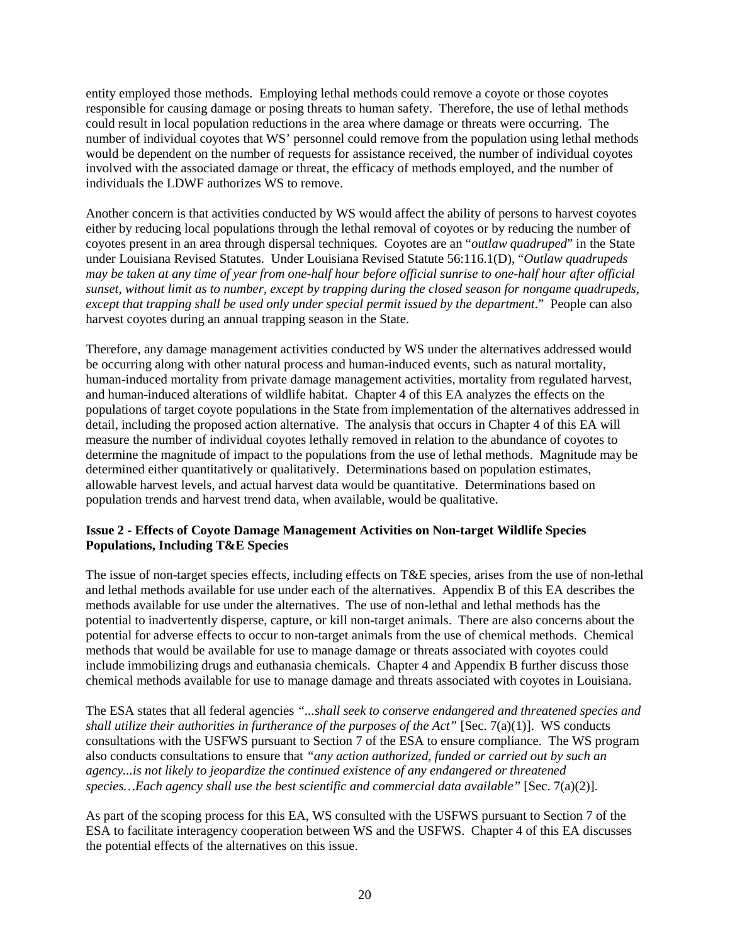entity employed those methods. Employing lethal methods could remove a coyote or those coyotes responsible for causing damage or posing threats to human safety. Therefore, the use of lethal methods could result in local population reductions in the area where damage or threats were occurring. The number of individual coyotes that WS' personnel could remove from the population using lethal methods would be dependent on the number of requests for assistance received, the number of individual coyotes involved with the associated damage or threat, the efficacy of methods employed, and the number of individuals the LDWF authorizes WS to remove.

Another concern is that activities conducted by WS would affect the ability of persons to harvest coyotes either by reducing local populations through the lethal removal of coyotes or by reducing the number of coyotes present in an area through dispersal techniques. Coyotes are an "*outlaw quadruped*" in the State under Louisiana Revised Statutes. Under Louisiana Revised Statute 56:116.1(D), "*Outlaw quadrupeds may be taken at any time of year from one-half hour before official sunrise to one-half hour after official sunset, without limit as to number, except by trapping during the closed season for nongame quadrupeds, except that trapping shall be used only under special permit issued by the department*." People can also harvest coyotes during an annual trapping season in the State.

Therefore, any damage management activities conducted by WS under the alternatives addressed would be occurring along with other natural process and human-induced events, such as natural mortality, human-induced mortality from private damage management activities, mortality from regulated harvest, and human-induced alterations of wildlife habitat. Chapter 4 of this EA analyzes the effects on the populations of target coyote populations in the State from implementation of the alternatives addressed in detail, including the proposed action alternative. The analysis that occurs in Chapter 4 of this EA will measure the number of individual coyotes lethally removed in relation to the abundance of coyotes to determine the magnitude of impact to the populations from the use of lethal methods. Magnitude may be determined either quantitatively or qualitatively. Determinations based on population estimates, allowable harvest levels, and actual harvest data would be quantitative. Determinations based on population trends and harvest trend data, when available, would be qualitative.

### **Issue 2 - Effects of Coyote Damage Management Activities on Non-target Wildlife Species Populations, Including T&E Species**

The issue of non-target species effects, including effects on T&E species, arises from the use of non-lethal and lethal methods available for use under each of the alternatives. Appendix B of this EA describes the methods available for use under the alternatives. The use of non-lethal and lethal methods has the potential to inadvertently disperse, capture, or kill non-target animals. There are also concerns about the potential for adverse effects to occur to non-target animals from the use of chemical methods. Chemical methods that would be available for use to manage damage or threats associated with coyotes could include immobilizing drugs and euthanasia chemicals. Chapter 4 and Appendix B further discuss those chemical methods available for use to manage damage and threats associated with coyotes in Louisiana.

The ESA states that all federal agencies *"...shall seek to conserve endangered and threatened species and shall utilize their authorities in furtherance of the purposes of the Act"* [Sec. 7(a)(1)]. WS conducts consultations with the USFWS pursuant to Section 7 of the ESA to ensure compliance. The WS program also conducts consultations to ensure that *"any action authorized, funded or carried out by such an agency...is not likely to jeopardize the continued existence of any endangered or threatened species…Each agency shall use the best scientific and commercial data available"* [Sec. 7(a)(2)].

As part of the scoping process for this EA, WS consulted with the USFWS pursuant to Section 7 of the ESA to facilitate interagency cooperation between WS and the USFWS. Chapter 4 of this EA discusses the potential effects of the alternatives on this issue.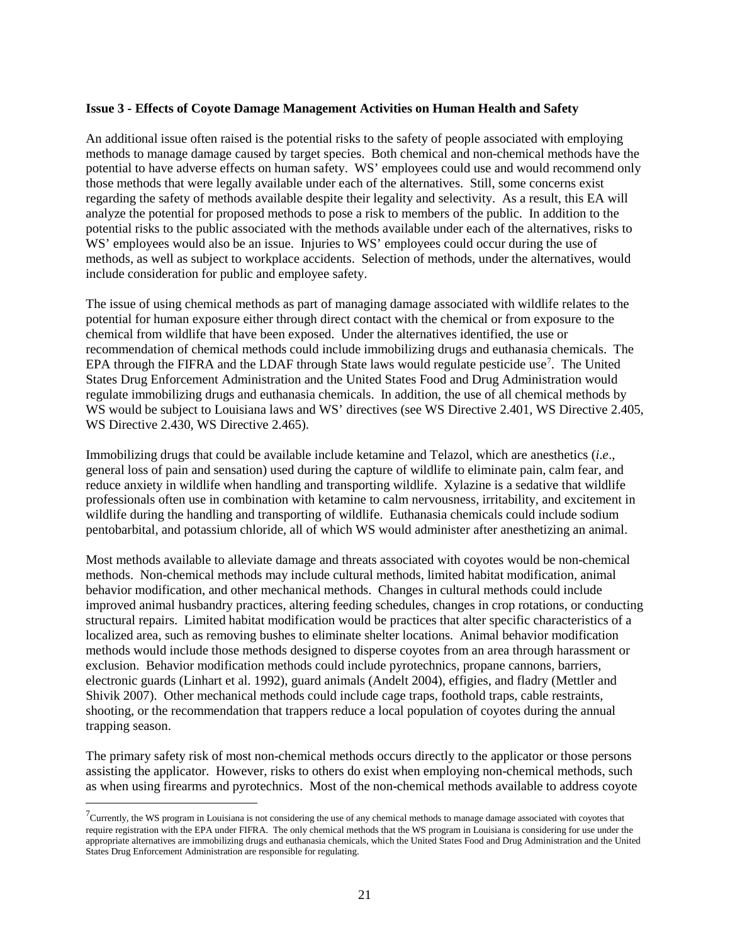#### **Issue 3 - Effects of Coyote Damage Management Activities on Human Health and Safety**

An additional issue often raised is the potential risks to the safety of people associated with employing methods to manage damage caused by target species. Both chemical and non-chemical methods have the potential to have adverse effects on human safety. WS' employees could use and would recommend only those methods that were legally available under each of the alternatives. Still, some concerns exist regarding the safety of methods available despite their legality and selectivity. As a result, this EA will analyze the potential for proposed methods to pose a risk to members of the public. In addition to the potential risks to the public associated with the methods available under each of the alternatives, risks to WS' employees would also be an issue. Injuries to WS' employees could occur during the use of methods, as well as subject to workplace accidents. Selection of methods, under the alternatives, would include consideration for public and employee safety.

The issue of using chemical methods as part of managing damage associated with wildlife relates to the potential for human exposure either through direct contact with the chemical or from exposure to the chemical from wildlife that have been exposed. Under the alternatives identified, the use or recommendation of chemical methods could include immobilizing drugs and euthanasia chemicals. The EPA through the FIFRA and the LDAF through State laws would regulate pesticide use<sup>[7](#page-23-0)</sup>. The United States Drug Enforcement Administration and the United States Food and Drug Administration would regulate immobilizing drugs and euthanasia chemicals. In addition, the use of all chemical methods by WS would be subject to Louisiana laws and WS' directives (see WS Directive 2.401, WS Directive 2.405, WS Directive 2.430, WS Directive 2.465).

Immobilizing drugs that could be available include ketamine and Telazol, which are anesthetics (*i*.*e*., general loss of pain and sensation) used during the capture of wildlife to eliminate pain, calm fear, and reduce anxiety in wildlife when handling and transporting wildlife. Xylazine is a sedative that wildlife professionals often use in combination with ketamine to calm nervousness, irritability, and excitement in wildlife during the handling and transporting of wildlife. Euthanasia chemicals could include sodium pentobarbital, and potassium chloride, all of which WS would administer after anesthetizing an animal.

Most methods available to alleviate damage and threats associated with coyotes would be non-chemical methods. Non-chemical methods may include cultural methods, limited habitat modification, animal behavior modification, and other mechanical methods. Changes in cultural methods could include improved animal husbandry practices, altering feeding schedules, changes in crop rotations, or conducting structural repairs. Limited habitat modification would be practices that alter specific characteristics of a localized area, such as removing bushes to eliminate shelter locations. Animal behavior modification methods would include those methods designed to disperse coyotes from an area through harassment or exclusion. Behavior modification methods could include pyrotechnics, propane cannons, barriers, electronic guards (Linhart et al. 1992), guard animals (Andelt 2004), effigies, and fladry (Mettler and Shivik 2007). Other mechanical methods could include cage traps, foothold traps, cable restraints, shooting, or the recommendation that trappers reduce a local population of coyotes during the annual trapping season.

The primary safety risk of most non-chemical methods occurs directly to the applicator or those persons assisting the applicator. However, risks to others do exist when employing non-chemical methods, such as when using firearms and pyrotechnics. Most of the non-chemical methods available to address coyote

<span id="page-23-0"></span> <sup>7</sup>  $\sigma^7$ Currently, the WS program in Louisiana is not considering the use of any chemical methods to manage damage associated with coyotes that require registration with the EPA under FIFRA. The only chemical methods that the WS program in Louisiana is considering for use under the appropriate alternatives are immobilizing drugs and euthanasia chemicals, which the United States Food and Drug Administration and the United States Drug Enforcement Administration are responsible for regulating.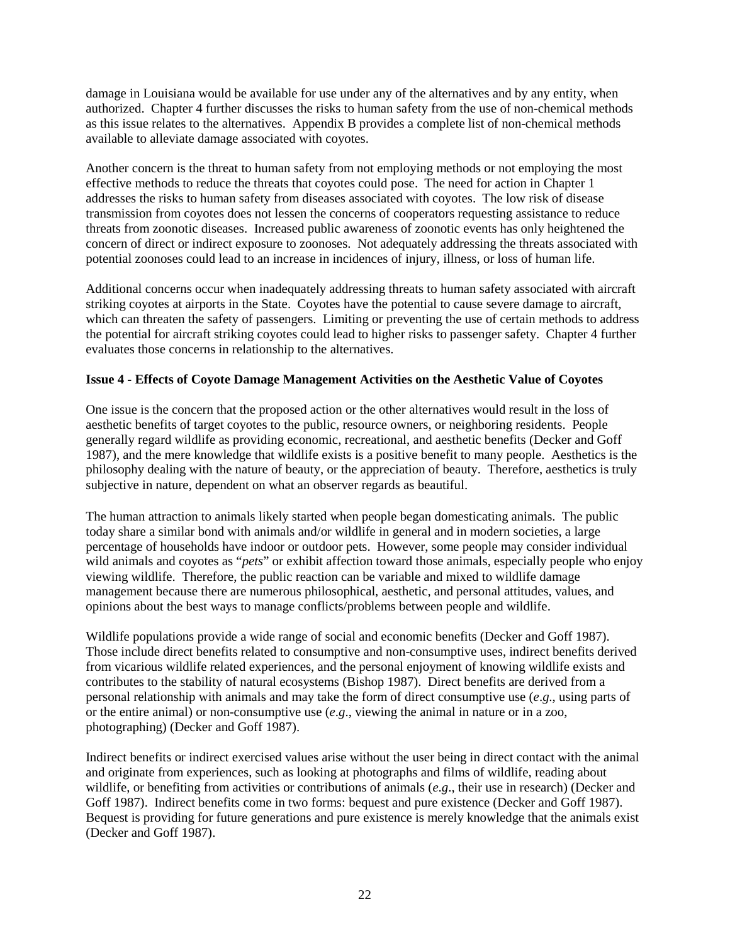damage in Louisiana would be available for use under any of the alternatives and by any entity, when authorized. Chapter 4 further discusses the risks to human safety from the use of non-chemical methods as this issue relates to the alternatives. Appendix B provides a complete list of non-chemical methods available to alleviate damage associated with coyotes.

Another concern is the threat to human safety from not employing methods or not employing the most effective methods to reduce the threats that coyotes could pose. The need for action in Chapter 1 addresses the risks to human safety from diseases associated with coyotes. The low risk of disease transmission from coyotes does not lessen the concerns of cooperators requesting assistance to reduce threats from zoonotic diseases. Increased public awareness of zoonotic events has only heightened the concern of direct or indirect exposure to zoonoses. Not adequately addressing the threats associated with potential zoonoses could lead to an increase in incidences of injury, illness, or loss of human life.

Additional concerns occur when inadequately addressing threats to human safety associated with aircraft striking coyotes at airports in the State. Coyotes have the potential to cause severe damage to aircraft, which can threaten the safety of passengers. Limiting or preventing the use of certain methods to address the potential for aircraft striking coyotes could lead to higher risks to passenger safety. Chapter 4 further evaluates those concerns in relationship to the alternatives.

## **Issue 4 - Effects of Coyote Damage Management Activities on the Aesthetic Value of Coyotes**

One issue is the concern that the proposed action or the other alternatives would result in the loss of aesthetic benefits of target coyotes to the public, resource owners, or neighboring residents. People generally regard wildlife as providing economic, recreational, and aesthetic benefits (Decker and Goff 1987), and the mere knowledge that wildlife exists is a positive benefit to many people. Aesthetics is the philosophy dealing with the nature of beauty, or the appreciation of beauty. Therefore, aesthetics is truly subjective in nature, dependent on what an observer regards as beautiful.

The human attraction to animals likely started when people began domesticating animals. The public today share a similar bond with animals and/or wildlife in general and in modern societies, a large percentage of households have indoor or outdoor pets. However, some people may consider individual wild animals and coyotes as "*pets*" or exhibit affection toward those animals, especially people who enjoy viewing wildlife. Therefore, the public reaction can be variable and mixed to wildlife damage management because there are numerous philosophical, aesthetic, and personal attitudes, values, and opinions about the best ways to manage conflicts/problems between people and wildlife.

Wildlife populations provide a wide range of social and economic benefits (Decker and Goff 1987). Those include direct benefits related to consumptive and non-consumptive uses, indirect benefits derived from vicarious wildlife related experiences, and the personal enjoyment of knowing wildlife exists and contributes to the stability of natural ecosystems (Bishop 1987). Direct benefits are derived from a personal relationship with animals and may take the form of direct consumptive use (*e*.*g*., using parts of or the entire animal) or non-consumptive use (*e*.*g*., viewing the animal in nature or in a zoo, photographing) (Decker and Goff 1987).

Indirect benefits or indirect exercised values arise without the user being in direct contact with the animal and originate from experiences, such as looking at photographs and films of wildlife, reading about wildlife, or benefiting from activities or contributions of animals (*e*.*g*., their use in research) (Decker and Goff 1987). Indirect benefits come in two forms: bequest and pure existence (Decker and Goff 1987). Bequest is providing for future generations and pure existence is merely knowledge that the animals exist (Decker and Goff 1987).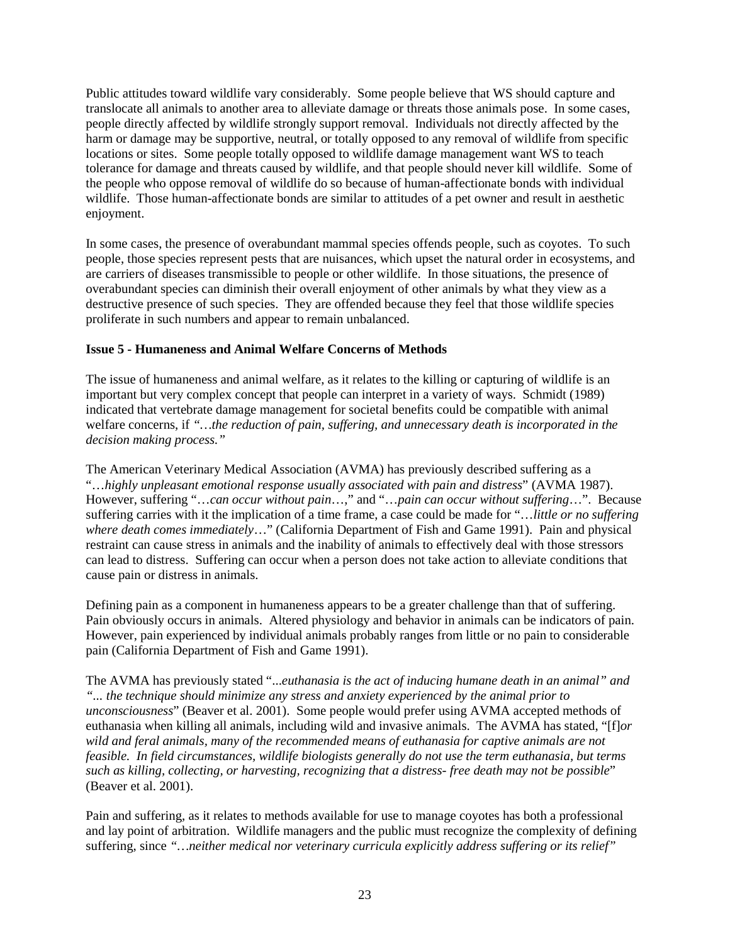Public attitudes toward wildlife vary considerably. Some people believe that WS should capture and translocate all animals to another area to alleviate damage or threats those animals pose. In some cases, people directly affected by wildlife strongly support removal. Individuals not directly affected by the harm or damage may be supportive, neutral, or totally opposed to any removal of wildlife from specific locations or sites. Some people totally opposed to wildlife damage management want WS to teach tolerance for damage and threats caused by wildlife, and that people should never kill wildlife. Some of the people who oppose removal of wildlife do so because of human-affectionate bonds with individual wildlife. Those human-affectionate bonds are similar to attitudes of a pet owner and result in aesthetic enjoyment.

In some cases, the presence of overabundant mammal species offends people, such as coyotes. To such people, those species represent pests that are nuisances, which upset the natural order in ecosystems, and are carriers of diseases transmissible to people or other wildlife. In those situations, the presence of overabundant species can diminish their overall enjoyment of other animals by what they view as a destructive presence of such species. They are offended because they feel that those wildlife species proliferate in such numbers and appear to remain unbalanced.

### **Issue 5 - Humaneness and Animal Welfare Concerns of Methods**

The issue of humaneness and animal welfare, as it relates to the killing or capturing of wildlife is an important but very complex concept that people can interpret in a variety of ways. Schmidt (1989) indicated that vertebrate damage management for societal benefits could be compatible with animal welfare concerns, if *"…the reduction of pain, suffering, and unnecessary death is incorporated in the decision making process."*

The American Veterinary Medical Association (AVMA) has previously described suffering as a "…*highly unpleasant emotional response usually associated with pain and distress*" (AVMA 1987). However, suffering "…*can occur without pain*…," and "…*pain can occur without suffering*…". Because suffering carries with it the implication of a time frame, a case could be made for "…*little or no suffering where death comes immediately*…" (California Department of Fish and Game 1991). Pain and physical restraint can cause stress in animals and the inability of animals to effectively deal with those stressors can lead to distress. Suffering can occur when a person does not take action to alleviate conditions that cause pain or distress in animals.

Defining pain as a component in humaneness appears to be a greater challenge than that of suffering. Pain obviously occurs in animals. Altered physiology and behavior in animals can be indicators of pain. However, pain experienced by individual animals probably ranges from little or no pain to considerable pain (California Department of Fish and Game 1991).

The AVMA has previously stated "...*euthanasia is the act of inducing humane death in an animal" and "... the technique should minimize any stress and anxiety experienced by the animal prior to unconsciousness*" (Beaver et al. 2001). Some people would prefer using AVMA accepted methods of euthanasia when killing all animals, including wild and invasive animals. The AVMA has stated, "[f]*or wild and feral animals, many of the recommended means of euthanasia for captive animals are not feasible. In field circumstances, wildlife biologists generally do not use the term euthanasia, but terms such as killing, collecting, or harvesting, recognizing that a distress- free death may not be possible*" (Beaver et al. 2001).

Pain and suffering, as it relates to methods available for use to manage coyotes has both a professional and lay point of arbitration. Wildlife managers and the public must recognize the complexity of defining suffering, since *"…neither medical nor veterinary curricula explicitly address suffering or its relief"*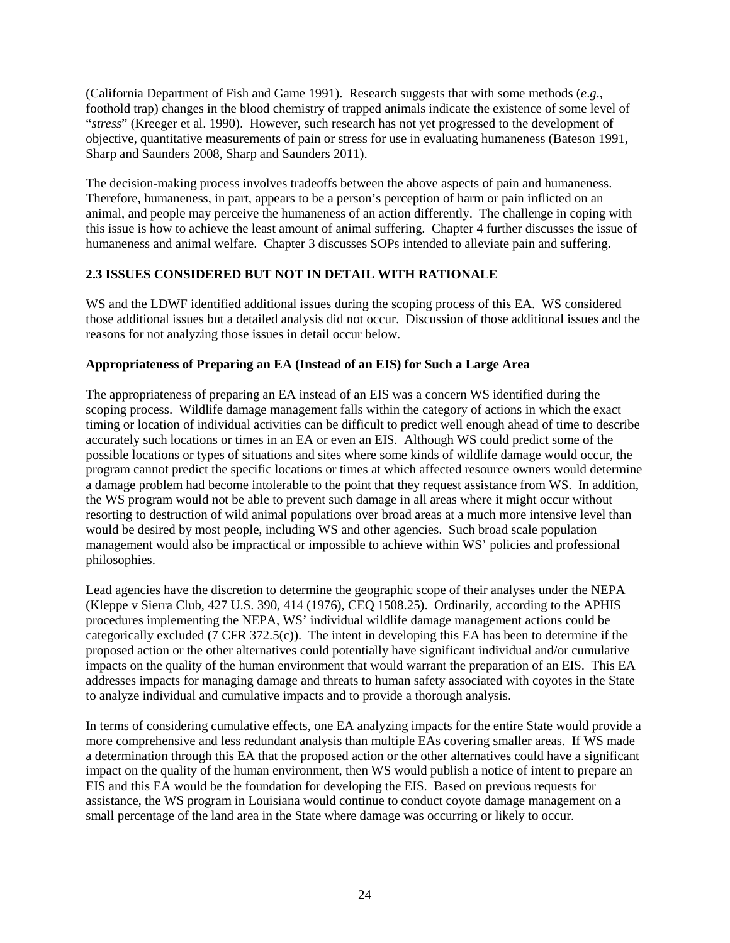(California Department of Fish and Game 1991). Research suggests that with some methods (*e*.*g*., foothold trap) changes in the blood chemistry of trapped animals indicate the existence of some level of "*stress*" (Kreeger et al. 1990). However, such research has not yet progressed to the development of objective, quantitative measurements of pain or stress for use in evaluating humaneness (Bateson 1991, Sharp and Saunders 2008, Sharp and Saunders 2011).

The decision-making process involves tradeoffs between the above aspects of pain and humaneness. Therefore, humaneness, in part, appears to be a person's perception of harm or pain inflicted on an animal, and people may perceive the humaneness of an action differently. The challenge in coping with this issue is how to achieve the least amount of animal suffering. Chapter 4 further discusses the issue of humaneness and animal welfare. Chapter 3 discusses SOPs intended to alleviate pain and suffering.

# **2.3 ISSUES CONSIDERED BUT NOT IN DETAIL WITH RATIONALE**

WS and the LDWF identified additional issues during the scoping process of this EA. WS considered those additional issues but a detailed analysis did not occur. Discussion of those additional issues and the reasons for not analyzing those issues in detail occur below.

# **Appropriateness of Preparing an EA (Instead of an EIS) for Such a Large Area**

The appropriateness of preparing an EA instead of an EIS was a concern WS identified during the scoping process. Wildlife damage management falls within the category of actions in which the exact timing or location of individual activities can be difficult to predict well enough ahead of time to describe accurately such locations or times in an EA or even an EIS. Although WS could predict some of the possible locations or types of situations and sites where some kinds of wildlife damage would occur, the program cannot predict the specific locations or times at which affected resource owners would determine a damage problem had become intolerable to the point that they request assistance from WS. In addition, the WS program would not be able to prevent such damage in all areas where it might occur without resorting to destruction of wild animal populations over broad areas at a much more intensive level than would be desired by most people, including WS and other agencies. Such broad scale population management would also be impractical or impossible to achieve within WS' policies and professional philosophies.

Lead agencies have the discretion to determine the geographic scope of their analyses under the NEPA (Kleppe v Sierra Club, 427 U.S. 390, 414 (1976), CEQ 1508.25). Ordinarily, according to the APHIS procedures implementing the NEPA, WS' individual wildlife damage management actions could be categorically excluded (7 CFR 372.5(c)). The intent in developing this EA has been to determine if the proposed action or the other alternatives could potentially have significant individual and/or cumulative impacts on the quality of the human environment that would warrant the preparation of an EIS. This EA addresses impacts for managing damage and threats to human safety associated with coyotes in the State to analyze individual and cumulative impacts and to provide a thorough analysis.

In terms of considering cumulative effects, one EA analyzing impacts for the entire State would provide a more comprehensive and less redundant analysis than multiple EAs covering smaller areas. If WS made a determination through this EA that the proposed action or the other alternatives could have a significant impact on the quality of the human environment, then WS would publish a notice of intent to prepare an EIS and this EA would be the foundation for developing the EIS. Based on previous requests for assistance, the WS program in Louisiana would continue to conduct coyote damage management on a small percentage of the land area in the State where damage was occurring or likely to occur.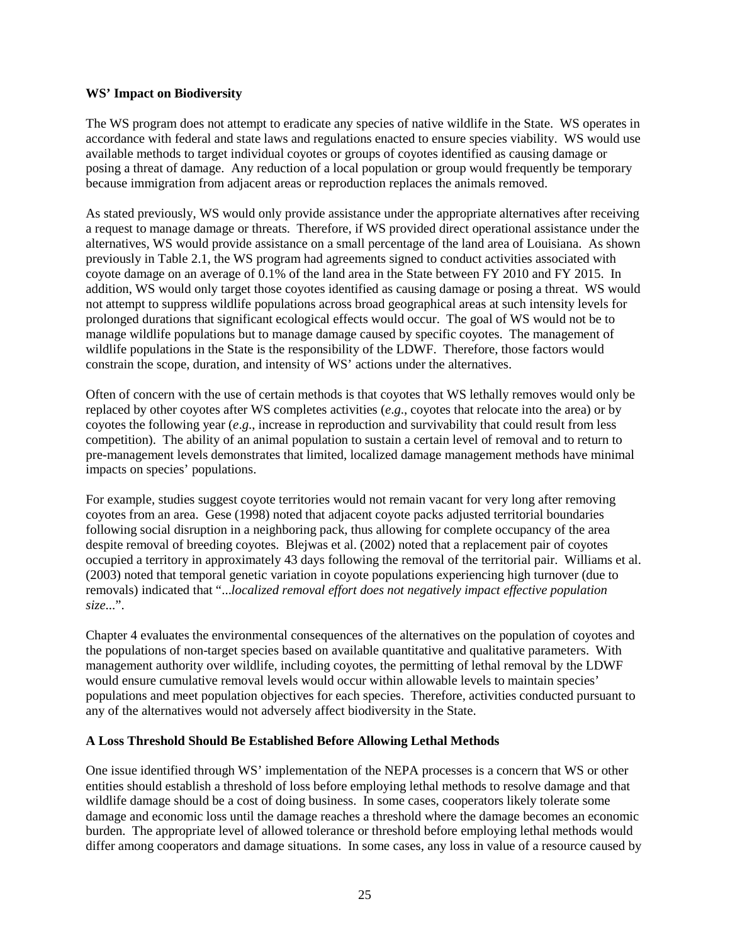#### **WS' Impact on Biodiversity**

The WS program does not attempt to eradicate any species of native wildlife in the State. WS operates in accordance with federal and state laws and regulations enacted to ensure species viability. WS would use available methods to target individual coyotes or groups of coyotes identified as causing damage or posing a threat of damage. Any reduction of a local population or group would frequently be temporary because immigration from adjacent areas or reproduction replaces the animals removed.

As stated previously, WS would only provide assistance under the appropriate alternatives after receiving a request to manage damage or threats. Therefore, if WS provided direct operational assistance under the alternatives, WS would provide assistance on a small percentage of the land area of Louisiana. As shown previously in Table 2.1, the WS program had agreements signed to conduct activities associated with coyote damage on an average of 0.1% of the land area in the State between FY 2010 and FY 2015. In addition, WS would only target those coyotes identified as causing damage or posing a threat. WS would not attempt to suppress wildlife populations across broad geographical areas at such intensity levels for prolonged durations that significant ecological effects would occur. The goal of WS would not be to manage wildlife populations but to manage damage caused by specific coyotes. The management of wildlife populations in the State is the responsibility of the LDWF. Therefore, those factors would constrain the scope, duration, and intensity of WS' actions under the alternatives.

Often of concern with the use of certain methods is that coyotes that WS lethally removes would only be replaced by other coyotes after WS completes activities (*e*.*g*., coyotes that relocate into the area) or by coyotes the following year (*e*.*g*., increase in reproduction and survivability that could result from less competition). The ability of an animal population to sustain a certain level of removal and to return to pre-management levels demonstrates that limited, localized damage management methods have minimal impacts on species' populations.

For example, studies suggest coyote territories would not remain vacant for very long after removing coyotes from an area. Gese (1998) noted that adjacent coyote packs adjusted territorial boundaries following social disruption in a neighboring pack, thus allowing for complete occupancy of the area despite removal of breeding coyotes. Blejwas et al. (2002) noted that a replacement pair of coyotes occupied a territory in approximately 43 days following the removal of the territorial pair. Williams et al. (2003) noted that temporal genetic variation in coyote populations experiencing high turnover (due to removals) indicated that "...*localized removal effort does not negatively impact effective population size*...".

Chapter 4 evaluates the environmental consequences of the alternatives on the population of coyotes and the populations of non-target species based on available quantitative and qualitative parameters. With management authority over wildlife, including coyotes, the permitting of lethal removal by the LDWF would ensure cumulative removal levels would occur within allowable levels to maintain species' populations and meet population objectives for each species. Therefore, activities conducted pursuant to any of the alternatives would not adversely affect biodiversity in the State.

### **A Loss Threshold Should Be Established Before Allowing Lethal Methods**

One issue identified through WS' implementation of the NEPA processes is a concern that WS or other entities should establish a threshold of loss before employing lethal methods to resolve damage and that wildlife damage should be a cost of doing business. In some cases, cooperators likely tolerate some damage and economic loss until the damage reaches a threshold where the damage becomes an economic burden. The appropriate level of allowed tolerance or threshold before employing lethal methods would differ among cooperators and damage situations. In some cases, any loss in value of a resource caused by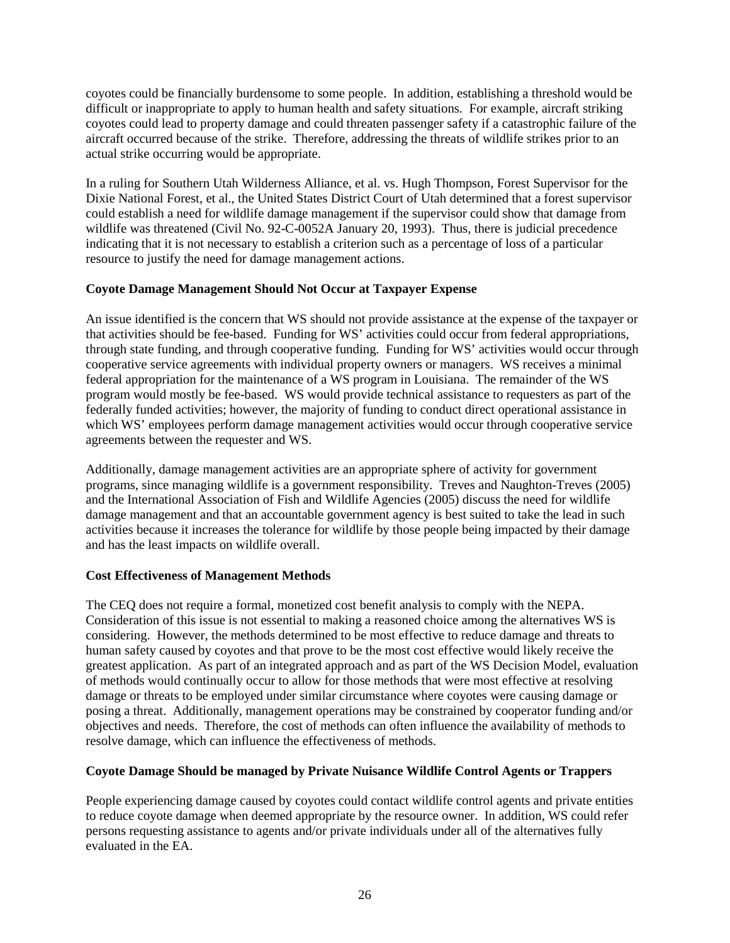coyotes could be financially burdensome to some people. In addition, establishing a threshold would be difficult or inappropriate to apply to human health and safety situations. For example, aircraft striking coyotes could lead to property damage and could threaten passenger safety if a catastrophic failure of the aircraft occurred because of the strike. Therefore, addressing the threats of wildlife strikes prior to an actual strike occurring would be appropriate.

In a ruling for Southern Utah Wilderness Alliance, et al. vs. Hugh Thompson, Forest Supervisor for the Dixie National Forest, et al., the United States District Court of Utah determined that a forest supervisor could establish a need for wildlife damage management if the supervisor could show that damage from wildlife was threatened (Civil No. 92-C-0052A January 20, 1993). Thus, there is judicial precedence indicating that it is not necessary to establish a criterion such as a percentage of loss of a particular resource to justify the need for damage management actions.

# **Coyote Damage Management Should Not Occur at Taxpayer Expense**

An issue identified is the concern that WS should not provide assistance at the expense of the taxpayer or that activities should be fee-based. Funding for WS' activities could occur from federal appropriations, through state funding, and through cooperative funding. Funding for WS' activities would occur through cooperative service agreements with individual property owners or managers. WS receives a minimal federal appropriation for the maintenance of a WS program in Louisiana. The remainder of the WS program would mostly be fee-based. WS would provide technical assistance to requesters as part of the federally funded activities; however, the majority of funding to conduct direct operational assistance in which WS' employees perform damage management activities would occur through cooperative service agreements between the requester and WS.

Additionally, damage management activities are an appropriate sphere of activity for government programs, since managing wildlife is a government responsibility. Treves and Naughton-Treves (2005) and the International Association of Fish and Wildlife Agencies (2005) discuss the need for wildlife damage management and that an accountable government agency is best suited to take the lead in such activities because it increases the tolerance for wildlife by those people being impacted by their damage and has the least impacts on wildlife overall.

# **Cost Effectiveness of Management Methods**

The CEQ does not require a formal, monetized cost benefit analysis to comply with the NEPA. Consideration of this issue is not essential to making a reasoned choice among the alternatives WS is considering. However, the methods determined to be most effective to reduce damage and threats to human safety caused by coyotes and that prove to be the most cost effective would likely receive the greatest application. As part of an integrated approach and as part of the WS Decision Model, evaluation of methods would continually occur to allow for those methods that were most effective at resolving damage or threats to be employed under similar circumstance where coyotes were causing damage or posing a threat. Additionally, management operations may be constrained by cooperator funding and/or objectives and needs. Therefore, the cost of methods can often influence the availability of methods to resolve damage, which can influence the effectiveness of methods.

# **Coyote Damage Should be managed by Private Nuisance Wildlife Control Agents or Trappers**

People experiencing damage caused by coyotes could contact wildlife control agents and private entities to reduce coyote damage when deemed appropriate by the resource owner. In addition, WS could refer persons requesting assistance to agents and/or private individuals under all of the alternatives fully evaluated in the EA.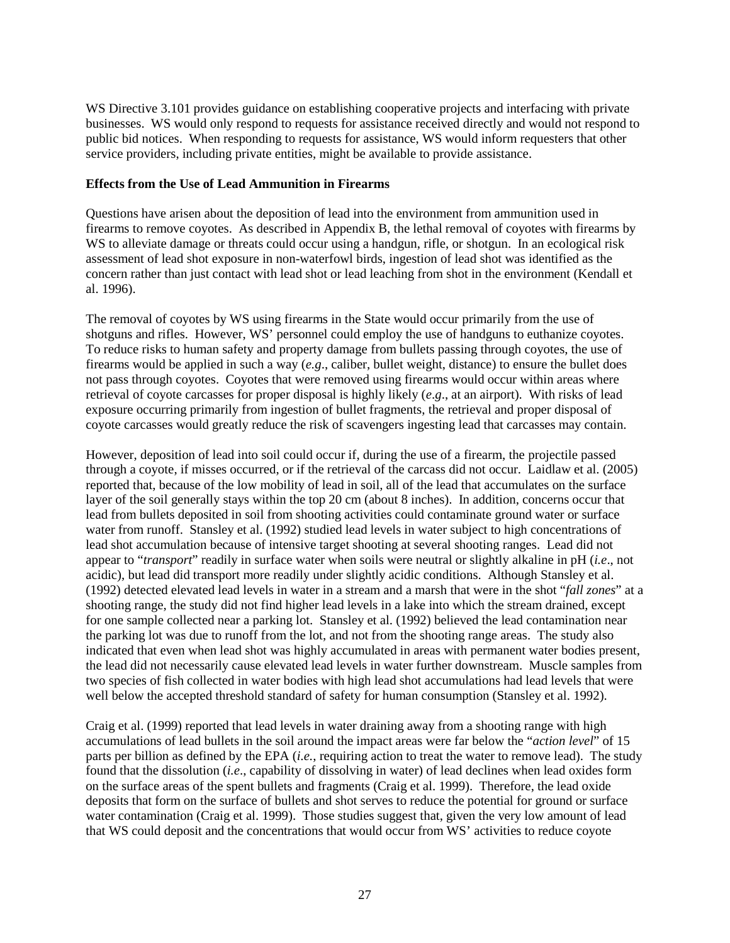WS Directive 3.101 provides guidance on establishing cooperative projects and interfacing with private businesses. WS would only respond to requests for assistance received directly and would not respond to public bid notices. When responding to requests for assistance, WS would inform requesters that other service providers, including private entities, might be available to provide assistance.

#### **Effects from the Use of Lead Ammunition in Firearms**

Questions have arisen about the deposition of lead into the environment from ammunition used in firearms to remove coyotes. As described in Appendix B, the lethal removal of coyotes with firearms by WS to alleviate damage or threats could occur using a handgun, rifle, or shotgun. In an ecological risk assessment of lead shot exposure in non-waterfowl birds, ingestion of lead shot was identified as the concern rather than just contact with lead shot or lead leaching from shot in the environment (Kendall et al. 1996).

The removal of coyotes by WS using firearms in the State would occur primarily from the use of shotguns and rifles. However, WS' personnel could employ the use of handguns to euthanize coyotes. To reduce risks to human safety and property damage from bullets passing through coyotes, the use of firearms would be applied in such a way (*e.g*., caliber, bullet weight, distance) to ensure the bullet does not pass through coyotes. Coyotes that were removed using firearms would occur within areas where retrieval of coyote carcasses for proper disposal is highly likely (*e*.*g*., at an airport). With risks of lead exposure occurring primarily from ingestion of bullet fragments, the retrieval and proper disposal of coyote carcasses would greatly reduce the risk of scavengers ingesting lead that carcasses may contain.

However, deposition of lead into soil could occur if, during the use of a firearm, the projectile passed through a coyote, if misses occurred, or if the retrieval of the carcass did not occur. Laidlaw et al. (2005) reported that, because of the low mobility of lead in soil, all of the lead that accumulates on the surface layer of the soil generally stays within the top 20 cm (about 8 inches). In addition, concerns occur that lead from bullets deposited in soil from shooting activities could contaminate ground water or surface water from runoff. Stansley et al. (1992) studied lead levels in water subject to high concentrations of lead shot accumulation because of intensive target shooting at several shooting ranges. Lead did not appear to "*transport*" readily in surface water when soils were neutral or slightly alkaline in pH (*i.e*., not acidic), but lead did transport more readily under slightly acidic conditions. Although Stansley et al. (1992) detected elevated lead levels in water in a stream and a marsh that were in the shot "*fall zones*" at a shooting range, the study did not find higher lead levels in a lake into which the stream drained, except for one sample collected near a parking lot. Stansley et al. (1992) believed the lead contamination near the parking lot was due to runoff from the lot, and not from the shooting range areas. The study also indicated that even when lead shot was highly accumulated in areas with permanent water bodies present, the lead did not necessarily cause elevated lead levels in water further downstream. Muscle samples from two species of fish collected in water bodies with high lead shot accumulations had lead levels that were well below the accepted threshold standard of safety for human consumption (Stansley et al. 1992).

Craig et al. (1999) reported that lead levels in water draining away from a shooting range with high accumulations of lead bullets in the soil around the impact areas were far below the "*action level*" of 15 parts per billion as defined by the EPA (*i.e.*, requiring action to treat the water to remove lead). The study found that the dissolution (*i.e*., capability of dissolving in water) of lead declines when lead oxides form on the surface areas of the spent bullets and fragments (Craig et al. 1999). Therefore, the lead oxide deposits that form on the surface of bullets and shot serves to reduce the potential for ground or surface water contamination (Craig et al. 1999). Those studies suggest that, given the very low amount of lead that WS could deposit and the concentrations that would occur from WS' activities to reduce coyote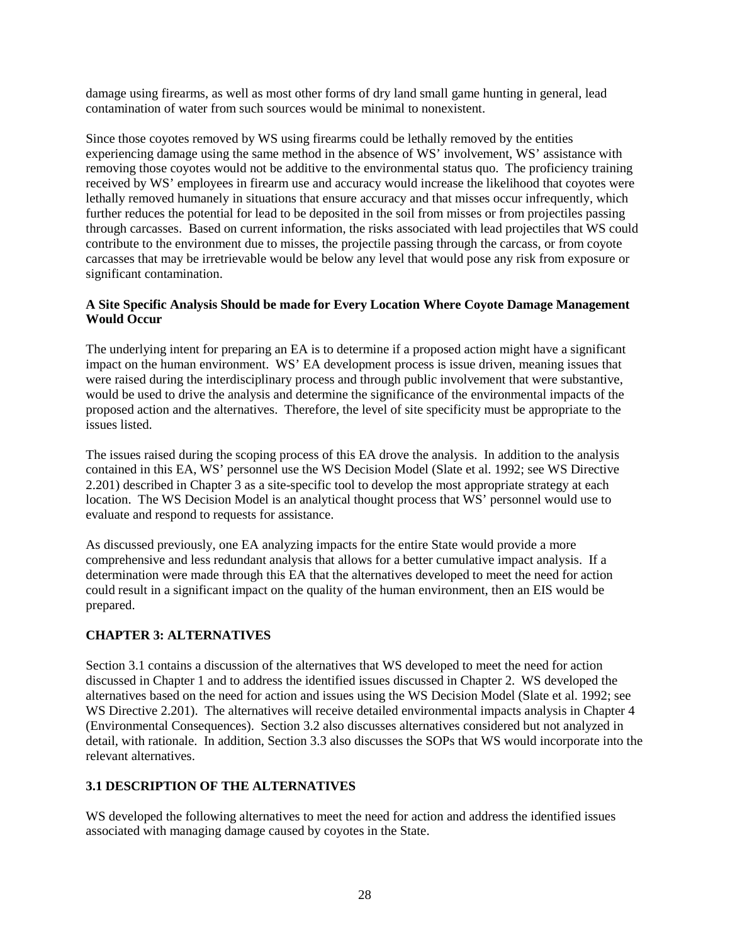damage using firearms, as well as most other forms of dry land small game hunting in general, lead contamination of water from such sources would be minimal to nonexistent.

Since those coyotes removed by WS using firearms could be lethally removed by the entities experiencing damage using the same method in the absence of WS' involvement, WS' assistance with removing those coyotes would not be additive to the environmental status quo. The proficiency training received by WS' employees in firearm use and accuracy would increase the likelihood that coyotes were lethally removed humanely in situations that ensure accuracy and that misses occur infrequently, which further reduces the potential for lead to be deposited in the soil from misses or from projectiles passing through carcasses. Based on current information, the risks associated with lead projectiles that WS could contribute to the environment due to misses, the projectile passing through the carcass, or from coyote carcasses that may be irretrievable would be below any level that would pose any risk from exposure or significant contamination.

## **A Site Specific Analysis Should be made for Every Location Where Coyote Damage Management Would Occur**

The underlying intent for preparing an EA is to determine if a proposed action might have a significant impact on the human environment. WS' EA development process is issue driven, meaning issues that were raised during the interdisciplinary process and through public involvement that were substantive, would be used to drive the analysis and determine the significance of the environmental impacts of the proposed action and the alternatives. Therefore, the level of site specificity must be appropriate to the issues listed.

The issues raised during the scoping process of this EA drove the analysis. In addition to the analysis contained in this EA, WS' personnel use the WS Decision Model (Slate et al. 1992; see WS Directive 2.201) described in Chapter 3 as a site-specific tool to develop the most appropriate strategy at each location. The WS Decision Model is an analytical thought process that WS' personnel would use to evaluate and respond to requests for assistance.

As discussed previously, one EA analyzing impacts for the entire State would provide a more comprehensive and less redundant analysis that allows for a better cumulative impact analysis. If a determination were made through this EA that the alternatives developed to meet the need for action could result in a significant impact on the quality of the human environment, then an EIS would be prepared.

# **CHAPTER 3: ALTERNATIVES**

Section 3.1 contains a discussion of the alternatives that WS developed to meet the need for action discussed in Chapter 1 and to address the identified issues discussed in Chapter 2. WS developed the alternatives based on the need for action and issues using the WS Decision Model (Slate et al. 1992; see WS Directive 2.201). The alternatives will receive detailed environmental impacts analysis in Chapter 4 (Environmental Consequences). Section 3.2 also discusses alternatives considered but not analyzed in detail, with rationale. In addition, Section 3.3 also discusses the SOPs that WS would incorporate into the relevant alternatives.

# **3.1 DESCRIPTION OF THE ALTERNATIVES**

WS developed the following alternatives to meet the need for action and address the identified issues associated with managing damage caused by coyotes in the State.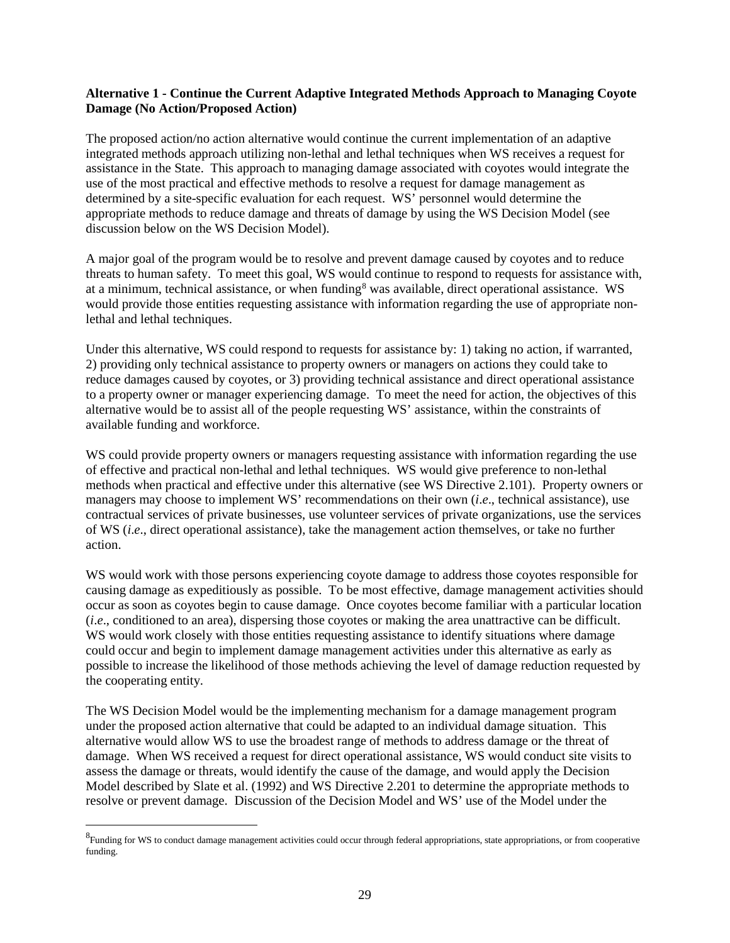### **Alternative 1 - Continue the Current Adaptive Integrated Methods Approach to Managing Coyote Damage (No Action/Proposed Action)**

The proposed action/no action alternative would continue the current implementation of an adaptive integrated methods approach utilizing non-lethal and lethal techniques when WS receives a request for assistance in the State. This approach to managing damage associated with coyotes would integrate the use of the most practical and effective methods to resolve a request for damage management as determined by a site-specific evaluation for each request. WS' personnel would determine the appropriate methods to reduce damage and threats of damage by using the WS Decision Model (see discussion below on the WS Decision Model).

A major goal of the program would be to resolve and prevent damage caused by coyotes and to reduce threats to human safety. To meet this goal, WS would continue to respond to requests for assistance with, at a minimum, technical assistance, or when funding<sup>[8](#page-31-0)</sup> was available, direct operational assistance. WS would provide those entities requesting assistance with information regarding the use of appropriate nonlethal and lethal techniques.

Under this alternative, WS could respond to requests for assistance by: 1) taking no action, if warranted, 2) providing only technical assistance to property owners or managers on actions they could take to reduce damages caused by coyotes, or 3) providing technical assistance and direct operational assistance to a property owner or manager experiencing damage. To meet the need for action, the objectives of this alternative would be to assist all of the people requesting WS' assistance, within the constraints of available funding and workforce.

WS could provide property owners or managers requesting assistance with information regarding the use of effective and practical non-lethal and lethal techniques. WS would give preference to non-lethal methods when practical and effective under this alternative (see WS Directive 2.101). Property owners or managers may choose to implement WS' recommendations on their own (*i*.*e*., technical assistance), use contractual services of private businesses, use volunteer services of private organizations, use the services of WS (*i*.*e*., direct operational assistance), take the management action themselves, or take no further action.

WS would work with those persons experiencing coyote damage to address those coyotes responsible for causing damage as expeditiously as possible. To be most effective, damage management activities should occur as soon as coyotes begin to cause damage. Once coyotes become familiar with a particular location (*i*.*e*., conditioned to an area), dispersing those coyotes or making the area unattractive can be difficult. WS would work closely with those entities requesting assistance to identify situations where damage could occur and begin to implement damage management activities under this alternative as early as possible to increase the likelihood of those methods achieving the level of damage reduction requested by the cooperating entity.

The WS Decision Model would be the implementing mechanism for a damage management program under the proposed action alternative that could be adapted to an individual damage situation. This alternative would allow WS to use the broadest range of methods to address damage or the threat of damage. When WS received a request for direct operational assistance, WS would conduct site visits to assess the damage or threats, would identify the cause of the damage, and would apply the Decision Model described by Slate et al. (1992) and WS Directive 2.201 to determine the appropriate methods to resolve or prevent damage. Discussion of the Decision Model and WS' use of the Model under the

<span id="page-31-0"></span> <sup>8</sup> <sup>8</sup>Funding for WS to conduct damage management activities could occur through federal appropriations, state appropriations, or from cooperative funding.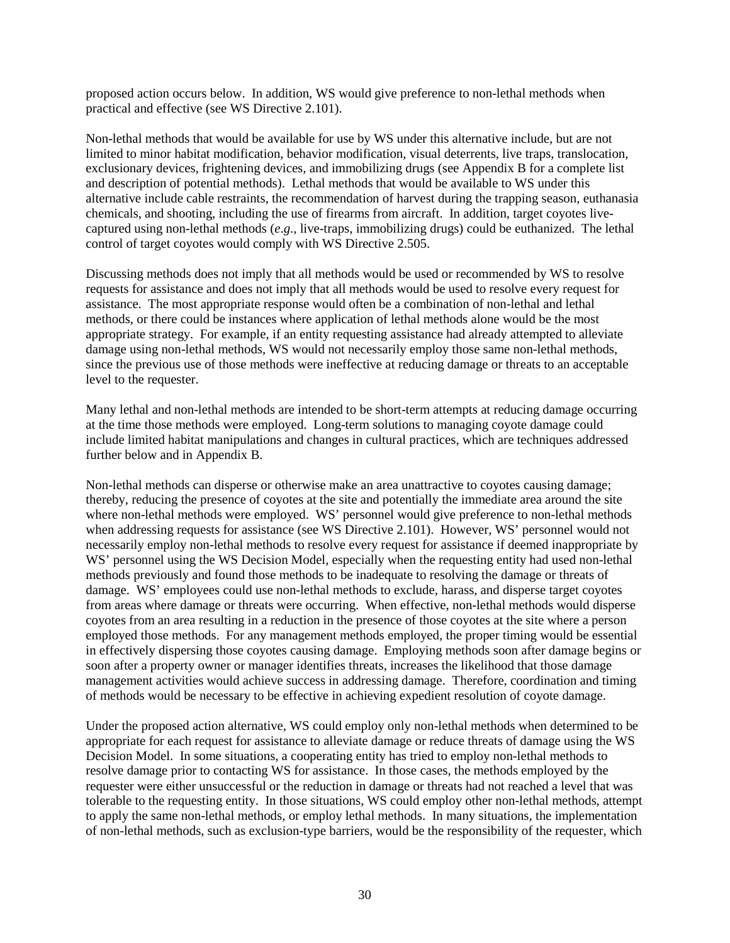proposed action occurs below. In addition, WS would give preference to non-lethal methods when practical and effective (see WS Directive 2.101).

Non-lethal methods that would be available for use by WS under this alternative include, but are not limited to minor habitat modification, behavior modification, visual deterrents, live traps, translocation, exclusionary devices, frightening devices, and immobilizing drugs (see Appendix B for a complete list and description of potential methods). Lethal methods that would be available to WS under this alternative include cable restraints, the recommendation of harvest during the trapping season, euthanasia chemicals, and shooting, including the use of firearms from aircraft. In addition, target coyotes livecaptured using non-lethal methods (*e*.*g*., live-traps, immobilizing drugs) could be euthanized. The lethal control of target coyotes would comply with WS Directive 2.505.

Discussing methods does not imply that all methods would be used or recommended by WS to resolve requests for assistance and does not imply that all methods would be used to resolve every request for assistance. The most appropriate response would often be a combination of non-lethal and lethal methods, or there could be instances where application of lethal methods alone would be the most appropriate strategy. For example, if an entity requesting assistance had already attempted to alleviate damage using non-lethal methods, WS would not necessarily employ those same non-lethal methods, since the previous use of those methods were ineffective at reducing damage or threats to an acceptable level to the requester.

Many lethal and non-lethal methods are intended to be short-term attempts at reducing damage occurring at the time those methods were employed. Long-term solutions to managing coyote damage could include limited habitat manipulations and changes in cultural practices, which are techniques addressed further below and in Appendix B.

Non-lethal methods can disperse or otherwise make an area unattractive to coyotes causing damage; thereby, reducing the presence of coyotes at the site and potentially the immediate area around the site where non-lethal methods were employed. WS' personnel would give preference to non-lethal methods when addressing requests for assistance (see WS Directive 2.101). However, WS' personnel would not necessarily employ non-lethal methods to resolve every request for assistance if deemed inappropriate by WS' personnel using the WS Decision Model, especially when the requesting entity had used non-lethal methods previously and found those methods to be inadequate to resolving the damage or threats of damage. WS' employees could use non-lethal methods to exclude, harass, and disperse target coyotes from areas where damage or threats were occurring. When effective, non-lethal methods would disperse coyotes from an area resulting in a reduction in the presence of those coyotes at the site where a person employed those methods. For any management methods employed, the proper timing would be essential in effectively dispersing those coyotes causing damage. Employing methods soon after damage begins or soon after a property owner or manager identifies threats, increases the likelihood that those damage management activities would achieve success in addressing damage. Therefore, coordination and timing of methods would be necessary to be effective in achieving expedient resolution of coyote damage.

Under the proposed action alternative, WS could employ only non-lethal methods when determined to be appropriate for each request for assistance to alleviate damage or reduce threats of damage using the WS Decision Model. In some situations, a cooperating entity has tried to employ non-lethal methods to resolve damage prior to contacting WS for assistance. In those cases, the methods employed by the requester were either unsuccessful or the reduction in damage or threats had not reached a level that was tolerable to the requesting entity. In those situations, WS could employ other non-lethal methods, attempt to apply the same non-lethal methods, or employ lethal methods. In many situations, the implementation of non-lethal methods, such as exclusion-type barriers, would be the responsibility of the requester, which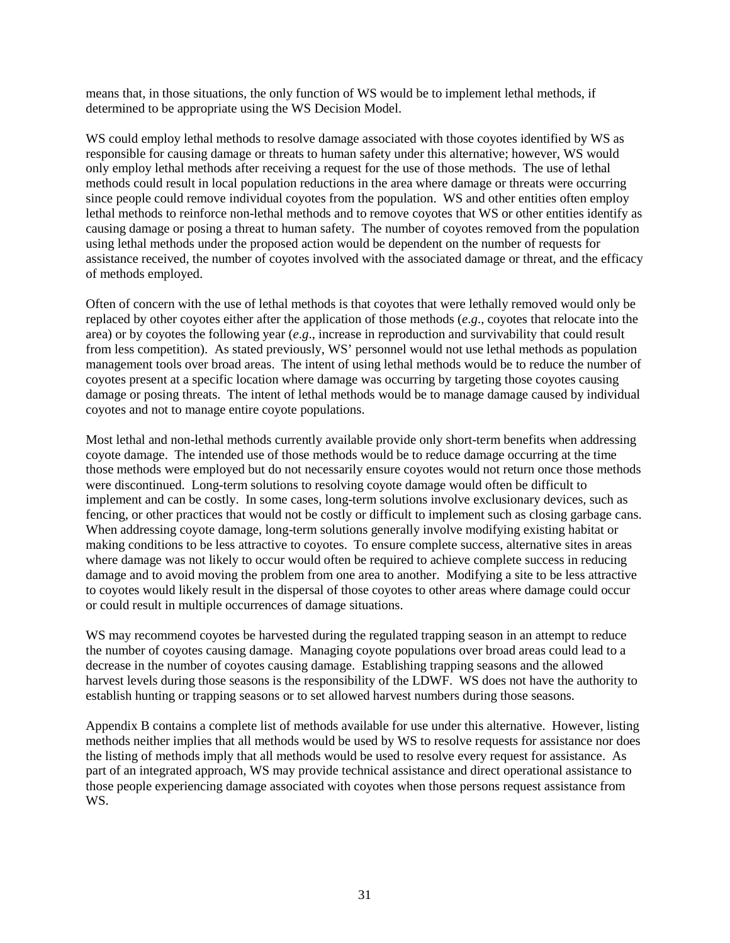means that, in those situations, the only function of WS would be to implement lethal methods, if determined to be appropriate using the WS Decision Model.

WS could employ lethal methods to resolve damage associated with those coyotes identified by WS as responsible for causing damage or threats to human safety under this alternative; however, WS would only employ lethal methods after receiving a request for the use of those methods. The use of lethal methods could result in local population reductions in the area where damage or threats were occurring since people could remove individual coyotes from the population. WS and other entities often employ lethal methods to reinforce non-lethal methods and to remove coyotes that WS or other entities identify as causing damage or posing a threat to human safety. The number of coyotes removed from the population using lethal methods under the proposed action would be dependent on the number of requests for assistance received, the number of coyotes involved with the associated damage or threat, and the efficacy of methods employed.

Often of concern with the use of lethal methods is that coyotes that were lethally removed would only be replaced by other coyotes either after the application of those methods (*e*.*g*., coyotes that relocate into the area) or by coyotes the following year (*e*.*g*., increase in reproduction and survivability that could result from less competition). As stated previously, WS' personnel would not use lethal methods as population management tools over broad areas. The intent of using lethal methods would be to reduce the number of coyotes present at a specific location where damage was occurring by targeting those coyotes causing damage or posing threats. The intent of lethal methods would be to manage damage caused by individual coyotes and not to manage entire coyote populations.

Most lethal and non-lethal methods currently available provide only short-term benefits when addressing coyote damage. The intended use of those methods would be to reduce damage occurring at the time those methods were employed but do not necessarily ensure coyotes would not return once those methods were discontinued. Long-term solutions to resolving coyote damage would often be difficult to implement and can be costly. In some cases, long-term solutions involve exclusionary devices, such as fencing, or other practices that would not be costly or difficult to implement such as closing garbage cans. When addressing coyote damage, long-term solutions generally involve modifying existing habitat or making conditions to be less attractive to coyotes. To ensure complete success, alternative sites in areas where damage was not likely to occur would often be required to achieve complete success in reducing damage and to avoid moving the problem from one area to another. Modifying a site to be less attractive to coyotes would likely result in the dispersal of those coyotes to other areas where damage could occur or could result in multiple occurrences of damage situations.

WS may recommend coyotes be harvested during the regulated trapping season in an attempt to reduce the number of coyotes causing damage. Managing coyote populations over broad areas could lead to a decrease in the number of coyotes causing damage. Establishing trapping seasons and the allowed harvest levels during those seasons is the responsibility of the LDWF. WS does not have the authority to establish hunting or trapping seasons or to set allowed harvest numbers during those seasons.

Appendix B contains a complete list of methods available for use under this alternative. However, listing methods neither implies that all methods would be used by WS to resolve requests for assistance nor does the listing of methods imply that all methods would be used to resolve every request for assistance. As part of an integrated approach, WS may provide technical assistance and direct operational assistance to those people experiencing damage associated with coyotes when those persons request assistance from WS.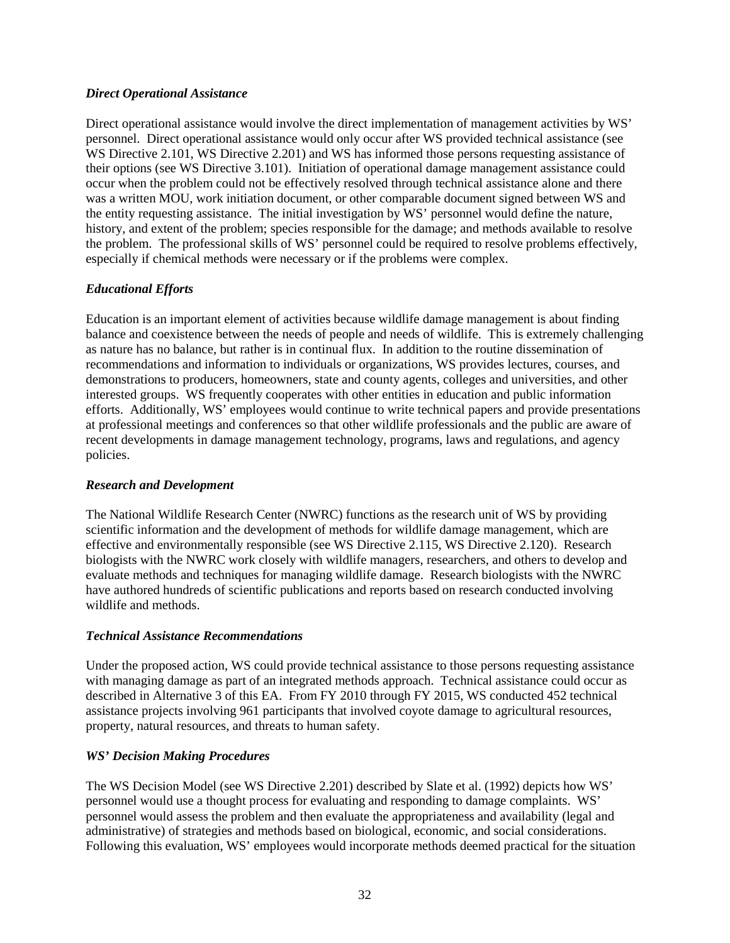### *Direct Operational Assistance*

Direct operational assistance would involve the direct implementation of management activities by WS' personnel. Direct operational assistance would only occur after WS provided technical assistance (see WS Directive 2.101, WS Directive 2.201) and WS has informed those persons requesting assistance of their options (see WS Directive 3.101). Initiation of operational damage management assistance could occur when the problem could not be effectively resolved through technical assistance alone and there was a written MOU, work initiation document, or other comparable document signed between WS and the entity requesting assistance. The initial investigation by WS' personnel would define the nature, history, and extent of the problem; species responsible for the damage; and methods available to resolve the problem. The professional skills of WS' personnel could be required to resolve problems effectively, especially if chemical methods were necessary or if the problems were complex.

# *Educational Efforts*

Education is an important element of activities because wildlife damage management is about finding balance and coexistence between the needs of people and needs of wildlife. This is extremely challenging as nature has no balance, but rather is in continual flux. In addition to the routine dissemination of recommendations and information to individuals or organizations, WS provides lectures, courses, and demonstrations to producers, homeowners, state and county agents, colleges and universities, and other interested groups. WS frequently cooperates with other entities in education and public information efforts. Additionally, WS' employees would continue to write technical papers and provide presentations at professional meetings and conferences so that other wildlife professionals and the public are aware of recent developments in damage management technology, programs, laws and regulations, and agency policies.

# *Research and Development*

The National Wildlife Research Center (NWRC) functions as the research unit of WS by providing scientific information and the development of methods for wildlife damage management, which are effective and environmentally responsible (see WS Directive 2.115, WS Directive 2.120). Research biologists with the NWRC work closely with wildlife managers, researchers, and others to develop and evaluate methods and techniques for managing wildlife damage. Research biologists with the NWRC have authored hundreds of scientific publications and reports based on research conducted involving wildlife and methods.

# *Technical Assistance Recommendations*

Under the proposed action, WS could provide technical assistance to those persons requesting assistance with managing damage as part of an integrated methods approach. Technical assistance could occur as described in Alternative 3 of this EA. From FY 2010 through FY 2015, WS conducted 452 technical assistance projects involving 961 participants that involved coyote damage to agricultural resources, property, natural resources, and threats to human safety.

# *WS' Decision Making Procedures*

The WS Decision Model (see WS Directive 2.201) described by Slate et al. (1992) depicts how WS' personnel would use a thought process for evaluating and responding to damage complaints. WS' personnel would assess the problem and then evaluate the appropriateness and availability (legal and administrative) of strategies and methods based on biological, economic, and social considerations. Following this evaluation, WS' employees would incorporate methods deemed practical for the situation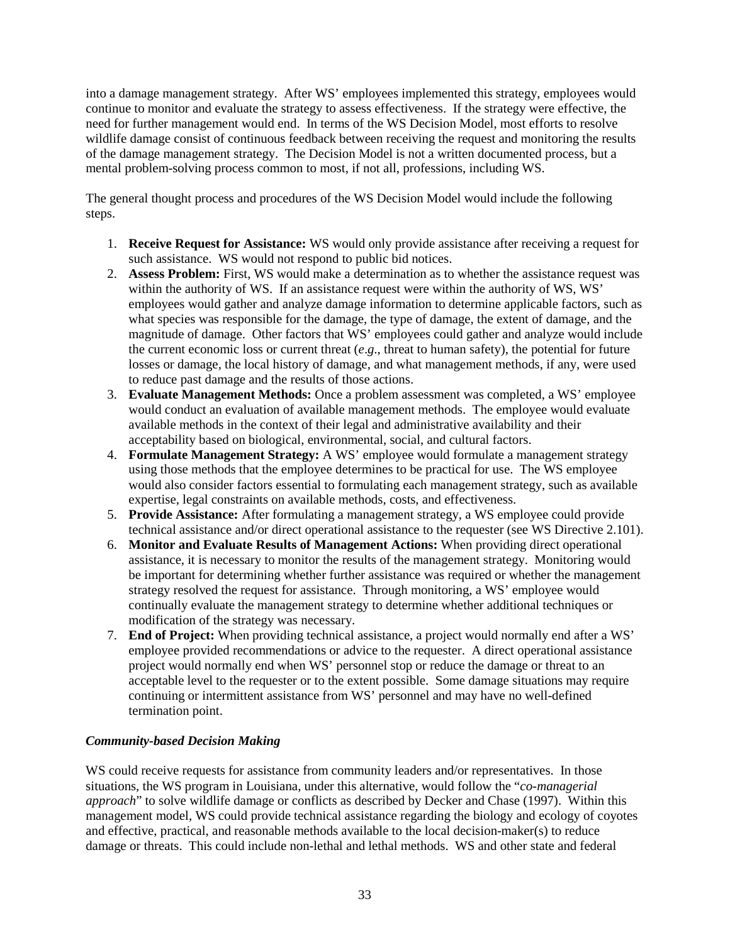into a damage management strategy. After WS' employees implemented this strategy, employees would continue to monitor and evaluate the strategy to assess effectiveness. If the strategy were effective, the need for further management would end. In terms of the WS Decision Model, most efforts to resolve wildlife damage consist of continuous feedback between receiving the request and monitoring the results of the damage management strategy. The Decision Model is not a written documented process, but a mental problem-solving process common to most, if not all, professions, including WS.

The general thought process and procedures of the WS Decision Model would include the following steps.

- 1. **Receive Request for Assistance:** WS would only provide assistance after receiving a request for such assistance. WS would not respond to public bid notices.
- 2. **Assess Problem:** First, WS would make a determination as to whether the assistance request was within the authority of WS. If an assistance request were within the authority of WS, WS' employees would gather and analyze damage information to determine applicable factors, such as what species was responsible for the damage, the type of damage, the extent of damage, and the magnitude of damage. Other factors that WS' employees could gather and analyze would include the current economic loss or current threat (*e*.*g*., threat to human safety), the potential for future losses or damage, the local history of damage, and what management methods, if any, were used to reduce past damage and the results of those actions.
- 3. **Evaluate Management Methods:** Once a problem assessment was completed, a WS' employee would conduct an evaluation of available management methods. The employee would evaluate available methods in the context of their legal and administrative availability and their acceptability based on biological, environmental, social, and cultural factors.
- 4. **Formulate Management Strategy:** A WS' employee would formulate a management strategy using those methods that the employee determines to be practical for use. The WS employee would also consider factors essential to formulating each management strategy, such as available expertise, legal constraints on available methods, costs, and effectiveness.
- 5. **Provide Assistance:** After formulating a management strategy, a WS employee could provide technical assistance and/or direct operational assistance to the requester (see WS Directive 2.101).
- 6. **Monitor and Evaluate Results of Management Actions:** When providing direct operational assistance, it is necessary to monitor the results of the management strategy. Monitoring would be important for determining whether further assistance was required or whether the management strategy resolved the request for assistance. Through monitoring, a WS' employee would continually evaluate the management strategy to determine whether additional techniques or modification of the strategy was necessary.
- 7. **End of Project:** When providing technical assistance, a project would normally end after a WS' employee provided recommendations or advice to the requester. A direct operational assistance project would normally end when WS' personnel stop or reduce the damage or threat to an acceptable level to the requester or to the extent possible. Some damage situations may require continuing or intermittent assistance from WS' personnel and may have no well-defined termination point.

# *Community-based Decision Making*

WS could receive requests for assistance from community leaders and/or representatives. In those situations, the WS program in Louisiana, under this alternative, would follow the "*co-managerial approach*" to solve wildlife damage or conflicts as described by Decker and Chase (1997). Within this management model, WS could provide technical assistance regarding the biology and ecology of coyotes and effective, practical, and reasonable methods available to the local decision-maker(s) to reduce damage or threats. This could include non-lethal and lethal methods. WS and other state and federal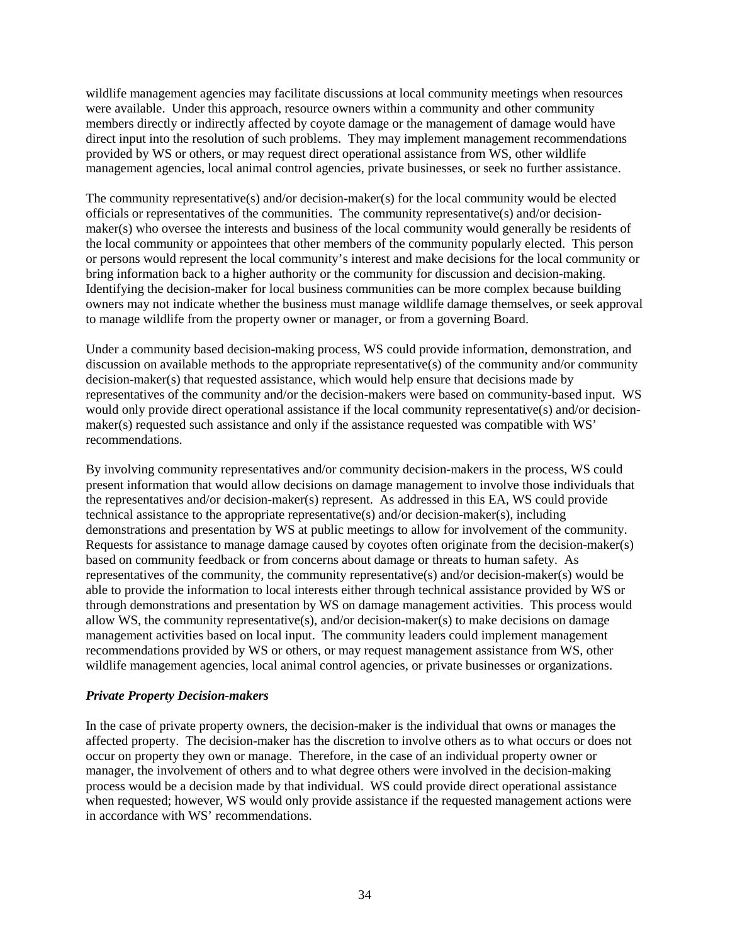wildlife management agencies may facilitate discussions at local community meetings when resources were available. Under this approach, resource owners within a community and other community members directly or indirectly affected by coyote damage or the management of damage would have direct input into the resolution of such problems. They may implement management recommendations provided by WS or others, or may request direct operational assistance from WS, other wildlife management agencies, local animal control agencies, private businesses, or seek no further assistance.

The community representative(s) and/or decision-maker(s) for the local community would be elected officials or representatives of the communities. The community representative(s) and/or decisionmaker(s) who oversee the interests and business of the local community would generally be residents of the local community or appointees that other members of the community popularly elected. This person or persons would represent the local community's interest and make decisions for the local community or bring information back to a higher authority or the community for discussion and decision-making. Identifying the decision-maker for local business communities can be more complex because building owners may not indicate whether the business must manage wildlife damage themselves, or seek approval to manage wildlife from the property owner or manager, or from a governing Board.

Under a community based decision-making process, WS could provide information, demonstration, and discussion on available methods to the appropriate representative(s) of the community and/or community decision-maker(s) that requested assistance, which would help ensure that decisions made by representatives of the community and/or the decision-makers were based on community-based input. WS would only provide direct operational assistance if the local community representative(s) and/or decisionmaker(s) requested such assistance and only if the assistance requested was compatible with WS' recommendations.

By involving community representatives and/or community decision-makers in the process, WS could present information that would allow decisions on damage management to involve those individuals that the representatives and/or decision-maker(s) represent. As addressed in this EA, WS could provide technical assistance to the appropriate representative(s) and/or decision-maker(s), including demonstrations and presentation by WS at public meetings to allow for involvement of the community. Requests for assistance to manage damage caused by coyotes often originate from the decision-maker(s) based on community feedback or from concerns about damage or threats to human safety. As representatives of the community, the community representative(s) and/or decision-maker(s) would be able to provide the information to local interests either through technical assistance provided by WS or through demonstrations and presentation by WS on damage management activities. This process would allow WS, the community representative(s), and/or decision-maker(s) to make decisions on damage management activities based on local input. The community leaders could implement management recommendations provided by WS or others, or may request management assistance from WS, other wildlife management agencies, local animal control agencies, or private businesses or organizations.

#### *Private Property Decision-makers*

In the case of private property owners, the decision-maker is the individual that owns or manages the affected property. The decision-maker has the discretion to involve others as to what occurs or does not occur on property they own or manage. Therefore, in the case of an individual property owner or manager, the involvement of others and to what degree others were involved in the decision-making process would be a decision made by that individual. WS could provide direct operational assistance when requested; however, WS would only provide assistance if the requested management actions were in accordance with WS' recommendations.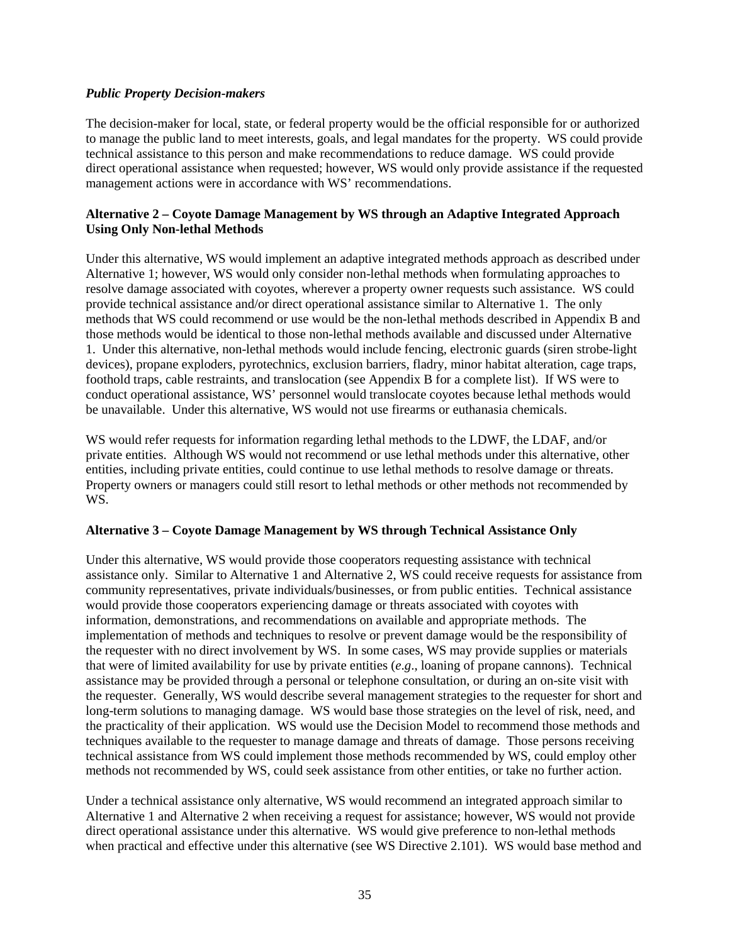#### *Public Property Decision-makers*

The decision-maker for local, state, or federal property would be the official responsible for or authorized to manage the public land to meet interests, goals, and legal mandates for the property. WS could provide technical assistance to this person and make recommendations to reduce damage. WS could provide direct operational assistance when requested; however, WS would only provide assistance if the requested management actions were in accordance with WS' recommendations.

### **Alternative 2 – Coyote Damage Management by WS through an Adaptive Integrated Approach Using Only Non-lethal Methods**

Under this alternative, WS would implement an adaptive integrated methods approach as described under Alternative 1; however, WS would only consider non-lethal methods when formulating approaches to resolve damage associated with coyotes, wherever a property owner requests such assistance. WS could provide technical assistance and/or direct operational assistance similar to Alternative 1. The only methods that WS could recommend or use would be the non-lethal methods described in Appendix B and those methods would be identical to those non-lethal methods available and discussed under Alternative 1. Under this alternative, non-lethal methods would include fencing, electronic guards (siren strobe-light devices), propane exploders, pyrotechnics, exclusion barriers, fladry, minor habitat alteration, cage traps, foothold traps, cable restraints, and translocation (see Appendix B for a complete list). If WS were to conduct operational assistance, WS' personnel would translocate coyotes because lethal methods would be unavailable. Under this alternative, WS would not use firearms or euthanasia chemicals.

WS would refer requests for information regarding lethal methods to the LDWF, the LDAF, and/or private entities. Although WS would not recommend or use lethal methods under this alternative, other entities, including private entities, could continue to use lethal methods to resolve damage or threats. Property owners or managers could still resort to lethal methods or other methods not recommended by WS.

#### **Alternative 3 – Coyote Damage Management by WS through Technical Assistance Only**

Under this alternative, WS would provide those cooperators requesting assistance with technical assistance only. Similar to Alternative 1 and Alternative 2, WS could receive requests for assistance from community representatives, private individuals/businesses, or from public entities. Technical assistance would provide those cooperators experiencing damage or threats associated with coyotes with information, demonstrations, and recommendations on available and appropriate methods. The implementation of methods and techniques to resolve or prevent damage would be the responsibility of the requester with no direct involvement by WS. In some cases, WS may provide supplies or materials that were of limited availability for use by private entities (*e*.*g*., loaning of propane cannons). Technical assistance may be provided through a personal or telephone consultation, or during an on-site visit with the requester. Generally, WS would describe several management strategies to the requester for short and long-term solutions to managing damage. WS would base those strategies on the level of risk, need, and the practicality of their application. WS would use the Decision Model to recommend those methods and techniques available to the requester to manage damage and threats of damage. Those persons receiving technical assistance from WS could implement those methods recommended by WS, could employ other methods not recommended by WS, could seek assistance from other entities, or take no further action.

Under a technical assistance only alternative, WS would recommend an integrated approach similar to Alternative 1 and Alternative 2 when receiving a request for assistance; however, WS would not provide direct operational assistance under this alternative. WS would give preference to non-lethal methods when practical and effective under this alternative (see WS Directive 2.101). WS would base method and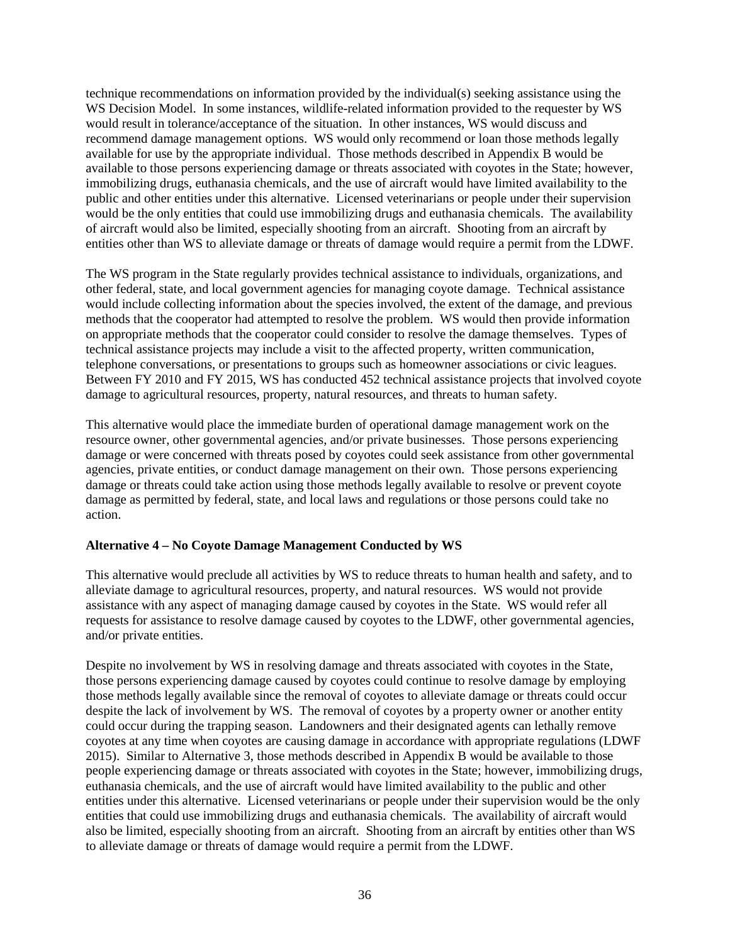technique recommendations on information provided by the individual(s) seeking assistance using the WS Decision Model. In some instances, wildlife-related information provided to the requester by WS would result in tolerance/acceptance of the situation. In other instances, WS would discuss and recommend damage management options. WS would only recommend or loan those methods legally available for use by the appropriate individual. Those methods described in Appendix B would be available to those persons experiencing damage or threats associated with coyotes in the State; however, immobilizing drugs, euthanasia chemicals, and the use of aircraft would have limited availability to the public and other entities under this alternative. Licensed veterinarians or people under their supervision would be the only entities that could use immobilizing drugs and euthanasia chemicals. The availability of aircraft would also be limited, especially shooting from an aircraft. Shooting from an aircraft by entities other than WS to alleviate damage or threats of damage would require a permit from the LDWF.

The WS program in the State regularly provides technical assistance to individuals, organizations, and other federal, state, and local government agencies for managing coyote damage. Technical assistance would include collecting information about the species involved, the extent of the damage, and previous methods that the cooperator had attempted to resolve the problem. WS would then provide information on appropriate methods that the cooperator could consider to resolve the damage themselves. Types of technical assistance projects may include a visit to the affected property, written communication, telephone conversations, or presentations to groups such as homeowner associations or civic leagues. Between FY 2010 and FY 2015, WS has conducted 452 technical assistance projects that involved coyote damage to agricultural resources, property, natural resources, and threats to human safety.

This alternative would place the immediate burden of operational damage management work on the resource owner, other governmental agencies, and/or private businesses. Those persons experiencing damage or were concerned with threats posed by coyotes could seek assistance from other governmental agencies, private entities, or conduct damage management on their own. Those persons experiencing damage or threats could take action using those methods legally available to resolve or prevent coyote damage as permitted by federal, state, and local laws and regulations or those persons could take no action.

#### **Alternative 4 – No Coyote Damage Management Conducted by WS**

This alternative would preclude all activities by WS to reduce threats to human health and safety, and to alleviate damage to agricultural resources, property, and natural resources. WS would not provide assistance with any aspect of managing damage caused by coyotes in the State. WS would refer all requests for assistance to resolve damage caused by coyotes to the LDWF, other governmental agencies, and/or private entities.

Despite no involvement by WS in resolving damage and threats associated with coyotes in the State, those persons experiencing damage caused by coyotes could continue to resolve damage by employing those methods legally available since the removal of coyotes to alleviate damage or threats could occur despite the lack of involvement by WS. The removal of coyotes by a property owner or another entity could occur during the trapping season. Landowners and their designated agents can lethally remove coyotes at any time when coyotes are causing damage in accordance with appropriate regulations (LDWF 2015). Similar to Alternative 3, those methods described in Appendix B would be available to those people experiencing damage or threats associated with coyotes in the State; however, immobilizing drugs, euthanasia chemicals, and the use of aircraft would have limited availability to the public and other entities under this alternative. Licensed veterinarians or people under their supervision would be the only entities that could use immobilizing drugs and euthanasia chemicals. The availability of aircraft would also be limited, especially shooting from an aircraft. Shooting from an aircraft by entities other than WS to alleviate damage or threats of damage would require a permit from the LDWF.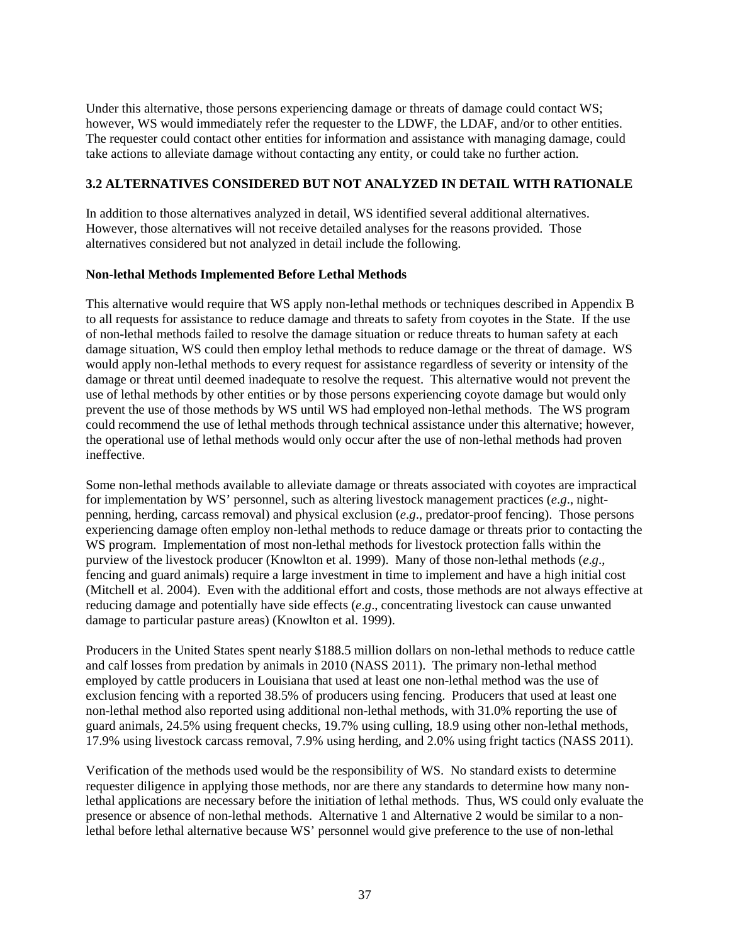Under this alternative, those persons experiencing damage or threats of damage could contact WS; however, WS would immediately refer the requester to the LDWF, the LDAF, and/or to other entities. The requester could contact other entities for information and assistance with managing damage, could take actions to alleviate damage without contacting any entity, or could take no further action.

## **3.2 ALTERNATIVES CONSIDERED BUT NOT ANALYZED IN DETAIL WITH RATIONALE**

In addition to those alternatives analyzed in detail, WS identified several additional alternatives. However, those alternatives will not receive detailed analyses for the reasons provided. Those alternatives considered but not analyzed in detail include the following.

#### **Non-lethal Methods Implemented Before Lethal Methods**

This alternative would require that WS apply non-lethal methods or techniques described in Appendix B to all requests for assistance to reduce damage and threats to safety from coyotes in the State. If the use of non-lethal methods failed to resolve the damage situation or reduce threats to human safety at each damage situation, WS could then employ lethal methods to reduce damage or the threat of damage. WS would apply non-lethal methods to every request for assistance regardless of severity or intensity of the damage or threat until deemed inadequate to resolve the request. This alternative would not prevent the use of lethal methods by other entities or by those persons experiencing coyote damage but would only prevent the use of those methods by WS until WS had employed non-lethal methods. The WS program could recommend the use of lethal methods through technical assistance under this alternative; however, the operational use of lethal methods would only occur after the use of non-lethal methods had proven ineffective.

Some non-lethal methods available to alleviate damage or threats associated with coyotes are impractical for implementation by WS' personnel, such as altering livestock management practices (*e*.*g*., nightpenning, herding, carcass removal) and physical exclusion (*e*.*g*., predator-proof fencing). Those persons experiencing damage often employ non-lethal methods to reduce damage or threats prior to contacting the WS program. Implementation of most non-lethal methods for livestock protection falls within the purview of the livestock producer (Knowlton et al. 1999). Many of those non-lethal methods (*e*.*g*., fencing and guard animals) require a large investment in time to implement and have a high initial cost (Mitchell et al. 2004). Even with the additional effort and costs, those methods are not always effective at reducing damage and potentially have side effects (*e*.*g*., concentrating livestock can cause unwanted damage to particular pasture areas) (Knowlton et al. 1999).

Producers in the United States spent nearly \$188.5 million dollars on non-lethal methods to reduce cattle and calf losses from predation by animals in 2010 (NASS 2011). The primary non-lethal method employed by cattle producers in Louisiana that used at least one non-lethal method was the use of exclusion fencing with a reported 38.5% of producers using fencing. Producers that used at least one non-lethal method also reported using additional non-lethal methods, with 31.0% reporting the use of guard animals, 24.5% using frequent checks, 19.7% using culling, 18.9 using other non-lethal methods, 17.9% using livestock carcass removal, 7.9% using herding, and 2.0% using fright tactics (NASS 2011).

Verification of the methods used would be the responsibility of WS. No standard exists to determine requester diligence in applying those methods, nor are there any standards to determine how many nonlethal applications are necessary before the initiation of lethal methods. Thus, WS could only evaluate the presence or absence of non-lethal methods. Alternative 1 and Alternative 2 would be similar to a nonlethal before lethal alternative because WS' personnel would give preference to the use of non-lethal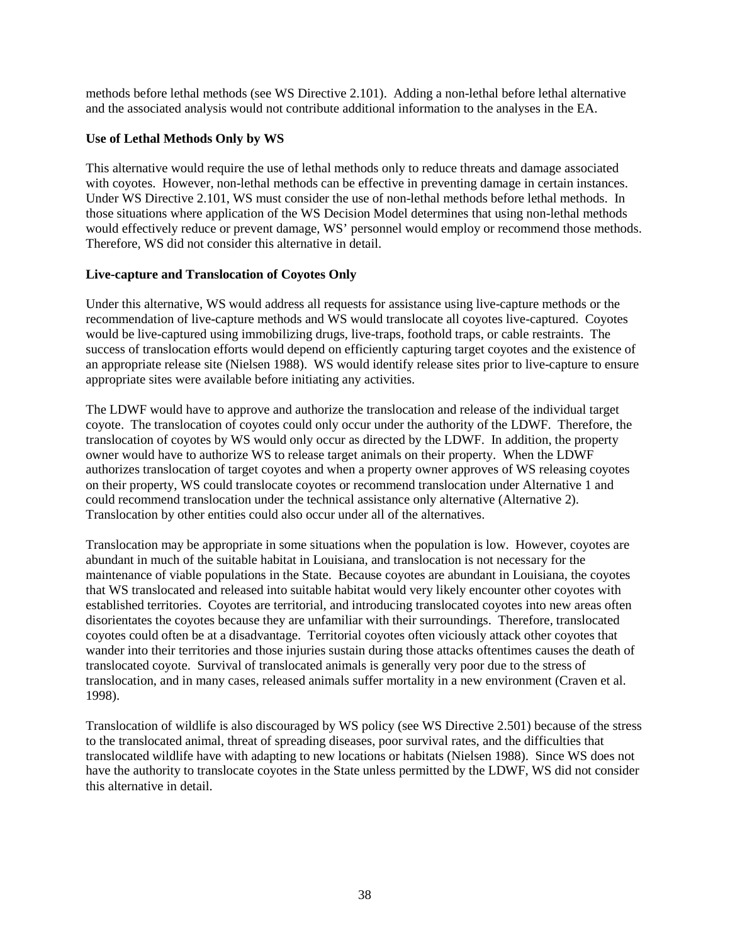methods before lethal methods (see WS Directive 2.101). Adding a non-lethal before lethal alternative and the associated analysis would not contribute additional information to the analyses in the EA.

### **Use of Lethal Methods Only by WS**

This alternative would require the use of lethal methods only to reduce threats and damage associated with coyotes. However, non-lethal methods can be effective in preventing damage in certain instances. Under WS Directive 2.101, WS must consider the use of non-lethal methods before lethal methods. In those situations where application of the WS Decision Model determines that using non-lethal methods would effectively reduce or prevent damage, WS' personnel would employ or recommend those methods. Therefore, WS did not consider this alternative in detail.

## **Live-capture and Translocation of Coyotes Only**

Under this alternative, WS would address all requests for assistance using live-capture methods or the recommendation of live-capture methods and WS would translocate all coyotes live-captured. Coyotes would be live-captured using immobilizing drugs, live-traps, foothold traps, or cable restraints. The success of translocation efforts would depend on efficiently capturing target coyotes and the existence of an appropriate release site (Nielsen 1988). WS would identify release sites prior to live-capture to ensure appropriate sites were available before initiating any activities.

The LDWF would have to approve and authorize the translocation and release of the individual target coyote. The translocation of coyotes could only occur under the authority of the LDWF. Therefore, the translocation of coyotes by WS would only occur as directed by the LDWF. In addition, the property owner would have to authorize WS to release target animals on their property. When the LDWF authorizes translocation of target coyotes and when a property owner approves of WS releasing coyotes on their property, WS could translocate coyotes or recommend translocation under Alternative 1 and could recommend translocation under the technical assistance only alternative (Alternative 2). Translocation by other entities could also occur under all of the alternatives.

Translocation may be appropriate in some situations when the population is low. However, coyotes are abundant in much of the suitable habitat in Louisiana, and translocation is not necessary for the maintenance of viable populations in the State. Because coyotes are abundant in Louisiana, the coyotes that WS translocated and released into suitable habitat would very likely encounter other coyotes with established territories. Coyotes are territorial, and introducing translocated coyotes into new areas often disorientates the coyotes because they are unfamiliar with their surroundings. Therefore, translocated coyotes could often be at a disadvantage. Territorial coyotes often viciously attack other coyotes that wander into their territories and those injuries sustain during those attacks oftentimes causes the death of translocated coyote. Survival of translocated animals is generally very poor due to the stress of translocation, and in many cases, released animals suffer mortality in a new environment (Craven et al. 1998).

Translocation of wildlife is also discouraged by WS policy (see WS Directive 2.501) because of the stress to the translocated animal, threat of spreading diseases, poor survival rates, and the difficulties that translocated wildlife have with adapting to new locations or habitats (Nielsen 1988). Since WS does not have the authority to translocate coyotes in the State unless permitted by the LDWF, WS did not consider this alternative in detail.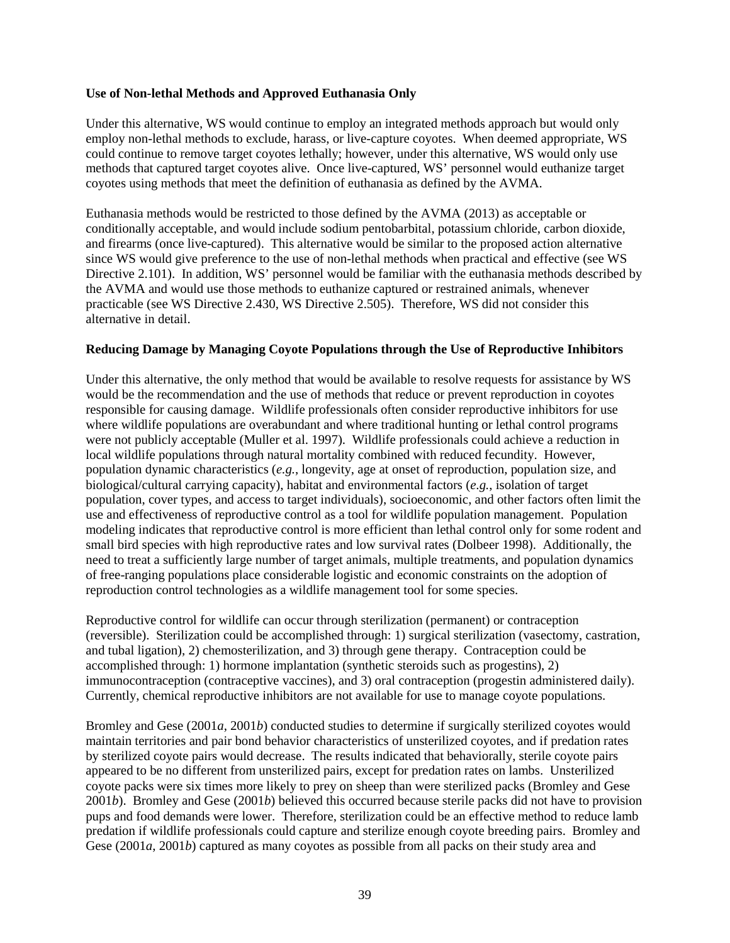#### **Use of Non-lethal Methods and Approved Euthanasia Only**

Under this alternative, WS would continue to employ an integrated methods approach but would only employ non-lethal methods to exclude, harass, or live-capture coyotes. When deemed appropriate, WS could continue to remove target coyotes lethally; however, under this alternative, WS would only use methods that captured target coyotes alive. Once live-captured, WS' personnel would euthanize target coyotes using methods that meet the definition of euthanasia as defined by the AVMA.

Euthanasia methods would be restricted to those defined by the AVMA (2013) as acceptable or conditionally acceptable, and would include sodium pentobarbital, potassium chloride, carbon dioxide, and firearms (once live-captured). This alternative would be similar to the proposed action alternative since WS would give preference to the use of non-lethal methods when practical and effective (see WS Directive 2.101). In addition, WS' personnel would be familiar with the euthanasia methods described by the AVMA and would use those methods to euthanize captured or restrained animals, whenever practicable (see WS Directive 2.430, WS Directive 2.505). Therefore, WS did not consider this alternative in detail.

#### **Reducing Damage by Managing Coyote Populations through the Use of Reproductive Inhibitors**

Under this alternative, the only method that would be available to resolve requests for assistance by WS would be the recommendation and the use of methods that reduce or prevent reproduction in coyotes responsible for causing damage. Wildlife professionals often consider reproductive inhibitors for use where wildlife populations are overabundant and where traditional hunting or lethal control programs were not publicly acceptable (Muller et al. 1997). Wildlife professionals could achieve a reduction in local wildlife populations through natural mortality combined with reduced fecundity. However, population dynamic characteristics (*e.g.*, longevity, age at onset of reproduction, population size, and biological/cultural carrying capacity), habitat and environmental factors (*e.g.*, isolation of target population, cover types, and access to target individuals), socioeconomic, and other factors often limit the use and effectiveness of reproductive control as a tool for wildlife population management. Population modeling indicates that reproductive control is more efficient than lethal control only for some rodent and small bird species with high reproductive rates and low survival rates (Dolbeer 1998). Additionally, the need to treat a sufficiently large number of target animals, multiple treatments, and population dynamics of free-ranging populations place considerable logistic and economic constraints on the adoption of reproduction control technologies as a wildlife management tool for some species.

Reproductive control for wildlife can occur through sterilization (permanent) or contraception (reversible). Sterilization could be accomplished through: 1) surgical sterilization (vasectomy, castration, and tubal ligation), 2) chemosterilization, and 3) through gene therapy. Contraception could be accomplished through: 1) hormone implantation (synthetic steroids such as progestins), 2) immunocontraception (contraceptive vaccines), and 3) oral contraception (progestin administered daily). Currently, chemical reproductive inhibitors are not available for use to manage coyote populations.

Bromley and Gese (2001*a*, 2001*b*) conducted studies to determine if surgically sterilized coyotes would maintain territories and pair bond behavior characteristics of unsterilized coyotes, and if predation rates by sterilized coyote pairs would decrease. The results indicated that behaviorally, sterile coyote pairs appeared to be no different from unsterilized pairs, except for predation rates on lambs. Unsterilized coyote packs were six times more likely to prey on sheep than were sterilized packs (Bromley and Gese 2001*b*). Bromley and Gese (2001*b*) believed this occurred because sterile packs did not have to provision pups and food demands were lower. Therefore, sterilization could be an effective method to reduce lamb predation if wildlife professionals could capture and sterilize enough coyote breeding pairs. Bromley and Gese (2001*a*, 2001*b*) captured as many coyotes as possible from all packs on their study area and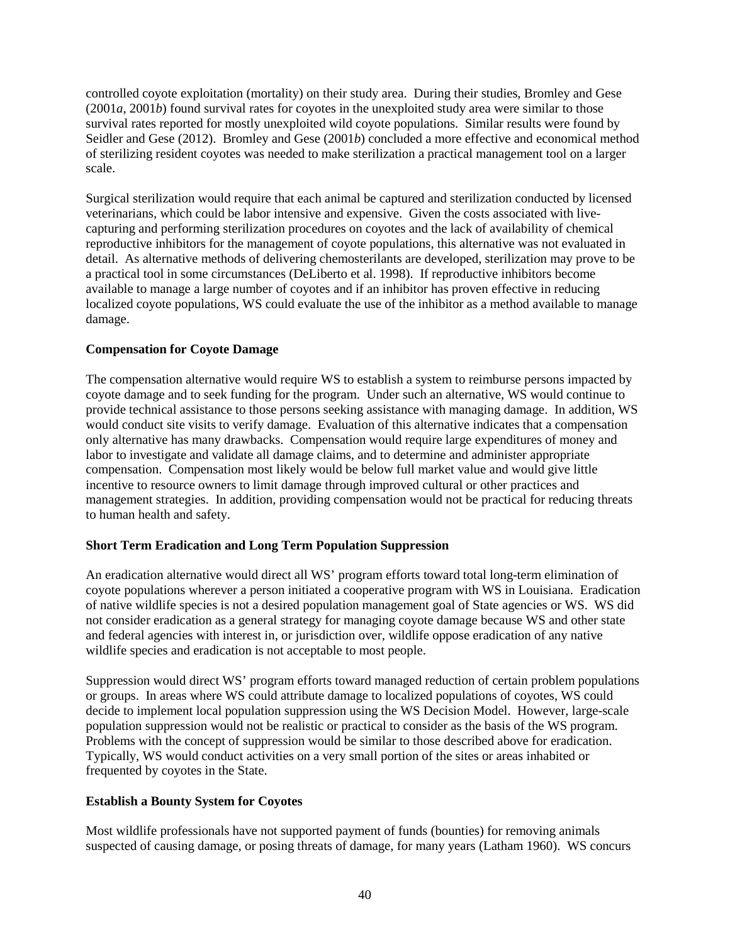controlled coyote exploitation (mortality) on their study area. During their studies, Bromley and Gese (2001*a*, 2001*b*) found survival rates for coyotes in the unexploited study area were similar to those survival rates reported for mostly unexploited wild coyote populations. Similar results were found by Seidler and Gese (2012). Bromley and Gese (2001*b*) concluded a more effective and economical method of sterilizing resident coyotes was needed to make sterilization a practical management tool on a larger scale.

Surgical sterilization would require that each animal be captured and sterilization conducted by licensed veterinarians, which could be labor intensive and expensive. Given the costs associated with livecapturing and performing sterilization procedures on coyotes and the lack of availability of chemical reproductive inhibitors for the management of coyote populations, this alternative was not evaluated in detail. As alternative methods of delivering chemosterilants are developed, sterilization may prove to be a practical tool in some circumstances (DeLiberto et al. 1998). If reproductive inhibitors become available to manage a large number of coyotes and if an inhibitor has proven effective in reducing localized coyote populations, WS could evaluate the use of the inhibitor as a method available to manage damage.

## **Compensation for Coyote Damage**

The compensation alternative would require WS to establish a system to reimburse persons impacted by coyote damage and to seek funding for the program. Under such an alternative, WS would continue to provide technical assistance to those persons seeking assistance with managing damage. In addition, WS would conduct site visits to verify damage. Evaluation of this alternative indicates that a compensation only alternative has many drawbacks. Compensation would require large expenditures of money and labor to investigate and validate all damage claims, and to determine and administer appropriate compensation. Compensation most likely would be below full market value and would give little incentive to resource owners to limit damage through improved cultural or other practices and management strategies. In addition, providing compensation would not be practical for reducing threats to human health and safety.

#### **Short Term Eradication and Long Term Population Suppression**

An eradication alternative would direct all WS' program efforts toward total long-term elimination of coyote populations wherever a person initiated a cooperative program with WS in Louisiana. Eradication of native wildlife species is not a desired population management goal of State agencies or WS. WS did not consider eradication as a general strategy for managing coyote damage because WS and other state and federal agencies with interest in, or jurisdiction over, wildlife oppose eradication of any native wildlife species and eradication is not acceptable to most people.

Suppression would direct WS' program efforts toward managed reduction of certain problem populations or groups. In areas where WS could attribute damage to localized populations of coyotes, WS could decide to implement local population suppression using the WS Decision Model. However, large-scale population suppression would not be realistic or practical to consider as the basis of the WS program. Problems with the concept of suppression would be similar to those described above for eradication. Typically, WS would conduct activities on a very small portion of the sites or areas inhabited or frequented by coyotes in the State.

# **Establish a Bounty System for Coyotes**

Most wildlife professionals have not supported payment of funds (bounties) for removing animals suspected of causing damage, or posing threats of damage, for many years (Latham 1960). WS concurs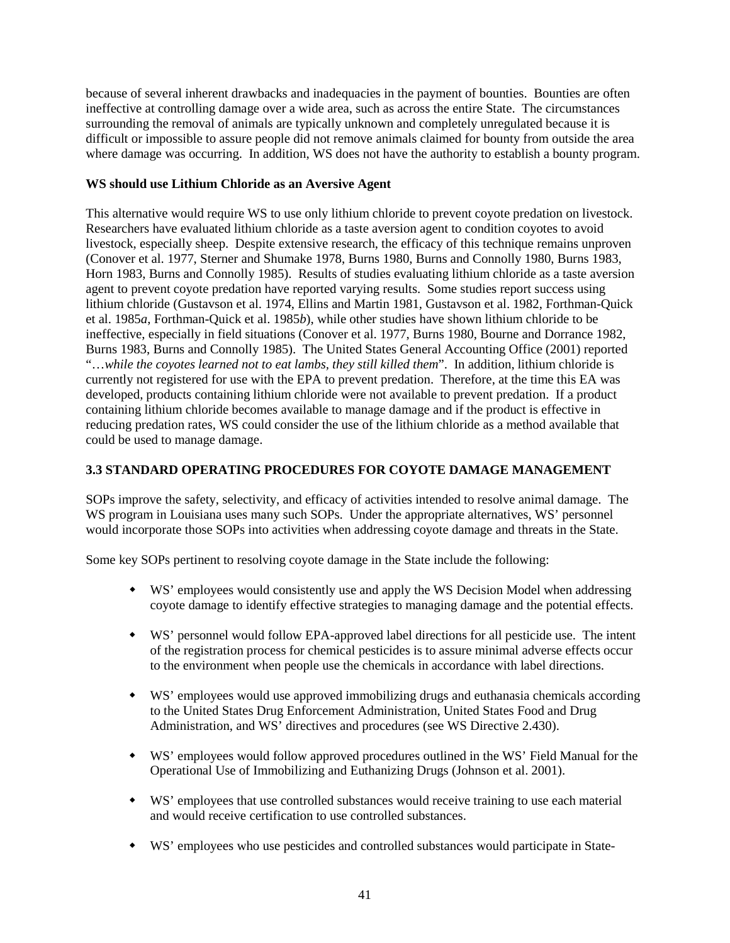because of several inherent drawbacks and inadequacies in the payment of bounties. Bounties are often ineffective at controlling damage over a wide area, such as across the entire State. The circumstances surrounding the removal of animals are typically unknown and completely unregulated because it is difficult or impossible to assure people did not remove animals claimed for bounty from outside the area where damage was occurring. In addition, WS does not have the authority to establish a bounty program.

## **WS should use Lithium Chloride as an Aversive Agent**

This alternative would require WS to use only lithium chloride to prevent coyote predation on livestock. Researchers have evaluated lithium chloride as a taste aversion agent to condition coyotes to avoid livestock, especially sheep. Despite extensive research, the efficacy of this technique remains unproven (Conover et al. 1977, Sterner and Shumake 1978, Burns 1980, Burns and Connolly 1980, Burns 1983, Horn 1983, Burns and Connolly 1985). Results of studies evaluating lithium chloride as a taste aversion agent to prevent coyote predation have reported varying results. Some studies report success using lithium chloride (Gustavson et al. 1974, Ellins and Martin 1981, Gustavson et al. 1982, Forthman-Quick et al. 1985*a*, Forthman-Quick et al. 1985*b*), while other studies have shown lithium chloride to be ineffective, especially in field situations (Conover et al. 1977, Burns 1980, Bourne and Dorrance 1982, Burns 1983, Burns and Connolly 1985). The United States General Accounting Office (2001) reported "…*while the coyotes learned not to eat lambs, they still killed them*". In addition, lithium chloride is currently not registered for use with the EPA to prevent predation. Therefore, at the time this EA was developed, products containing lithium chloride were not available to prevent predation. If a product containing lithium chloride becomes available to manage damage and if the product is effective in reducing predation rates, WS could consider the use of the lithium chloride as a method available that could be used to manage damage.

### **3.3 STANDARD OPERATING PROCEDURES FOR COYOTE DAMAGE MANAGEMENT**

SOPs improve the safety, selectivity, and efficacy of activities intended to resolve animal damage. The WS program in Louisiana uses many such SOPs. Under the appropriate alternatives, WS' personnel would incorporate those SOPs into activities when addressing coyote damage and threats in the State.

Some key SOPs pertinent to resolving coyote damage in the State include the following:

- WS' employees would consistently use and apply the WS Decision Model when addressing coyote damage to identify effective strategies to managing damage and the potential effects.
- WS' personnel would follow EPA-approved label directions for all pesticide use. The intent of the registration process for chemical pesticides is to assure minimal adverse effects occur to the environment when people use the chemicals in accordance with label directions.
- WS' employees would use approved immobilizing drugs and euthanasia chemicals according to the United States Drug Enforcement Administration, United States Food and Drug Administration, and WS' directives and procedures (see WS Directive 2.430).
- WS' employees would follow approved procedures outlined in the WS' Field Manual for the Operational Use of Immobilizing and Euthanizing Drugs (Johnson et al. 2001).
- WS' employees that use controlled substances would receive training to use each material and would receive certification to use controlled substances.
- WS' employees who use pesticides and controlled substances would participate in State-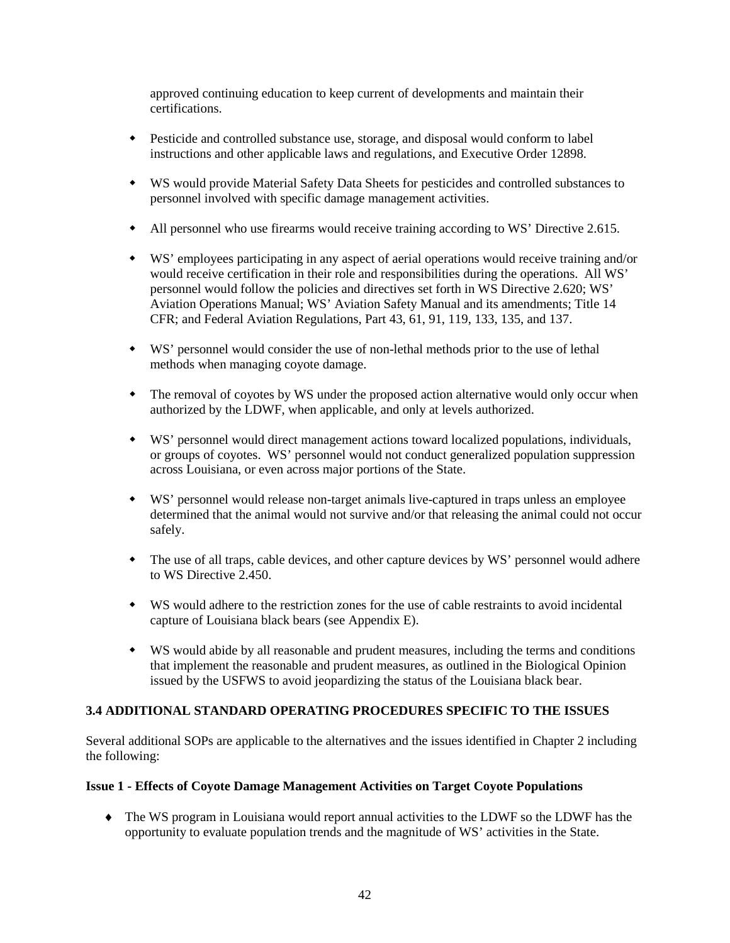approved continuing education to keep current of developments and maintain their certifications.

- Pesticide and controlled substance use, storage, and disposal would conform to label instructions and other applicable laws and regulations, and Executive Order 12898.
- WS would provide Material Safety Data Sheets for pesticides and controlled substances to personnel involved with specific damage management activities.
- All personnel who use firearms would receive training according to WS' Directive 2.615.
- WS' employees participating in any aspect of aerial operations would receive training and/or would receive certification in their role and responsibilities during the operations. All WS' personnel would follow the policies and directives set forth in WS Directive 2.620; WS' Aviation Operations Manual; WS' Aviation Safety Manual and its amendments; Title 14 CFR; and Federal Aviation Regulations, Part 43, 61, 91, 119, 133, 135, and 137.
- WS' personnel would consider the use of non-lethal methods prior to the use of lethal methods when managing coyote damage.
- The removal of coyotes by WS under the proposed action alternative would only occur when authorized by the LDWF, when applicable, and only at levels authorized.
- WS' personnel would direct management actions toward localized populations, individuals, or groups of coyotes. WS' personnel would not conduct generalized population suppression across Louisiana, or even across major portions of the State.
- WS' personnel would release non-target animals live-captured in traps unless an employee determined that the animal would not survive and/or that releasing the animal could not occur safely.
- The use of all traps, cable devices, and other capture devices by WS' personnel would adhere to WS Directive 2.450.
- WS would adhere to the restriction zones for the use of cable restraints to avoid incidental capture of Louisiana black bears (see Appendix E).
- WS would abide by all reasonable and prudent measures, including the terms and conditions that implement the reasonable and prudent measures, as outlined in the Biological Opinion issued by the USFWS to avoid jeopardizing the status of the Louisiana black bear.

# **3.4 ADDITIONAL STANDARD OPERATING PROCEDURES SPECIFIC TO THE ISSUES**

Several additional SOPs are applicable to the alternatives and the issues identified in Chapter 2 including the following:

#### **Issue 1 - Effects of Coyote Damage Management Activities on Target Coyote Populations**

♦ The WS program in Louisiana would report annual activities to the LDWF so the LDWF has the opportunity to evaluate population trends and the magnitude of WS' activities in the State.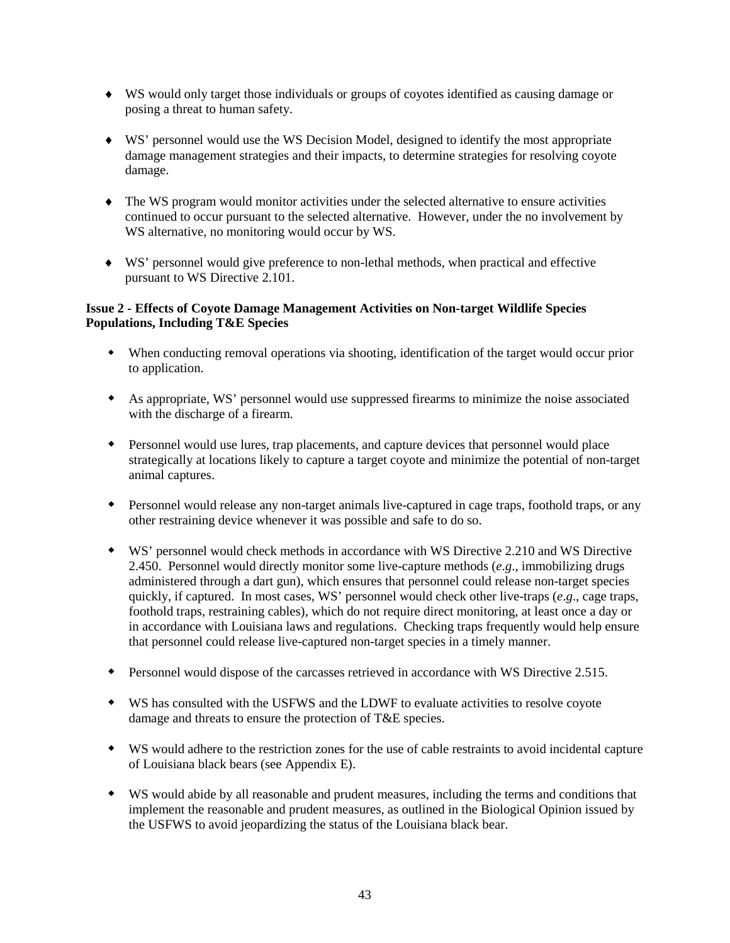- ♦ WS would only target those individuals or groups of coyotes identified as causing damage or posing a threat to human safety.
- ♦ WS' personnel would use the WS Decision Model, designed to identify the most appropriate damage management strategies and their impacts, to determine strategies for resolving coyote damage.
- ♦ The WS program would monitor activities under the selected alternative to ensure activities continued to occur pursuant to the selected alternative. However, under the no involvement by WS alternative, no monitoring would occur by WS.
- ♦ WS' personnel would give preference to non-lethal methods, when practical and effective pursuant to WS Directive 2.101.

## **Issue 2 - Effects of Coyote Damage Management Activities on Non-target Wildlife Species Populations, Including T&E Species**

- When conducting removal operations via shooting, identification of the target would occur prior to application.
- As appropriate, WS' personnel would use suppressed firearms to minimize the noise associated with the discharge of a firearm.
- Personnel would use lures, trap placements, and capture devices that personnel would place strategically at locations likely to capture a target coyote and minimize the potential of non-target animal captures.
- Personnel would release any non-target animals live-captured in cage traps, foothold traps, or any other restraining device whenever it was possible and safe to do so.
- WS' personnel would check methods in accordance with WS Directive 2.210 and WS Directive 2.450. Personnel would directly monitor some live-capture methods (*e*.*g*., immobilizing drugs administered through a dart gun), which ensures that personnel could release non-target species quickly, if captured. In most cases, WS' personnel would check other live-traps (*e*.*g*., cage traps, foothold traps, restraining cables), which do not require direct monitoring, at least once a day or in accordance with Louisiana laws and regulations. Checking traps frequently would help ensure that personnel could release live-captured non-target species in a timely manner.
- Personnel would dispose of the carcasses retrieved in accordance with WS Directive 2.515.
- WS has consulted with the USFWS and the LDWF to evaluate activities to resolve coyote damage and threats to ensure the protection of T&E species.
- WS would adhere to the restriction zones for the use of cable restraints to avoid incidental capture of Louisiana black bears (see Appendix E).
- WS would abide by all reasonable and prudent measures, including the terms and conditions that implement the reasonable and prudent measures, as outlined in the Biological Opinion issued by the USFWS to avoid jeopardizing the status of the Louisiana black bear.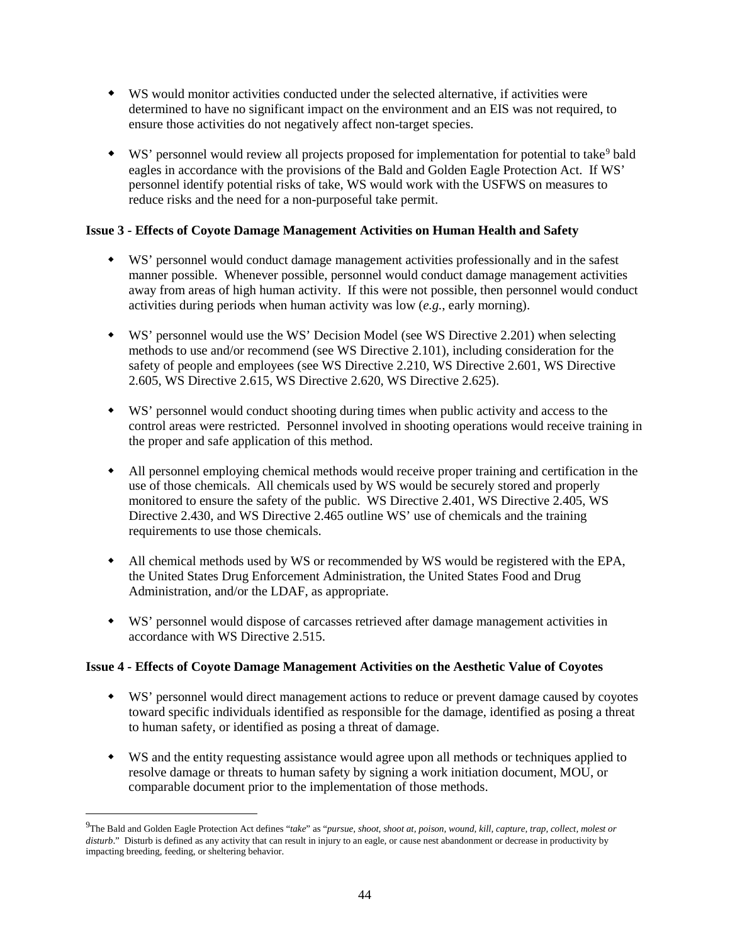- WS would monitor activities conducted under the selected alternative, if activities were determined to have no significant impact on the environment and an EIS was not required, to ensure those activities do not negatively affect non-target species.
- $\bullet$  WS' personnel would review all projects proposed for implementation for potential to take<sup>[9](#page-46-0)</sup> bald eagles in accordance with the provisions of the Bald and Golden Eagle Protection Act. If WS' personnel identify potential risks of take, WS would work with the USFWS on measures to reduce risks and the need for a non-purposeful take permit.

## **Issue 3 - Effects of Coyote Damage Management Activities on Human Health and Safety**

- WS' personnel would conduct damage management activities professionally and in the safest manner possible. Whenever possible, personnel would conduct damage management activities away from areas of high human activity. If this were not possible, then personnel would conduct activities during periods when human activity was low (*e.g.*, early morning).
- WS' personnel would use the WS' Decision Model (see WS Directive 2.201) when selecting methods to use and/or recommend (see WS Directive 2.101), including consideration for the safety of people and employees (see WS Directive 2.210, WS Directive 2.601, WS Directive 2.605, WS Directive 2.615, WS Directive 2.620, WS Directive 2.625).
- WS' personnel would conduct shooting during times when public activity and access to the control areas were restricted. Personnel involved in shooting operations would receive training in the proper and safe application of this method.
- All personnel employing chemical methods would receive proper training and certification in the use of those chemicals. All chemicals used by WS would be securely stored and properly monitored to ensure the safety of the public. WS Directive 2.401, WS Directive 2.405, WS Directive 2.430, and WS Directive 2.465 outline WS' use of chemicals and the training requirements to use those chemicals.
- All chemical methods used by WS or recommended by WS would be registered with the EPA, the United States Drug Enforcement Administration, the United States Food and Drug Administration, and/or the LDAF, as appropriate.
- WS' personnel would dispose of carcasses retrieved after damage management activities in accordance with WS Directive 2.515.

#### **Issue 4 - Effects of Coyote Damage Management Activities on the Aesthetic Value of Coyotes**

- WS' personnel would direct management actions to reduce or prevent damage caused by coyotes toward specific individuals identified as responsible for the damage, identified as posing a threat to human safety, or identified as posing a threat of damage.
- WS and the entity requesting assistance would agree upon all methods or techniques applied to resolve damage or threats to human safety by signing a work initiation document, MOU, or comparable document prior to the implementation of those methods.

<span id="page-46-0"></span><sup>-&</sup>lt;br>9 The Bald and Golden Eagle Protection Act defines "*take*" as "*pursue, shoot, shoot at, poison, wound, kill, capture, trap, collect, molest or disturb*." Disturb is defined as any activity that can result in injury to an eagle, or cause nest abandonment or decrease in productivity by impacting breeding, feeding, or sheltering behavior.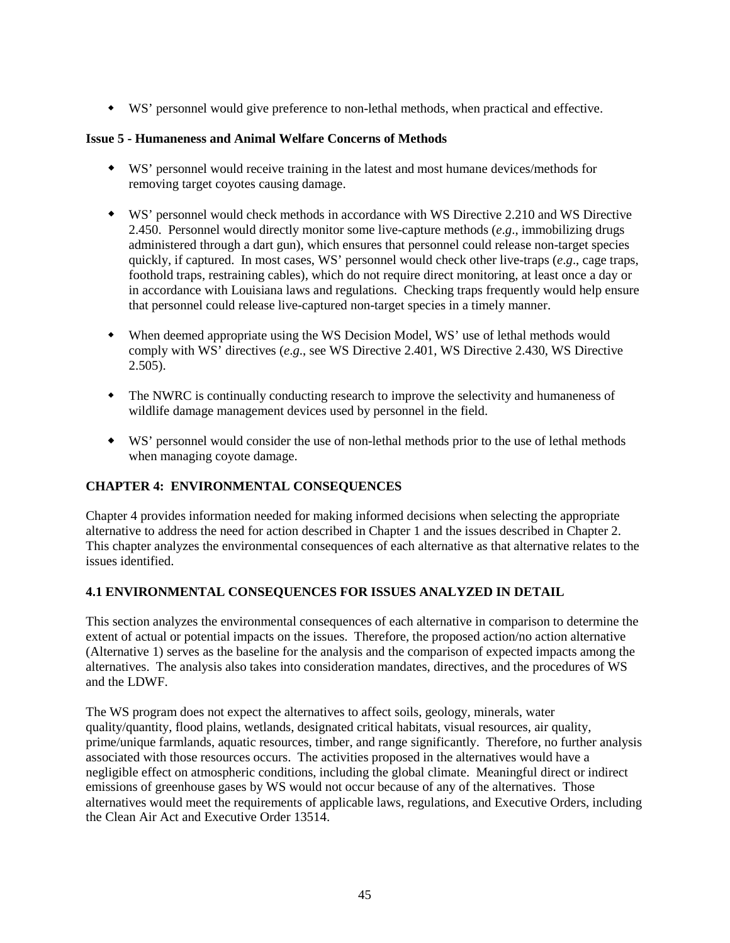WS' personnel would give preference to non-lethal methods, when practical and effective.

### **Issue 5 - Humaneness and Animal Welfare Concerns of Methods**

- WS' personnel would receive training in the latest and most humane devices/methods for removing target coyotes causing damage.
- WS' personnel would check methods in accordance with WS Directive 2.210 and WS Directive 2.450. Personnel would directly monitor some live-capture methods (*e*.*g*., immobilizing drugs administered through a dart gun), which ensures that personnel could release non-target species quickly, if captured. In most cases, WS' personnel would check other live-traps (*e*.*g*., cage traps, foothold traps, restraining cables), which do not require direct monitoring, at least once a day or in accordance with Louisiana laws and regulations. Checking traps frequently would help ensure that personnel could release live-captured non-target species in a timely manner.
- When deemed appropriate using the WS Decision Model, WS' use of lethal methods would comply with WS' directives (*e*.*g*., see WS Directive 2.401, WS Directive 2.430, WS Directive  $2.505$ ).
- The NWRC is continually conducting research to improve the selectivity and humaneness of wildlife damage management devices used by personnel in the field.
- WS' personnel would consider the use of non-lethal methods prior to the use of lethal methods when managing coyote damage.

# **CHAPTER 4: ENVIRONMENTAL CONSEQUENCES**

Chapter 4 provides information needed for making informed decisions when selecting the appropriate alternative to address the need for action described in Chapter 1 and the issues described in Chapter 2. This chapter analyzes the environmental consequences of each alternative as that alternative relates to the issues identified.

# **4.1 ENVIRONMENTAL CONSEQUENCES FOR ISSUES ANALYZED IN DETAIL**

This section analyzes the environmental consequences of each alternative in comparison to determine the extent of actual or potential impacts on the issues. Therefore, the proposed action/no action alternative (Alternative 1) serves as the baseline for the analysis and the comparison of expected impacts among the alternatives. The analysis also takes into consideration mandates, directives, and the procedures of WS and the LDWF.

The WS program does not expect the alternatives to affect soils, geology, minerals, water quality/quantity, flood plains, wetlands, designated critical habitats, visual resources, air quality, prime/unique farmlands, aquatic resources, timber, and range significantly. Therefore, no further analysis associated with those resources occurs. The activities proposed in the alternatives would have a negligible effect on atmospheric conditions, including the global climate. Meaningful direct or indirect emissions of greenhouse gases by WS would not occur because of any of the alternatives. Those alternatives would meet the requirements of applicable laws, regulations, and Executive Orders, including the Clean Air Act and Executive Order 13514.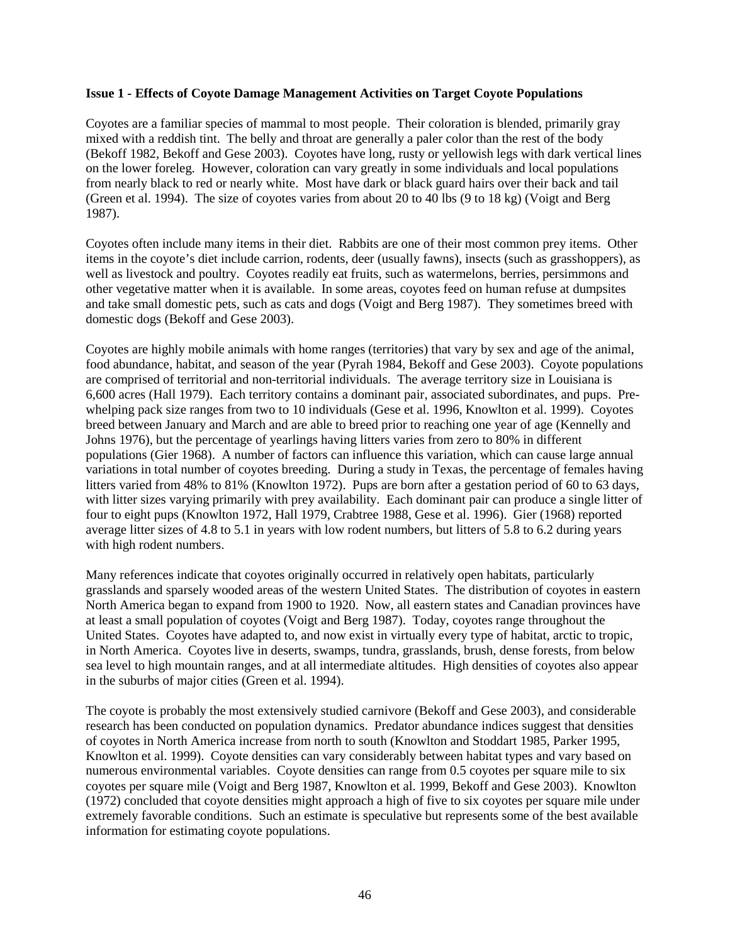#### **Issue 1 - Effects of Coyote Damage Management Activities on Target Coyote Populations**

Coyotes are a familiar species of mammal to most people. Their coloration is blended, primarily gray mixed with a reddish tint. The belly and throat are generally a paler color than the rest of the body (Bekoff 1982, Bekoff and Gese 2003). Coyotes have long, rusty or yellowish legs with dark vertical lines on the lower foreleg. However, coloration can vary greatly in some individuals and local populations from nearly black to red or nearly white. Most have dark or black guard hairs over their back and tail (Green et al. 1994). The size of coyotes varies from about 20 to 40 lbs (9 to 18 kg) (Voigt and Berg 1987).

Coyotes often include many items in their diet. Rabbits are one of their most common prey items. Other items in the coyote's diet include carrion, rodents, deer (usually fawns), insects (such as grasshoppers), as well as livestock and poultry. Coyotes readily eat fruits, such as watermelons, berries, persimmons and other vegetative matter when it is available. In some areas, coyotes feed on human refuse at dumpsites and take small domestic pets, such as cats and dogs (Voigt and Berg 1987). They sometimes breed with domestic dogs (Bekoff and Gese 2003).

Coyotes are highly mobile animals with home ranges (territories) that vary by sex and age of the animal, food abundance, habitat, and season of the year (Pyrah 1984, Bekoff and Gese 2003). Coyote populations are comprised of territorial and non-territorial individuals. The average territory size in Louisiana is 6,600 acres (Hall 1979). Each territory contains a dominant pair, associated subordinates, and pups. Prewhelping pack size ranges from two to 10 individuals (Gese et al. 1996, Knowlton et al. 1999). Coyotes breed between January and March and are able to breed prior to reaching one year of age (Kennelly and Johns 1976), but the percentage of yearlings having litters varies from zero to 80% in different populations (Gier 1968). A number of factors can influence this variation, which can cause large annual variations in total number of coyotes breeding. During a study in Texas, the percentage of females having litters varied from 48% to 81% (Knowlton 1972). Pups are born after a gestation period of 60 to 63 days, with litter sizes varying primarily with prey availability. Each dominant pair can produce a single litter of four to eight pups (Knowlton 1972, Hall 1979, Crabtree 1988, Gese et al. 1996). Gier (1968) reported average litter sizes of 4.8 to 5.1 in years with low rodent numbers, but litters of 5.8 to 6.2 during years with high rodent numbers.

Many references indicate that coyotes originally occurred in relatively open habitats, particularly grasslands and sparsely wooded areas of the western United States. The distribution of coyotes in eastern North America began to expand from 1900 to 1920. Now, all eastern states and Canadian provinces have at least a small population of coyotes (Voigt and Berg 1987). Today, coyotes range throughout the United States. Coyotes have adapted to, and now exist in virtually every type of habitat, arctic to tropic, in North America. Coyotes live in deserts, swamps, tundra, grasslands, brush, dense forests, from below sea level to high mountain ranges, and at all intermediate altitudes. High densities of coyotes also appear in the suburbs of major cities (Green et al. 1994).

The coyote is probably the most extensively studied carnivore (Bekoff and Gese 2003), and considerable research has been conducted on population dynamics. Predator abundance indices suggest that densities of coyotes in North America increase from north to south (Knowlton and Stoddart 1985, Parker 1995, Knowlton et al. 1999). Coyote densities can vary considerably between habitat types and vary based on numerous environmental variables. Coyote densities can range from 0.5 coyotes per square mile to six coyotes per square mile (Voigt and Berg 1987, Knowlton et al. 1999, Bekoff and Gese 2003). Knowlton (1972) concluded that coyote densities might approach a high of five to six coyotes per square mile under extremely favorable conditions. Such an estimate is speculative but represents some of the best available information for estimating coyote populations.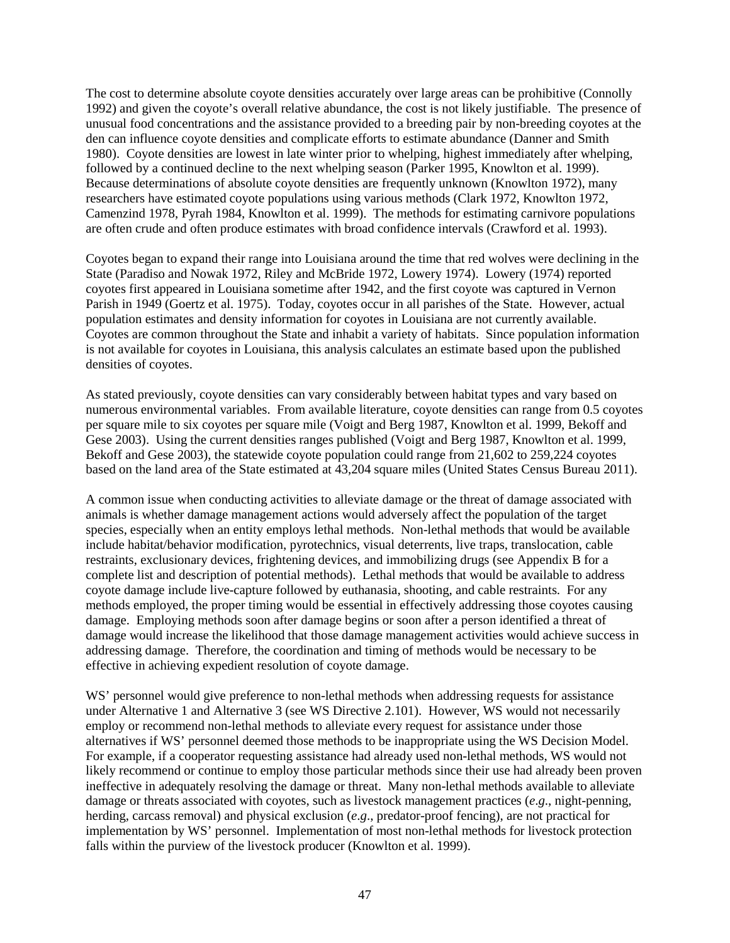The cost to determine absolute coyote densities accurately over large areas can be prohibitive (Connolly 1992) and given the coyote's overall relative abundance, the cost is not likely justifiable. The presence of unusual food concentrations and the assistance provided to a breeding pair by non-breeding coyotes at the den can influence coyote densities and complicate efforts to estimate abundance (Danner and Smith 1980). Coyote densities are lowest in late winter prior to whelping, highest immediately after whelping, followed by a continued decline to the next whelping season (Parker 1995, Knowlton et al. 1999). Because determinations of absolute coyote densities are frequently unknown (Knowlton 1972), many researchers have estimated coyote populations using various methods (Clark 1972, Knowlton 1972, Camenzind 1978, Pyrah 1984, Knowlton et al. 1999). The methods for estimating carnivore populations are often crude and often produce estimates with broad confidence intervals (Crawford et al. 1993).

Coyotes began to expand their range into Louisiana around the time that red wolves were declining in the State (Paradiso and Nowak 1972, Riley and McBride 1972, Lowery 1974). Lowery (1974) reported coyotes first appeared in Louisiana sometime after 1942, and the first coyote was captured in Vernon Parish in 1949 (Goertz et al. 1975). Today, coyotes occur in all parishes of the State. However, actual population estimates and density information for coyotes in Louisiana are not currently available. Coyotes are common throughout the State and inhabit a variety of habitats. Since population information is not available for coyotes in Louisiana, this analysis calculates an estimate based upon the published densities of coyotes.

As stated previously, coyote densities can vary considerably between habitat types and vary based on numerous environmental variables. From available literature, coyote densities can range from 0.5 coyotes per square mile to six coyotes per square mile (Voigt and Berg 1987, Knowlton et al. 1999, Bekoff and Gese 2003). Using the current densities ranges published (Voigt and Berg 1987, Knowlton et al. 1999, Bekoff and Gese 2003), the statewide coyote population could range from 21,602 to 259,224 coyotes based on the land area of the State estimated at 43,204 square miles (United States Census Bureau 2011).

A common issue when conducting activities to alleviate damage or the threat of damage associated with animals is whether damage management actions would adversely affect the population of the target species, especially when an entity employs lethal methods. Non-lethal methods that would be available include habitat/behavior modification, pyrotechnics, visual deterrents, live traps, translocation, cable restraints, exclusionary devices, frightening devices, and immobilizing drugs (see Appendix B for a complete list and description of potential methods). Lethal methods that would be available to address coyote damage include live-capture followed by euthanasia, shooting, and cable restraints. For any methods employed, the proper timing would be essential in effectively addressing those coyotes causing damage. Employing methods soon after damage begins or soon after a person identified a threat of damage would increase the likelihood that those damage management activities would achieve success in addressing damage. Therefore, the coordination and timing of methods would be necessary to be effective in achieving expedient resolution of coyote damage.

WS' personnel would give preference to non-lethal methods when addressing requests for assistance under Alternative 1 and Alternative 3 (see WS Directive 2.101). However, WS would not necessarily employ or recommend non-lethal methods to alleviate every request for assistance under those alternatives if WS' personnel deemed those methods to be inappropriate using the WS Decision Model. For example, if a cooperator requesting assistance had already used non-lethal methods, WS would not likely recommend or continue to employ those particular methods since their use had already been proven ineffective in adequately resolving the damage or threat. Many non-lethal methods available to alleviate damage or threats associated with coyotes, such as livestock management practices (*e*.*g*., night-penning, herding, carcass removal) and physical exclusion (*e*.*g*., predator-proof fencing), are not practical for implementation by WS' personnel. Implementation of most non-lethal methods for livestock protection falls within the purview of the livestock producer (Knowlton et al. 1999).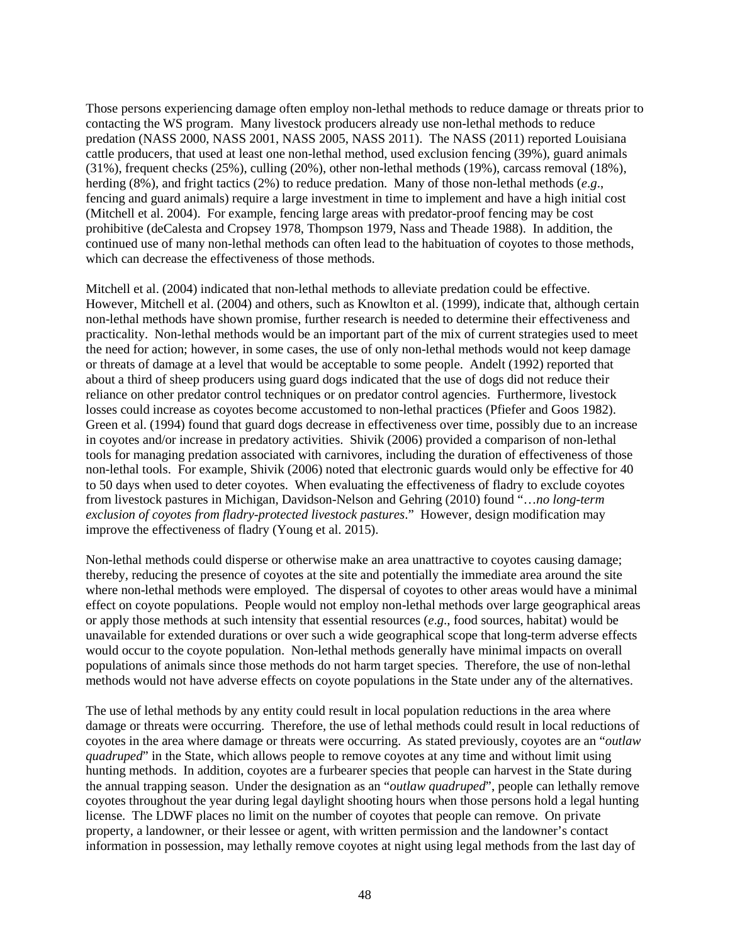Those persons experiencing damage often employ non-lethal methods to reduce damage or threats prior to contacting the WS program. Many livestock producers already use non-lethal methods to reduce predation (NASS 2000, NASS 2001, NASS 2005, NASS 2011). The NASS (2011) reported Louisiana cattle producers, that used at least one non-lethal method, used exclusion fencing (39%), guard animals (31%), frequent checks (25%), culling (20%), other non-lethal methods (19%), carcass removal (18%), herding (8%), and fright tactics (2%) to reduce predation. Many of those non-lethal methods (*e*.*g*., fencing and guard animals) require a large investment in time to implement and have a high initial cost (Mitchell et al. 2004). For example, fencing large areas with predator-proof fencing may be cost prohibitive (deCalesta and Cropsey 1978, Thompson 1979, Nass and Theade 1988). In addition, the continued use of many non-lethal methods can often lead to the habituation of coyotes to those methods, which can decrease the effectiveness of those methods.

Mitchell et al. (2004) indicated that non-lethal methods to alleviate predation could be effective. However, Mitchell et al. (2004) and others, such as Knowlton et al. (1999), indicate that, although certain non-lethal methods have shown promise, further research is needed to determine their effectiveness and practicality. Non-lethal methods would be an important part of the mix of current strategies used to meet the need for action; however, in some cases, the use of only non-lethal methods would not keep damage or threats of damage at a level that would be acceptable to some people. Andelt (1992) reported that about a third of sheep producers using guard dogs indicated that the use of dogs did not reduce their reliance on other predator control techniques or on predator control agencies. Furthermore, livestock losses could increase as coyotes become accustomed to non-lethal practices (Pfiefer and Goos 1982). Green et al. (1994) found that guard dogs decrease in effectiveness over time, possibly due to an increase in coyotes and/or increase in predatory activities. Shivik (2006) provided a comparison of non-lethal tools for managing predation associated with carnivores, including the duration of effectiveness of those non-lethal tools. For example, Shivik (2006) noted that electronic guards would only be effective for 40 to 50 days when used to deter coyotes. When evaluating the effectiveness of fladry to exclude coyotes from livestock pastures in Michigan, Davidson-Nelson and Gehring (2010) found "…*no long-term exclusion of coyotes from fladry-protected livestock pastures*." However, design modification may improve the effectiveness of fladry (Young et al. 2015).

Non-lethal methods could disperse or otherwise make an area unattractive to coyotes causing damage; thereby, reducing the presence of coyotes at the site and potentially the immediate area around the site where non-lethal methods were employed. The dispersal of coyotes to other areas would have a minimal effect on coyote populations. People would not employ non-lethal methods over large geographical areas or apply those methods at such intensity that essential resources (*e*.*g*., food sources, habitat) would be unavailable for extended durations or over such a wide geographical scope that long-term adverse effects would occur to the coyote population. Non-lethal methods generally have minimal impacts on overall populations of animals since those methods do not harm target species. Therefore, the use of non-lethal methods would not have adverse effects on coyote populations in the State under any of the alternatives.

The use of lethal methods by any entity could result in local population reductions in the area where damage or threats were occurring. Therefore, the use of lethal methods could result in local reductions of coyotes in the area where damage or threats were occurring. As stated previously, coyotes are an "*outlaw quadruped*" in the State, which allows people to remove coyotes at any time and without limit using hunting methods. In addition, coyotes are a furbearer species that people can harvest in the State during the annual trapping season. Under the designation as an "*outlaw quadruped*", people can lethally remove coyotes throughout the year during legal daylight shooting hours when those persons hold a legal hunting license. The LDWF places no limit on the number of coyotes that people can remove. On private property, a landowner, or their lessee or agent, with written permission and the landowner's contact information in possession, may lethally remove coyotes at night using legal methods from the last day of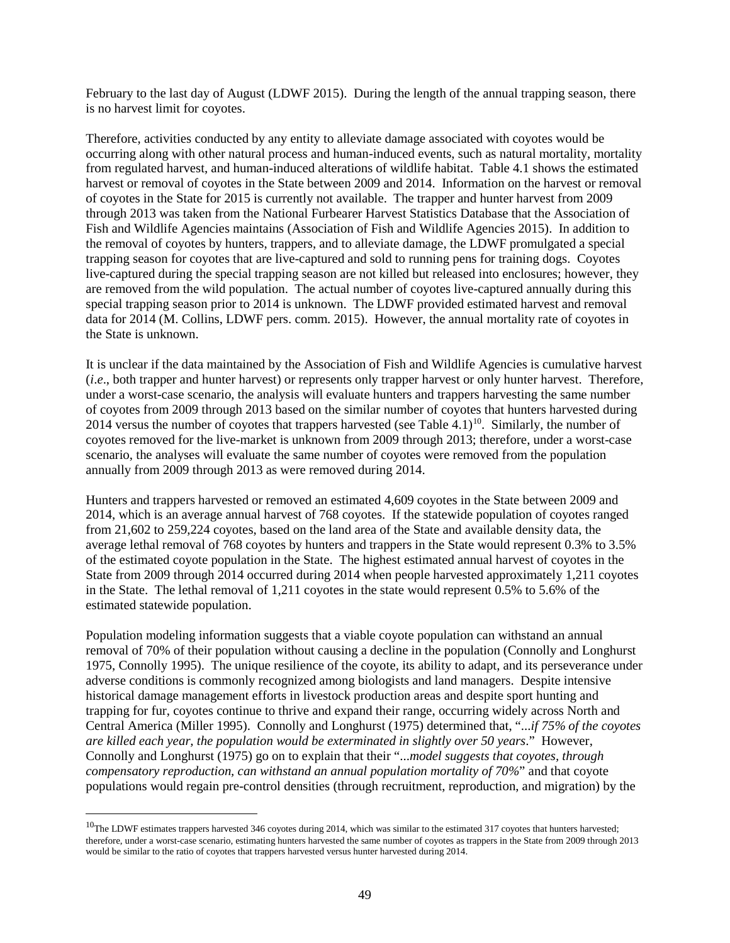February to the last day of August (LDWF 2015). During the length of the annual trapping season, there is no harvest limit for coyotes.

Therefore, activities conducted by any entity to alleviate damage associated with coyotes would be occurring along with other natural process and human-induced events, such as natural mortality, mortality from regulated harvest, and human-induced alterations of wildlife habitat. Table 4.1 shows the estimated harvest or removal of coyotes in the State between 2009 and 2014. Information on the harvest or removal of coyotes in the State for 2015 is currently not available. The trapper and hunter harvest from 2009 through 2013 was taken from the National Furbearer Harvest Statistics Database that the Association of Fish and Wildlife Agencies maintains (Association of Fish and Wildlife Agencies 2015). In addition to the removal of coyotes by hunters, trappers, and to alleviate damage, the LDWF promulgated a special trapping season for coyotes that are live-captured and sold to running pens for training dogs. Coyotes live-captured during the special trapping season are not killed but released into enclosures; however, they are removed from the wild population. The actual number of coyotes live-captured annually during this special trapping season prior to 2014 is unknown. The LDWF provided estimated harvest and removal data for 2014 (M. Collins, LDWF pers. comm. 2015). However, the annual mortality rate of coyotes in the State is unknown.

It is unclear if the data maintained by the Association of Fish and Wildlife Agencies is cumulative harvest (*i*.*e*., both trapper and hunter harvest) or represents only trapper harvest or only hunter harvest. Therefore, under a worst-case scenario, the analysis will evaluate hunters and trappers harvesting the same number of coyotes from 2009 through 2013 based on the similar number of coyotes that hunters harvested during 2014 versus the number of coyotes that trappers harvested (see Table 4.1)<sup>10</sup>. Similarly, the number of coyotes removed for the live-market is unknown from 2009 through 2013; therefore, under a worst-case scenario, the analyses will evaluate the same number of coyotes were removed from the population annually from 2009 through 2013 as were removed during 2014.

Hunters and trappers harvested or removed an estimated 4,609 coyotes in the State between 2009 and 2014, which is an average annual harvest of 768 coyotes. If the statewide population of coyotes ranged from 21,602 to 259,224 coyotes, based on the land area of the State and available density data, the average lethal removal of 768 coyotes by hunters and trappers in the State would represent 0.3% to 3.5% of the estimated coyote population in the State. The highest estimated annual harvest of coyotes in the State from 2009 through 2014 occurred during 2014 when people harvested approximately 1,211 coyotes in the State. The lethal removal of 1,211 coyotes in the state would represent 0.5% to 5.6% of the estimated statewide population.

Population modeling information suggests that a viable coyote population can withstand an annual removal of 70% of their population without causing a decline in the population (Connolly and Longhurst 1975, Connolly 1995). The unique resilience of the coyote, its ability to adapt, and its perseverance under adverse conditions is commonly recognized among biologists and land managers. Despite intensive historical damage management efforts in livestock production areas and despite sport hunting and trapping for fur, coyotes continue to thrive and expand their range, occurring widely across North and Central America (Miller 1995). Connolly and Longhurst (1975) determined that, "...*if 75% of the coyotes are killed each year, the population would be exterminated in slightly over 50 years*." However, Connolly and Longhurst (1975) go on to explain that their "...*model suggests that coyotes, through compensatory reproduction, can withstand an annual population mortality of 70%*" and that coyote populations would regain pre-control densities (through recruitment, reproduction, and migration) by the

<span id="page-51-0"></span> $10$ The LDWF estimates trappers harvested 346 coyotes during 2014, which was similar to the estimated 317 coyotes that hunters harvested; therefore, under a worst-case scenario, estimating hunters harvested the same number of coyotes as trappers in the State from 2009 through 2013 would be similar to the ratio of coyotes that trappers harvested versus hunter harvested during 2014.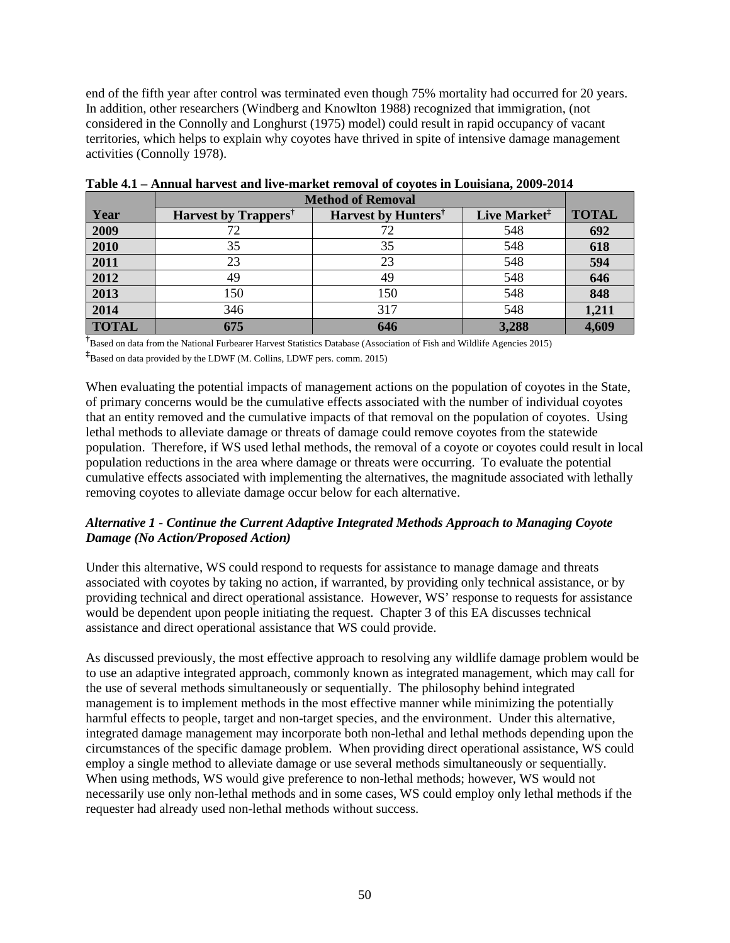end of the fifth year after control was terminated even though 75% mortality had occurred for 20 years. In addition, other researchers (Windberg and Knowlton 1988) recognized that immigration, (not considered in the Connolly and Longhurst (1975) model) could result in rapid occupancy of vacant territories, which helps to explain why coyotes have thrived in spite of intensive damage management activities (Connolly 1978).

|              | <b>Method of Removal</b>         |                                 |                          |              |
|--------------|----------------------------------|---------------------------------|--------------------------|--------------|
| Year         | Harvest by Trappers <sup>†</sup> | Harvest by Hunters <sup>†</sup> | Live Market <sup>‡</sup> | <b>TOTAL</b> |
| 2009         | 72                               | 72                              | 548                      | 692          |
| 2010         | 35                               | 35                              | 548                      | 618          |
| 2011         | 23                               | 23                              | 548                      | 594          |
| 2012         | 49                               | 49                              | 548                      | 646          |
| 2013         | 150                              | 150                             | 548                      | 848          |
| 2014         | 346                              | 317                             | 548                      | 1,211        |
| <b>TOTAL</b> | 675                              | 646                             | 3,288                    | 4,609        |

**Table 4.1 – Annual harvest and live-market removal of coyotes in Louisiana, 2009-2014**

<sup>†</sup><br>Based on data from the National Furbearer Harvest Statistics Database (Association of Fish and Wildlife Agencies 2015) **‡** Based on data provided by the LDWF (M. Collins, LDWF pers. comm. 2015)

When evaluating the potential impacts of management actions on the population of coyotes in the State, of primary concerns would be the cumulative effects associated with the number of individual coyotes that an entity removed and the cumulative impacts of that removal on the population of coyotes. Using lethal methods to alleviate damage or threats of damage could remove coyotes from the statewide population. Therefore, if WS used lethal methods, the removal of a coyote or coyotes could result in local population reductions in the area where damage or threats were occurring. To evaluate the potential cumulative effects associated with implementing the alternatives, the magnitude associated with lethally removing coyotes to alleviate damage occur below for each alternative.

## *Alternative 1 - Continue the Current Adaptive Integrated Methods Approach to Managing Coyote Damage (No Action/Proposed Action)*

Under this alternative, WS could respond to requests for assistance to manage damage and threats associated with coyotes by taking no action, if warranted, by providing only technical assistance, or by providing technical and direct operational assistance. However, WS' response to requests for assistance would be dependent upon people initiating the request. Chapter 3 of this EA discusses technical assistance and direct operational assistance that WS could provide.

As discussed previously, the most effective approach to resolving any wildlife damage problem would be to use an adaptive integrated approach, commonly known as integrated management, which may call for the use of several methods simultaneously or sequentially. The philosophy behind integrated management is to implement methods in the most effective manner while minimizing the potentially harmful effects to people, target and non-target species, and the environment. Under this alternative, integrated damage management may incorporate both non-lethal and lethal methods depending upon the circumstances of the specific damage problem. When providing direct operational assistance, WS could employ a single method to alleviate damage or use several methods simultaneously or sequentially. When using methods, WS would give preference to non-lethal methods; however, WS would not necessarily use only non-lethal methods and in some cases, WS could employ only lethal methods if the requester had already used non-lethal methods without success.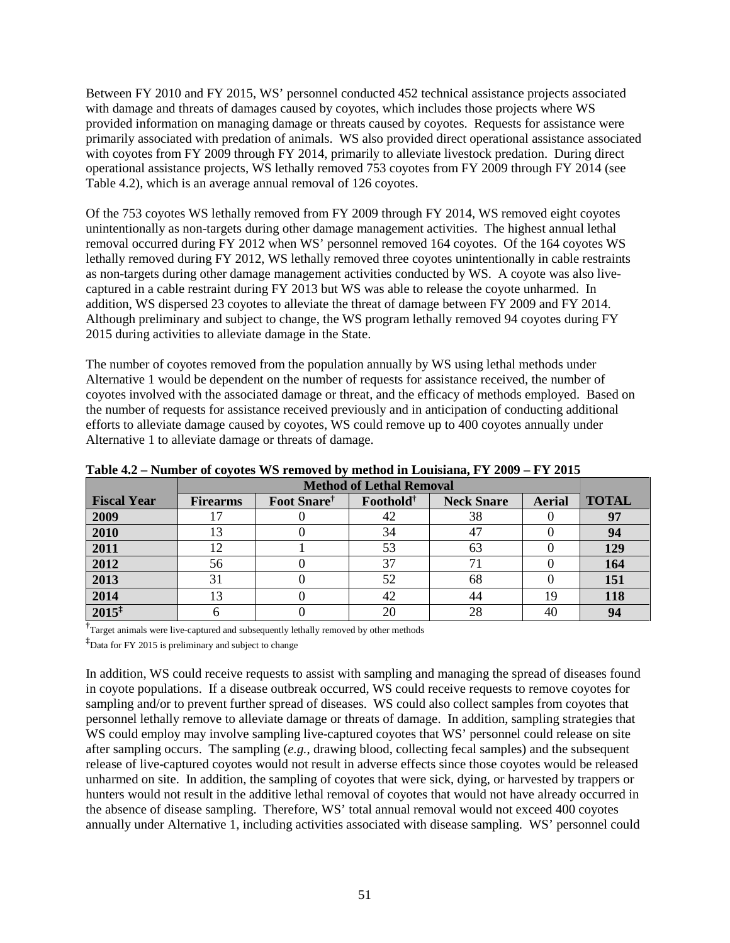Between FY 2010 and FY 2015, WS' personnel conducted 452 technical assistance projects associated with damage and threats of damages caused by coyotes, which includes those projects where WS provided information on managing damage or threats caused by coyotes. Requests for assistance were primarily associated with predation of animals. WS also provided direct operational assistance associated with coyotes from FY 2009 through FY 2014, primarily to alleviate livestock predation. During direct operational assistance projects, WS lethally removed 753 coyotes from FY 2009 through FY 2014 (see Table 4.2), which is an average annual removal of 126 coyotes.

Of the 753 coyotes WS lethally removed from FY 2009 through FY 2014, WS removed eight coyotes unintentionally as non-targets during other damage management activities. The highest annual lethal removal occurred during FY 2012 when WS' personnel removed 164 coyotes. Of the 164 coyotes WS lethally removed during FY 2012, WS lethally removed three coyotes unintentionally in cable restraints as non-targets during other damage management activities conducted by WS. A coyote was also livecaptured in a cable restraint during FY 2013 but WS was able to release the coyote unharmed. In addition, WS dispersed 23 coyotes to alleviate the threat of damage between FY 2009 and FY 2014. Although preliminary and subject to change, the WS program lethally removed 94 coyotes during FY 2015 during activities to alleviate damage in the State.

The number of coyotes removed from the population annually by WS using lethal methods under Alternative 1 would be dependent on the number of requests for assistance received, the number of coyotes involved with the associated damage or threat, and the efficacy of methods employed. Based on the number of requests for assistance received previously and in anticipation of conducting additional efforts to alleviate damage caused by coyotes, WS could remove up to 400 coyotes annually under Alternative 1 to alleviate damage or threats of damage.

|                    | <b>Method of Lethal Removal</b> |                         |                       |                   |               |              |
|--------------------|---------------------------------|-------------------------|-----------------------|-------------------|---------------|--------------|
| <b>Fiscal Year</b> | <b>Firearms</b>                 | Foot Snare <sup>†</sup> | Foothold <sup>†</sup> | <b>Neck Snare</b> | <b>Aerial</b> | <b>TOTAL</b> |
| 2009               |                                 |                         | 42                    | 38                |               | 97           |
| 2010               | 13                              |                         | 34                    | 47                |               | 94           |
| 2011               | 12                              |                         | 53                    | 63                |               | 129          |
| 2012               | 56                              |                         | 37                    |                   |               | 164          |
| 2013               | 31                              |                         | 52                    | 68                |               | 151          |
| 2014               | 13                              |                         | 42                    | 44                | 19            | 118          |
| $2015^{\ddagger}$  |                                 |                         | 20                    | 28                |               | 94           |

**Table 4.2 – Number of coyotes WS removed by method in Louisiana, FY 2009 – FY 2015**

**†** Target animals were live-captured and subsequently lethally removed by other methods

**‡** Data for FY 2015 is preliminary and subject to change

In addition, WS could receive requests to assist with sampling and managing the spread of diseases found in coyote populations. If a disease outbreak occurred, WS could receive requests to remove coyotes for sampling and/or to prevent further spread of diseases. WS could also collect samples from coyotes that personnel lethally remove to alleviate damage or threats of damage. In addition, sampling strategies that WS could employ may involve sampling live-captured coyotes that WS' personnel could release on site after sampling occurs. The sampling (*e.g.*, drawing blood, collecting fecal samples) and the subsequent release of live-captured coyotes would not result in adverse effects since those coyotes would be released unharmed on site. In addition, the sampling of coyotes that were sick, dying, or harvested by trappers or hunters would not result in the additive lethal removal of coyotes that would not have already occurred in the absence of disease sampling. Therefore, WS' total annual removal would not exceed 400 coyotes annually under Alternative 1, including activities associated with disease sampling. WS' personnel could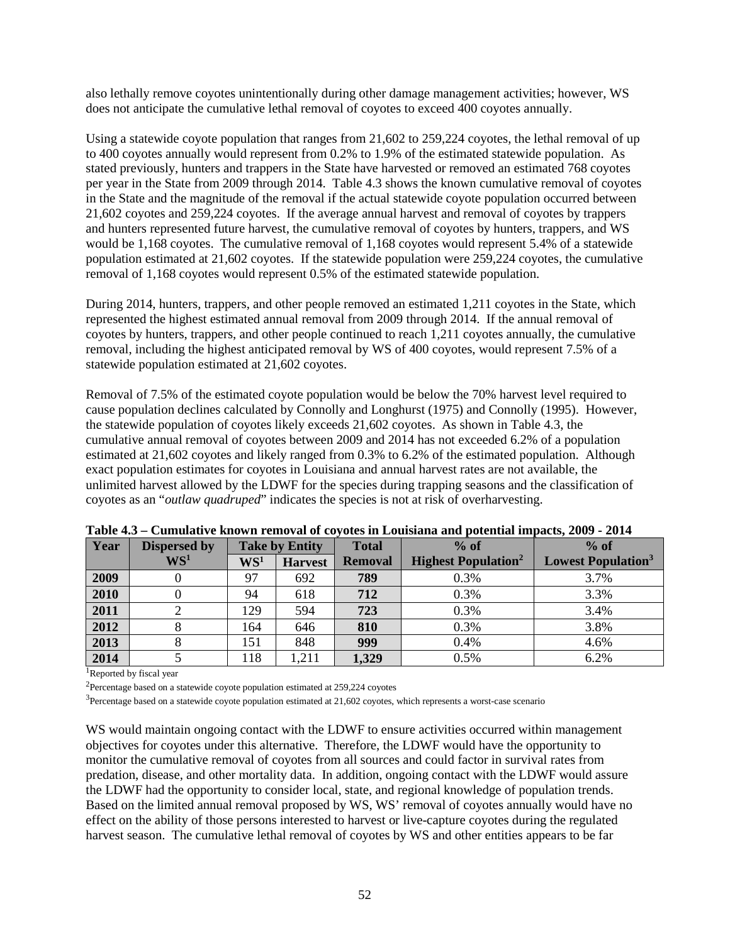also lethally remove coyotes unintentionally during other damage management activities; however, WS does not anticipate the cumulative lethal removal of coyotes to exceed 400 coyotes annually.

Using a statewide coyote population that ranges from 21,602 to 259,224 coyotes, the lethal removal of up to 400 coyotes annually would represent from 0.2% to 1.9% of the estimated statewide population. As stated previously, hunters and trappers in the State have harvested or removed an estimated 768 coyotes per year in the State from 2009 through 2014. Table 4.3 shows the known cumulative removal of coyotes in the State and the magnitude of the removal if the actual statewide coyote population occurred between 21,602 coyotes and 259,224 coyotes. If the average annual harvest and removal of coyotes by trappers and hunters represented future harvest, the cumulative removal of coyotes by hunters, trappers, and WS would be 1,168 coyotes. The cumulative removal of 1,168 coyotes would represent 5.4% of a statewide population estimated at 21,602 coyotes. If the statewide population were 259,224 coyotes, the cumulative removal of 1,168 coyotes would represent 0.5% of the estimated statewide population.

During 2014, hunters, trappers, and other people removed an estimated 1,211 coyotes in the State, which represented the highest estimated annual removal from 2009 through 2014. If the annual removal of coyotes by hunters, trappers, and other people continued to reach 1,211 coyotes annually, the cumulative removal, including the highest anticipated removal by WS of 400 coyotes, would represent 7.5% of a statewide population estimated at 21,602 coyotes.

Removal of 7.5% of the estimated coyote population would be below the 70% harvest level required to cause population declines calculated by Connolly and Longhurst (1975) and Connolly (1995). However, the statewide population of coyotes likely exceeds 21,602 coyotes. As shown in Table 4.3, the cumulative annual removal of coyotes between 2009 and 2014 has not exceeded 6.2% of a population estimated at 21,602 coyotes and likely ranged from 0.3% to 6.2% of the estimated population. Although exact population estimates for coyotes in Louisiana and annual harvest rates are not available, the unlimited harvest allowed by the LDWF for the species during trapping seasons and the classification of coyotes as an "*outlaw quadruped*" indicates the species is not at risk of overharvesting.

| Year | <b>Dispersed by</b> | <b>Take by Entity</b> |                | <b>Total</b>   | $%$ of                                 | $%$ of                                |
|------|---------------------|-----------------------|----------------|----------------|----------------------------------------|---------------------------------------|
|      | $\mathbf{WS}^1$     | $\mathbf{WS}^1$       | <b>Harvest</b> | <b>Removal</b> | <b>Highest Population</b> <sup>2</sup> | <b>Lowest Population</b> <sup>3</sup> |
| 2009 |                     | 97                    | 692            | 789            | 0.3%                                   | 3.7%                                  |
| 2010 |                     | 94                    | 618            | 712            | 0.3%                                   | 3.3%                                  |
| 2011 |                     | 129                   | 594            | 723            | 0.3%                                   | 3.4%                                  |
| 2012 |                     | 164                   | 646            | 810            | 0.3%                                   | 3.8%                                  |
| 2013 |                     | 151                   | 848            | 999            | 0.4%                                   | 4.6%                                  |
| 2014 |                     | 118                   | 1,211          | 1,329          | 0.5%                                   | 6.2%                                  |

| Table 4.3 – Cumulative known removal of coyotes in Louisiana and potential impacts, 2009 - 2014 |  |  |  |  |
|-------------------------------------------------------------------------------------------------|--|--|--|--|
|-------------------------------------------------------------------------------------------------|--|--|--|--|

<sup>1</sup>Reported by fiscal year

<sup>2</sup>Percentage based on a statewide coyote population estimated at  $259,224$  coyotes

<sup>3</sup>Percentage based on a statewide coyote population estimated at 21,602 coyotes, which represents a worst-case scenario

WS would maintain ongoing contact with the LDWF to ensure activities occurred within management objectives for coyotes under this alternative. Therefore, the LDWF would have the opportunity to monitor the cumulative removal of coyotes from all sources and could factor in survival rates from predation, disease, and other mortality data. In addition, ongoing contact with the LDWF would assure the LDWF had the opportunity to consider local, state, and regional knowledge of population trends. Based on the limited annual removal proposed by WS, WS' removal of coyotes annually would have no effect on the ability of those persons interested to harvest or live-capture coyotes during the regulated harvest season. The cumulative lethal removal of coyotes by WS and other entities appears to be far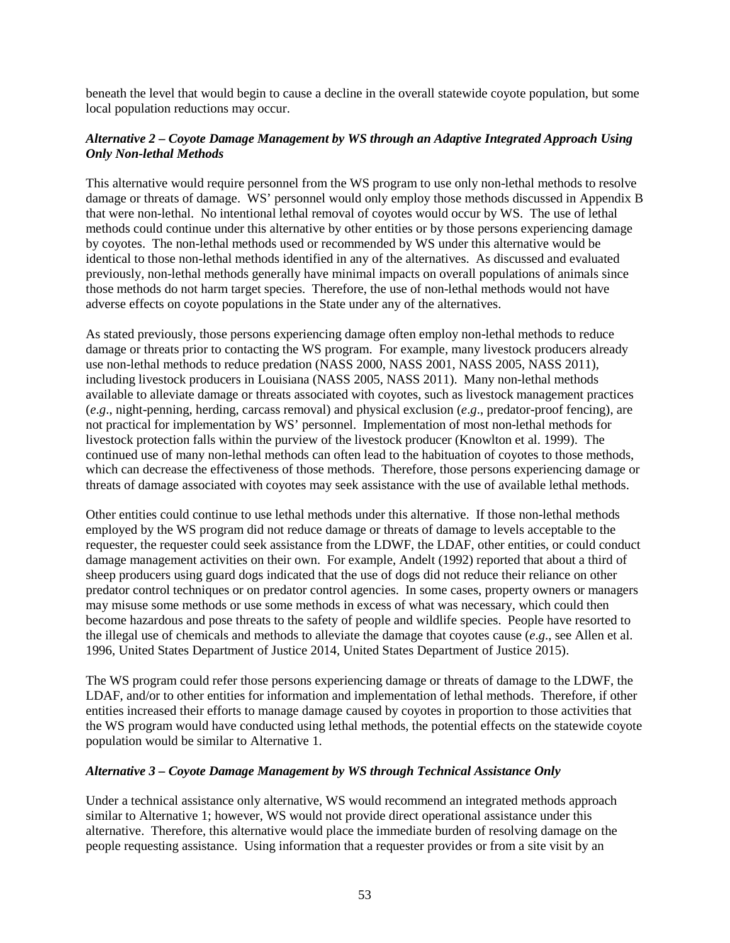beneath the level that would begin to cause a decline in the overall statewide coyote population, but some local population reductions may occur.

# *Alternative 2 – Coyote Damage Management by WS through an Adaptive Integrated Approach Using Only Non-lethal Methods*

This alternative would require personnel from the WS program to use only non-lethal methods to resolve damage or threats of damage. WS' personnel would only employ those methods discussed in Appendix B that were non-lethal. No intentional lethal removal of coyotes would occur by WS. The use of lethal methods could continue under this alternative by other entities or by those persons experiencing damage by coyotes. The non-lethal methods used or recommended by WS under this alternative would be identical to those non-lethal methods identified in any of the alternatives. As discussed and evaluated previously, non-lethal methods generally have minimal impacts on overall populations of animals since those methods do not harm target species. Therefore, the use of non-lethal methods would not have adverse effects on coyote populations in the State under any of the alternatives.

As stated previously, those persons experiencing damage often employ non-lethal methods to reduce damage or threats prior to contacting the WS program. For example, many livestock producers already use non-lethal methods to reduce predation (NASS 2000, NASS 2001, NASS 2005, NASS 2011), including livestock producers in Louisiana (NASS 2005, NASS 2011). Many non-lethal methods available to alleviate damage or threats associated with coyotes, such as livestock management practices (*e*.*g*., night-penning, herding, carcass removal) and physical exclusion (*e*.*g*., predator-proof fencing), are not practical for implementation by WS' personnel. Implementation of most non-lethal methods for livestock protection falls within the purview of the livestock producer (Knowlton et al. 1999). The continued use of many non-lethal methods can often lead to the habituation of coyotes to those methods, which can decrease the effectiveness of those methods. Therefore, those persons experiencing damage or threats of damage associated with coyotes may seek assistance with the use of available lethal methods.

Other entities could continue to use lethal methods under this alternative. If those non-lethal methods employed by the WS program did not reduce damage or threats of damage to levels acceptable to the requester, the requester could seek assistance from the LDWF, the LDAF, other entities, or could conduct damage management activities on their own. For example, Andelt (1992) reported that about a third of sheep producers using guard dogs indicated that the use of dogs did not reduce their reliance on other predator control techniques or on predator control agencies. In some cases, property owners or managers may misuse some methods or use some methods in excess of what was necessary, which could then become hazardous and pose threats to the safety of people and wildlife species. People have resorted to the illegal use of chemicals and methods to alleviate the damage that coyotes cause (*e*.*g*., see Allen et al. 1996, United States Department of Justice 2014, United States Department of Justice 2015).

The WS program could refer those persons experiencing damage or threats of damage to the LDWF, the LDAF, and/or to other entities for information and implementation of lethal methods. Therefore, if other entities increased their efforts to manage damage caused by coyotes in proportion to those activities that the WS program would have conducted using lethal methods, the potential effects on the statewide coyote population would be similar to Alternative 1.

#### *Alternative 3 – Coyote Damage Management by WS through Technical Assistance Only*

Under a technical assistance only alternative, WS would recommend an integrated methods approach similar to Alternative 1; however, WS would not provide direct operational assistance under this alternative. Therefore, this alternative would place the immediate burden of resolving damage on the people requesting assistance. Using information that a requester provides or from a site visit by an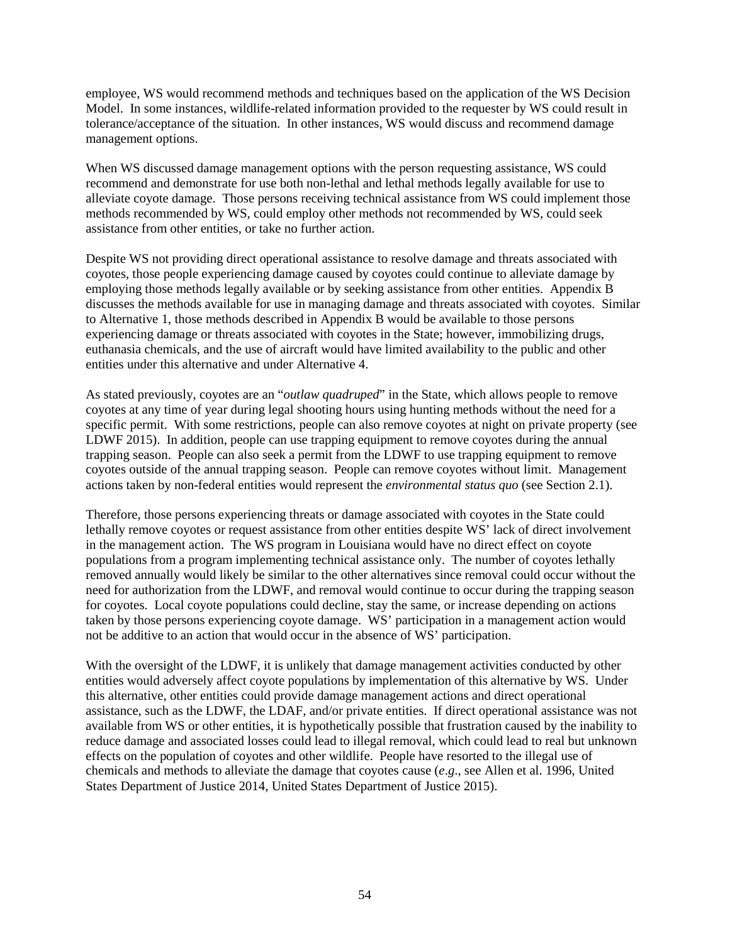employee, WS would recommend methods and techniques based on the application of the WS Decision Model. In some instances, wildlife-related information provided to the requester by WS could result in tolerance/acceptance of the situation. In other instances, WS would discuss and recommend damage management options.

When WS discussed damage management options with the person requesting assistance, WS could recommend and demonstrate for use both non-lethal and lethal methods legally available for use to alleviate coyote damage. Those persons receiving technical assistance from WS could implement those methods recommended by WS, could employ other methods not recommended by WS, could seek assistance from other entities, or take no further action.

Despite WS not providing direct operational assistance to resolve damage and threats associated with coyotes, those people experiencing damage caused by coyotes could continue to alleviate damage by employing those methods legally available or by seeking assistance from other entities. Appendix B discusses the methods available for use in managing damage and threats associated with coyotes. Similar to Alternative 1, those methods described in Appendix B would be available to those persons experiencing damage or threats associated with coyotes in the State; however, immobilizing drugs, euthanasia chemicals, and the use of aircraft would have limited availability to the public and other entities under this alternative and under Alternative 4.

As stated previously, coyotes are an "*outlaw quadruped*" in the State, which allows people to remove coyotes at any time of year during legal shooting hours using hunting methods without the need for a specific permit. With some restrictions, people can also remove coyotes at night on private property (see LDWF 2015). In addition, people can use trapping equipment to remove coyotes during the annual trapping season. People can also seek a permit from the LDWF to use trapping equipment to remove coyotes outside of the annual trapping season. People can remove coyotes without limit. Management actions taken by non-federal entities would represent the *environmental status quo* (see Section 2.1).

Therefore, those persons experiencing threats or damage associated with coyotes in the State could lethally remove coyotes or request assistance from other entities despite WS' lack of direct involvement in the management action. The WS program in Louisiana would have no direct effect on coyote populations from a program implementing technical assistance only. The number of coyotes lethally removed annually would likely be similar to the other alternatives since removal could occur without the need for authorization from the LDWF, and removal would continue to occur during the trapping season for coyotes. Local coyote populations could decline, stay the same, or increase depending on actions taken by those persons experiencing coyote damage. WS' participation in a management action would not be additive to an action that would occur in the absence of WS' participation.

With the oversight of the LDWF, it is unlikely that damage management activities conducted by other entities would adversely affect coyote populations by implementation of this alternative by WS. Under this alternative, other entities could provide damage management actions and direct operational assistance, such as the LDWF, the LDAF, and/or private entities. If direct operational assistance was not available from WS or other entities, it is hypothetically possible that frustration caused by the inability to reduce damage and associated losses could lead to illegal removal, which could lead to real but unknown effects on the population of coyotes and other wildlife. People have resorted to the illegal use of chemicals and methods to alleviate the damage that coyotes cause (*e*.*g*., see Allen et al. 1996, United States Department of Justice 2014, United States Department of Justice 2015).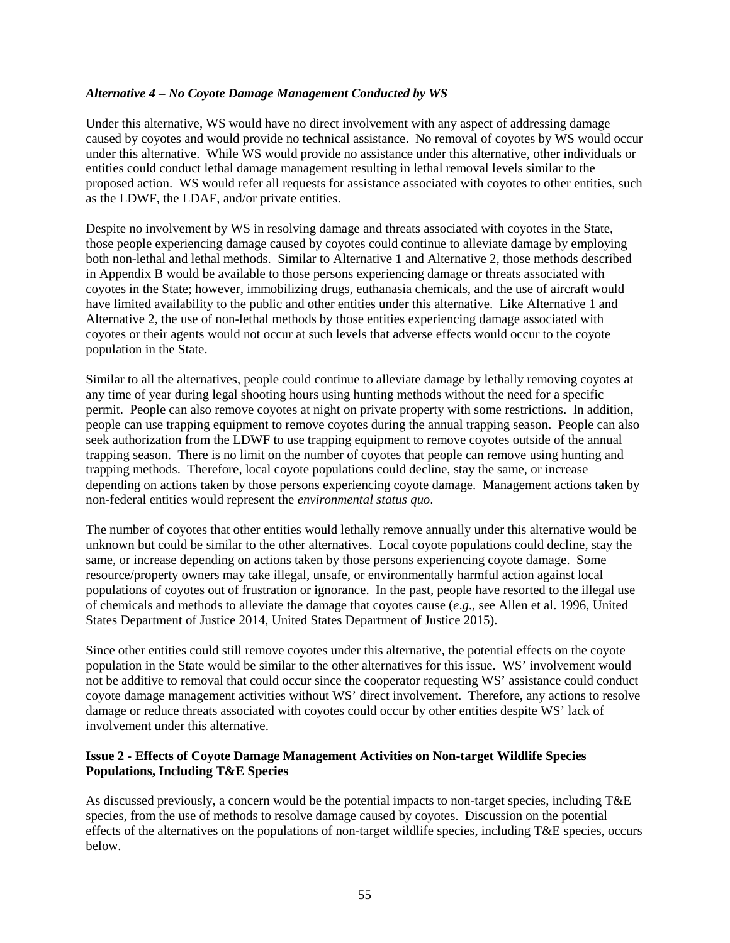#### *Alternative 4 – No Coyote Damage Management Conducted by WS*

Under this alternative, WS would have no direct involvement with any aspect of addressing damage caused by coyotes and would provide no technical assistance. No removal of coyotes by WS would occur under this alternative. While WS would provide no assistance under this alternative, other individuals or entities could conduct lethal damage management resulting in lethal removal levels similar to the proposed action. WS would refer all requests for assistance associated with coyotes to other entities, such as the LDWF, the LDAF, and/or private entities.

Despite no involvement by WS in resolving damage and threats associated with coyotes in the State, those people experiencing damage caused by coyotes could continue to alleviate damage by employing both non-lethal and lethal methods. Similar to Alternative 1 and Alternative 2, those methods described in Appendix B would be available to those persons experiencing damage or threats associated with coyotes in the State; however, immobilizing drugs, euthanasia chemicals, and the use of aircraft would have limited availability to the public and other entities under this alternative. Like Alternative 1 and Alternative 2, the use of non-lethal methods by those entities experiencing damage associated with coyotes or their agents would not occur at such levels that adverse effects would occur to the coyote population in the State.

Similar to all the alternatives, people could continue to alleviate damage by lethally removing coyotes at any time of year during legal shooting hours using hunting methods without the need for a specific permit. People can also remove coyotes at night on private property with some restrictions. In addition, people can use trapping equipment to remove coyotes during the annual trapping season. People can also seek authorization from the LDWF to use trapping equipment to remove coyotes outside of the annual trapping season. There is no limit on the number of coyotes that people can remove using hunting and trapping methods. Therefore, local coyote populations could decline, stay the same, or increase depending on actions taken by those persons experiencing coyote damage. Management actions taken by non-federal entities would represent the *environmental status quo*.

The number of coyotes that other entities would lethally remove annually under this alternative would be unknown but could be similar to the other alternatives. Local coyote populations could decline, stay the same, or increase depending on actions taken by those persons experiencing coyote damage. Some resource/property owners may take illegal, unsafe, or environmentally harmful action against local populations of coyotes out of frustration or ignorance. In the past, people have resorted to the illegal use of chemicals and methods to alleviate the damage that coyotes cause (*e*.*g*., see Allen et al. 1996, United States Department of Justice 2014, United States Department of Justice 2015).

Since other entities could still remove coyotes under this alternative, the potential effects on the coyote population in the State would be similar to the other alternatives for this issue. WS' involvement would not be additive to removal that could occur since the cooperator requesting WS' assistance could conduct coyote damage management activities without WS' direct involvement. Therefore, any actions to resolve damage or reduce threats associated with coyotes could occur by other entities despite WS' lack of involvement under this alternative.

#### **Issue 2 - Effects of Coyote Damage Management Activities on Non-target Wildlife Species Populations, Including T&E Species**

As discussed previously, a concern would be the potential impacts to non-target species, including T&E species, from the use of methods to resolve damage caused by coyotes. Discussion on the potential effects of the alternatives on the populations of non-target wildlife species, including T&E species, occurs below.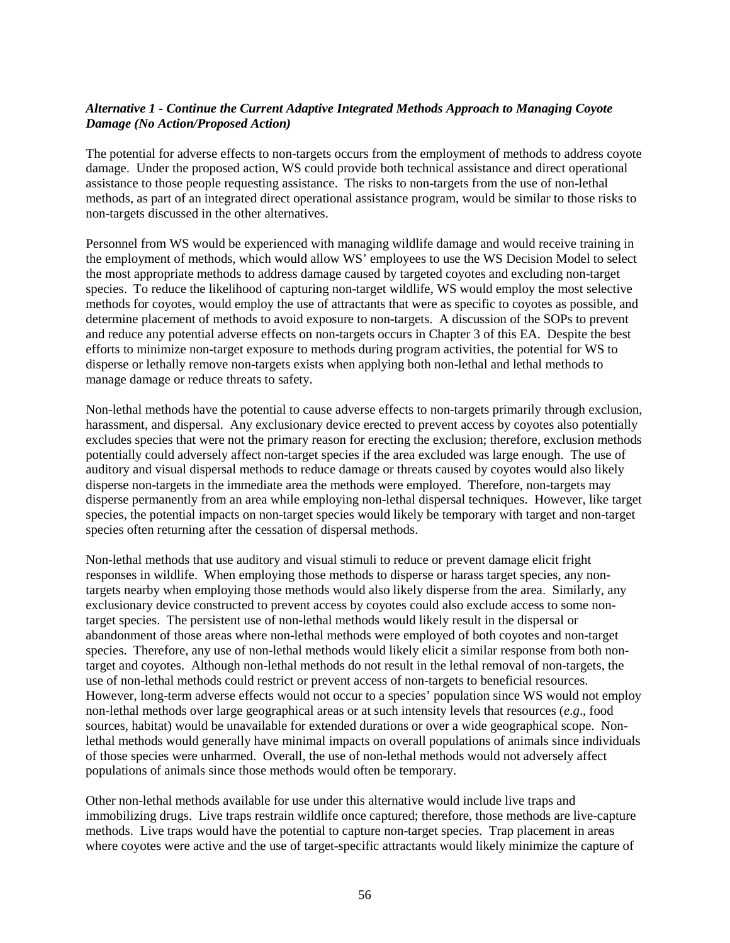## *Alternative 1 - Continue the Current Adaptive Integrated Methods Approach to Managing Coyote Damage (No Action/Proposed Action)*

The potential for adverse effects to non-targets occurs from the employment of methods to address coyote damage. Under the proposed action, WS could provide both technical assistance and direct operational assistance to those people requesting assistance. The risks to non-targets from the use of non-lethal methods, as part of an integrated direct operational assistance program, would be similar to those risks to non-targets discussed in the other alternatives.

Personnel from WS would be experienced with managing wildlife damage and would receive training in the employment of methods, which would allow WS' employees to use the WS Decision Model to select the most appropriate methods to address damage caused by targeted coyotes and excluding non-target species. To reduce the likelihood of capturing non-target wildlife, WS would employ the most selective methods for coyotes, would employ the use of attractants that were as specific to coyotes as possible, and determine placement of methods to avoid exposure to non-targets. A discussion of the SOPs to prevent and reduce any potential adverse effects on non-targets occurs in Chapter 3 of this EA. Despite the best efforts to minimize non-target exposure to methods during program activities, the potential for WS to disperse or lethally remove non-targets exists when applying both non-lethal and lethal methods to manage damage or reduce threats to safety.

Non-lethal methods have the potential to cause adverse effects to non-targets primarily through exclusion, harassment, and dispersal. Any exclusionary device erected to prevent access by coyotes also potentially excludes species that were not the primary reason for erecting the exclusion; therefore, exclusion methods potentially could adversely affect non-target species if the area excluded was large enough. The use of auditory and visual dispersal methods to reduce damage or threats caused by coyotes would also likely disperse non-targets in the immediate area the methods were employed. Therefore, non-targets may disperse permanently from an area while employing non-lethal dispersal techniques. However, like target species, the potential impacts on non-target species would likely be temporary with target and non-target species often returning after the cessation of dispersal methods.

Non-lethal methods that use auditory and visual stimuli to reduce or prevent damage elicit fright responses in wildlife. When employing those methods to disperse or harass target species, any nontargets nearby when employing those methods would also likely disperse from the area. Similarly, any exclusionary device constructed to prevent access by coyotes could also exclude access to some nontarget species. The persistent use of non-lethal methods would likely result in the dispersal or abandonment of those areas where non-lethal methods were employed of both coyotes and non-target species. Therefore, any use of non-lethal methods would likely elicit a similar response from both nontarget and coyotes. Although non-lethal methods do not result in the lethal removal of non-targets, the use of non-lethal methods could restrict or prevent access of non-targets to beneficial resources. However, long-term adverse effects would not occur to a species' population since WS would not employ non-lethal methods over large geographical areas or at such intensity levels that resources (*e*.*g*., food sources, habitat) would be unavailable for extended durations or over a wide geographical scope. Nonlethal methods would generally have minimal impacts on overall populations of animals since individuals of those species were unharmed. Overall, the use of non-lethal methods would not adversely affect populations of animals since those methods would often be temporary.

Other non-lethal methods available for use under this alternative would include live traps and immobilizing drugs. Live traps restrain wildlife once captured; therefore, those methods are live-capture methods. Live traps would have the potential to capture non-target species. Trap placement in areas where coyotes were active and the use of target-specific attractants would likely minimize the capture of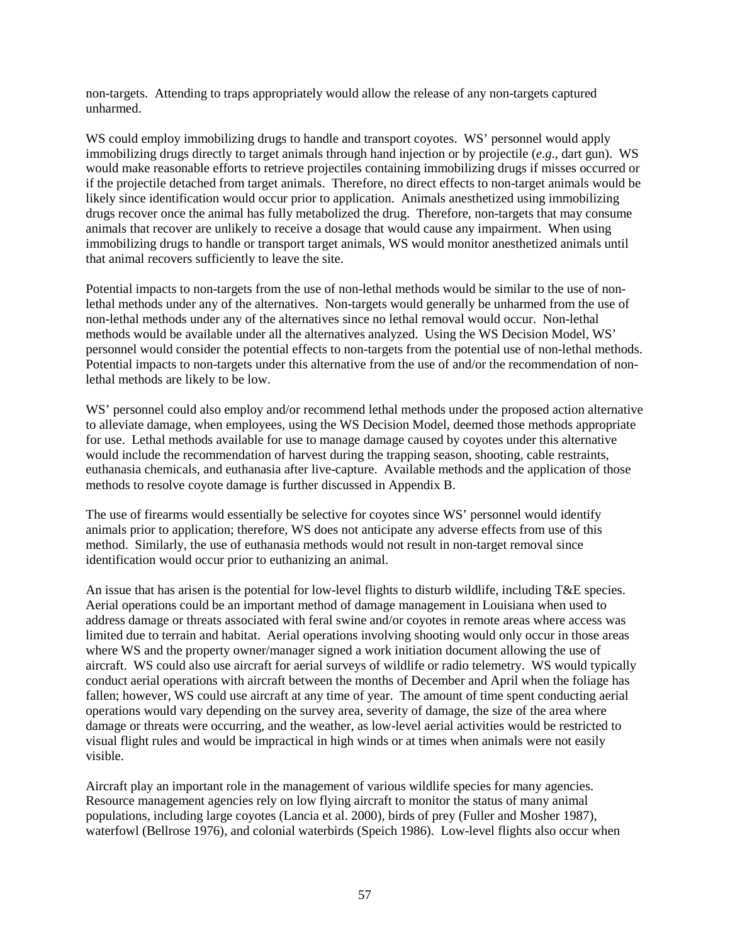non-targets. Attending to traps appropriately would allow the release of any non-targets captured unharmed.

WS could employ immobilizing drugs to handle and transport coyotes. WS' personnel would apply immobilizing drugs directly to target animals through hand injection or by projectile (*e*.*g*., dart gun). WS would make reasonable efforts to retrieve projectiles containing immobilizing drugs if misses occurred or if the projectile detached from target animals. Therefore, no direct effects to non-target animals would be likely since identification would occur prior to application. Animals anesthetized using immobilizing drugs recover once the animal has fully metabolized the drug. Therefore, non-targets that may consume animals that recover are unlikely to receive a dosage that would cause any impairment. When using immobilizing drugs to handle or transport target animals, WS would monitor anesthetized animals until that animal recovers sufficiently to leave the site.

Potential impacts to non-targets from the use of non-lethal methods would be similar to the use of nonlethal methods under any of the alternatives. Non-targets would generally be unharmed from the use of non-lethal methods under any of the alternatives since no lethal removal would occur. Non-lethal methods would be available under all the alternatives analyzed. Using the WS Decision Model, WS' personnel would consider the potential effects to non-targets from the potential use of non-lethal methods. Potential impacts to non-targets under this alternative from the use of and/or the recommendation of nonlethal methods are likely to be low.

WS' personnel could also employ and/or recommend lethal methods under the proposed action alternative to alleviate damage, when employees, using the WS Decision Model, deemed those methods appropriate for use. Lethal methods available for use to manage damage caused by coyotes under this alternative would include the recommendation of harvest during the trapping season, shooting, cable restraints, euthanasia chemicals, and euthanasia after live-capture. Available methods and the application of those methods to resolve coyote damage is further discussed in Appendix B.

The use of firearms would essentially be selective for coyotes since WS' personnel would identify animals prior to application; therefore, WS does not anticipate any adverse effects from use of this method. Similarly, the use of euthanasia methods would not result in non-target removal since identification would occur prior to euthanizing an animal.

An issue that has arisen is the potential for low-level flights to disturb wildlife, including T&E species. Aerial operations could be an important method of damage management in Louisiana when used to address damage or threats associated with feral swine and/or coyotes in remote areas where access was limited due to terrain and habitat. Aerial operations involving shooting would only occur in those areas where WS and the property owner/manager signed a work initiation document allowing the use of aircraft. WS could also use aircraft for aerial surveys of wildlife or radio telemetry. WS would typically conduct aerial operations with aircraft between the months of December and April when the foliage has fallen; however, WS could use aircraft at any time of year. The amount of time spent conducting aerial operations would vary depending on the survey area, severity of damage, the size of the area where damage or threats were occurring, and the weather, as low-level aerial activities would be restricted to visual flight rules and would be impractical in high winds or at times when animals were not easily visible.

Aircraft play an important role in the management of various wildlife species for many agencies. Resource management agencies rely on low flying aircraft to monitor the status of many animal populations, including large coyotes (Lancia et al. 2000), birds of prey (Fuller and Mosher 1987), waterfowl (Bellrose 1976), and colonial waterbirds (Speich 1986). Low-level flights also occur when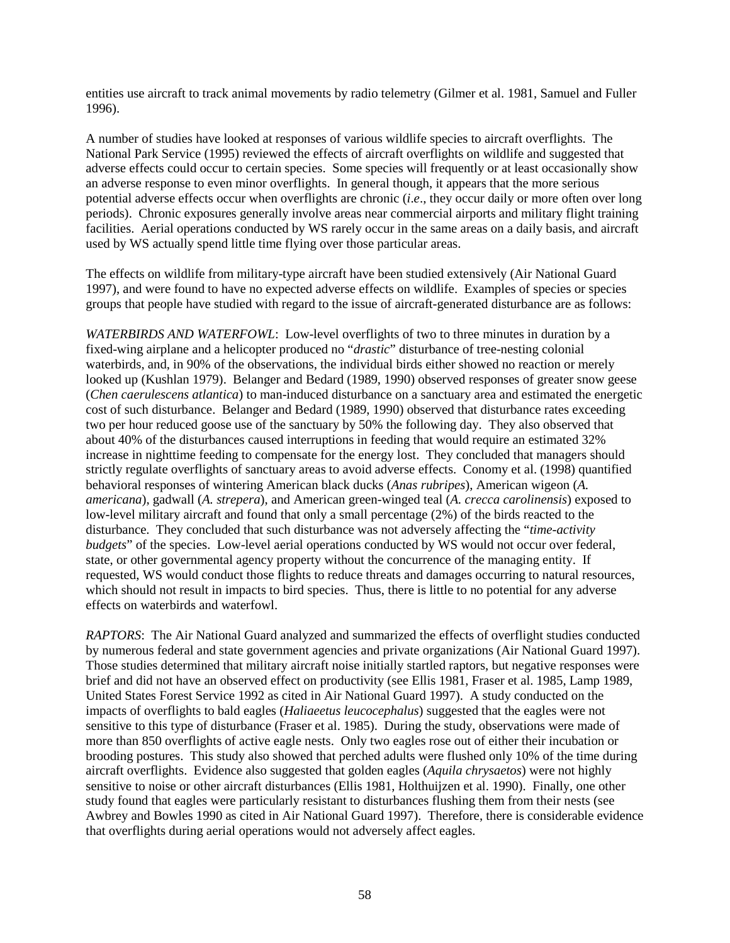entities use aircraft to track animal movements by radio telemetry (Gilmer et al. 1981, Samuel and Fuller 1996).

A number of studies have looked at responses of various wildlife species to aircraft overflights. The National Park Service (1995) reviewed the effects of aircraft overflights on wildlife and suggested that adverse effects could occur to certain species. Some species will frequently or at least occasionally show an adverse response to even minor overflights. In general though, it appears that the more serious potential adverse effects occur when overflights are chronic (*i*.*e*., they occur daily or more often over long periods). Chronic exposures generally involve areas near commercial airports and military flight training facilities. Aerial operations conducted by WS rarely occur in the same areas on a daily basis, and aircraft used by WS actually spend little time flying over those particular areas.

The effects on wildlife from military-type aircraft have been studied extensively (Air National Guard 1997), and were found to have no expected adverse effects on wildlife. Examples of species or species groups that people have studied with regard to the issue of aircraft-generated disturbance are as follows:

*WATERBIRDS AND WATERFOWL*: Low-level overflights of two to three minutes in duration by a fixed-wing airplane and a helicopter produced no "*drastic*" disturbance of tree-nesting colonial waterbirds, and, in 90% of the observations, the individual birds either showed no reaction or merely looked up (Kushlan 1979). Belanger and Bedard (1989, 1990) observed responses of greater snow geese (*Chen caerulescens atlantica*) to man-induced disturbance on a sanctuary area and estimated the energetic cost of such disturbance. Belanger and Bedard (1989, 1990) observed that disturbance rates exceeding two per hour reduced goose use of the sanctuary by 50% the following day. They also observed that about 40% of the disturbances caused interruptions in feeding that would require an estimated 32% increase in nighttime feeding to compensate for the energy lost. They concluded that managers should strictly regulate overflights of sanctuary areas to avoid adverse effects. Conomy et al. (1998) quantified behavioral responses of wintering American black ducks (*Anas rubripes*), American wigeon (*A. americana*), gadwall (*A. strepera*), and American green-winged teal (*A. crecca carolinensis*) exposed to low-level military aircraft and found that only a small percentage (2%) of the birds reacted to the disturbance. They concluded that such disturbance was not adversely affecting the "*time-activity budgets*" of the species. Low-level aerial operations conducted by WS would not occur over federal, state, or other governmental agency property without the concurrence of the managing entity. If requested, WS would conduct those flights to reduce threats and damages occurring to natural resources, which should not result in impacts to bird species. Thus, there is little to no potential for any adverse effects on waterbirds and waterfowl.

*RAPTORS*:The Air National Guard analyzed and summarized the effects of overflight studies conducted by numerous federal and state government agencies and private organizations (Air National Guard 1997). Those studies determined that military aircraft noise initially startled raptors, but negative responses were brief and did not have an observed effect on productivity (see Ellis 1981, Fraser et al. 1985, Lamp 1989, United States Forest Service 1992 as cited in Air National Guard 1997). A study conducted on the impacts of overflights to bald eagles (*Haliaeetus leucocephalus*) suggested that the eagles were not sensitive to this type of disturbance (Fraser et al. 1985). During the study, observations were made of more than 850 overflights of active eagle nests. Only two eagles rose out of either their incubation or brooding postures. This study also showed that perched adults were flushed only 10% of the time during aircraft overflights. Evidence also suggested that golden eagles (*Aquila chrysaetos*) were not highly sensitive to noise or other aircraft disturbances (Ellis 1981, Holthuijzen et al. 1990). Finally, one other study found that eagles were particularly resistant to disturbances flushing them from their nests (see Awbrey and Bowles 1990 as cited in Air National Guard 1997). Therefore, there is considerable evidence that overflights during aerial operations would not adversely affect eagles.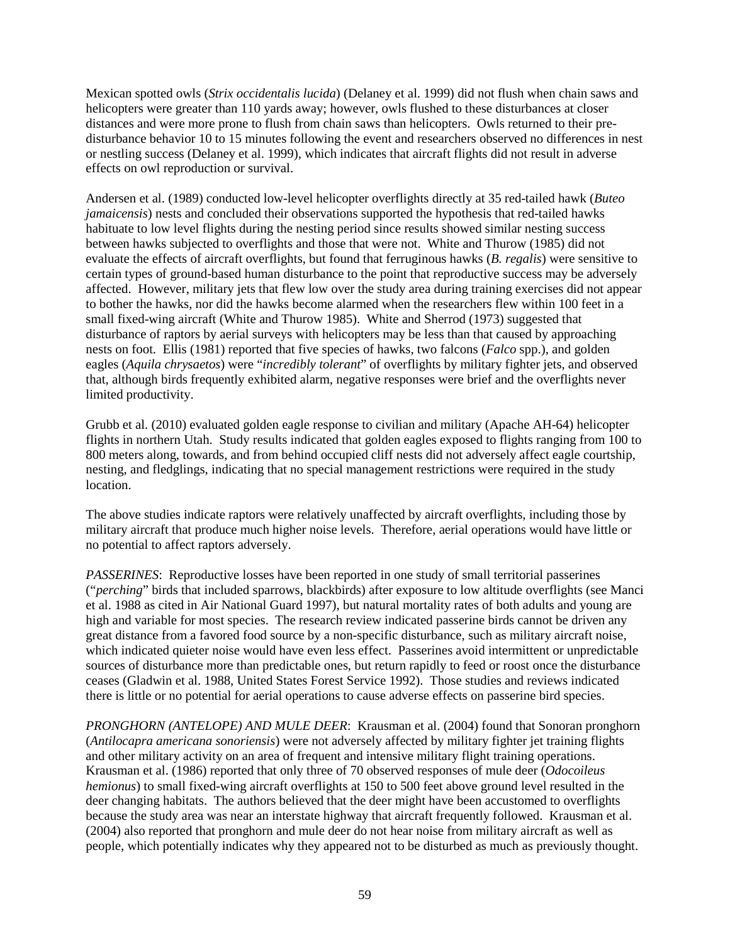Mexican spotted owls (*Strix occidentalis lucida*) (Delaney et al. 1999) did not flush when chain saws and helicopters were greater than 110 yards away; however, owls flushed to these disturbances at closer distances and were more prone to flush from chain saws than helicopters. Owls returned to their predisturbance behavior 10 to 15 minutes following the event and researchers observed no differences in nest or nestling success (Delaney et al. 1999), which indicates that aircraft flights did not result in adverse effects on owl reproduction or survival.

Andersen et al. (1989) conducted low-level helicopter overflights directly at 35 red-tailed hawk (*Buteo jamaicensis*) nests and concluded their observations supported the hypothesis that red-tailed hawks habituate to low level flights during the nesting period since results showed similar nesting success between hawks subjected to overflights and those that were not. White and Thurow (1985) did not evaluate the effects of aircraft overflights, but found that ferruginous hawks (*B. regalis*) were sensitive to certain types of ground-based human disturbance to the point that reproductive success may be adversely affected. However, military jets that flew low over the study area during training exercises did not appear to bother the hawks, nor did the hawks become alarmed when the researchers flew within 100 feet in a small fixed-wing aircraft (White and Thurow 1985). White and Sherrod (1973) suggested that disturbance of raptors by aerial surveys with helicopters may be less than that caused by approaching nests on foot. Ellis (1981) reported that five species of hawks, two falcons (*Falco* spp.), and golden eagles (*Aquila chrysaetos*) were "*incredibly tolerant*" of overflights by military fighter jets, and observed that, although birds frequently exhibited alarm, negative responses were brief and the overflights never limited productivity.

Grubb et al. (2010) evaluated golden eagle response to civilian and military (Apache AH-64) helicopter flights in northern Utah. Study results indicated that golden eagles exposed to flights ranging from 100 to 800 meters along, towards, and from behind occupied cliff nests did not adversely affect eagle courtship, nesting, and fledglings, indicating that no special management restrictions were required in the study location.

The above studies indicate raptors were relatively unaffected by aircraft overflights, including those by military aircraft that produce much higher noise levels. Therefore, aerial operations would have little or no potential to affect raptors adversely.

*PASSERINES*: Reproductive losses have been reported in one study of small territorial passerines ("*perching*" birds that included sparrows, blackbirds) after exposure to low altitude overflights (see Manci et al. 1988 as cited in Air National Guard 1997), but natural mortality rates of both adults and young are high and variable for most species. The research review indicated passerine birds cannot be driven any great distance from a favored food source by a non-specific disturbance, such as military aircraft noise, which indicated quieter noise would have even less effect. Passerines avoid intermittent or unpredictable sources of disturbance more than predictable ones, but return rapidly to feed or roost once the disturbance ceases (Gladwin et al. 1988, United States Forest Service 1992). Those studies and reviews indicated there is little or no potential for aerial operations to cause adverse effects on passerine bird species.

*PRONGHORN (ANTELOPE) AND MULE DEER*:Krausman et al. (2004) found that Sonoran pronghorn (*Antilocapra americana sonoriensis*) were not adversely affected by military fighter jet training flights and other military activity on an area of frequent and intensive military flight training operations. Krausman et al. (1986) reported that only three of 70 observed responses of mule deer (*Odocoileus hemionus*) to small fixed-wing aircraft overflights at 150 to 500 feet above ground level resulted in the deer changing habitats. The authors believed that the deer might have been accustomed to overflights because the study area was near an interstate highway that aircraft frequently followed. Krausman et al. (2004) also reported that pronghorn and mule deer do not hear noise from military aircraft as well as people, which potentially indicates why they appeared not to be disturbed as much as previously thought.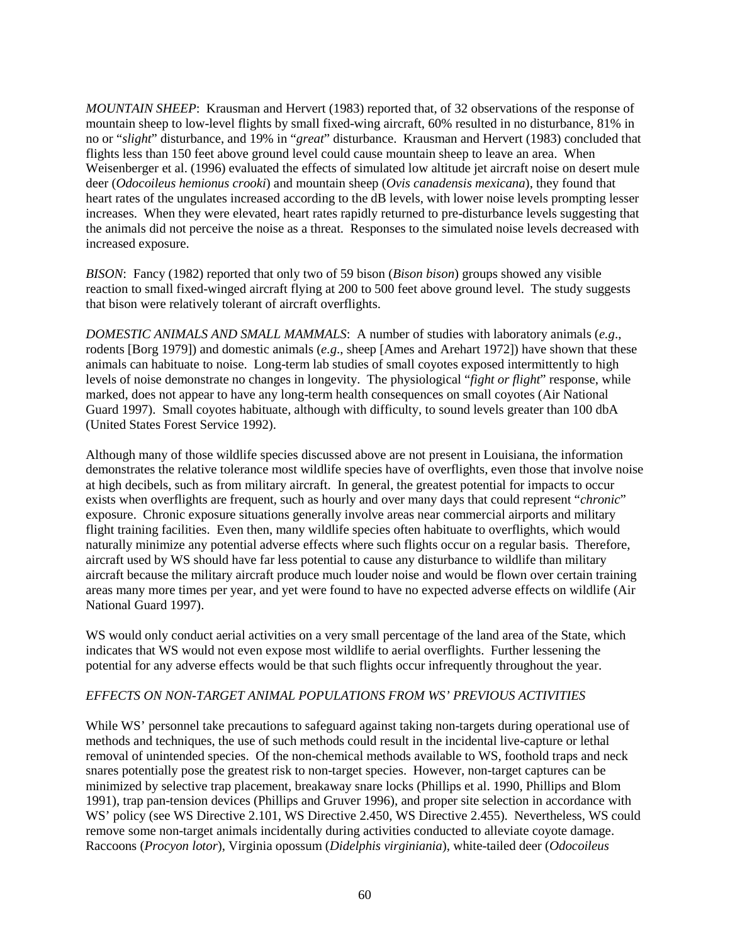*MOUNTAIN SHEEP*: Krausman and Hervert (1983) reported that, of 32 observations of the response of mountain sheep to low-level flights by small fixed-wing aircraft, 60% resulted in no disturbance, 81% in no or "*slight*" disturbance, and 19% in "*great*" disturbance. Krausman and Hervert (1983) concluded that flights less than 150 feet above ground level could cause mountain sheep to leave an area. When Weisenberger et al. (1996) evaluated the effects of simulated low altitude jet aircraft noise on desert mule deer (*Odocoileus hemionus crooki*) and mountain sheep (*Ovis canadensis mexicana*), they found that heart rates of the ungulates increased according to the dB levels, with lower noise levels prompting lesser increases. When they were elevated, heart rates rapidly returned to pre-disturbance levels suggesting that the animals did not perceive the noise as a threat. Responses to the simulated noise levels decreased with increased exposure.

*BISON*: Fancy (1982) reported that only two of 59 bison (*Bison bison*) groups showed any visible reaction to small fixed-winged aircraft flying at 200 to 500 feet above ground level. The study suggests that bison were relatively tolerant of aircraft overflights.

*DOMESTIC ANIMALS AND SMALL MAMMALS*:A number of studies with laboratory animals (*e.g*., rodents [Borg 1979]) and domestic animals (*e.g*., sheep [Ames and Arehart 1972]) have shown that these animals can habituate to noise. Long-term lab studies of small coyotes exposed intermittently to high levels of noise demonstrate no changes in longevity. The physiological "*fight or flight*" response, while marked, does not appear to have any long-term health consequences on small coyotes (Air National Guard 1997). Small coyotes habituate, although with difficulty, to sound levels greater than 100 dbA (United States Forest Service 1992).

Although many of those wildlife species discussed above are not present in Louisiana, the information demonstrates the relative tolerance most wildlife species have of overflights, even those that involve noise at high decibels, such as from military aircraft. In general, the greatest potential for impacts to occur exists when overflights are frequent, such as hourly and over many days that could represent "*chronic*" exposure. Chronic exposure situations generally involve areas near commercial airports and military flight training facilities. Even then, many wildlife species often habituate to overflights, which would naturally minimize any potential adverse effects where such flights occur on a regular basis. Therefore, aircraft used by WS should have far less potential to cause any disturbance to wildlife than military aircraft because the military aircraft produce much louder noise and would be flown over certain training areas many more times per year, and yet were found to have no expected adverse effects on wildlife (Air National Guard 1997).

WS would only conduct aerial activities on a very small percentage of the land area of the State, which indicates that WS would not even expose most wildlife to aerial overflights. Further lessening the potential for any adverse effects would be that such flights occur infrequently throughout the year.

#### *EFFECTS ON NON-TARGET ANIMAL POPULATIONS FROM WS' PREVIOUS ACTIVITIES*

While WS' personnel take precautions to safeguard against taking non-targets during operational use of methods and techniques, the use of such methods could result in the incidental live-capture or lethal removal of unintended species. Of the non-chemical methods available to WS, foothold traps and neck snares potentially pose the greatest risk to non-target species. However, non-target captures can be minimized by selective trap placement, breakaway snare locks (Phillips et al. 1990, Phillips and Blom 1991), trap pan-tension devices (Phillips and Gruver 1996), and proper site selection in accordance with WS' policy (see WS Directive 2.101, WS Directive 2.450, WS Directive 2.455). Nevertheless, WS could remove some non-target animals incidentally during activities conducted to alleviate coyote damage. Raccoons (*Procyon lotor*), Virginia opossum (*Didelphis virginiania*), white-tailed deer (*Odocoileus*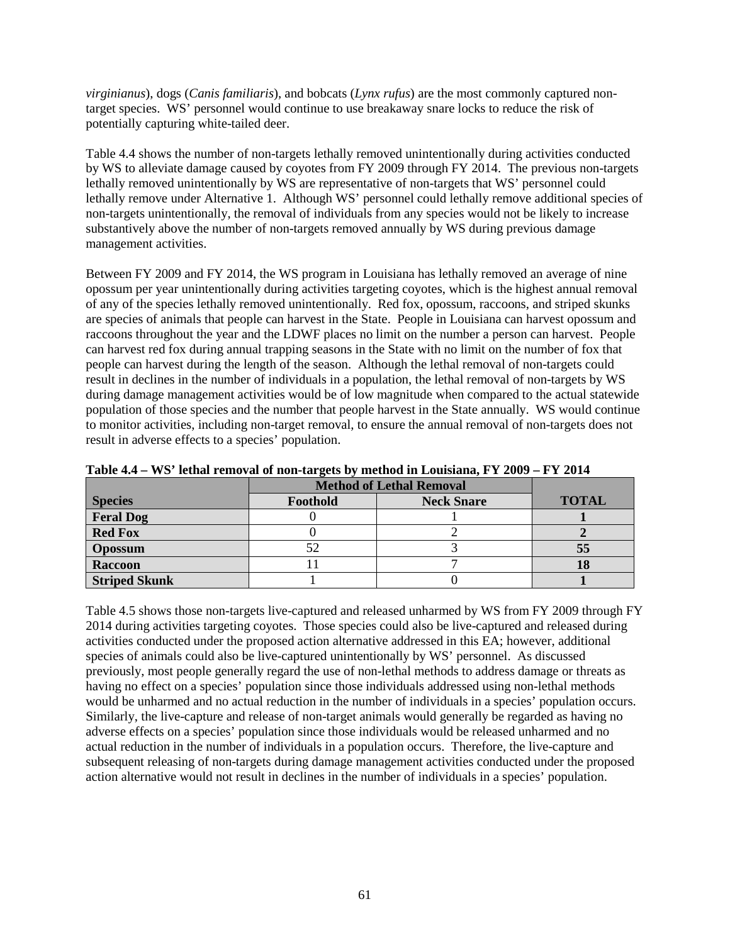*virginianus*), dogs (*Canis familiaris*), and bobcats (*Lynx rufus*) are the most commonly captured nontarget species. WS' personnel would continue to use breakaway snare locks to reduce the risk of potentially capturing white-tailed deer.

Table 4.4 shows the number of non-targets lethally removed unintentionally during activities conducted by WS to alleviate damage caused by coyotes from FY 2009 through FY 2014. The previous non-targets lethally removed unintentionally by WS are representative of non-targets that WS' personnel could lethally remove under Alternative 1. Although WS' personnel could lethally remove additional species of non-targets unintentionally, the removal of individuals from any species would not be likely to increase substantively above the number of non-targets removed annually by WS during previous damage management activities.

Between FY 2009 and FY 2014, the WS program in Louisiana has lethally removed an average of nine opossum per year unintentionally during activities targeting coyotes, which is the highest annual removal of any of the species lethally removed unintentionally. Red fox, opossum, raccoons, and striped skunks are species of animals that people can harvest in the State. People in Louisiana can harvest opossum and raccoons throughout the year and the LDWF places no limit on the number a person can harvest. People can harvest red fox during annual trapping seasons in the State with no limit on the number of fox that people can harvest during the length of the season. Although the lethal removal of non-targets could result in declines in the number of individuals in a population, the lethal removal of non-targets by WS during damage management activities would be of low magnitude when compared to the actual statewide population of those species and the number that people harvest in the State annually. WS would continue to monitor activities, including non-target removal, to ensure the annual removal of non-targets does not result in adverse effects to a species' population.

|                      | <b>Method of Lethal Removal</b> |                   |              |
|----------------------|---------------------------------|-------------------|--------------|
| <b>Species</b>       | Foothold                        | <b>Neck Snare</b> | <b>TOTAL</b> |
| <b>Feral Dog</b>     |                                 |                   |              |
| <b>Red Fox</b>       |                                 |                   |              |
| <b>Opossum</b>       |                                 |                   | 55           |
| Raccoon              |                                 |                   |              |
| <b>Striped Skunk</b> |                                 |                   |              |

**Table 4.4 – WS' lethal removal of non-targets by method in Louisiana, FY 2009 – FY 2014**

Table 4.5 shows those non-targets live-captured and released unharmed by WS from FY 2009 through FY 2014 during activities targeting coyotes. Those species could also be live-captured and released during activities conducted under the proposed action alternative addressed in this EA; however, additional species of animals could also be live-captured unintentionally by WS' personnel. As discussed previously, most people generally regard the use of non-lethal methods to address damage or threats as having no effect on a species' population since those individuals addressed using non-lethal methods would be unharmed and no actual reduction in the number of individuals in a species' population occurs. Similarly, the live-capture and release of non-target animals would generally be regarded as having no adverse effects on a species' population since those individuals would be released unharmed and no actual reduction in the number of individuals in a population occurs. Therefore, the live-capture and subsequent releasing of non-targets during damage management activities conducted under the proposed action alternative would not result in declines in the number of individuals in a species' population.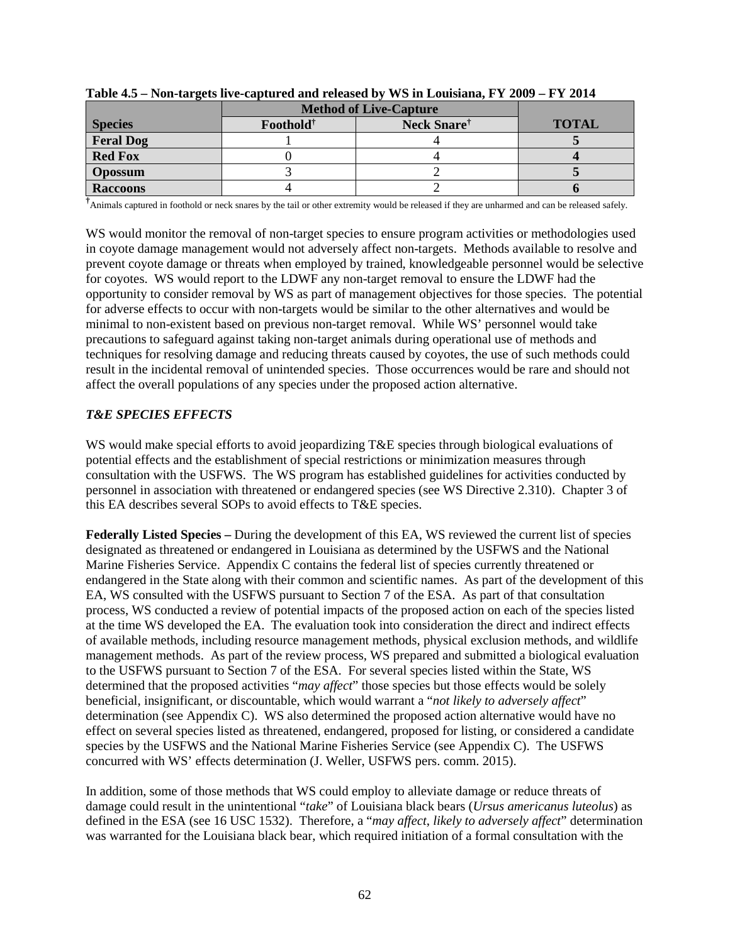|                  | <b>Method of Live-Capture</b> |                         |              |
|------------------|-------------------------------|-------------------------|--------------|
| <b>Species</b>   | Foothold <sup>†</sup>         | Neck Snare <sup>†</sup> | <b>TOTAL</b> |
| <b>Feral Dog</b> |                               |                         |              |
| <b>Red Fox</b>   |                               |                         |              |
| <b>Opossum</b>   |                               |                         |              |
| <b>Raccoons</b>  |                               |                         |              |

**Table 4.5 – Non-targets live-captured and released by WS in Louisiana, FY 2009 – FY 2014**

**†** Animals captured in foothold or neck snares by the tail or other extremity would be released if they are unharmed and can be released safely.

WS would monitor the removal of non-target species to ensure program activities or methodologies used in coyote damage management would not adversely affect non-targets. Methods available to resolve and prevent coyote damage or threats when employed by trained, knowledgeable personnel would be selective for coyotes. WS would report to the LDWF any non-target removal to ensure the LDWF had the opportunity to consider removal by WS as part of management objectives for those species. The potential for adverse effects to occur with non-targets would be similar to the other alternatives and would be minimal to non-existent based on previous non-target removal. While WS' personnel would take precautions to safeguard against taking non-target animals during operational use of methods and techniques for resolving damage and reducing threats caused by coyotes, the use of such methods could result in the incidental removal of unintended species. Those occurrences would be rare and should not affect the overall populations of any species under the proposed action alternative.

## *T&E SPECIES EFFECTS*

WS would make special efforts to avoid jeopardizing T&E species through biological evaluations of potential effects and the establishment of special restrictions or minimization measures through consultation with the USFWS. The WS program has established guidelines for activities conducted by personnel in association with threatened or endangered species (see WS Directive 2.310). Chapter 3 of this EA describes several SOPs to avoid effects to T&E species.

**Federally Listed Species** *–* During the development of this EA, WS reviewed the current list of species designated as threatened or endangered in Louisiana as determined by the USFWS and the National Marine Fisheries Service. Appendix C contains the federal list of species currently threatened or endangered in the State along with their common and scientific names. As part of the development of this EA, WS consulted with the USFWS pursuant to Section 7 of the ESA. As part of that consultation process, WS conducted a review of potential impacts of the proposed action on each of the species listed at the time WS developed the EA. The evaluation took into consideration the direct and indirect effects of available methods, including resource management methods, physical exclusion methods, and wildlife management methods. As part of the review process, WS prepared and submitted a biological evaluation to the USFWS pursuant to Section 7 of the ESA. For several species listed within the State, WS determined that the proposed activities "*may affect*" those species but those effects would be solely beneficial, insignificant, or discountable, which would warrant a "*not likely to adversely affect*" determination (see Appendix C). WS also determined the proposed action alternative would have no effect on several species listed as threatened, endangered, proposed for listing, or considered a candidate species by the USFWS and the National Marine Fisheries Service (see Appendix C). The USFWS concurred with WS' effects determination (J. Weller, USFWS pers. comm. 2015).

In addition, some of those methods that WS could employ to alleviate damage or reduce threats of damage could result in the unintentional "*take*" of Louisiana black bears (*Ursus americanus luteolus*) as defined in the ESA (see 16 USC 1532). Therefore, a "*may affect*, *likely to adversely affect*" determination was warranted for the Louisiana black bear, which required initiation of a formal consultation with the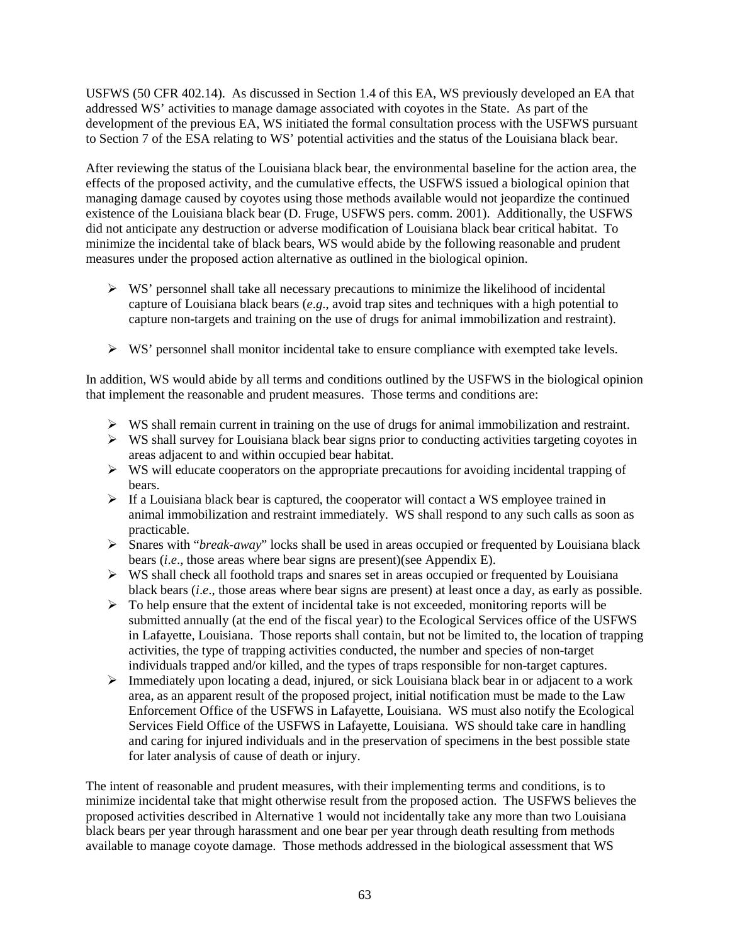USFWS (50 CFR 402.14). As discussed in Section 1.4 of this EA, WS previously developed an EA that addressed WS' activities to manage damage associated with coyotes in the State. As part of the development of the previous EA, WS initiated the formal consultation process with the USFWS pursuant to Section 7 of the ESA relating to WS' potential activities and the status of the Louisiana black bear.

After reviewing the status of the Louisiana black bear, the environmental baseline for the action area, the effects of the proposed activity, and the cumulative effects, the USFWS issued a biological opinion that managing damage caused by coyotes using those methods available would not jeopardize the continued existence of the Louisiana black bear (D. Fruge, USFWS pers. comm. 2001). Additionally, the USFWS did not anticipate any destruction or adverse modification of Louisiana black bear critical habitat. To minimize the incidental take of black bears, WS would abide by the following reasonable and prudent measures under the proposed action alternative as outlined in the biological opinion.

- $\triangleright$  WS' personnel shall take all necessary precautions to minimize the likelihood of incidental capture of Louisiana black bears (*e*.*g*., avoid trap sites and techniques with a high potential to capture non-targets and training on the use of drugs for animal immobilization and restraint).
- $\triangleright$  WS' personnel shall monitor incidental take to ensure compliance with exempted take levels.

In addition, WS would abide by all terms and conditions outlined by the USFWS in the biological opinion that implement the reasonable and prudent measures. Those terms and conditions are:

- $\triangleright$  WS shall remain current in training on the use of drugs for animal immobilization and restraint.
- $\triangleright$  WS shall survey for Louisiana black bear signs prior to conducting activities targeting coyotes in areas adjacent to and within occupied bear habitat.
- $\triangleright$  WS will educate cooperators on the appropriate precautions for avoiding incidental trapping of bears.
- $\triangleright$  If a Louisiana black bear is captured, the cooperator will contact a WS employee trained in animal immobilization and restraint immediately. WS shall respond to any such calls as soon as practicable.
- Snares with "*break-away*" locks shall be used in areas occupied or frequented by Louisiana black bears (*i*.*e*., those areas where bear signs are present)(see Appendix E).
- $\triangleright$  WS shall check all foothold traps and snares set in areas occupied or frequented by Louisiana black bears (*i*.*e*., those areas where bear signs are present) at least once a day, as early as possible.
- $\triangleright$  To help ensure that the extent of incidental take is not exceeded, monitoring reports will be submitted annually (at the end of the fiscal year) to the Ecological Services office of the USFWS in Lafayette, Louisiana. Those reports shall contain, but not be limited to, the location of trapping activities, the type of trapping activities conducted, the number and species of non-target individuals trapped and/or killed, and the types of traps responsible for non-target captures.
- $\triangleright$  Immediately upon locating a dead, injured, or sick Louisiana black bear in or adjacent to a work area, as an apparent result of the proposed project, initial notification must be made to the Law Enforcement Office of the USFWS in Lafayette, Louisiana. WS must also notify the Ecological Services Field Office of the USFWS in Lafayette, Louisiana. WS should take care in handling and caring for injured individuals and in the preservation of specimens in the best possible state for later analysis of cause of death or injury.

The intent of reasonable and prudent measures, with their implementing terms and conditions, is to minimize incidental take that might otherwise result from the proposed action. The USFWS believes the proposed activities described in Alternative 1 would not incidentally take any more than two Louisiana black bears per year through harassment and one bear per year through death resulting from methods available to manage coyote damage. Those methods addressed in the biological assessment that WS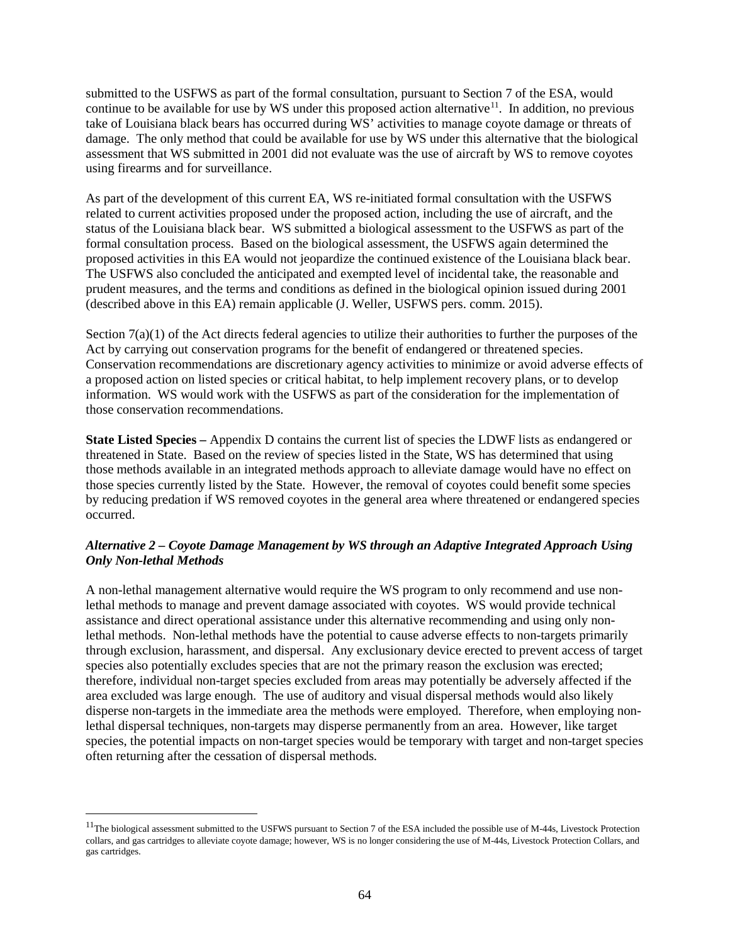submitted to the USFWS as part of the formal consultation, pursuant to Section 7 of the ESA, would continue to be available for use by WS under this proposed action alternative<sup>11</sup>. In addition, no previous take of Louisiana black bears has occurred during WS' activities to manage coyote damage or threats of damage. The only method that could be available for use by WS under this alternative that the biological assessment that WS submitted in 2001 did not evaluate was the use of aircraft by WS to remove coyotes using firearms and for surveillance.

As part of the development of this current EA, WS re-initiated formal consultation with the USFWS related to current activities proposed under the proposed action, including the use of aircraft, and the status of the Louisiana black bear. WS submitted a biological assessment to the USFWS as part of the formal consultation process. Based on the biological assessment, the USFWS again determined the proposed activities in this EA would not jeopardize the continued existence of the Louisiana black bear. The USFWS also concluded the anticipated and exempted level of incidental take, the reasonable and prudent measures, and the terms and conditions as defined in the biological opinion issued during 2001 (described above in this EA) remain applicable (J. Weller, USFWS pers. comm. 2015).

Section 7(a)(1) of the Act directs federal agencies to utilize their authorities to further the purposes of the Act by carrying out conservation programs for the benefit of endangered or threatened species. Conservation recommendations are discretionary agency activities to minimize or avoid adverse effects of a proposed action on listed species or critical habitat, to help implement recovery plans, or to develop information. WS would work with the USFWS as part of the consideration for the implementation of those conservation recommendations.

**State Listed Species** *–* Appendix D contains the current list of species the LDWF lists as endangered or threatened in State. Based on the review of species listed in the State, WS has determined that using those methods available in an integrated methods approach to alleviate damage would have no effect on those species currently listed by the State. However, the removal of coyotes could benefit some species by reducing predation if WS removed coyotes in the general area where threatened or endangered species occurred.

## *Alternative 2 – Coyote Damage Management by WS through an Adaptive Integrated Approach Using Only Non-lethal Methods*

A non-lethal management alternative would require the WS program to only recommend and use nonlethal methods to manage and prevent damage associated with coyotes. WS would provide technical assistance and direct operational assistance under this alternative recommending and using only nonlethal methods. Non-lethal methods have the potential to cause adverse effects to non-targets primarily through exclusion, harassment, and dispersal. Any exclusionary device erected to prevent access of target species also potentially excludes species that are not the primary reason the exclusion was erected; therefore, individual non-target species excluded from areas may potentially be adversely affected if the area excluded was large enough. The use of auditory and visual dispersal methods would also likely disperse non-targets in the immediate area the methods were employed. Therefore, when employing nonlethal dispersal techniques, non-targets may disperse permanently from an area. However, like target species, the potential impacts on non-target species would be temporary with target and non-target species often returning after the cessation of dispersal methods.

<span id="page-66-0"></span><sup>&</sup>lt;sup>11</sup>The biological assessment submitted to the USFWS pursuant to Section 7 of the ESA included the possible use of M-44s, Livestock Protection collars, and gas cartridges to alleviate coyote damage; however, WS is no longer considering the use of M-44s, Livestock Protection Collars, and gas cartridges.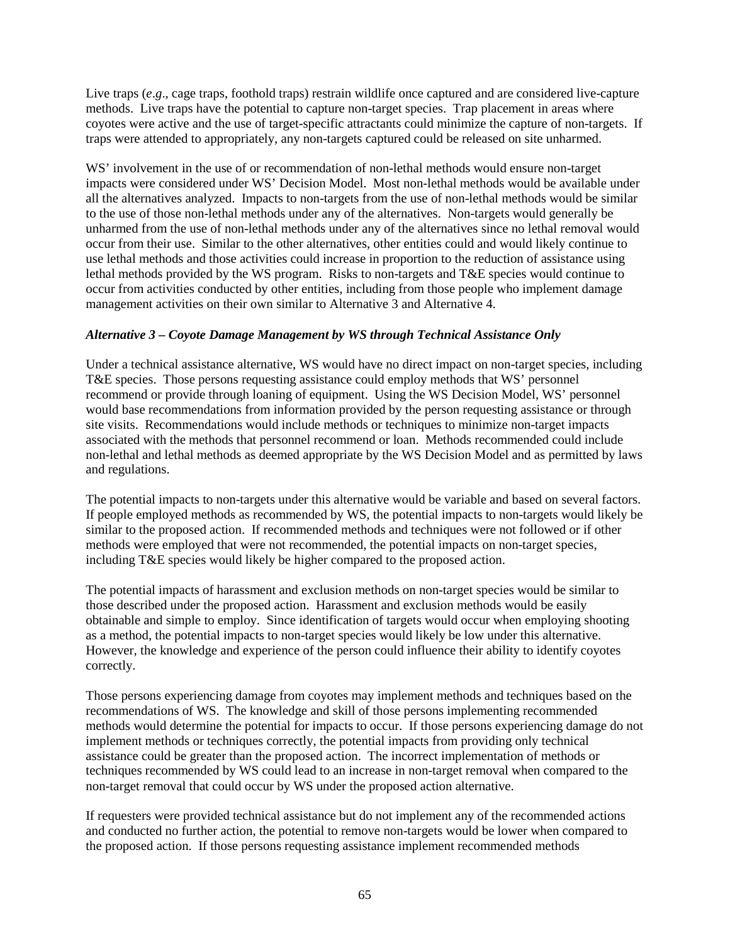Live traps (*e.g.*, cage traps, foothold traps) restrain wildlife once captured and are considered live-capture methods. Live traps have the potential to capture non-target species. Trap placement in areas where coyotes were active and the use of target-specific attractants could minimize the capture of non-targets. If traps were attended to appropriately, any non-targets captured could be released on site unharmed.

WS' involvement in the use of or recommendation of non-lethal methods would ensure non-target impacts were considered under WS' Decision Model. Most non-lethal methods would be available under all the alternatives analyzed. Impacts to non-targets from the use of non-lethal methods would be similar to the use of those non-lethal methods under any of the alternatives. Non-targets would generally be unharmed from the use of non-lethal methods under any of the alternatives since no lethal removal would occur from their use. Similar to the other alternatives, other entities could and would likely continue to use lethal methods and those activities could increase in proportion to the reduction of assistance using lethal methods provided by the WS program. Risks to non-targets and T&E species would continue to occur from activities conducted by other entities, including from those people who implement damage management activities on their own similar to Alternative 3 and Alternative 4.

# *Alternative 3 – Coyote Damage Management by WS through Technical Assistance Only*

Under a technical assistance alternative, WS would have no direct impact on non-target species, including T&E species. Those persons requesting assistance could employ methods that WS' personnel recommend or provide through loaning of equipment. Using the WS Decision Model, WS' personnel would base recommendations from information provided by the person requesting assistance or through site visits. Recommendations would include methods or techniques to minimize non-target impacts associated with the methods that personnel recommend or loan. Methods recommended could include non-lethal and lethal methods as deemed appropriate by the WS Decision Model and as permitted by laws and regulations.

The potential impacts to non-targets under this alternative would be variable and based on several factors. If people employed methods as recommended by WS, the potential impacts to non-targets would likely be similar to the proposed action. If recommended methods and techniques were not followed or if other methods were employed that were not recommended, the potential impacts on non-target species, including T&E species would likely be higher compared to the proposed action.

The potential impacts of harassment and exclusion methods on non-target species would be similar to those described under the proposed action. Harassment and exclusion methods would be easily obtainable and simple to employ. Since identification of targets would occur when employing shooting as a method, the potential impacts to non-target species would likely be low under this alternative. However, the knowledge and experience of the person could influence their ability to identify coyotes correctly.

Those persons experiencing damage from coyotes may implement methods and techniques based on the recommendations of WS. The knowledge and skill of those persons implementing recommended methods would determine the potential for impacts to occur. If those persons experiencing damage do not implement methods or techniques correctly, the potential impacts from providing only technical assistance could be greater than the proposed action. The incorrect implementation of methods or techniques recommended by WS could lead to an increase in non-target removal when compared to the non-target removal that could occur by WS under the proposed action alternative.

If requesters were provided technical assistance but do not implement any of the recommended actions and conducted no further action, the potential to remove non-targets would be lower when compared to the proposed action. If those persons requesting assistance implement recommended methods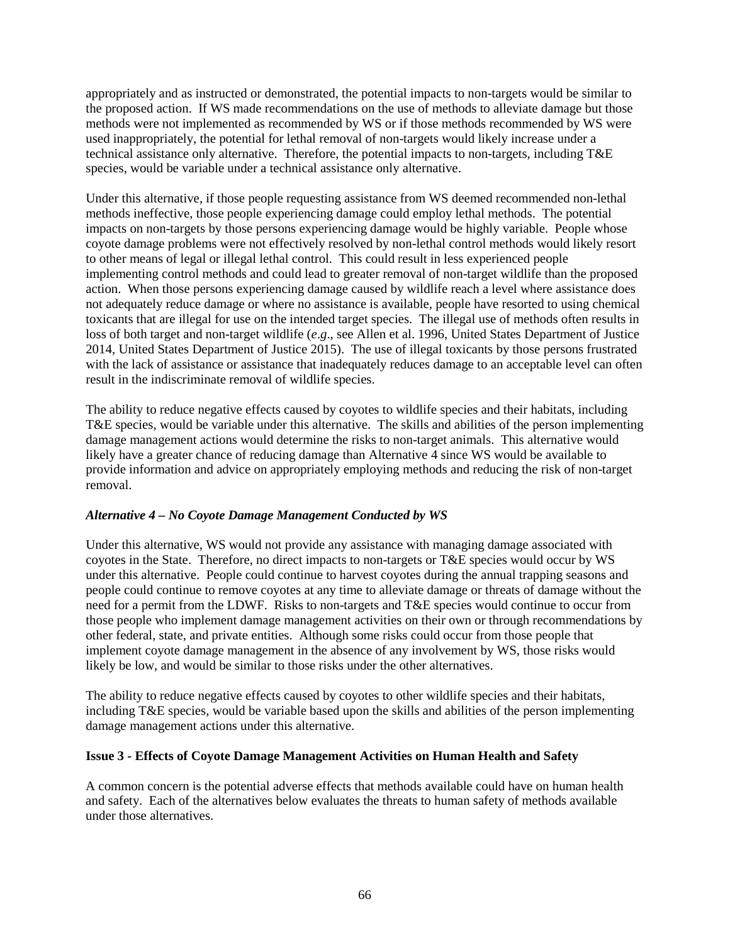appropriately and as instructed or demonstrated, the potential impacts to non-targets would be similar to the proposed action. If WS made recommendations on the use of methods to alleviate damage but those methods were not implemented as recommended by WS or if those methods recommended by WS were used inappropriately, the potential for lethal removal of non-targets would likely increase under a technical assistance only alternative. Therefore, the potential impacts to non-targets, including T&E species, would be variable under a technical assistance only alternative.

Under this alternative, if those people requesting assistance from WS deemed recommended non-lethal methods ineffective, those people experiencing damage could employ lethal methods. The potential impacts on non-targets by those persons experiencing damage would be highly variable. People whose coyote damage problems were not effectively resolved by non-lethal control methods would likely resort to other means of legal or illegal lethal control. This could result in less experienced people implementing control methods and could lead to greater removal of non-target wildlife than the proposed action. When those persons experiencing damage caused by wildlife reach a level where assistance does not adequately reduce damage or where no assistance is available, people have resorted to using chemical toxicants that are illegal for use on the intended target species. The illegal use of methods often results in loss of both target and non-target wildlife (*e*.*g*., see Allen et al. 1996, United States Department of Justice 2014, United States Department of Justice 2015). The use of illegal toxicants by those persons frustrated with the lack of assistance or assistance that inadequately reduces damage to an acceptable level can often result in the indiscriminate removal of wildlife species.

The ability to reduce negative effects caused by coyotes to wildlife species and their habitats, including T&E species, would be variable under this alternative. The skills and abilities of the person implementing damage management actions would determine the risks to non-target animals. This alternative would likely have a greater chance of reducing damage than Alternative 4 since WS would be available to provide information and advice on appropriately employing methods and reducing the risk of non-target removal.

#### *Alternative 4 – No Coyote Damage Management Conducted by WS*

Under this alternative, WS would not provide any assistance with managing damage associated with coyotes in the State. Therefore, no direct impacts to non-targets or T&E species would occur by WS under this alternative. People could continue to harvest coyotes during the annual trapping seasons and people could continue to remove coyotes at any time to alleviate damage or threats of damage without the need for a permit from the LDWF. Risks to non-targets and T&E species would continue to occur from those people who implement damage management activities on their own or through recommendations by other federal, state, and private entities. Although some risks could occur from those people that implement coyote damage management in the absence of any involvement by WS, those risks would likely be low, and would be similar to those risks under the other alternatives.

The ability to reduce negative effects caused by coyotes to other wildlife species and their habitats, including T&E species, would be variable based upon the skills and abilities of the person implementing damage management actions under this alternative.

#### **Issue 3 - Effects of Coyote Damage Management Activities on Human Health and Safety**

A common concern is the potential adverse effects that methods available could have on human health and safety. Each of the alternatives below evaluates the threats to human safety of methods available under those alternatives.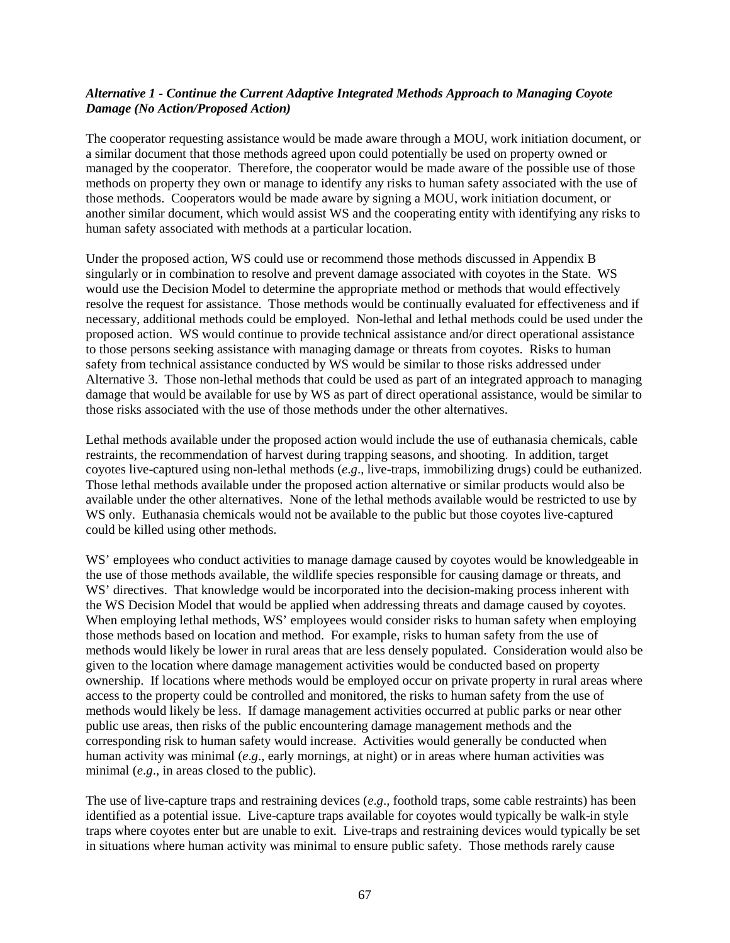### *Alternative 1 - Continue the Current Adaptive Integrated Methods Approach to Managing Coyote Damage (No Action/Proposed Action)*

The cooperator requesting assistance would be made aware through a MOU, work initiation document, or a similar document that those methods agreed upon could potentially be used on property owned or managed by the cooperator. Therefore, the cooperator would be made aware of the possible use of those methods on property they own or manage to identify any risks to human safety associated with the use of those methods. Cooperators would be made aware by signing a MOU, work initiation document, or another similar document, which would assist WS and the cooperating entity with identifying any risks to human safety associated with methods at a particular location.

Under the proposed action, WS could use or recommend those methods discussed in Appendix B singularly or in combination to resolve and prevent damage associated with coyotes in the State. WS would use the Decision Model to determine the appropriate method or methods that would effectively resolve the request for assistance. Those methods would be continually evaluated for effectiveness and if necessary, additional methods could be employed. Non-lethal and lethal methods could be used under the proposed action. WS would continue to provide technical assistance and/or direct operational assistance to those persons seeking assistance with managing damage or threats from coyotes. Risks to human safety from technical assistance conducted by WS would be similar to those risks addressed under Alternative 3. Those non-lethal methods that could be used as part of an integrated approach to managing damage that would be available for use by WS as part of direct operational assistance, would be similar to those risks associated with the use of those methods under the other alternatives.

Lethal methods available under the proposed action would include the use of euthanasia chemicals, cable restraints, the recommendation of harvest during trapping seasons, and shooting. In addition, target coyotes live-captured using non-lethal methods (*e*.*g*., live-traps, immobilizing drugs) could be euthanized. Those lethal methods available under the proposed action alternative or similar products would also be available under the other alternatives. None of the lethal methods available would be restricted to use by WS only. Euthanasia chemicals would not be available to the public but those coyotes live-captured could be killed using other methods.

WS' employees who conduct activities to manage damage caused by coyotes would be knowledgeable in the use of those methods available, the wildlife species responsible for causing damage or threats, and WS' directives. That knowledge would be incorporated into the decision-making process inherent with the WS Decision Model that would be applied when addressing threats and damage caused by coyotes. When employing lethal methods, WS' employees would consider risks to human safety when employing those methods based on location and method. For example, risks to human safety from the use of methods would likely be lower in rural areas that are less densely populated. Consideration would also be given to the location where damage management activities would be conducted based on property ownership. If locations where methods would be employed occur on private property in rural areas where access to the property could be controlled and monitored, the risks to human safety from the use of methods would likely be less. If damage management activities occurred at public parks or near other public use areas, then risks of the public encountering damage management methods and the corresponding risk to human safety would increase. Activities would generally be conducted when human activity was minimal (*e*.*g*., early mornings, at night) or in areas where human activities was minimal (*e.g.*, in areas closed to the public).

The use of live-capture traps and restraining devices (*e*.*g*., foothold traps, some cable restraints) has been identified as a potential issue. Live-capture traps available for coyotes would typically be walk-in style traps where coyotes enter but are unable to exit. Live-traps and restraining devices would typically be set in situations where human activity was minimal to ensure public safety. Those methods rarely cause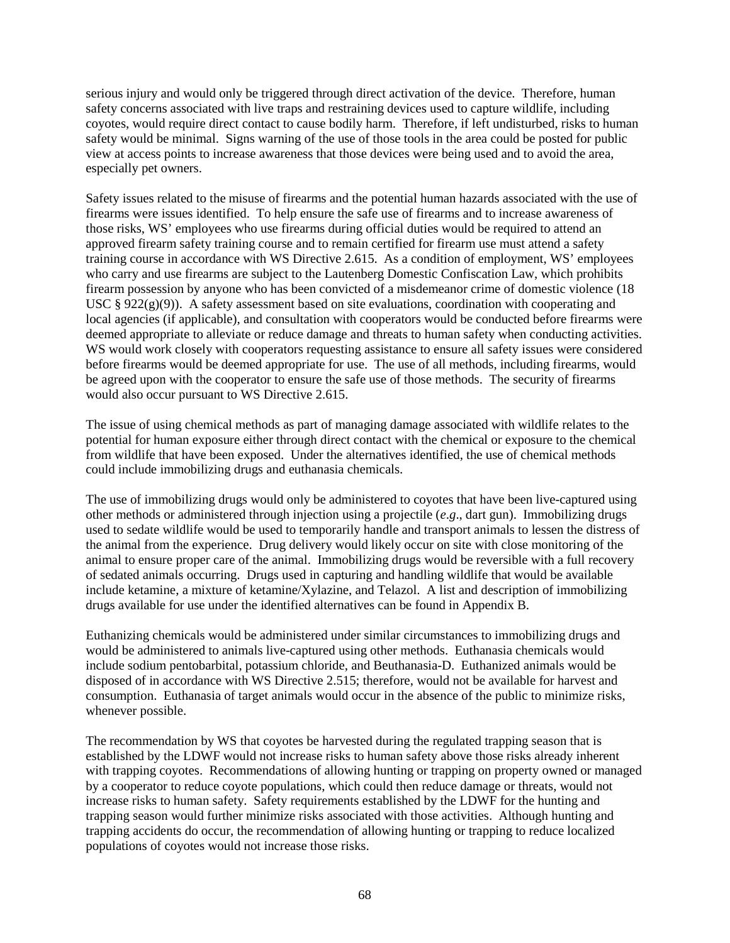serious injury and would only be triggered through direct activation of the device. Therefore, human safety concerns associated with live traps and restraining devices used to capture wildlife, including coyotes, would require direct contact to cause bodily harm. Therefore, if left undisturbed, risks to human safety would be minimal. Signs warning of the use of those tools in the area could be posted for public view at access points to increase awareness that those devices were being used and to avoid the area, especially pet owners.

Safety issues related to the misuse of firearms and the potential human hazards associated with the use of firearms were issues identified. To help ensure the safe use of firearms and to increase awareness of those risks, WS' employees who use firearms during official duties would be required to attend an approved firearm safety training course and to remain certified for firearm use must attend a safety training course in accordance with WS Directive 2.615. As a condition of employment, WS' employees who carry and use firearms are subject to the Lautenberg Domestic Confiscation Law, which prohibits firearm possession by anyone who has been convicted of a misdemeanor crime of domestic violence (18 USC § 922(g)(9)). A safety assessment based on site evaluations, coordination with cooperating and local agencies (if applicable), and consultation with cooperators would be conducted before firearms were deemed appropriate to alleviate or reduce damage and threats to human safety when conducting activities. WS would work closely with cooperators requesting assistance to ensure all safety issues were considered before firearms would be deemed appropriate for use. The use of all methods, including firearms, would be agreed upon with the cooperator to ensure the safe use of those methods. The security of firearms would also occur pursuant to WS Directive 2.615.

The issue of using chemical methods as part of managing damage associated with wildlife relates to the potential for human exposure either through direct contact with the chemical or exposure to the chemical from wildlife that have been exposed. Under the alternatives identified, the use of chemical methods could include immobilizing drugs and euthanasia chemicals.

The use of immobilizing drugs would only be administered to coyotes that have been live-captured using other methods or administered through injection using a projectile (*e*.*g*., dart gun). Immobilizing drugs used to sedate wildlife would be used to temporarily handle and transport animals to lessen the distress of the animal from the experience. Drug delivery would likely occur on site with close monitoring of the animal to ensure proper care of the animal. Immobilizing drugs would be reversible with a full recovery of sedated animals occurring. Drugs used in capturing and handling wildlife that would be available include ketamine, a mixture of ketamine/Xylazine, and Telazol. A list and description of immobilizing drugs available for use under the identified alternatives can be found in Appendix B.

Euthanizing chemicals would be administered under similar circumstances to immobilizing drugs and would be administered to animals live-captured using other methods. Euthanasia chemicals would include sodium pentobarbital, potassium chloride, and Beuthanasia-D. Euthanized animals would be disposed of in accordance with WS Directive 2.515; therefore, would not be available for harvest and consumption. Euthanasia of target animals would occur in the absence of the public to minimize risks, whenever possible.

The recommendation by WS that coyotes be harvested during the regulated trapping season that is established by the LDWF would not increase risks to human safety above those risks already inherent with trapping coyotes. Recommendations of allowing hunting or trapping on property owned or managed by a cooperator to reduce coyote populations, which could then reduce damage or threats, would not increase risks to human safety. Safety requirements established by the LDWF for the hunting and trapping season would further minimize risks associated with those activities. Although hunting and trapping accidents do occur, the recommendation of allowing hunting or trapping to reduce localized populations of coyotes would not increase those risks.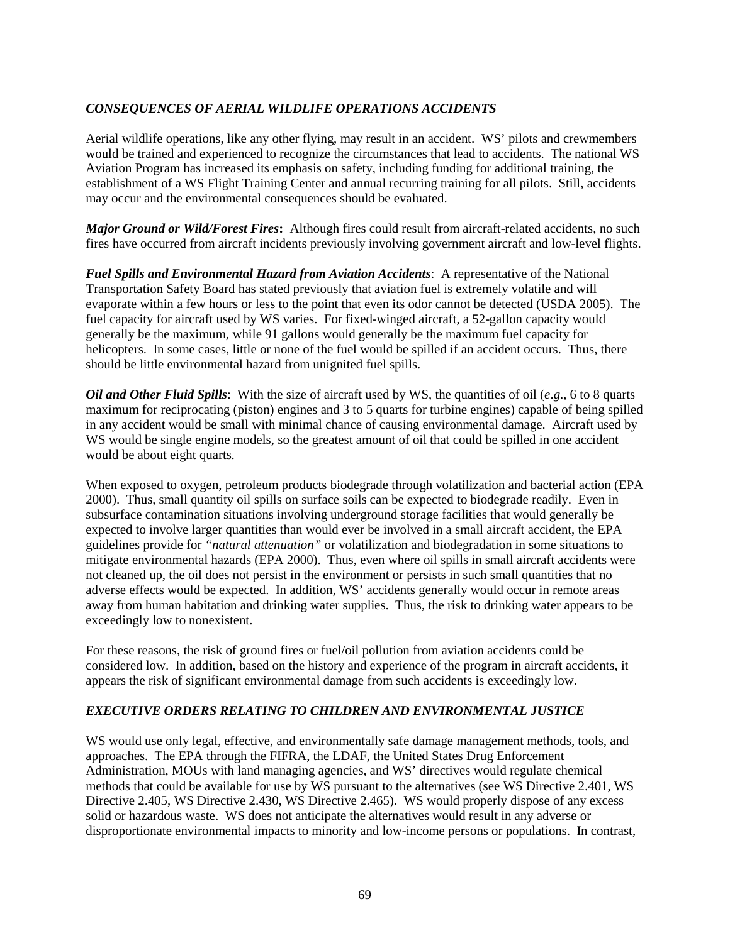# *CONSEQUENCES OF AERIAL WILDLIFE OPERATIONS ACCIDENTS*

Aerial wildlife operations, like any other flying, may result in an accident. WS' pilots and crewmembers would be trained and experienced to recognize the circumstances that lead to accidents. The national WS Aviation Program has increased its emphasis on safety, including funding for additional training, the establishment of a WS Flight Training Center and annual recurring training for all pilots. Still, accidents may occur and the environmental consequences should be evaluated.

*Major Ground or Wild/Forest Fires***:** Although fires could result from aircraft-related accidents, no such fires have occurred from aircraft incidents previously involving government aircraft and low-level flights.

*Fuel Spills and Environmental Hazard from Aviation Accidents*: A representative of the National Transportation Safety Board has stated previously that aviation fuel is extremely volatile and will evaporate within a few hours or less to the point that even its odor cannot be detected (USDA 2005). The fuel capacity for aircraft used by WS varies. For fixed-winged aircraft, a 52-gallon capacity would generally be the maximum, while 91 gallons would generally be the maximum fuel capacity for helicopters. In some cases, little or none of the fuel would be spilled if an accident occurs. Thus, there should be little environmental hazard from unignited fuel spills.

*Oil and Other Fluid Spills*: With the size of aircraft used by WS, the quantities of oil (*e*.*g*., 6 to 8 quarts maximum for reciprocating (piston) engines and 3 to 5 quarts for turbine engines) capable of being spilled in any accident would be small with minimal chance of causing environmental damage. Aircraft used by WS would be single engine models, so the greatest amount of oil that could be spilled in one accident would be about eight quarts.

When exposed to oxygen, petroleum products biodegrade through volatilization and bacterial action (EPA 2000). Thus, small quantity oil spills on surface soils can be expected to biodegrade readily. Even in subsurface contamination situations involving underground storage facilities that would generally be expected to involve larger quantities than would ever be involved in a small aircraft accident, the EPA guidelines provide for *"natural attenuation"* or volatilization and biodegradation in some situations to mitigate environmental hazards (EPA 2000). Thus, even where oil spills in small aircraft accidents were not cleaned up, the oil does not persist in the environment or persists in such small quantities that no adverse effects would be expected. In addition, WS' accidents generally would occur in remote areas away from human habitation and drinking water supplies. Thus, the risk to drinking water appears to be exceedingly low to nonexistent.

For these reasons, the risk of ground fires or fuel/oil pollution from aviation accidents could be considered low. In addition, based on the history and experience of the program in aircraft accidents, it appears the risk of significant environmental damage from such accidents is exceedingly low.

# *EXECUTIVE ORDERS RELATING TO CHILDREN AND ENVIRONMENTAL JUSTICE*

WS would use only legal, effective, and environmentally safe damage management methods, tools, and approaches. The EPA through the FIFRA, the LDAF, the United States Drug Enforcement Administration, MOUs with land managing agencies, and WS' directives would regulate chemical methods that could be available for use by WS pursuant to the alternatives (see WS Directive 2.401, WS Directive 2.405, WS Directive 2.430, WS Directive 2.465). WS would properly dispose of any excess solid or hazardous waste. WS does not anticipate the alternatives would result in any adverse or disproportionate environmental impacts to minority and low-income persons or populations. In contrast,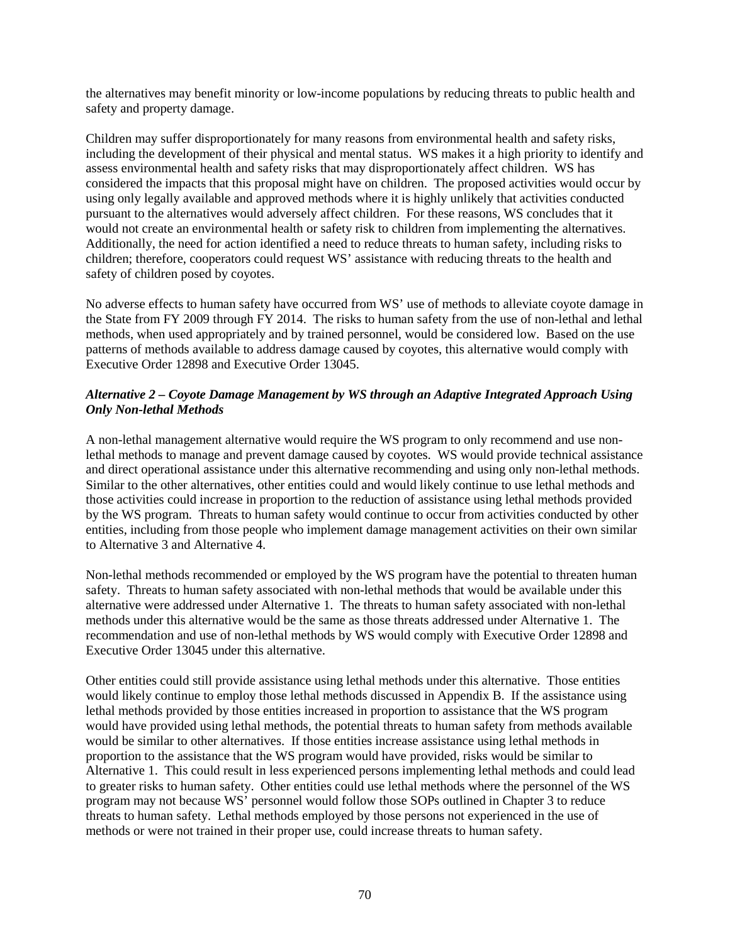the alternatives may benefit minority or low-income populations by reducing threats to public health and safety and property damage.

Children may suffer disproportionately for many reasons from environmental health and safety risks, including the development of their physical and mental status. WS makes it a high priority to identify and assess environmental health and safety risks that may disproportionately affect children. WS has considered the impacts that this proposal might have on children. The proposed activities would occur by using only legally available and approved methods where it is highly unlikely that activities conducted pursuant to the alternatives would adversely affect children. For these reasons, WS concludes that it would not create an environmental health or safety risk to children from implementing the alternatives. Additionally, the need for action identified a need to reduce threats to human safety, including risks to children; therefore, cooperators could request WS' assistance with reducing threats to the health and safety of children posed by coyotes.

No adverse effects to human safety have occurred from WS' use of methods to alleviate coyote damage in the State from FY 2009 through FY 2014. The risks to human safety from the use of non-lethal and lethal methods, when used appropriately and by trained personnel, would be considered low. Based on the use patterns of methods available to address damage caused by coyotes, this alternative would comply with Executive Order 12898 and Executive Order 13045.

# *Alternative 2 – Coyote Damage Management by WS through an Adaptive Integrated Approach Using Only Non-lethal Methods*

A non-lethal management alternative would require the WS program to only recommend and use nonlethal methods to manage and prevent damage caused by coyotes. WS would provide technical assistance and direct operational assistance under this alternative recommending and using only non-lethal methods. Similar to the other alternatives, other entities could and would likely continue to use lethal methods and those activities could increase in proportion to the reduction of assistance using lethal methods provided by the WS program. Threats to human safety would continue to occur from activities conducted by other entities, including from those people who implement damage management activities on their own similar to Alternative 3 and Alternative 4.

Non-lethal methods recommended or employed by the WS program have the potential to threaten human safety. Threats to human safety associated with non-lethal methods that would be available under this alternative were addressed under Alternative 1. The threats to human safety associated with non-lethal methods under this alternative would be the same as those threats addressed under Alternative 1. The recommendation and use of non-lethal methods by WS would comply with Executive Order 12898 and Executive Order 13045 under this alternative.

Other entities could still provide assistance using lethal methods under this alternative. Those entities would likely continue to employ those lethal methods discussed in Appendix B. If the assistance using lethal methods provided by those entities increased in proportion to assistance that the WS program would have provided using lethal methods, the potential threats to human safety from methods available would be similar to other alternatives. If those entities increase assistance using lethal methods in proportion to the assistance that the WS program would have provided, risks would be similar to Alternative 1. This could result in less experienced persons implementing lethal methods and could lead to greater risks to human safety. Other entities could use lethal methods where the personnel of the WS program may not because WS' personnel would follow those SOPs outlined in Chapter 3 to reduce threats to human safety. Lethal methods employed by those persons not experienced in the use of methods or were not trained in their proper use, could increase threats to human safety.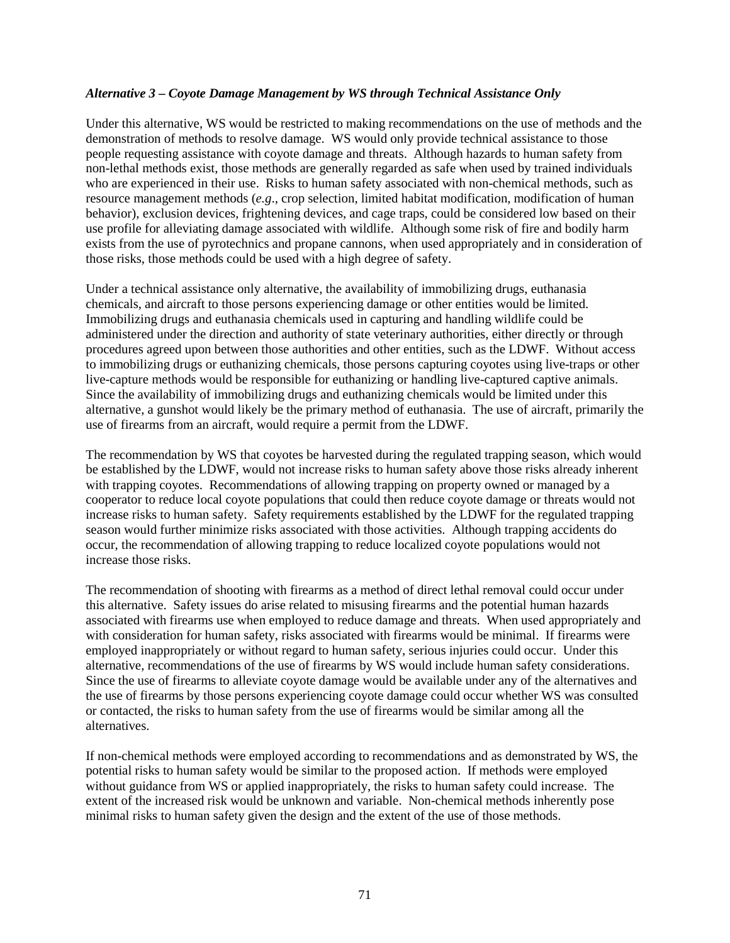#### *Alternative 3 – Coyote Damage Management by WS through Technical Assistance Only*

Under this alternative, WS would be restricted to making recommendations on the use of methods and the demonstration of methods to resolve damage. WS would only provide technical assistance to those people requesting assistance with coyote damage and threats. Although hazards to human safety from non-lethal methods exist, those methods are generally regarded as safe when used by trained individuals who are experienced in their use. Risks to human safety associated with non-chemical methods, such as resource management methods (*e.g*., crop selection, limited habitat modification, modification of human behavior), exclusion devices, frightening devices, and cage traps, could be considered low based on their use profile for alleviating damage associated with wildlife. Although some risk of fire and bodily harm exists from the use of pyrotechnics and propane cannons, when used appropriately and in consideration of those risks, those methods could be used with a high degree of safety.

Under a technical assistance only alternative, the availability of immobilizing drugs, euthanasia chemicals, and aircraft to those persons experiencing damage or other entities would be limited. Immobilizing drugs and euthanasia chemicals used in capturing and handling wildlife could be administered under the direction and authority of state veterinary authorities, either directly or through procedures agreed upon between those authorities and other entities, such as the LDWF. Without access to immobilizing drugs or euthanizing chemicals, those persons capturing coyotes using live-traps or other live-capture methods would be responsible for euthanizing or handling live-captured captive animals. Since the availability of immobilizing drugs and euthanizing chemicals would be limited under this alternative, a gunshot would likely be the primary method of euthanasia. The use of aircraft, primarily the use of firearms from an aircraft, would require a permit from the LDWF.

The recommendation by WS that coyotes be harvested during the regulated trapping season, which would be established by the LDWF, would not increase risks to human safety above those risks already inherent with trapping coyotes. Recommendations of allowing trapping on property owned or managed by a cooperator to reduce local coyote populations that could then reduce coyote damage or threats would not increase risks to human safety. Safety requirements established by the LDWF for the regulated trapping season would further minimize risks associated with those activities. Although trapping accidents do occur, the recommendation of allowing trapping to reduce localized coyote populations would not increase those risks.

The recommendation of shooting with firearms as a method of direct lethal removal could occur under this alternative. Safety issues do arise related to misusing firearms and the potential human hazards associated with firearms use when employed to reduce damage and threats. When used appropriately and with consideration for human safety, risks associated with firearms would be minimal. If firearms were employed inappropriately or without regard to human safety, serious injuries could occur. Under this alternative, recommendations of the use of firearms by WS would include human safety considerations. Since the use of firearms to alleviate coyote damage would be available under any of the alternatives and the use of firearms by those persons experiencing coyote damage could occur whether WS was consulted or contacted, the risks to human safety from the use of firearms would be similar among all the alternatives.

If non-chemical methods were employed according to recommendations and as demonstrated by WS, the potential risks to human safety would be similar to the proposed action. If methods were employed without guidance from WS or applied inappropriately, the risks to human safety could increase. The extent of the increased risk would be unknown and variable. Non-chemical methods inherently pose minimal risks to human safety given the design and the extent of the use of those methods.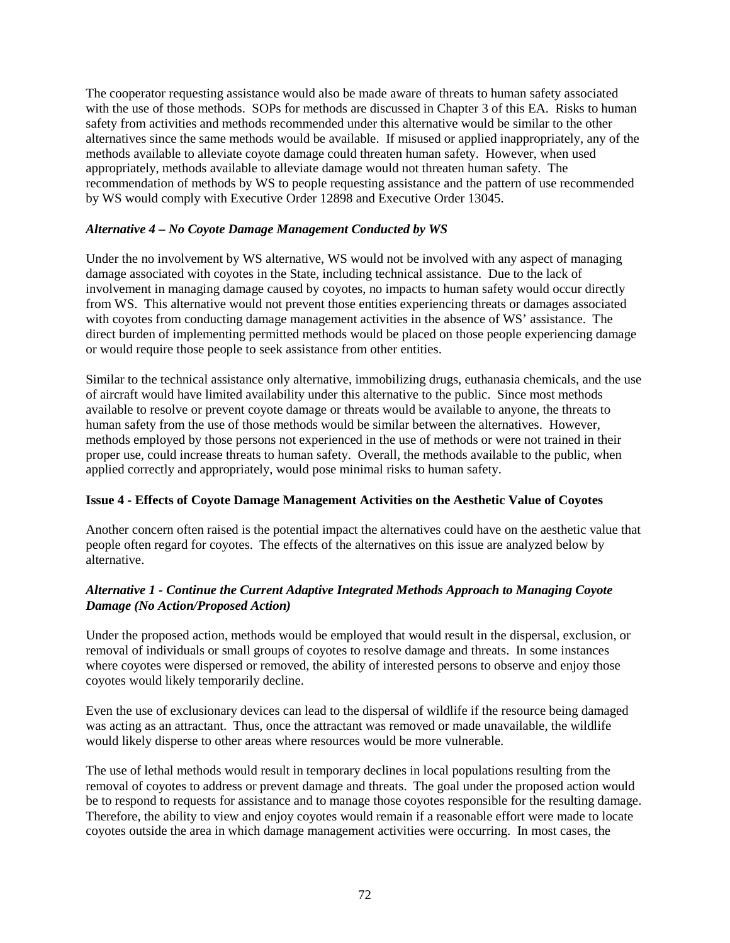The cooperator requesting assistance would also be made aware of threats to human safety associated with the use of those methods. SOPs for methods are discussed in Chapter 3 of this EA. Risks to human safety from activities and methods recommended under this alternative would be similar to the other alternatives since the same methods would be available. If misused or applied inappropriately, any of the methods available to alleviate coyote damage could threaten human safety. However, when used appropriately, methods available to alleviate damage would not threaten human safety. The recommendation of methods by WS to people requesting assistance and the pattern of use recommended by WS would comply with Executive Order 12898 and Executive Order 13045.

# *Alternative 4 – No Coyote Damage Management Conducted by WS*

Under the no involvement by WS alternative, WS would not be involved with any aspect of managing damage associated with coyotes in the State, including technical assistance. Due to the lack of involvement in managing damage caused by coyotes, no impacts to human safety would occur directly from WS. This alternative would not prevent those entities experiencing threats or damages associated with coyotes from conducting damage management activities in the absence of WS' assistance. The direct burden of implementing permitted methods would be placed on those people experiencing damage or would require those people to seek assistance from other entities.

Similar to the technical assistance only alternative, immobilizing drugs, euthanasia chemicals, and the use of aircraft would have limited availability under this alternative to the public. Since most methods available to resolve or prevent coyote damage or threats would be available to anyone, the threats to human safety from the use of those methods would be similar between the alternatives. However, methods employed by those persons not experienced in the use of methods or were not trained in their proper use, could increase threats to human safety. Overall, the methods available to the public, when applied correctly and appropriately, would pose minimal risks to human safety.

### **Issue 4 - Effects of Coyote Damage Management Activities on the Aesthetic Value of Coyotes**

Another concern often raised is the potential impact the alternatives could have on the aesthetic value that people often regard for coyotes. The effects of the alternatives on this issue are analyzed below by alternative.

# *Alternative 1 - Continue the Current Adaptive Integrated Methods Approach to Managing Coyote Damage (No Action/Proposed Action)*

Under the proposed action, methods would be employed that would result in the dispersal, exclusion, or removal of individuals or small groups of coyotes to resolve damage and threats. In some instances where coyotes were dispersed or removed, the ability of interested persons to observe and enjoy those coyotes would likely temporarily decline.

Even the use of exclusionary devices can lead to the dispersal of wildlife if the resource being damaged was acting as an attractant. Thus, once the attractant was removed or made unavailable, the wildlife would likely disperse to other areas where resources would be more vulnerable.

The use of lethal methods would result in temporary declines in local populations resulting from the removal of coyotes to address or prevent damage and threats. The goal under the proposed action would be to respond to requests for assistance and to manage those coyotes responsible for the resulting damage. Therefore, the ability to view and enjoy coyotes would remain if a reasonable effort were made to locate coyotes outside the area in which damage management activities were occurring. In most cases, the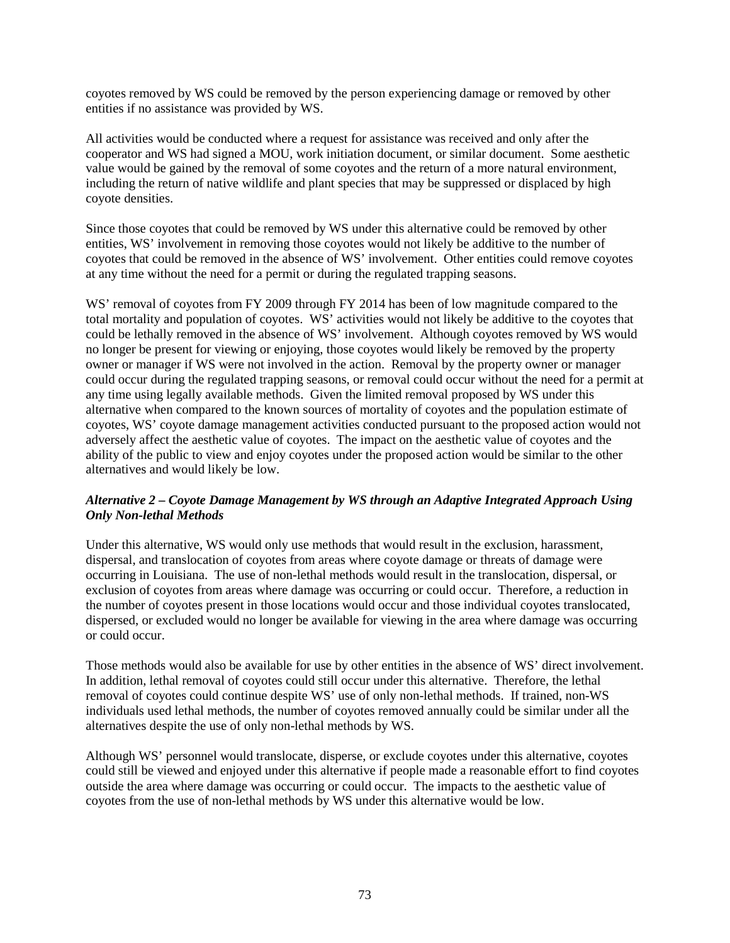coyotes removed by WS could be removed by the person experiencing damage or removed by other entities if no assistance was provided by WS.

All activities would be conducted where a request for assistance was received and only after the cooperator and WS had signed a MOU, work initiation document, or similar document. Some aesthetic value would be gained by the removal of some coyotes and the return of a more natural environment, including the return of native wildlife and plant species that may be suppressed or displaced by high coyote densities.

Since those coyotes that could be removed by WS under this alternative could be removed by other entities, WS' involvement in removing those coyotes would not likely be additive to the number of coyotes that could be removed in the absence of WS' involvement. Other entities could remove coyotes at any time without the need for a permit or during the regulated trapping seasons.

WS' removal of covotes from FY 2009 through FY 2014 has been of low magnitude compared to the total mortality and population of coyotes. WS' activities would not likely be additive to the coyotes that could be lethally removed in the absence of WS' involvement. Although coyotes removed by WS would no longer be present for viewing or enjoying, those coyotes would likely be removed by the property owner or manager if WS were not involved in the action. Removal by the property owner or manager could occur during the regulated trapping seasons, or removal could occur without the need for a permit at any time using legally available methods. Given the limited removal proposed by WS under this alternative when compared to the known sources of mortality of coyotes and the population estimate of coyotes, WS' coyote damage management activities conducted pursuant to the proposed action would not adversely affect the aesthetic value of coyotes. The impact on the aesthetic value of coyotes and the ability of the public to view and enjoy coyotes under the proposed action would be similar to the other alternatives and would likely be low.

# *Alternative 2 – Coyote Damage Management by WS through an Adaptive Integrated Approach Using Only Non-lethal Methods*

Under this alternative, WS would only use methods that would result in the exclusion, harassment, dispersal, and translocation of coyotes from areas where coyote damage or threats of damage were occurring in Louisiana. The use of non-lethal methods would result in the translocation, dispersal, or exclusion of coyotes from areas where damage was occurring or could occur. Therefore, a reduction in the number of coyotes present in those locations would occur and those individual coyotes translocated, dispersed, or excluded would no longer be available for viewing in the area where damage was occurring or could occur.

Those methods would also be available for use by other entities in the absence of WS' direct involvement. In addition, lethal removal of coyotes could still occur under this alternative. Therefore, the lethal removal of coyotes could continue despite WS' use of only non-lethal methods. If trained, non-WS individuals used lethal methods, the number of coyotes removed annually could be similar under all the alternatives despite the use of only non-lethal methods by WS.

Although WS' personnel would translocate, disperse, or exclude coyotes under this alternative, coyotes could still be viewed and enjoyed under this alternative if people made a reasonable effort to find coyotes outside the area where damage was occurring or could occur. The impacts to the aesthetic value of coyotes from the use of non-lethal methods by WS under this alternative would be low.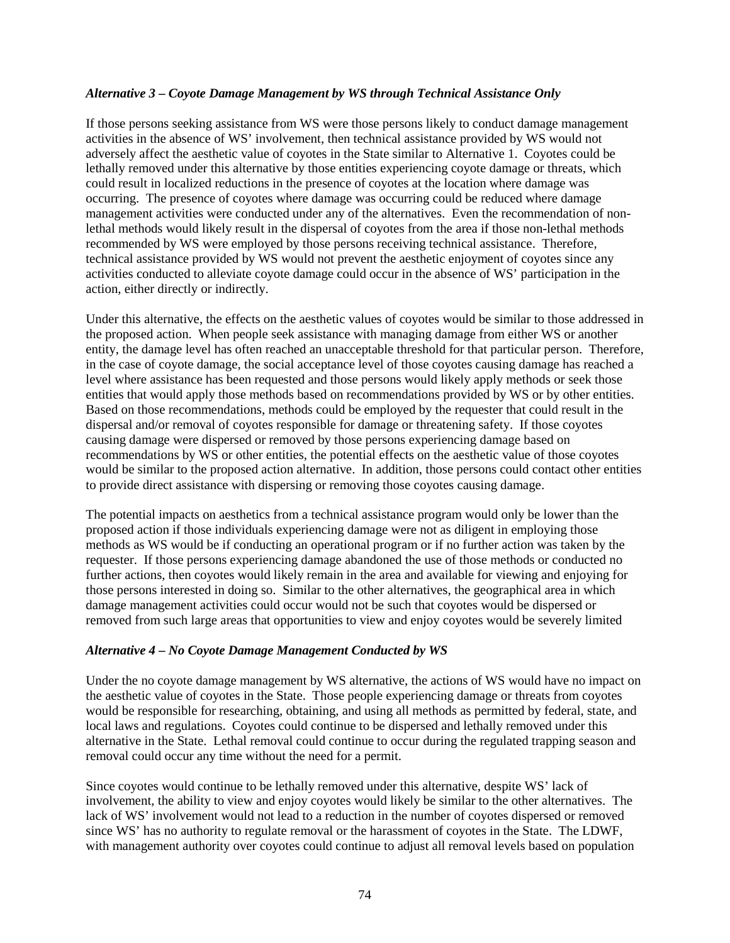#### *Alternative 3 – Coyote Damage Management by WS through Technical Assistance Only*

If those persons seeking assistance from WS were those persons likely to conduct damage management activities in the absence of WS' involvement, then technical assistance provided by WS would not adversely affect the aesthetic value of coyotes in the State similar to Alternative 1. Coyotes could be lethally removed under this alternative by those entities experiencing coyote damage or threats, which could result in localized reductions in the presence of coyotes at the location where damage was occurring. The presence of coyotes where damage was occurring could be reduced where damage management activities were conducted under any of the alternatives. Even the recommendation of nonlethal methods would likely result in the dispersal of coyotes from the area if those non-lethal methods recommended by WS were employed by those persons receiving technical assistance. Therefore, technical assistance provided by WS would not prevent the aesthetic enjoyment of coyotes since any activities conducted to alleviate coyote damage could occur in the absence of WS' participation in the action, either directly or indirectly.

Under this alternative, the effects on the aesthetic values of coyotes would be similar to those addressed in the proposed action. When people seek assistance with managing damage from either WS or another entity, the damage level has often reached an unacceptable threshold for that particular person. Therefore, in the case of coyote damage, the social acceptance level of those coyotes causing damage has reached a level where assistance has been requested and those persons would likely apply methods or seek those entities that would apply those methods based on recommendations provided by WS or by other entities. Based on those recommendations, methods could be employed by the requester that could result in the dispersal and/or removal of coyotes responsible for damage or threatening safety. If those coyotes causing damage were dispersed or removed by those persons experiencing damage based on recommendations by WS or other entities, the potential effects on the aesthetic value of those coyotes would be similar to the proposed action alternative. In addition, those persons could contact other entities to provide direct assistance with dispersing or removing those coyotes causing damage.

The potential impacts on aesthetics from a technical assistance program would only be lower than the proposed action if those individuals experiencing damage were not as diligent in employing those methods as WS would be if conducting an operational program or if no further action was taken by the requester. If those persons experiencing damage abandoned the use of those methods or conducted no further actions, then coyotes would likely remain in the area and available for viewing and enjoying for those persons interested in doing so. Similar to the other alternatives, the geographical area in which damage management activities could occur would not be such that coyotes would be dispersed or removed from such large areas that opportunities to view and enjoy coyotes would be severely limited

### *Alternative 4 – No Coyote Damage Management Conducted by WS*

Under the no coyote damage management by WS alternative, the actions of WS would have no impact on the aesthetic value of coyotes in the State. Those people experiencing damage or threats from coyotes would be responsible for researching, obtaining, and using all methods as permitted by federal, state, and local laws and regulations. Coyotes could continue to be dispersed and lethally removed under this alternative in the State. Lethal removal could continue to occur during the regulated trapping season and removal could occur any time without the need for a permit.

Since coyotes would continue to be lethally removed under this alternative, despite WS' lack of involvement, the ability to view and enjoy coyotes would likely be similar to the other alternatives. The lack of WS' involvement would not lead to a reduction in the number of coyotes dispersed or removed since WS' has no authority to regulate removal or the harassment of coyotes in the State. The LDWF, with management authority over coyotes could continue to adjust all removal levels based on population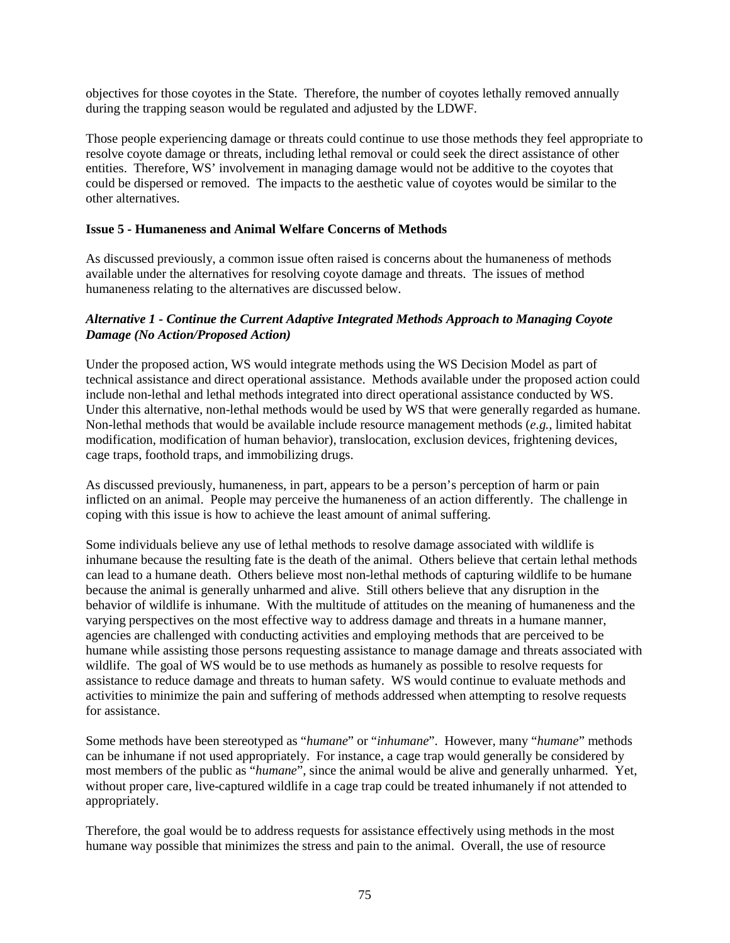objectives for those coyotes in the State. Therefore, the number of coyotes lethally removed annually during the trapping season would be regulated and adjusted by the LDWF.

Those people experiencing damage or threats could continue to use those methods they feel appropriate to resolve coyote damage or threats, including lethal removal or could seek the direct assistance of other entities. Therefore, WS' involvement in managing damage would not be additive to the coyotes that could be dispersed or removed. The impacts to the aesthetic value of coyotes would be similar to the other alternatives.

# **Issue 5 - Humaneness and Animal Welfare Concerns of Methods**

As discussed previously, a common issue often raised is concerns about the humaneness of methods available under the alternatives for resolving coyote damage and threats. The issues of method humaneness relating to the alternatives are discussed below.

### *Alternative 1 - Continue the Current Adaptive Integrated Methods Approach to Managing Coyote Damage (No Action/Proposed Action)*

Under the proposed action, WS would integrate methods using the WS Decision Model as part of technical assistance and direct operational assistance. Methods available under the proposed action could include non-lethal and lethal methods integrated into direct operational assistance conducted by WS. Under this alternative, non-lethal methods would be used by WS that were generally regarded as humane. Non-lethal methods that would be available include resource management methods (*e.g.*, limited habitat modification, modification of human behavior), translocation, exclusion devices, frightening devices, cage traps, foothold traps, and immobilizing drugs.

As discussed previously, humaneness, in part, appears to be a person's perception of harm or pain inflicted on an animal. People may perceive the humaneness of an action differently. The challenge in coping with this issue is how to achieve the least amount of animal suffering.

Some individuals believe any use of lethal methods to resolve damage associated with wildlife is inhumane because the resulting fate is the death of the animal. Others believe that certain lethal methods can lead to a humane death. Others believe most non-lethal methods of capturing wildlife to be humane because the animal is generally unharmed and alive. Still others believe that any disruption in the behavior of wildlife is inhumane. With the multitude of attitudes on the meaning of humaneness and the varying perspectives on the most effective way to address damage and threats in a humane manner, agencies are challenged with conducting activities and employing methods that are perceived to be humane while assisting those persons requesting assistance to manage damage and threats associated with wildlife. The goal of WS would be to use methods as humanely as possible to resolve requests for assistance to reduce damage and threats to human safety. WS would continue to evaluate methods and activities to minimize the pain and suffering of methods addressed when attempting to resolve requests for assistance.

Some methods have been stereotyped as "*humane*" or "*inhumane*". However, many "*humane*" methods can be inhumane if not used appropriately. For instance, a cage trap would generally be considered by most members of the public as "*humane*", since the animal would be alive and generally unharmed. Yet, without proper care, live-captured wildlife in a cage trap could be treated inhumanely if not attended to appropriately.

Therefore, the goal would be to address requests for assistance effectively using methods in the most humane way possible that minimizes the stress and pain to the animal. Overall, the use of resource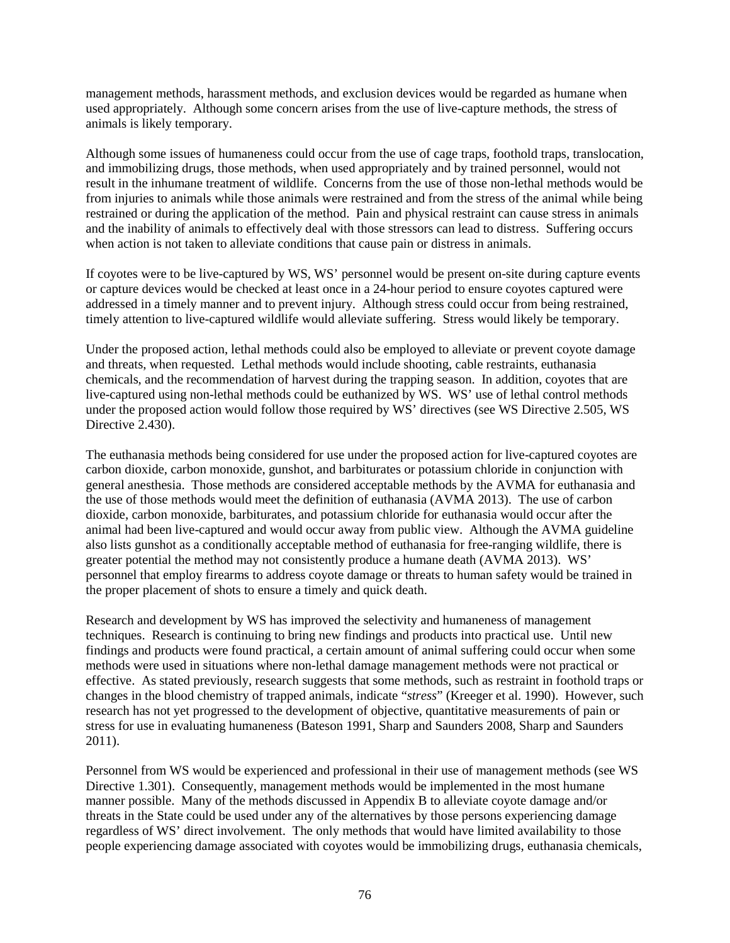management methods, harassment methods, and exclusion devices would be regarded as humane when used appropriately. Although some concern arises from the use of live-capture methods, the stress of animals is likely temporary.

Although some issues of humaneness could occur from the use of cage traps, foothold traps, translocation, and immobilizing drugs, those methods, when used appropriately and by trained personnel, would not result in the inhumane treatment of wildlife. Concerns from the use of those non-lethal methods would be from injuries to animals while those animals were restrained and from the stress of the animal while being restrained or during the application of the method. Pain and physical restraint can cause stress in animals and the inability of animals to effectively deal with those stressors can lead to distress. Suffering occurs when action is not taken to alleviate conditions that cause pain or distress in animals.

If coyotes were to be live-captured by WS, WS' personnel would be present on-site during capture events or capture devices would be checked at least once in a 24-hour period to ensure coyotes captured were addressed in a timely manner and to prevent injury. Although stress could occur from being restrained, timely attention to live-captured wildlife would alleviate suffering. Stress would likely be temporary.

Under the proposed action, lethal methods could also be employed to alleviate or prevent coyote damage and threats, when requested. Lethal methods would include shooting, cable restraints, euthanasia chemicals, and the recommendation of harvest during the trapping season. In addition, coyotes that are live-captured using non-lethal methods could be euthanized by WS. WS' use of lethal control methods under the proposed action would follow those required by WS' directives (see WS Directive 2.505, WS Directive 2.430).

The euthanasia methods being considered for use under the proposed action for live-captured coyotes are carbon dioxide, carbon monoxide, gunshot, and barbiturates or potassium chloride in conjunction with general anesthesia. Those methods are considered acceptable methods by the AVMA for euthanasia and the use of those methods would meet the definition of euthanasia (AVMA 2013). The use of carbon dioxide, carbon monoxide, barbiturates, and potassium chloride for euthanasia would occur after the animal had been live-captured and would occur away from public view. Although the AVMA guideline also lists gunshot as a conditionally acceptable method of euthanasia for free-ranging wildlife, there is greater potential the method may not consistently produce a humane death (AVMA 2013). WS' personnel that employ firearms to address coyote damage or threats to human safety would be trained in the proper placement of shots to ensure a timely and quick death.

Research and development by WS has improved the selectivity and humaneness of management techniques. Research is continuing to bring new findings and products into practical use. Until new findings and products were found practical, a certain amount of animal suffering could occur when some methods were used in situations where non-lethal damage management methods were not practical or effective. As stated previously, research suggests that some methods, such as restraint in foothold traps or changes in the blood chemistry of trapped animals, indicate "*stress*" (Kreeger et al. 1990). However, such research has not yet progressed to the development of objective, quantitative measurements of pain or stress for use in evaluating humaneness (Bateson 1991, Sharp and Saunders 2008, Sharp and Saunders 2011).

Personnel from WS would be experienced and professional in their use of management methods (see WS Directive 1.301). Consequently, management methods would be implemented in the most humane manner possible. Many of the methods discussed in Appendix B to alleviate coyote damage and/or threats in the State could be used under any of the alternatives by those persons experiencing damage regardless of WS' direct involvement. The only methods that would have limited availability to those people experiencing damage associated with coyotes would be immobilizing drugs, euthanasia chemicals,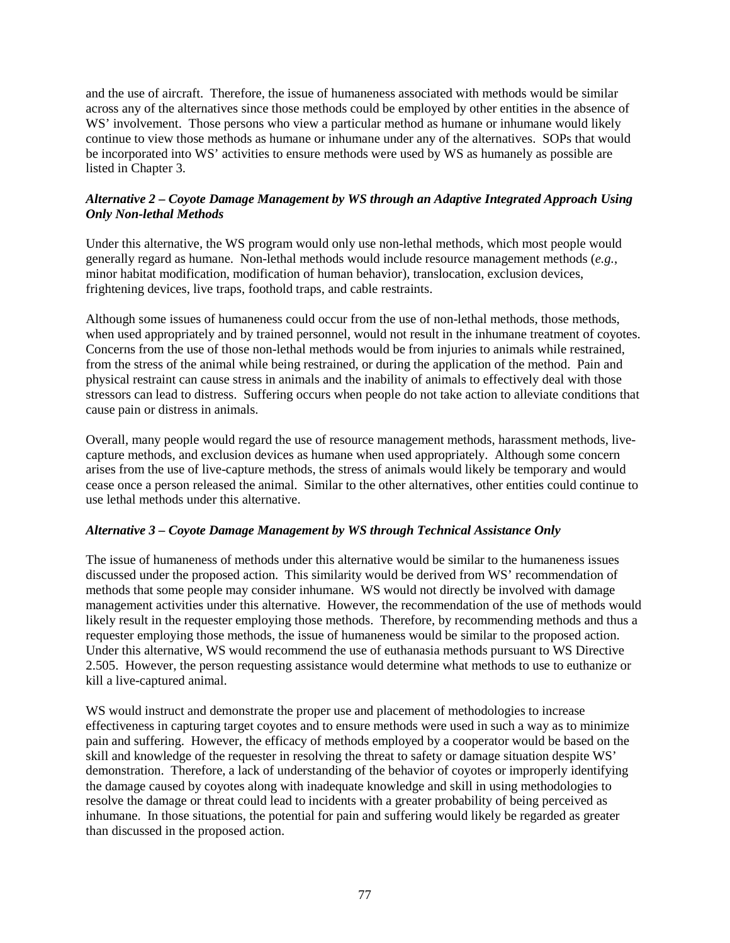and the use of aircraft. Therefore, the issue of humaneness associated with methods would be similar across any of the alternatives since those methods could be employed by other entities in the absence of WS' involvement. Those persons who view a particular method as humane or inhumane would likely continue to view those methods as humane or inhumane under any of the alternatives. SOPs that would be incorporated into WS' activities to ensure methods were used by WS as humanely as possible are listed in Chapter 3.

# *Alternative 2 – Coyote Damage Management by WS through an Adaptive Integrated Approach Using Only Non-lethal Methods*

Under this alternative, the WS program would only use non-lethal methods, which most people would generally regard as humane. Non-lethal methods would include resource management methods (*e.g.*, minor habitat modification, modification of human behavior), translocation, exclusion devices, frightening devices, live traps, foothold traps, and cable restraints.

Although some issues of humaneness could occur from the use of non-lethal methods, those methods, when used appropriately and by trained personnel, would not result in the inhumane treatment of coyotes. Concerns from the use of those non-lethal methods would be from injuries to animals while restrained, from the stress of the animal while being restrained, or during the application of the method. Pain and physical restraint can cause stress in animals and the inability of animals to effectively deal with those stressors can lead to distress. Suffering occurs when people do not take action to alleviate conditions that cause pain or distress in animals.

Overall, many people would regard the use of resource management methods, harassment methods, livecapture methods, and exclusion devices as humane when used appropriately. Although some concern arises from the use of live-capture methods, the stress of animals would likely be temporary and would cease once a person released the animal. Similar to the other alternatives, other entities could continue to use lethal methods under this alternative.

# *Alternative 3 – Coyote Damage Management by WS through Technical Assistance Only*

The issue of humaneness of methods under this alternative would be similar to the humaneness issues discussed under the proposed action. This similarity would be derived from WS' recommendation of methods that some people may consider inhumane. WS would not directly be involved with damage management activities under this alternative. However, the recommendation of the use of methods would likely result in the requester employing those methods. Therefore, by recommending methods and thus a requester employing those methods, the issue of humaneness would be similar to the proposed action. Under this alternative, WS would recommend the use of euthanasia methods pursuant to WS Directive 2.505. However, the person requesting assistance would determine what methods to use to euthanize or kill a live-captured animal.

WS would instruct and demonstrate the proper use and placement of methodologies to increase effectiveness in capturing target coyotes and to ensure methods were used in such a way as to minimize pain and suffering. However, the efficacy of methods employed by a cooperator would be based on the skill and knowledge of the requester in resolving the threat to safety or damage situation despite WS' demonstration. Therefore, a lack of understanding of the behavior of coyotes or improperly identifying the damage caused by coyotes along with inadequate knowledge and skill in using methodologies to resolve the damage or threat could lead to incidents with a greater probability of being perceived as inhumane. In those situations, the potential for pain and suffering would likely be regarded as greater than discussed in the proposed action.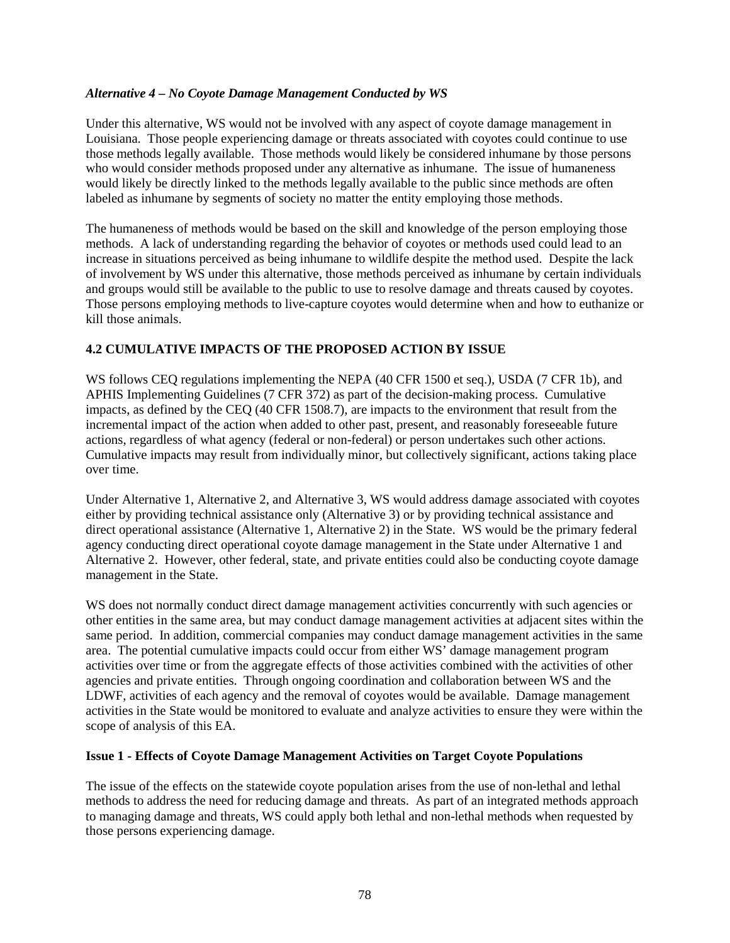### *Alternative 4 – No Coyote Damage Management Conducted by WS*

Under this alternative, WS would not be involved with any aspect of coyote damage management in Louisiana. Those people experiencing damage or threats associated with coyotes could continue to use those methods legally available. Those methods would likely be considered inhumane by those persons who would consider methods proposed under any alternative as inhumane. The issue of humaneness would likely be directly linked to the methods legally available to the public since methods are often labeled as inhumane by segments of society no matter the entity employing those methods.

The humaneness of methods would be based on the skill and knowledge of the person employing those methods. A lack of understanding regarding the behavior of coyotes or methods used could lead to an increase in situations perceived as being inhumane to wildlife despite the method used. Despite the lack of involvement by WS under this alternative, those methods perceived as inhumane by certain individuals and groups would still be available to the public to use to resolve damage and threats caused by coyotes. Those persons employing methods to live-capture coyotes would determine when and how to euthanize or kill those animals.

# **4.2 CUMULATIVE IMPACTS OF THE PROPOSED ACTION BY ISSUE**

WS follows CEQ regulations implementing the NEPA (40 CFR 1500 et seq.), USDA (7 CFR 1b), and APHIS Implementing Guidelines (7 CFR 372) as part of the decision-making process. Cumulative impacts, as defined by the CEQ (40 CFR 1508.7), are impacts to the environment that result from the incremental impact of the action when added to other past, present, and reasonably foreseeable future actions, regardless of what agency (federal or non-federal) or person undertakes such other actions. Cumulative impacts may result from individually minor, but collectively significant, actions taking place over time.

Under Alternative 1, Alternative 2, and Alternative 3, WS would address damage associated with coyotes either by providing technical assistance only (Alternative 3) or by providing technical assistance and direct operational assistance (Alternative 1, Alternative 2) in the State. WS would be the primary federal agency conducting direct operational coyote damage management in the State under Alternative 1 and Alternative 2. However, other federal, state, and private entities could also be conducting coyote damage management in the State.

WS does not normally conduct direct damage management activities concurrently with such agencies or other entities in the same area, but may conduct damage management activities at adjacent sites within the same period. In addition, commercial companies may conduct damage management activities in the same area. The potential cumulative impacts could occur from either WS' damage management program activities over time or from the aggregate effects of those activities combined with the activities of other agencies and private entities. Through ongoing coordination and collaboration between WS and the LDWF, activities of each agency and the removal of coyotes would be available. Damage management activities in the State would be monitored to evaluate and analyze activities to ensure they were within the scope of analysis of this EA.

### **Issue 1 - Effects of Coyote Damage Management Activities on Target Coyote Populations**

The issue of the effects on the statewide coyote population arises from the use of non-lethal and lethal methods to address the need for reducing damage and threats. As part of an integrated methods approach to managing damage and threats, WS could apply both lethal and non-lethal methods when requested by those persons experiencing damage.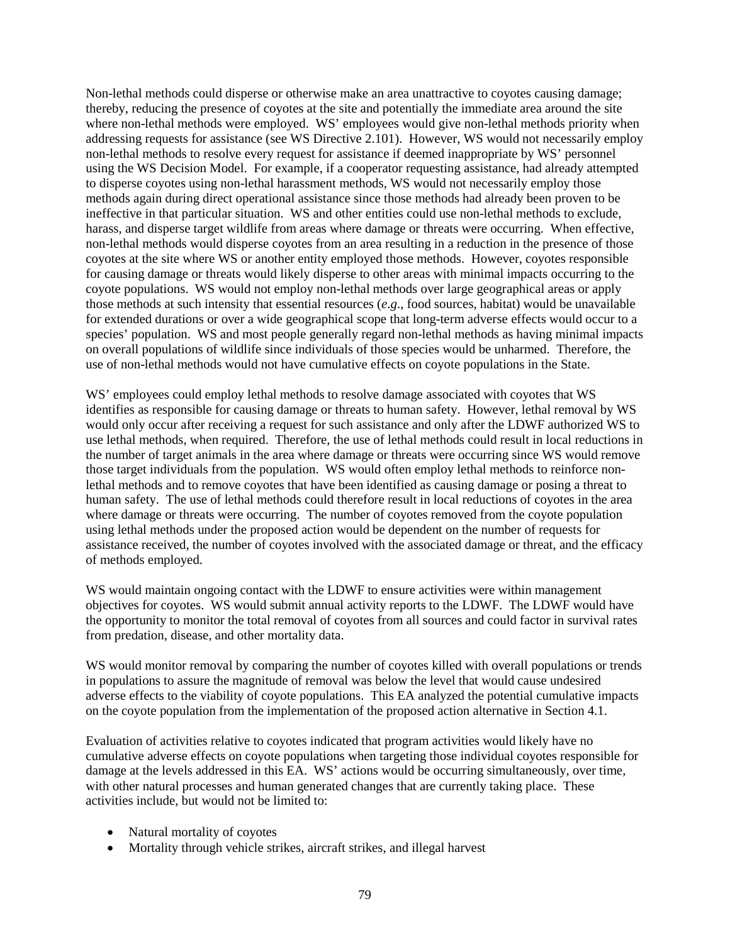Non-lethal methods could disperse or otherwise make an area unattractive to coyotes causing damage; thereby, reducing the presence of coyotes at the site and potentially the immediate area around the site where non-lethal methods were employed. WS' employees would give non-lethal methods priority when addressing requests for assistance (see WS Directive 2.101). However, WS would not necessarily employ non-lethal methods to resolve every request for assistance if deemed inappropriate by WS' personnel using the WS Decision Model. For example, if a cooperator requesting assistance, had already attempted to disperse coyotes using non-lethal harassment methods, WS would not necessarily employ those methods again during direct operational assistance since those methods had already been proven to be ineffective in that particular situation. WS and other entities could use non-lethal methods to exclude, harass, and disperse target wildlife from areas where damage or threats were occurring. When effective, non-lethal methods would disperse coyotes from an area resulting in a reduction in the presence of those coyotes at the site where WS or another entity employed those methods. However, coyotes responsible for causing damage or threats would likely disperse to other areas with minimal impacts occurring to the coyote populations. WS would not employ non-lethal methods over large geographical areas or apply those methods at such intensity that essential resources (*e*.*g*., food sources, habitat) would be unavailable for extended durations or over a wide geographical scope that long-term adverse effects would occur to a species' population. WS and most people generally regard non-lethal methods as having minimal impacts on overall populations of wildlife since individuals of those species would be unharmed. Therefore, the use of non-lethal methods would not have cumulative effects on coyote populations in the State.

WS' employees could employ lethal methods to resolve damage associated with coyotes that WS identifies as responsible for causing damage or threats to human safety. However, lethal removal by WS would only occur after receiving a request for such assistance and only after the LDWF authorized WS to use lethal methods, when required. Therefore, the use of lethal methods could result in local reductions in the number of target animals in the area where damage or threats were occurring since WS would remove those target individuals from the population. WS would often employ lethal methods to reinforce nonlethal methods and to remove coyotes that have been identified as causing damage or posing a threat to human safety. The use of lethal methods could therefore result in local reductions of coyotes in the area where damage or threats were occurring. The number of coyotes removed from the coyote population using lethal methods under the proposed action would be dependent on the number of requests for assistance received, the number of coyotes involved with the associated damage or threat, and the efficacy of methods employed.

WS would maintain ongoing contact with the LDWF to ensure activities were within management objectives for coyotes. WS would submit annual activity reports to the LDWF. The LDWF would have the opportunity to monitor the total removal of coyotes from all sources and could factor in survival rates from predation, disease, and other mortality data.

WS would monitor removal by comparing the number of coyotes killed with overall populations or trends in populations to assure the magnitude of removal was below the level that would cause undesired adverse effects to the viability of coyote populations. This EA analyzed the potential cumulative impacts on the coyote population from the implementation of the proposed action alternative in Section 4.1.

Evaluation of activities relative to coyotes indicated that program activities would likely have no cumulative adverse effects on coyote populations when targeting those individual coyotes responsible for damage at the levels addressed in this EA. WS' actions would be occurring simultaneously, over time, with other natural processes and human generated changes that are currently taking place. These activities include, but would not be limited to:

- Natural mortality of coyotes
- Mortality through vehicle strikes, aircraft strikes, and illegal harvest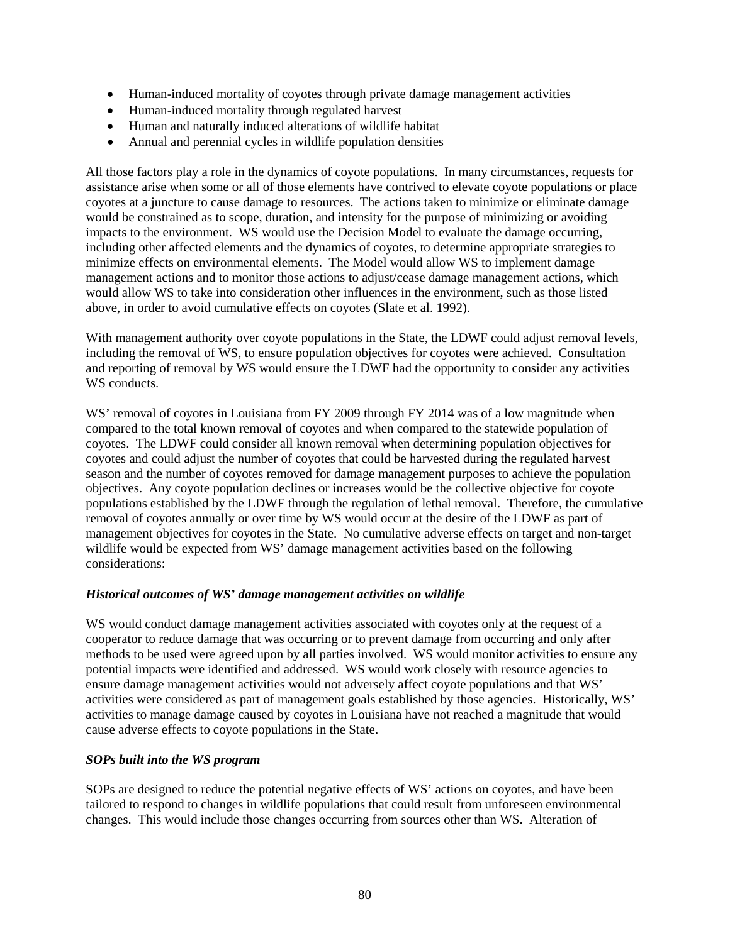- Human-induced mortality of coyotes through private damage management activities
- Human-induced mortality through regulated harvest
- Human and naturally induced alterations of wildlife habitat
- Annual and perennial cycles in wildlife population densities

All those factors play a role in the dynamics of coyote populations. In many circumstances, requests for assistance arise when some or all of those elements have contrived to elevate coyote populations or place coyotes at a juncture to cause damage to resources. The actions taken to minimize or eliminate damage would be constrained as to scope, duration, and intensity for the purpose of minimizing or avoiding impacts to the environment. WS would use the Decision Model to evaluate the damage occurring, including other affected elements and the dynamics of coyotes, to determine appropriate strategies to minimize effects on environmental elements. The Model would allow WS to implement damage management actions and to monitor those actions to adjust/cease damage management actions, which would allow WS to take into consideration other influences in the environment, such as those listed above, in order to avoid cumulative effects on coyotes (Slate et al. 1992).

With management authority over coyote populations in the State, the LDWF could adjust removal levels, including the removal of WS, to ensure population objectives for coyotes were achieved. Consultation and reporting of removal by WS would ensure the LDWF had the opportunity to consider any activities WS conducts.

WS' removal of coyotes in Louisiana from FY 2009 through FY 2014 was of a low magnitude when compared to the total known removal of coyotes and when compared to the statewide population of coyotes. The LDWF could consider all known removal when determining population objectives for coyotes and could adjust the number of coyotes that could be harvested during the regulated harvest season and the number of coyotes removed for damage management purposes to achieve the population objectives. Any coyote population declines or increases would be the collective objective for coyote populations established by the LDWF through the regulation of lethal removal. Therefore, the cumulative removal of coyotes annually or over time by WS would occur at the desire of the LDWF as part of management objectives for coyotes in the State. No cumulative adverse effects on target and non-target wildlife would be expected from WS' damage management activities based on the following considerations:

### *Historical outcomes of WS' damage management activities on wildlife*

WS would conduct damage management activities associated with coyotes only at the request of a cooperator to reduce damage that was occurring or to prevent damage from occurring and only after methods to be used were agreed upon by all parties involved. WS would monitor activities to ensure any potential impacts were identified and addressed. WS would work closely with resource agencies to ensure damage management activities would not adversely affect coyote populations and that WS' activities were considered as part of management goals established by those agencies. Historically, WS' activities to manage damage caused by coyotes in Louisiana have not reached a magnitude that would cause adverse effects to coyote populations in the State.

### *SOPs built into the WS program*

SOPs are designed to reduce the potential negative effects of WS' actions on coyotes, and have been tailored to respond to changes in wildlife populations that could result from unforeseen environmental changes. This would include those changes occurring from sources other than WS. Alteration of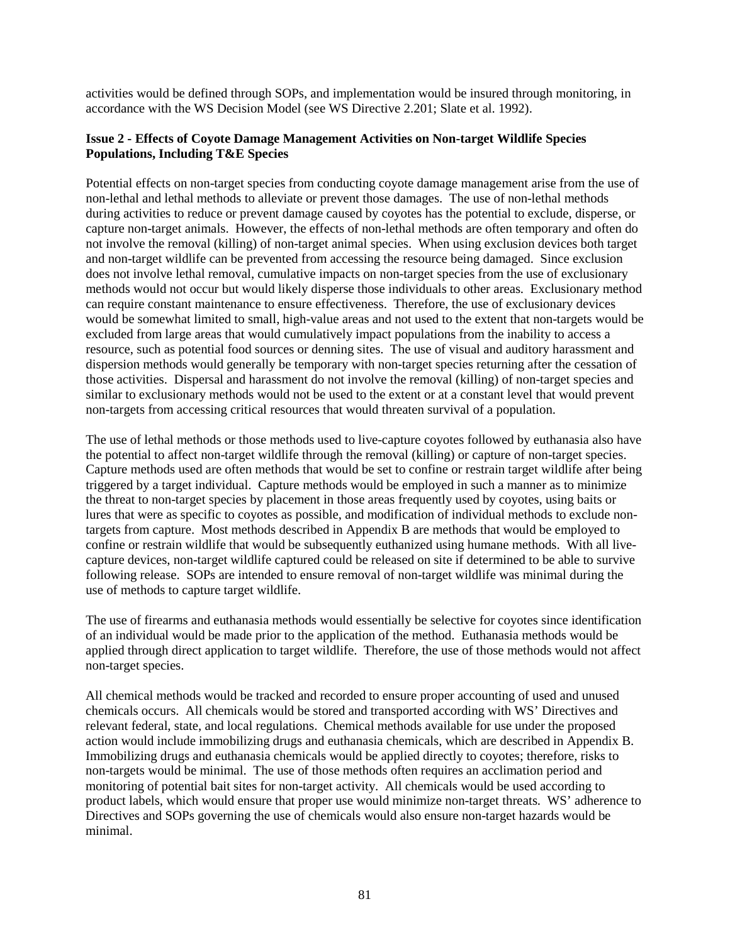activities would be defined through SOPs, and implementation would be insured through monitoring, in accordance with the WS Decision Model (see WS Directive 2.201; Slate et al. 1992).

# **Issue 2 - Effects of Coyote Damage Management Activities on Non-target Wildlife Species Populations, Including T&E Species**

Potential effects on non-target species from conducting coyote damage management arise from the use of non-lethal and lethal methods to alleviate or prevent those damages. The use of non-lethal methods during activities to reduce or prevent damage caused by coyotes has the potential to exclude, disperse, or capture non-target animals. However, the effects of non-lethal methods are often temporary and often do not involve the removal (killing) of non-target animal species. When using exclusion devices both target and non-target wildlife can be prevented from accessing the resource being damaged. Since exclusion does not involve lethal removal, cumulative impacts on non-target species from the use of exclusionary methods would not occur but would likely disperse those individuals to other areas. Exclusionary method can require constant maintenance to ensure effectiveness. Therefore, the use of exclusionary devices would be somewhat limited to small, high-value areas and not used to the extent that non-targets would be excluded from large areas that would cumulatively impact populations from the inability to access a resource, such as potential food sources or denning sites. The use of visual and auditory harassment and dispersion methods would generally be temporary with non-target species returning after the cessation of those activities. Dispersal and harassment do not involve the removal (killing) of non-target species and similar to exclusionary methods would not be used to the extent or at a constant level that would prevent non-targets from accessing critical resources that would threaten survival of a population.

The use of lethal methods or those methods used to live-capture coyotes followed by euthanasia also have the potential to affect non-target wildlife through the removal (killing) or capture of non-target species. Capture methods used are often methods that would be set to confine or restrain target wildlife after being triggered by a target individual. Capture methods would be employed in such a manner as to minimize the threat to non-target species by placement in those areas frequently used by coyotes, using baits or lures that were as specific to coyotes as possible, and modification of individual methods to exclude nontargets from capture. Most methods described in Appendix B are methods that would be employed to confine or restrain wildlife that would be subsequently euthanized using humane methods. With all livecapture devices, non-target wildlife captured could be released on site if determined to be able to survive following release. SOPs are intended to ensure removal of non-target wildlife was minimal during the use of methods to capture target wildlife.

The use of firearms and euthanasia methods would essentially be selective for coyotes since identification of an individual would be made prior to the application of the method. Euthanasia methods would be applied through direct application to target wildlife. Therefore, the use of those methods would not affect non-target species.

All chemical methods would be tracked and recorded to ensure proper accounting of used and unused chemicals occurs. All chemicals would be stored and transported according with WS' Directives and relevant federal, state, and local regulations. Chemical methods available for use under the proposed action would include immobilizing drugs and euthanasia chemicals, which are described in Appendix B. Immobilizing drugs and euthanasia chemicals would be applied directly to coyotes; therefore, risks to non-targets would be minimal. The use of those methods often requires an acclimation period and monitoring of potential bait sites for non-target activity. All chemicals would be used according to product labels, which would ensure that proper use would minimize non-target threats. WS' adherence to Directives and SOPs governing the use of chemicals would also ensure non-target hazards would be minimal.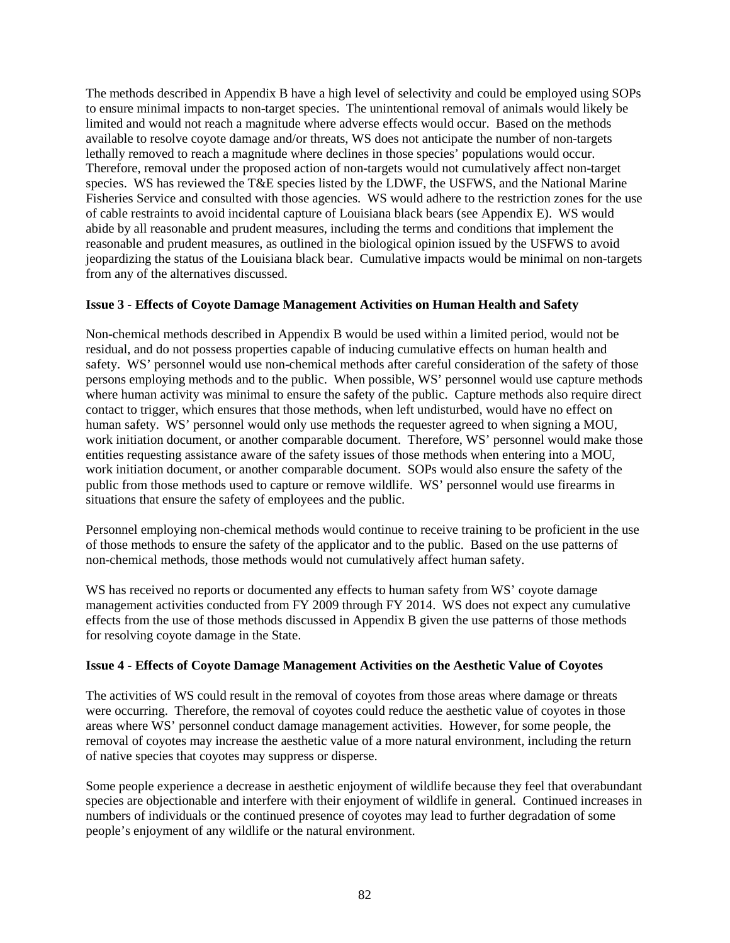The methods described in Appendix B have a high level of selectivity and could be employed using SOPs to ensure minimal impacts to non-target species. The unintentional removal of animals would likely be limited and would not reach a magnitude where adverse effects would occur. Based on the methods available to resolve coyote damage and/or threats, WS does not anticipate the number of non-targets lethally removed to reach a magnitude where declines in those species' populations would occur. Therefore, removal under the proposed action of non-targets would not cumulatively affect non-target species. WS has reviewed the T&E species listed by the LDWF, the USFWS, and the National Marine Fisheries Service and consulted with those agencies. WS would adhere to the restriction zones for the use of cable restraints to avoid incidental capture of Louisiana black bears (see Appendix E). WS would abide by all reasonable and prudent measures, including the terms and conditions that implement the reasonable and prudent measures, as outlined in the biological opinion issued by the USFWS to avoid jeopardizing the status of the Louisiana black bear. Cumulative impacts would be minimal on non-targets from any of the alternatives discussed.

# **Issue 3 - Effects of Coyote Damage Management Activities on Human Health and Safety**

Non-chemical methods described in Appendix B would be used within a limited period, would not be residual, and do not possess properties capable of inducing cumulative effects on human health and safety. WS' personnel would use non-chemical methods after careful consideration of the safety of those persons employing methods and to the public. When possible, WS' personnel would use capture methods where human activity was minimal to ensure the safety of the public. Capture methods also require direct contact to trigger, which ensures that those methods, when left undisturbed, would have no effect on human safety. WS' personnel would only use methods the requester agreed to when signing a MOU, work initiation document, or another comparable document. Therefore, WS' personnel would make those entities requesting assistance aware of the safety issues of those methods when entering into a MOU, work initiation document, or another comparable document. SOPs would also ensure the safety of the public from those methods used to capture or remove wildlife. WS' personnel would use firearms in situations that ensure the safety of employees and the public.

Personnel employing non-chemical methods would continue to receive training to be proficient in the use of those methods to ensure the safety of the applicator and to the public. Based on the use patterns of non-chemical methods, those methods would not cumulatively affect human safety.

WS has received no reports or documented any effects to human safety from WS' coyote damage management activities conducted from FY 2009 through FY 2014. WS does not expect any cumulative effects from the use of those methods discussed in Appendix B given the use patterns of those methods for resolving coyote damage in the State.

### **Issue 4 - Effects of Coyote Damage Management Activities on the Aesthetic Value of Coyotes**

The activities of WS could result in the removal of coyotes from those areas where damage or threats were occurring. Therefore, the removal of coyotes could reduce the aesthetic value of coyotes in those areas where WS' personnel conduct damage management activities. However, for some people, the removal of coyotes may increase the aesthetic value of a more natural environment, including the return of native species that coyotes may suppress or disperse.

Some people experience a decrease in aesthetic enjoyment of wildlife because they feel that overabundant species are objectionable and interfere with their enjoyment of wildlife in general. Continued increases in numbers of individuals or the continued presence of coyotes may lead to further degradation of some people's enjoyment of any wildlife or the natural environment.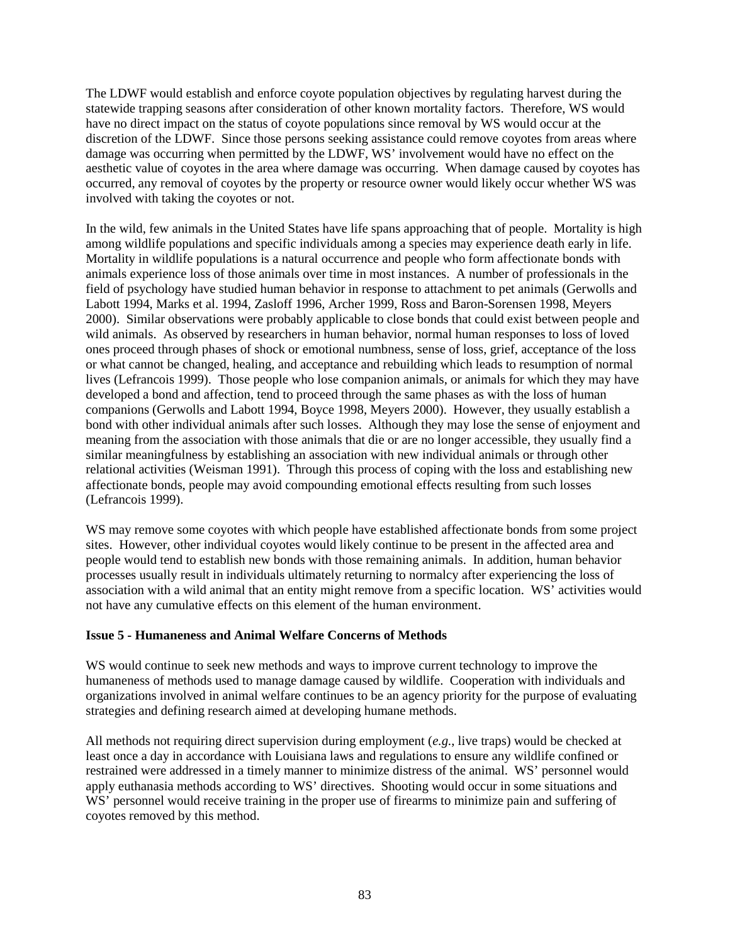The LDWF would establish and enforce coyote population objectives by regulating harvest during the statewide trapping seasons after consideration of other known mortality factors. Therefore, WS would have no direct impact on the status of coyote populations since removal by WS would occur at the discretion of the LDWF. Since those persons seeking assistance could remove coyotes from areas where damage was occurring when permitted by the LDWF, WS' involvement would have no effect on the aesthetic value of coyotes in the area where damage was occurring. When damage caused by coyotes has occurred, any removal of coyotes by the property or resource owner would likely occur whether WS was involved with taking the coyotes or not.

In the wild, few animals in the United States have life spans approaching that of people. Mortality is high among wildlife populations and specific individuals among a species may experience death early in life. Mortality in wildlife populations is a natural occurrence and people who form affectionate bonds with animals experience loss of those animals over time in most instances. A number of professionals in the field of psychology have studied human behavior in response to attachment to pet animals (Gerwolls and Labott 1994, Marks et al. 1994, Zasloff 1996, Archer 1999, Ross and Baron-Sorensen 1998, Meyers 2000). Similar observations were probably applicable to close bonds that could exist between people and wild animals. As observed by researchers in human behavior, normal human responses to loss of loved ones proceed through phases of shock or emotional numbness, sense of loss, grief, acceptance of the loss or what cannot be changed, healing, and acceptance and rebuilding which leads to resumption of normal lives (Lefrancois 1999). Those people who lose companion animals, or animals for which they may have developed a bond and affection, tend to proceed through the same phases as with the loss of human companions (Gerwolls and Labott 1994, Boyce 1998, Meyers 2000). However, they usually establish a bond with other individual animals after such losses. Although they may lose the sense of enjoyment and meaning from the association with those animals that die or are no longer accessible, they usually find a similar meaningfulness by establishing an association with new individual animals or through other relational activities (Weisman 1991). Through this process of coping with the loss and establishing new affectionate bonds, people may avoid compounding emotional effects resulting from such losses (Lefrancois 1999).

WS may remove some coyotes with which people have established affectionate bonds from some project sites. However, other individual coyotes would likely continue to be present in the affected area and people would tend to establish new bonds with those remaining animals. In addition, human behavior processes usually result in individuals ultimately returning to normalcy after experiencing the loss of association with a wild animal that an entity might remove from a specific location. WS' activities would not have any cumulative effects on this element of the human environment.

### **Issue 5 - Humaneness and Animal Welfare Concerns of Methods**

WS would continue to seek new methods and ways to improve current technology to improve the humaneness of methods used to manage damage caused by wildlife. Cooperation with individuals and organizations involved in animal welfare continues to be an agency priority for the purpose of evaluating strategies and defining research aimed at developing humane methods.

All methods not requiring direct supervision during employment (*e.g.*, live traps) would be checked at least once a day in accordance with Louisiana laws and regulations to ensure any wildlife confined or restrained were addressed in a timely manner to minimize distress of the animal. WS' personnel would apply euthanasia methods according to WS' directives. Shooting would occur in some situations and WS' personnel would receive training in the proper use of firearms to minimize pain and suffering of coyotes removed by this method.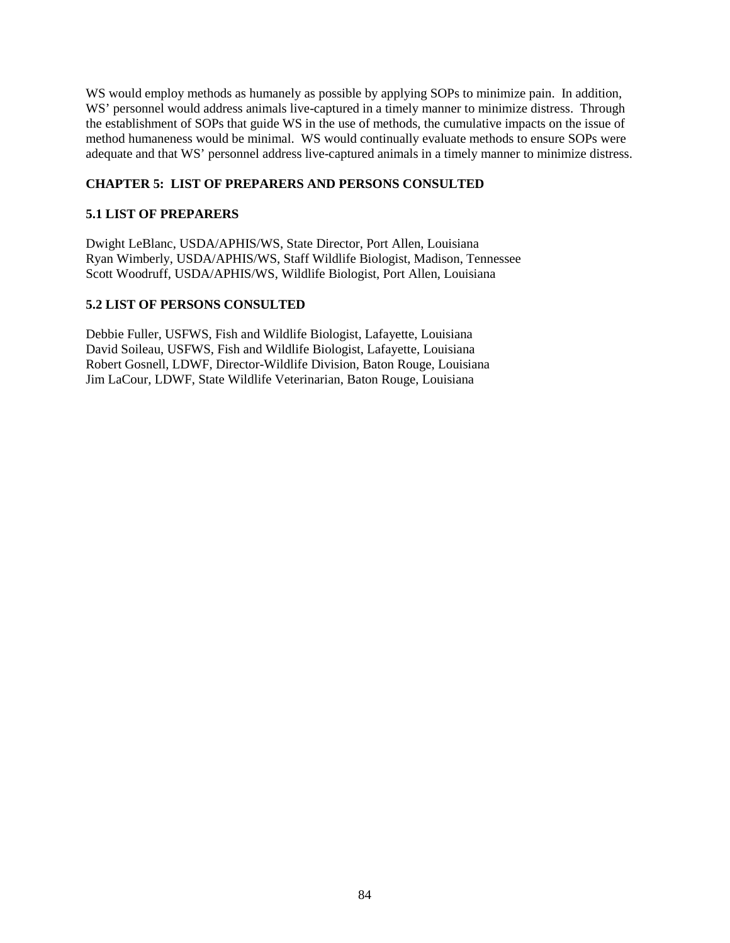WS would employ methods as humanely as possible by applying SOPs to minimize pain. In addition, WS' personnel would address animals live-captured in a timely manner to minimize distress. Through the establishment of SOPs that guide WS in the use of methods, the cumulative impacts on the issue of method humaneness would be minimal. WS would continually evaluate methods to ensure SOPs were adequate and that WS' personnel address live-captured animals in a timely manner to minimize distress.

# **CHAPTER 5: LIST OF PREPARERS AND PERSONS CONSULTED**

# **5.1 LIST OF PREPARERS**

Dwight LeBlanc, USDA/APHIS/WS, State Director, Port Allen, Louisiana Ryan Wimberly, USDA/APHIS/WS, Staff Wildlife Biologist, Madison, Tennessee Scott Woodruff, USDA/APHIS/WS, Wildlife Biologist, Port Allen, Louisiana

# **5.2 LIST OF PERSONS CONSULTED**

Debbie Fuller, USFWS, Fish and Wildlife Biologist, Lafayette, Louisiana David Soileau, USFWS, Fish and Wildlife Biologist, Lafayette, Louisiana Robert Gosnell, LDWF, Director-Wildlife Division, Baton Rouge, Louisiana Jim LaCour, LDWF, State Wildlife Veterinarian, Baton Rouge, Louisiana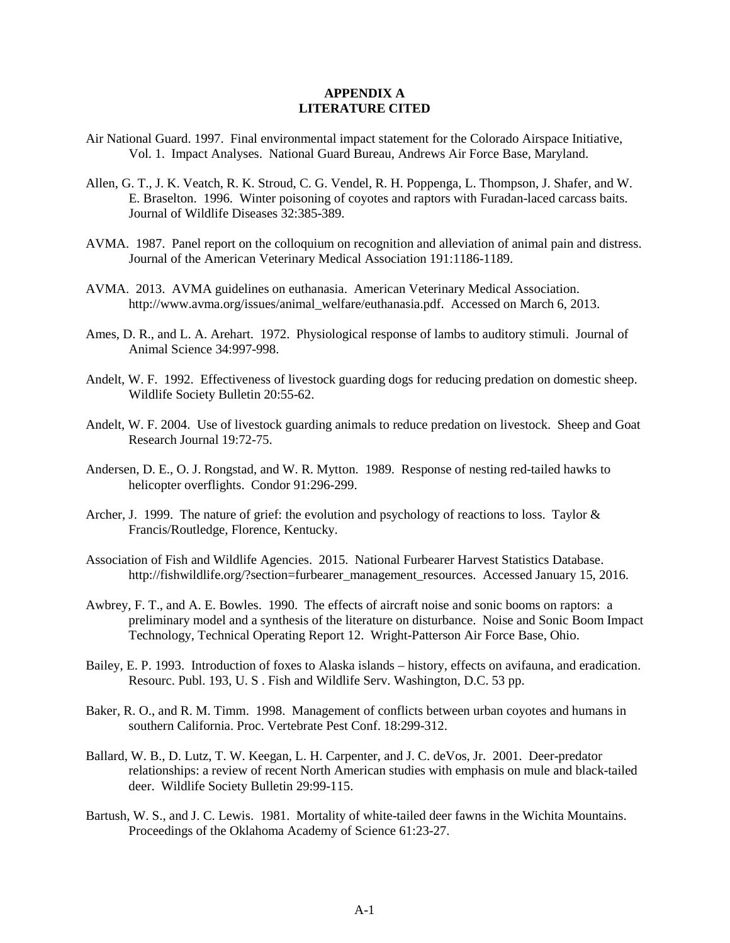#### **APPENDIX A LITERATURE CITED**

- Air National Guard. 1997. Final environmental impact statement for the Colorado Airspace Initiative, Vol. 1. Impact Analyses. National Guard Bureau, Andrews Air Force Base, Maryland.
- Allen, G. T., J. K. Veatch, R. K. Stroud, C. G. Vendel, R. H. Poppenga, L. Thompson, J. Shafer, and W. E. Braselton. 1996. Winter poisoning of coyotes and raptors with Furadan-laced carcass baits. Journal of Wildlife Diseases 32:385-389.
- AVMA. 1987. Panel report on the colloquium on recognition and alleviation of animal pain and distress. Journal of the American Veterinary Medical Association 191:1186-1189.
- AVMA. 2013. AVMA guidelines on euthanasia. American Veterinary Medical Association. http://www.avma.org/issues/animal\_welfare/euthanasia.pdf. Accessed on March 6, 2013.
- Ames, D. R., and L. A. Arehart. 1972. Physiological response of lambs to auditory stimuli. Journal of Animal Science 34:997-998.
- Andelt, W. F. 1992. Effectiveness of livestock guarding dogs for reducing predation on domestic sheep. Wildlife Society Bulletin 20:55-62.
- Andelt, W. F. 2004. Use of livestock guarding animals to reduce predation on livestock. Sheep and Goat Research Journal 19:72-75.
- Andersen, D. E., O. J. Rongstad, and W. R. Mytton. 1989. Response of nesting red-tailed hawks to helicopter overflights. Condor 91:296-299.
- Archer, J. 1999. The nature of grief: the evolution and psychology of reactions to loss. Taylor & Francis/Routledge, Florence, Kentucky.
- Association of Fish and Wildlife Agencies. 2015. National Furbearer Harvest Statistics Database. http://fishwildlife.org/?section=furbearer\_management\_resources. Accessed January 15, 2016.
- Awbrey, F. T., and A. E. Bowles. 1990. The effects of aircraft noise and sonic booms on raptors: a preliminary model and a synthesis of the literature on disturbance. Noise and Sonic Boom Impact Technology, Technical Operating Report 12. Wright-Patterson Air Force Base, Ohio.
- Bailey, E. P. 1993. Introduction of foxes to Alaska islands history, effects on avifauna, and eradication. Resourc. Publ. 193, U. S . Fish and Wildlife Serv. Washington, D.C. 53 pp.
- Baker, R. O., and R. M. Timm. 1998. Management of conflicts between urban coyotes and humans in southern California. Proc. Vertebrate Pest Conf. 18:299-312.
- Ballard, W. B., D. Lutz, T. W. Keegan, L. H. Carpenter, and J. C. deVos, Jr. 2001. Deer-predator relationships: a review of recent North American studies with emphasis on mule and black-tailed deer. Wildlife Society Bulletin 29:99-115.
- Bartush, W. S., and J. C. Lewis. 1981. Mortality of white-tailed deer fawns in the Wichita Mountains. Proceedings of the Oklahoma Academy of Science 61:23-27.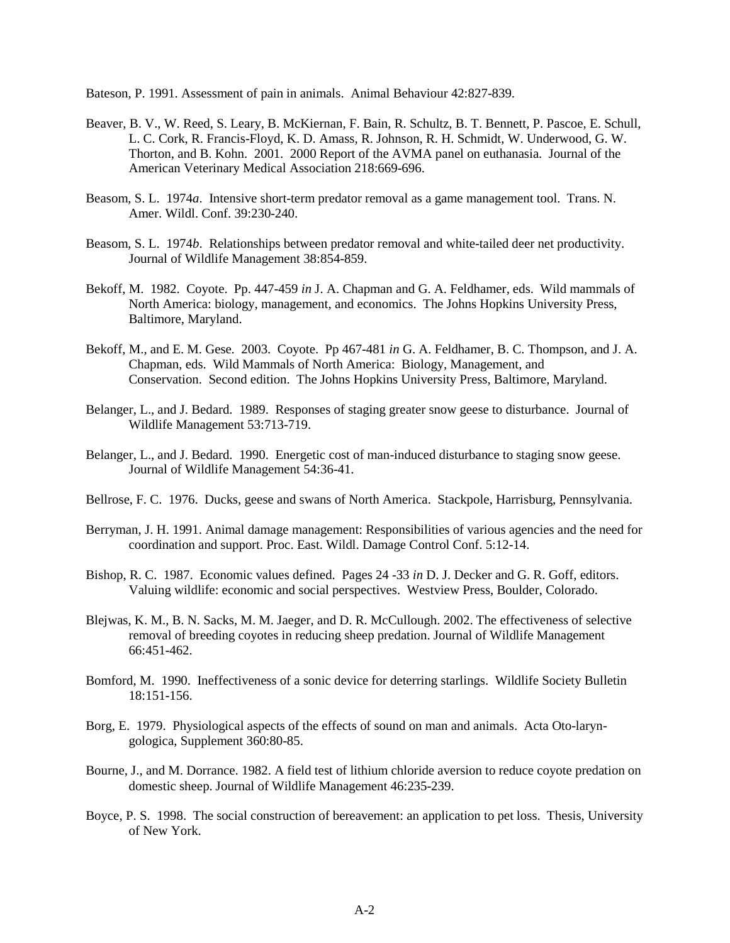Bateson, P. 1991. Assessment of pain in animals. Animal Behaviour 42:827-839.

- Beaver, B. V., W. Reed, S. Leary, B. McKiernan, F. Bain, R. Schultz, B. T. Bennett, P. Pascoe, E. Schull, L. C. Cork, R. Francis-Floyd, K. D. Amass, R. Johnson, R. H. Schmidt, W. Underwood, G. W. Thorton, and B. Kohn. 2001. 2000 Report of the AVMA panel on euthanasia. Journal of the American Veterinary Medical Association 218:669-696.
- Beasom, S. L. 1974*a*. Intensive short-term predator removal as a game management tool. Trans. N. Amer. Wildl. Conf. 39:230-240.
- Beasom, S. L. 1974*b*. Relationships between predator removal and white-tailed deer net productivity. Journal of Wildlife Management 38:854-859.
- Bekoff, M. 1982. Coyote. Pp. 447-459 *in* J. A. Chapman and G. A. Feldhamer, eds. Wild mammals of North America: biology, management, and economics. The Johns Hopkins University Press, Baltimore, Maryland.
- Bekoff, M., and E. M. Gese. 2003. Coyote. Pp 467-481 *in* G. A. Feldhamer, B. C. Thompson, and J. A. Chapman, eds. Wild Mammals of North America: Biology, Management, and Conservation. Second edition. The Johns Hopkins University Press, Baltimore, Maryland.
- Belanger, L., and J. Bedard. 1989. Responses of staging greater snow geese to disturbance. Journal of Wildlife Management 53:713-719.
- Belanger, L., and J. Bedard. 1990. Energetic cost of man-induced disturbance to staging snow geese. Journal of Wildlife Management 54:36-41.
- Bellrose, F. C. 1976. Ducks, geese and swans of North America. Stackpole, Harrisburg, Pennsylvania.
- Berryman, J. H. 1991. Animal damage management: Responsibilities of various agencies and the need for coordination and support. Proc. East. Wildl. Damage Control Conf. 5:12-14.
- Bishop, R. C. 1987. Economic values defined. Pages 24 -33 *in* D. J. Decker and G. R. Goff, editors. Valuing wildlife: economic and social perspectives. Westview Press, Boulder, Colorado.
- Blejwas, K. M., B. N. Sacks, M. M. Jaeger, and D. R. McCullough. 2002. The effectiveness of selective removal of breeding coyotes in reducing sheep predation. Journal of Wildlife Management 66:451-462.
- Bomford, M. 1990. Ineffectiveness of a sonic device for deterring starlings. Wildlife Society Bulletin 18:151-156.
- Borg, E. 1979. Physiological aspects of the effects of sound on man and animals. Acta Oto-laryngologica, Supplement 360:80-85.
- Bourne, J., and M. Dorrance. 1982. A field test of lithium chloride aversion to reduce coyote predation on domestic sheep. Journal of Wildlife Management 46:235-239.
- Boyce, P. S. 1998. The social construction of bereavement: an application to pet loss. Thesis, University of New York.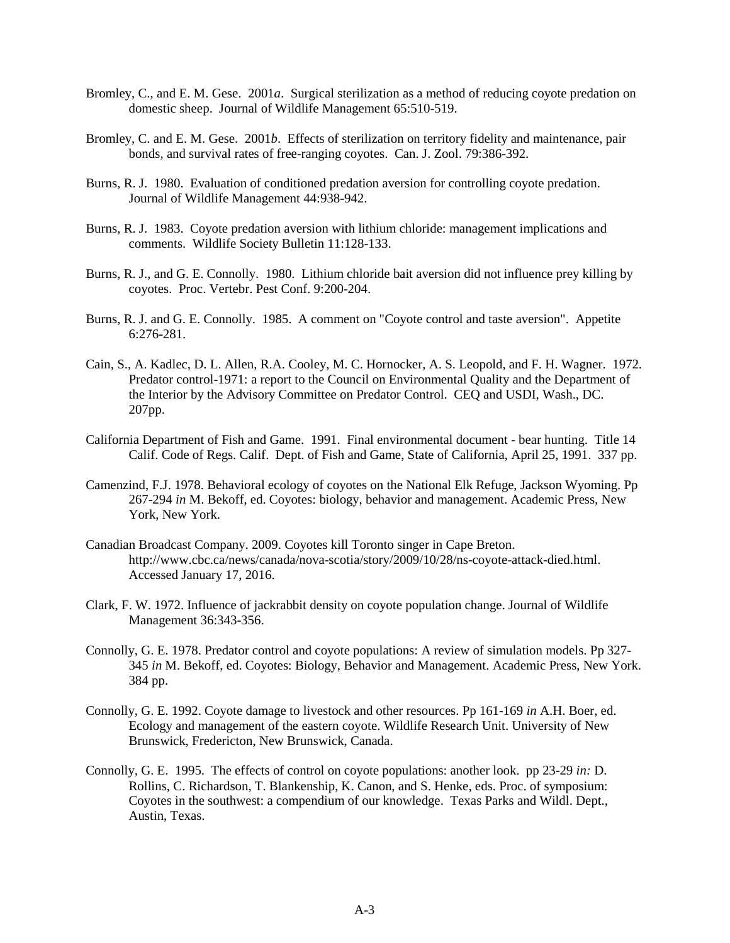- Bromley, C., and E. M. Gese. 2001*a*. Surgical sterilization as a method of reducing coyote predation on domestic sheep. Journal of Wildlife Management 65:510-519.
- Bromley, C. and E. M. Gese. 2001*b*. Effects of sterilization on territory fidelity and maintenance, pair bonds, and survival rates of free-ranging coyotes. Can. J. Zool. 79:386-392.
- Burns, R. J. 1980. Evaluation of conditioned predation aversion for controlling coyote predation. Journal of Wildlife Management 44:938-942.
- Burns, R. J. 1983. Coyote predation aversion with lithium chloride: management implications and comments. Wildlife Society Bulletin 11:128-133.
- Burns, R. J., and G. E. Connolly. 1980. Lithium chloride bait aversion did not influence prey killing by coyotes. Proc. Vertebr. Pest Conf. 9:200-204.
- Burns, R. J. and G. E. Connolly. 1985. A comment on "Coyote control and taste aversion". Appetite 6:276-281.
- Cain, S., A. Kadlec, D. L. Allen, R.A. Cooley, M. C. Hornocker, A. S. Leopold, and F. H. Wagner. 1972. Predator control-1971: a report to the Council on Environmental Quality and the Department of the Interior by the Advisory Committee on Predator Control. CEQ and USDI, Wash., DC. 207pp.
- California Department of Fish and Game. 1991. Final environmental document bear hunting. Title 14 Calif. Code of Regs. Calif. Dept. of Fish and Game, State of California, April 25, 1991. 337 pp.
- Camenzind, F.J. 1978. Behavioral ecology of coyotes on the National Elk Refuge, Jackson Wyoming. Pp 267-294 *in* M. Bekoff, ed. Coyotes: biology, behavior and management. Academic Press, New York, New York.
- Canadian Broadcast Company. 2009. Coyotes kill Toronto singer in Cape Breton. http://www.cbc.ca/news/canada/nova-scotia/story/2009/10/28/ns-coyote-attack-died.html. Accessed January 17, 2016.
- Clark, F. W. 1972. Influence of jackrabbit density on coyote population change. Journal of Wildlife Management 36:343-356.
- Connolly, G. E. 1978. Predator control and coyote populations: A review of simulation models. Pp 327- 345 *in* M. Bekoff, ed. Coyotes: Biology, Behavior and Management. Academic Press, New York. 384 pp.
- Connolly, G. E. 1992. Coyote damage to livestock and other resources. Pp 161-169 *in* A.H. Boer, ed. Ecology and management of the eastern coyote. Wildlife Research Unit. University of New Brunswick, Fredericton, New Brunswick, Canada.
- Connolly, G. E. 1995. The effects of control on coyote populations: another look. pp 23-29 *in:* D. Rollins, C. Richardson, T. Blankenship, K. Canon, and S. Henke, eds. Proc. of symposium: Coyotes in the southwest: a compendium of our knowledge. Texas Parks and Wildl. Dept., Austin, Texas.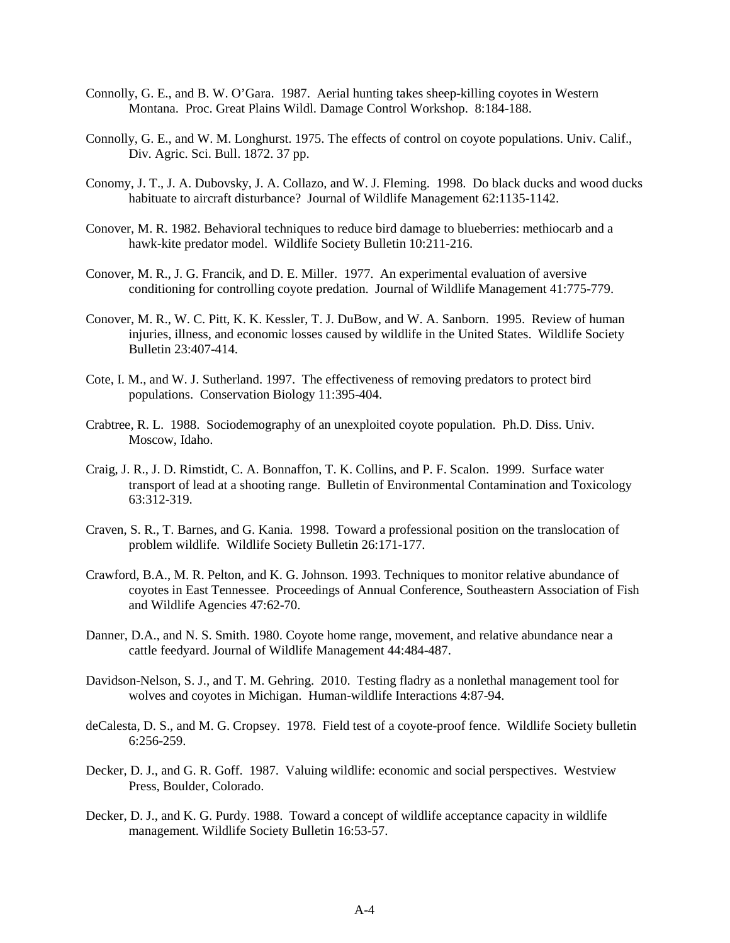- Connolly, G. E., and B. W. O'Gara. 1987. Aerial hunting takes sheep-killing coyotes in Western Montana. Proc. Great Plains Wildl. Damage Control Workshop. 8:184-188.
- Connolly, G. E., and W. M. Longhurst. 1975. The effects of control on coyote populations. Univ. Calif., Div. Agric. Sci. Bull. 1872. 37 pp.
- Conomy, J. T., J. A. Dubovsky, J. A. Collazo, and W. J. Fleming. 1998. Do black ducks and wood ducks habituate to aircraft disturbance? Journal of Wildlife Management 62:1135-1142.
- Conover, M. R. 1982. Behavioral techniques to reduce bird damage to blueberries: methiocarb and a hawk-kite predator model. Wildlife Society Bulletin 10:211-216.
- Conover, M. R., J. G. Francik, and D. E. Miller. 1977. An experimental evaluation of aversive conditioning for controlling coyote predation. Journal of Wildlife Management 41:775-779.
- Conover, M. R., W. C. Pitt, K. K. Kessler, T. J. DuBow, and W. A. Sanborn. 1995. Review of human injuries, illness, and economic losses caused by wildlife in the United States. Wildlife Society Bulletin 23:407-414.
- Cote, I. M., and W. J. Sutherland. 1997. The effectiveness of removing predators to protect bird populations. Conservation Biology 11:395-404.
- Crabtree, R. L. 1988. Sociodemography of an unexploited coyote population. Ph.D. Diss. Univ. Moscow, Idaho.
- Craig, J. R., J. D. Rimstidt, C. A. Bonnaffon, T. K. Collins, and P. F. Scalon. 1999. Surface water transport of lead at a shooting range. Bulletin of Environmental Contamination and Toxicology 63:312-319.
- Craven, S. R., T. Barnes, and G. Kania. 1998. Toward a professional position on the translocation of problem wildlife. Wildlife Society Bulletin 26:171-177.
- Crawford, B.A., M. R. Pelton, and K. G. Johnson. 1993. Techniques to monitor relative abundance of coyotes in East Tennessee. Proceedings of Annual Conference, Southeastern Association of Fish and Wildlife Agencies 47:62-70.
- Danner, D.A., and N. S. Smith. 1980. Coyote home range, movement, and relative abundance near a cattle feedyard. Journal of Wildlife Management 44:484-487.
- Davidson-Nelson, S. J., and T. M. Gehring. 2010. Testing fladry as a nonlethal management tool for wolves and coyotes in Michigan. Human-wildlife Interactions 4:87-94.
- deCalesta, D. S., and M. G. Cropsey. 1978. Field test of a coyote-proof fence. Wildlife Society bulletin 6:256-259.
- Decker, D. J., and G. R. Goff. 1987. Valuing wildlife: economic and social perspectives. Westview Press, Boulder, Colorado.
- Decker, D. J., and K. G. Purdy. 1988. Toward a concept of wildlife acceptance capacity in wildlife management. Wildlife Society Bulletin 16:53-57.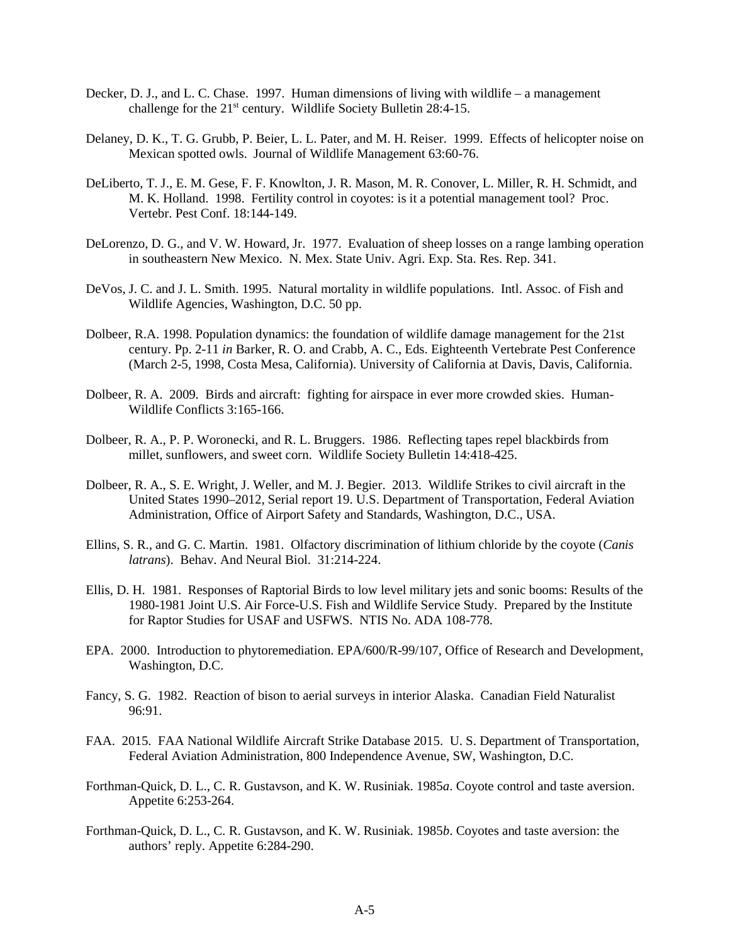- Decker, D. J., and L. C. Chase. 1997. Human dimensions of living with wildlife a management challenge for the 21st century. Wildlife Society Bulletin 28:4-15.
- Delaney, D. K., T. G. Grubb, P. Beier, L. L. Pater, and M. H. Reiser. 1999. Effects of helicopter noise on Mexican spotted owls. Journal of Wildlife Management 63:60-76.
- DeLiberto, T. J., E. M. Gese, F. F. Knowlton, J. R. Mason, M. R. Conover, L. Miller, R. H. Schmidt, and M. K. Holland. 1998. Fertility control in coyotes: is it a potential management tool? Proc. Vertebr. Pest Conf. 18:144-149.
- DeLorenzo, D. G., and V. W. Howard, Jr. 1977. Evaluation of sheep losses on a range lambing operation in southeastern New Mexico. N. Mex. State Univ. Agri. Exp. Sta. Res. Rep. 341.
- DeVos, J. C. and J. L. Smith. 1995. Natural mortality in wildlife populations. Intl. Assoc. of Fish and Wildlife Agencies, Washington, D.C. 50 pp.
- Dolbeer, R.A. 1998. Population dynamics: the foundation of wildlife damage management for the 21st century. Pp. 2-11 *in* Barker, R. O. and Crabb, A. C., Eds. Eighteenth Vertebrate Pest Conference (March 2-5, 1998, Costa Mesa, California). University of California at Davis, Davis, California.
- Dolbeer, R. A. 2009. Birds and aircraft: fighting for airspace in ever more crowded skies. Human-Wildlife Conflicts 3:165-166.
- Dolbeer, R. A., P. P. Woronecki, and R. L. Bruggers. 1986. Reflecting tapes repel blackbirds from millet, sunflowers, and sweet corn. Wildlife Society Bulletin 14:418-425.
- Dolbeer, R. A., S. E. Wright, J. Weller, and M. J. Begier. 2013. Wildlife Strikes to civil aircraft in the United States 1990–2012, Serial report 19. U.S. Department of Transportation, Federal Aviation Administration, Office of Airport Safety and Standards, Washington, D.C., USA.
- Ellins, S. R., and G. C. Martin. 1981. Olfactory discrimination of lithium chloride by the coyote (*Canis latrans*). Behav. And Neural Biol. 31:214-224.
- Ellis, D. H. 1981. Responses of Raptorial Birds to low level military jets and sonic booms: Results of the 1980-1981 Joint U.S. Air Force-U.S. Fish and Wildlife Service Study. Prepared by the Institute for Raptor Studies for USAF and USFWS. NTIS No. ADA 108-778.
- EPA. 2000. Introduction to phytoremediation. EPA/600/R-99/107, Office of Research and Development, Washington, D.C.
- Fancy, S. G. 1982. Reaction of bison to aerial surveys in interior Alaska. Canadian Field Naturalist 96:91.
- FAA. 2015. FAA National Wildlife Aircraft Strike Database 2015. U. S. Department of Transportation, Federal Aviation Administration, 800 Independence Avenue, SW, Washington, D.C.
- Forthman-Quick, D. L., C. R. Gustavson, and K. W. Rusiniak. 1985*a*. Coyote control and taste aversion. Appetite 6:253-264.
- Forthman-Quick, D. L., C. R. Gustavson, and K. W. Rusiniak. 1985*b*. Coyotes and taste aversion: the authors' reply. Appetite 6:284-290.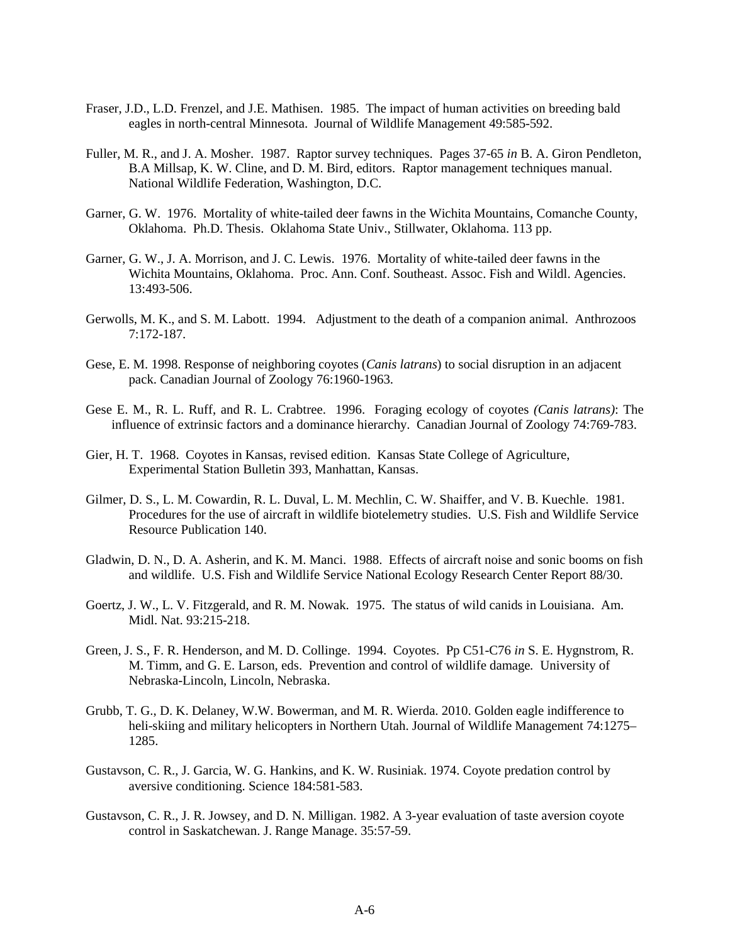- Fraser, J.D., L.D. Frenzel, and J.E. Mathisen. 1985. The impact of human activities on breeding bald eagles in north-central Minnesota. Journal of Wildlife Management 49:585-592.
- Fuller, M. R., and J. A. Mosher. 1987. Raptor survey techniques. Pages 37-65 *in* B. A. Giron Pendleton, B.A Millsap, K. W. Cline, and D. M. Bird, editors. Raptor management techniques manual. National Wildlife Federation, Washington, D.C.
- Garner, G. W. 1976. Mortality of white-tailed deer fawns in the Wichita Mountains, Comanche County, Oklahoma. Ph.D. Thesis. Oklahoma State Univ., Stillwater, Oklahoma. 113 pp.
- Garner, G. W., J. A. Morrison, and J. C. Lewis. 1976. Mortality of white-tailed deer fawns in the Wichita Mountains, Oklahoma. Proc. Ann. Conf. Southeast. Assoc. Fish and Wildl. Agencies. 13:493-506.
- Gerwolls, M. K., and S. M. Labott. 1994. Adjustment to the death of a companion animal. Anthrozoos 7:172-187.
- Gese, E. M. 1998. Response of neighboring coyotes (*Canis latrans*) to social disruption in an adjacent pack. Canadian Journal of Zoology 76:1960-1963.
- Gese E. M., R. L. Ruff, and R. L. Crabtree. 1996. Foraging ecology of coyotes *(Canis latrans)*: The influence of extrinsic factors and a dominance hierarchy. Canadian Journal of Zoology 74:769-783.
- Gier, H. T. 1968. Coyotes in Kansas, revised edition. Kansas State College of Agriculture, Experimental Station Bulletin 393, Manhattan, Kansas.
- Gilmer, D. S., L. M. Cowardin, R. L. Duval, L. M. Mechlin, C. W. Shaiffer, and V. B. Kuechle. 1981. Procedures for the use of aircraft in wildlife biotelemetry studies. U.S. Fish and Wildlife Service Resource Publication 140.
- Gladwin, D. N., D. A. Asherin, and K. M. Manci. 1988. Effects of aircraft noise and sonic booms on fish and wildlife. U.S. Fish and Wildlife Service National Ecology Research Center Report 88/30.
- Goertz, J. W., L. V. Fitzgerald, and R. M. Nowak. 1975. The status of wild canids in Louisiana. Am. Midl. Nat. 93:215-218.
- Green, J. S., F. R. Henderson, and M. D. Collinge. 1994. Coyotes. Pp C51-C76 *in* S. E. Hygnstrom, R. M. Timm, and G. E. Larson, eds. Prevention and control of wildlife damage*.* University of Nebraska-Lincoln, Lincoln, Nebraska.
- Grubb, T. G., D. K. Delaney, W.W. Bowerman, and M. R. Wierda. 2010. Golden eagle indifference to heli-skiing and military helicopters in Northern Utah. Journal of Wildlife Management 74:1275– 1285.
- Gustavson, C. R., J. Garcia, W. G. Hankins, and K. W. Rusiniak. 1974. Coyote predation control by aversive conditioning. Science 184:581-583.
- Gustavson, C. R., J. R. Jowsey, and D. N. Milligan. 1982. A 3-year evaluation of taste aversion coyote control in Saskatchewan. J. Range Manage. 35:57-59.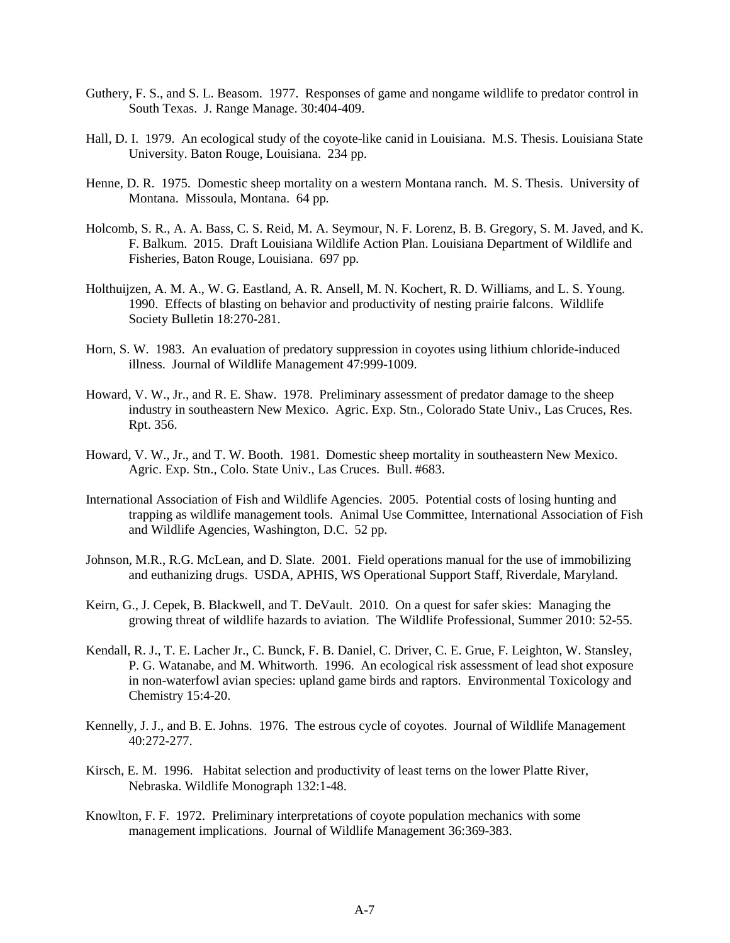- Guthery, F. S., and S. L. Beasom. 1977. Responses of game and nongame wildlife to predator control in South Texas. J. Range Manage. 30:404-409.
- Hall, D. I. 1979. An ecological study of the coyote-like canid in Louisiana. M.S. Thesis. Louisiana State University. Baton Rouge, Louisiana. 234 pp.
- Henne, D. R. 1975. Domestic sheep mortality on a western Montana ranch. M. S. Thesis. University of Montana. Missoula, Montana. 64 pp.
- Holcomb, S. R., A. A. Bass, C. S. Reid, M. A. Seymour, N. F. Lorenz, B. B. Gregory, S. M. Javed, and K. F. Balkum. 2015. Draft Louisiana Wildlife Action Plan. Louisiana Department of Wildlife and Fisheries, Baton Rouge, Louisiana. 697 pp.
- Holthuijzen, A. M. A., W. G. Eastland, A. R. Ansell, M. N. Kochert, R. D. Williams, and L. S. Young. 1990. Effects of blasting on behavior and productivity of nesting prairie falcons. Wildlife Society Bulletin 18:270-281.
- Horn, S. W. 1983. An evaluation of predatory suppression in coyotes using lithium chloride-induced illness. Journal of Wildlife Management 47:999-1009.
- Howard, V. W., Jr., and R. E. Shaw. 1978. Preliminary assessment of predator damage to the sheep industry in southeastern New Mexico. Agric. Exp. Stn., Colorado State Univ., Las Cruces, Res. Rpt. 356.
- Howard, V. W., Jr., and T. W. Booth. 1981. Domestic sheep mortality in southeastern New Mexico. Agric. Exp. Stn., Colo. State Univ., Las Cruces. Bull. #683.
- International Association of Fish and Wildlife Agencies. 2005. Potential costs of losing hunting and trapping as wildlife management tools. Animal Use Committee, International Association of Fish and Wildlife Agencies, Washington, D.C. 52 pp.
- Johnson, M.R., R.G. McLean, and D. Slate. 2001. Field operations manual for the use of immobilizing and euthanizing drugs. USDA, APHIS, WS Operational Support Staff, Riverdale, Maryland.
- Keirn, G., J. Cepek, B. Blackwell, and T. DeVault. 2010. On a quest for safer skies: Managing the growing threat of wildlife hazards to aviation. The Wildlife Professional, Summer 2010: 52-55.
- Kendall, R. J., T. E. Lacher Jr., C. Bunck, F. B. Daniel, C. Driver, C. E. Grue, F. Leighton, W. Stansley, P. G. Watanabe, and M. Whitworth. 1996. An ecological risk assessment of lead shot exposure in non-waterfowl avian species: upland game birds and raptors. Environmental Toxicology and Chemistry 15:4-20.
- Kennelly, J. J., and B. E. Johns. 1976. The estrous cycle of coyotes. Journal of Wildlife Management 40:272-277.
- Kirsch, E. M. 1996. Habitat selection and productivity of least terns on the lower Platte River, Nebraska. Wildlife Monograph 132:1-48.
- Knowlton, F. F. 1972. Preliminary interpretations of coyote population mechanics with some management implications. Journal of Wildlife Management 36:369-383.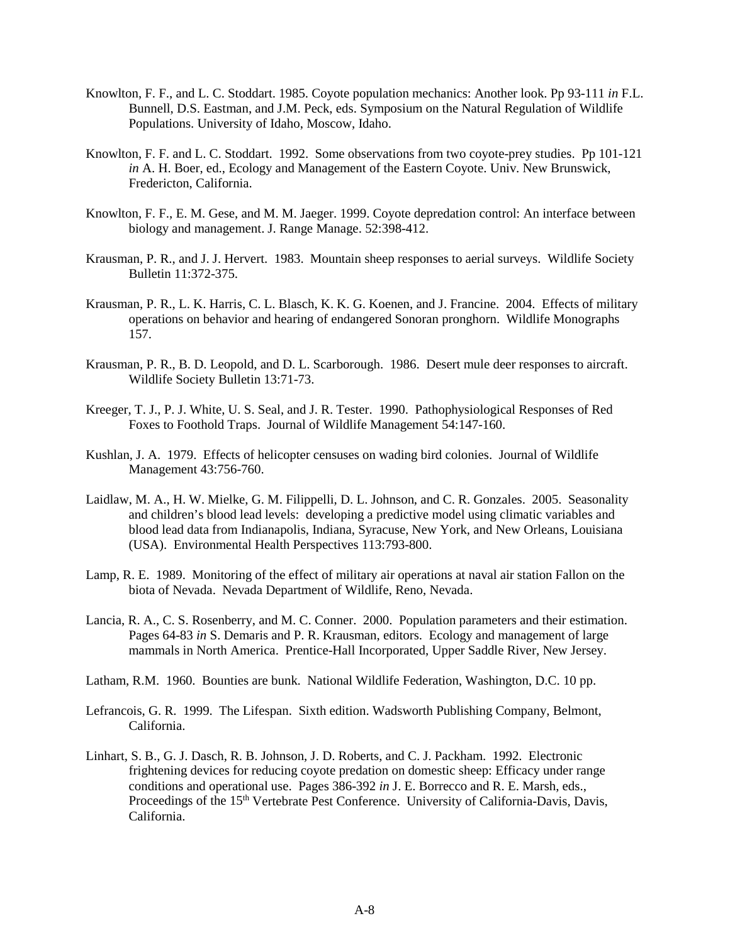- Knowlton, F. F., and L. C. Stoddart. 1985. Coyote population mechanics: Another look. Pp 93-111 *in* F.L. Bunnell, D.S. Eastman, and J.M. Peck, eds. Symposium on the Natural Regulation of Wildlife Populations. University of Idaho, Moscow, Idaho.
- Knowlton, F. F. and L. C. Stoddart. 1992. Some observations from two coyote-prey studies. Pp 101-121 *in* A. H. Boer, ed., Ecology and Management of the Eastern Coyote. Univ. New Brunswick, Fredericton, California.
- Knowlton, F. F., E. M. Gese, and M. M. Jaeger. 1999. Coyote depredation control: An interface between biology and management. J. Range Manage. 52:398-412.
- Krausman, P. R., and J. J. Hervert. 1983. Mountain sheep responses to aerial surveys. Wildlife Society Bulletin 11:372-375.
- Krausman, P. R., L. K. Harris, C. L. Blasch, K. K. G. Koenen, and J. Francine. 2004. Effects of military operations on behavior and hearing of endangered Sonoran pronghorn. Wildlife Monographs 157.
- Krausman, P. R., B. D. Leopold, and D. L. Scarborough. 1986. Desert mule deer responses to aircraft. Wildlife Society Bulletin 13:71-73.
- Kreeger, T. J., P. J. White, U. S. Seal, and J. R. Tester. 1990. Pathophysiological Responses of Red Foxes to Foothold Traps. Journal of Wildlife Management 54:147-160.
- Kushlan, J. A. 1979. Effects of helicopter censuses on wading bird colonies. Journal of Wildlife Management 43:756-760.
- Laidlaw, M. A., H. W. Mielke, G. M. Filippelli, D. L. Johnson, and C. R. Gonzales. 2005. Seasonality and children's blood lead levels: developing a predictive model using climatic variables and blood lead data from Indianapolis, Indiana, Syracuse, New York, and New Orleans, Louisiana (USA). Environmental Health Perspectives 113:793-800.
- Lamp, R. E. 1989. Monitoring of the effect of military air operations at naval air station Fallon on the biota of Nevada. Nevada Department of Wildlife, Reno, Nevada.
- Lancia, R. A., C. S. Rosenberry, and M. C. Conner. 2000. Population parameters and their estimation. Pages 64-83 *in* S. Demaris and P. R. Krausman, editors. Ecology and management of large mammals in North America. Prentice-Hall Incorporated, Upper Saddle River, New Jersey.
- Latham, R.M. 1960. Bounties are bunk. National Wildlife Federation, Washington, D.C. 10 pp.
- Lefrancois, G. R. 1999. The Lifespan. Sixth edition. Wadsworth Publishing Company, Belmont, California.
- Linhart, S. B., G. J. Dasch, R. B. Johnson, J. D. Roberts, and C. J. Packham. 1992. Electronic frightening devices for reducing coyote predation on domestic sheep: Efficacy under range conditions and operational use. Pages 386-392 *in* J. E. Borrecco and R. E. Marsh, eds., Proceedings of the 15<sup>th</sup> Vertebrate Pest Conference. University of California-Davis, Davis, California.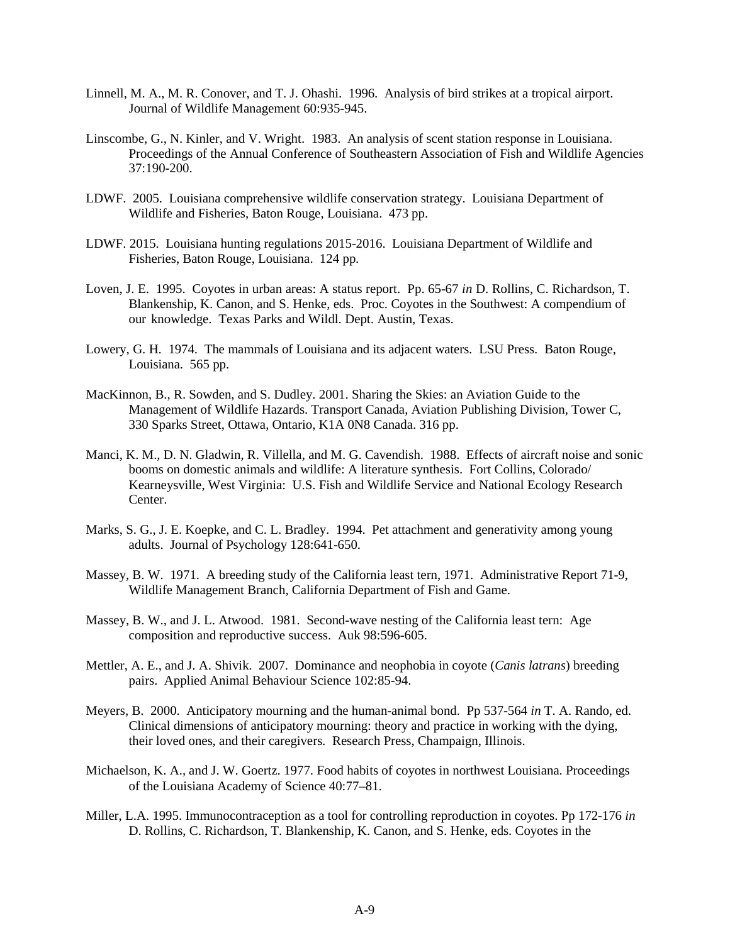- Linnell, M. A., M. R. Conover, and T. J. Ohashi. 1996. Analysis of bird strikes at a tropical airport. Journal of Wildlife Management 60:935-945.
- Linscombe, G., N. Kinler, and V. Wright. 1983. An analysis of scent station response in Louisiana. Proceedings of the Annual Conference of Southeastern Association of Fish and Wildlife Agencies 37:190-200.
- LDWF. 2005. Louisiana comprehensive wildlife conservation strategy. Louisiana Department of Wildlife and Fisheries, Baton Rouge, Louisiana. 473 pp.
- LDWF. 2015. Louisiana hunting regulations 2015-2016. Louisiana Department of Wildlife and Fisheries, Baton Rouge, Louisiana. 124 pp.
- Loven, J. E. 1995. Coyotes in urban areas: A status report. Pp. 65-67 *in* D. Rollins, C. Richardson, T. Blankenship, K. Canon, and S. Henke, eds. Proc. Coyotes in the Southwest: A compendium of our knowledge. Texas Parks and Wildl. Dept. Austin, Texas.
- Lowery, G. H. 1974. The mammals of Louisiana and its adjacent waters. LSU Press. Baton Rouge, Louisiana. 565 pp.
- MacKinnon, B., R. Sowden, and S. Dudley. 2001. Sharing the Skies: an Aviation Guide to the Management of Wildlife Hazards. Transport Canada, Aviation Publishing Division, Tower C, 330 Sparks Street, Ottawa, Ontario, K1A 0N8 Canada. 316 pp.
- Manci, K. M., D. N. Gladwin, R. Villella, and M. G. Cavendish. 1988. Effects of aircraft noise and sonic booms on domestic animals and wildlife: A literature synthesis. Fort Collins, Colorado/ Kearneysville, West Virginia: U.S. Fish and Wildlife Service and National Ecology Research Center.
- Marks, S. G., J. E. Koepke, and C. L. Bradley. 1994. Pet attachment and generativity among young adults. Journal of Psychology 128:641-650.
- Massey, B. W. 1971. A breeding study of the California least tern, 1971. Administrative Report 71-9, Wildlife Management Branch, California Department of Fish and Game.
- Massey, B. W., and J. L. Atwood. 1981. Second-wave nesting of the California least tern: Age composition and reproductive success. Auk 98:596-605.
- Mettler, A. E., and J. A. Shivik. 2007. Dominance and neophobia in coyote (*Canis latrans*) breeding pairs. Applied Animal Behaviour Science 102:85-94.
- Meyers, B. 2000. Anticipatory mourning and the human-animal bond. Pp 537-564 *in* T. A. Rando, ed. Clinical dimensions of anticipatory mourning: theory and practice in working with the dying, their loved ones, and their caregivers*.* Research Press, Champaign, Illinois.
- Michaelson, K. A., and J. W. Goertz. 1977. Food habits of coyotes in northwest Louisiana. Proceedings of the Louisiana Academy of Science 40:77–81.
- Miller, L.A. 1995. Immunocontraception as a tool for controlling reproduction in coyotes. Pp 172-176 *in* D. Rollins, C. Richardson, T. Blankenship, K. Canon, and S. Henke, eds. Coyotes in the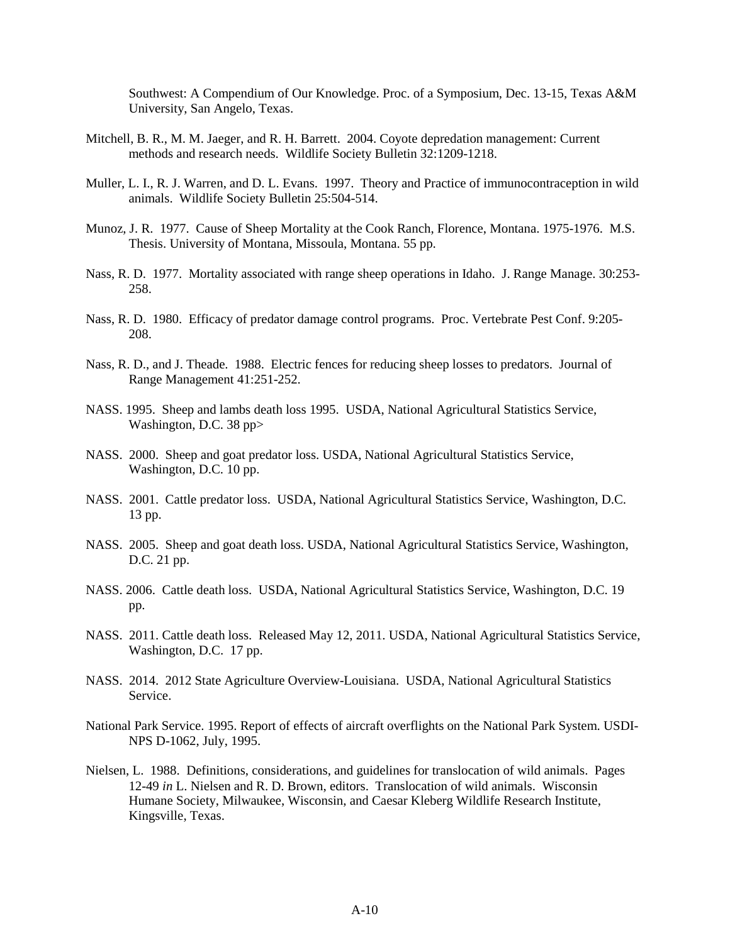Southwest: A Compendium of Our Knowledge. Proc. of a Symposium, Dec. 13-15, Texas A&M University, San Angelo, Texas.

- Mitchell, B. R., M. M. Jaeger, and R. H. Barrett. 2004. Coyote depredation management: Current methods and research needs. Wildlife Society Bulletin 32:1209-1218.
- Muller, L. I., R. J. Warren, and D. L. Evans. 1997. Theory and Practice of immunocontraception in wild animals. Wildlife Society Bulletin 25:504-514.
- Munoz, J. R. 1977. Cause of Sheep Mortality at the Cook Ranch, Florence, Montana. 1975-1976. M.S. Thesis. University of Montana, Missoula, Montana. 55 pp.
- Nass, R. D. 1977. Mortality associated with range sheep operations in Idaho. J. Range Manage. 30:253- 258.
- Nass, R. D. 1980. Efficacy of predator damage control programs. Proc. Vertebrate Pest Conf. 9:205- 208.
- Nass, R. D., and J. Theade. 1988. Electric fences for reducing sheep losses to predators. Journal of Range Management 41:251-252.
- NASS. 1995. Sheep and lambs death loss 1995. USDA, National Agricultural Statistics Service, Washington, D.C. 38 pp>
- NASS. 2000. Sheep and goat predator loss. USDA, National Agricultural Statistics Service, Washington, D.C. 10 pp.
- NASS. 2001. Cattle predator loss. USDA, National Agricultural Statistics Service, Washington, D.C. 13 pp.
- NASS. 2005. Sheep and goat death loss. USDA, National Agricultural Statistics Service, Washington, D.C. 21 pp.
- NASS. 2006. Cattle death loss. USDA, National Agricultural Statistics Service, Washington, D.C. 19 pp.
- NASS. 2011. Cattle death loss. Released May 12, 2011. USDA, National Agricultural Statistics Service, Washington, D.C. 17 pp.
- NASS. 2014. 2012 State Agriculture Overview-Louisiana. USDA, National Agricultural Statistics Service.
- National Park Service. 1995. Report of effects of aircraft overflights on the National Park System. USDI-NPS D-1062, July, 1995.
- Nielsen, L. 1988. Definitions, considerations, and guidelines for translocation of wild animals. Pages 12-49 *in* L. Nielsen and R. D. Brown, editors. Translocation of wild animals. Wisconsin Humane Society, Milwaukee, Wisconsin, and Caesar Kleberg Wildlife Research Institute, Kingsville, Texas.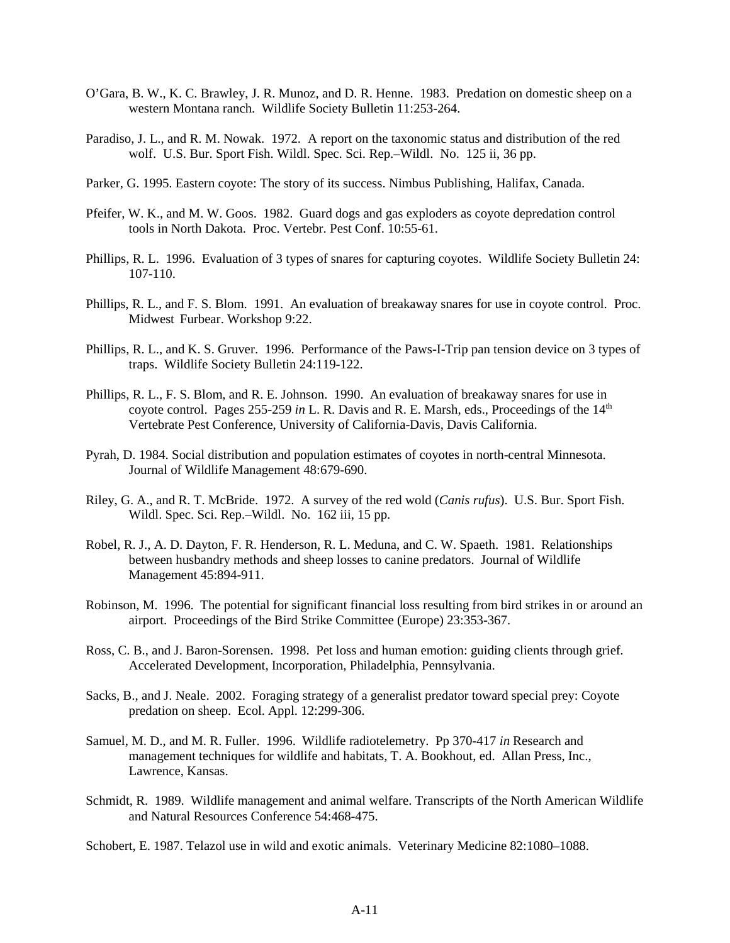- O'Gara, B. W., K. C. Brawley, J. R. Munoz, and D. R. Henne. 1983. Predation on domestic sheep on a western Montana ranch. Wildlife Society Bulletin 11:253-264.
- Paradiso, J. L., and R. M. Nowak. 1972. A report on the taxonomic status and distribution of the red wolf. U.S. Bur. Sport Fish. Wildl. Spec. Sci. Rep.–Wildl. No. 125 ii, 36 pp.
- Parker, G. 1995. Eastern coyote: The story of its success. Nimbus Publishing, Halifax, Canada.
- Pfeifer, W. K., and M. W. Goos. 1982. Guard dogs and gas exploders as coyote depredation control tools in North Dakota. Proc. Vertebr. Pest Conf. 10:55-61.
- Phillips, R. L. 1996. Evaluation of 3 types of snares for capturing coyotes. Wildlife Society Bulletin 24: 107-110.
- Phillips, R. L., and F. S. Blom. 1991. An evaluation of breakaway snares for use in coyote control. Proc. Midwest Furbear. Workshop 9:22.
- Phillips, R. L., and K. S. Gruver. 1996. Performance of the Paws-I-Trip pan tension device on 3 types of traps. Wildlife Society Bulletin 24:119-122.
- Phillips, R. L., F. S. Blom, and R. E. Johnson. 1990. An evaluation of breakaway snares for use in coyote control. Pages 255-259 *in* L. R. Davis and R. E. Marsh, eds., Proceedings of the 14<sup>th</sup> Vertebrate Pest Conference, University of California-Davis, Davis California.
- Pyrah, D. 1984. Social distribution and population estimates of coyotes in north-central Minnesota. Journal of Wildlife Management 48:679-690.
- Riley, G. A., and R. T. McBride. 1972. A survey of the red wold (*Canis rufus*). U.S. Bur. Sport Fish. Wildl. Spec. Sci. Rep.–Wildl. No. 162 iii, 15 pp.
- Robel, R. J., A. D. Dayton, F. R. Henderson, R. L. Meduna, and C. W. Spaeth. 1981. Relationships between husbandry methods and sheep losses to canine predators. Journal of Wildlife Management 45:894-911.
- Robinson, M. 1996. The potential for significant financial loss resulting from bird strikes in or around an airport. Proceedings of the Bird Strike Committee (Europe) 23:353-367.
- Ross, C. B., and J. Baron-Sorensen. 1998. Pet loss and human emotion: guiding clients through grief*.* Accelerated Development, Incorporation, Philadelphia, Pennsylvania.
- Sacks, B., and J. Neale. 2002. Foraging strategy of a generalist predator toward special prey: Coyote predation on sheep. Ecol. Appl. 12:299-306.
- Samuel, M. D., and M. R. Fuller. 1996. Wildlife radiotelemetry. Pp 370-417 *in* Research and management techniques for wildlife and habitats, T. A. Bookhout, ed. Allan Press, Inc., Lawrence, Kansas.
- Schmidt, R. 1989. Wildlife management and animal welfare. Transcripts of the North American Wildlife and Natural Resources Conference 54:468-475.

Schobert, E. 1987. Telazol use in wild and exotic animals. Veterinary Medicine 82:1080–1088.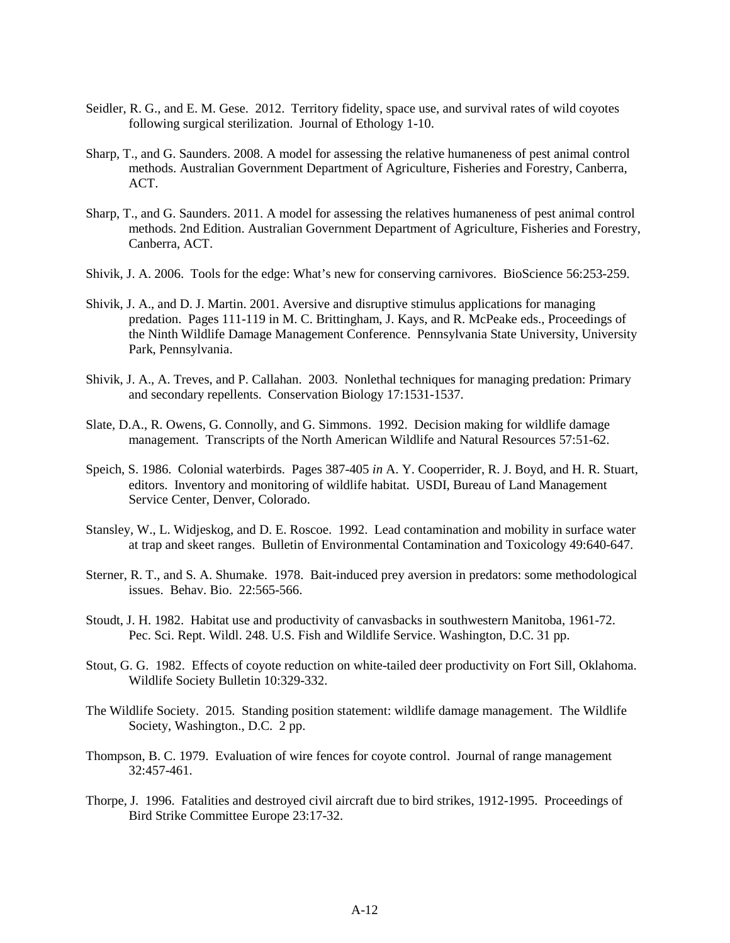- Seidler, R. G., and E. M. Gese. 2012. Territory fidelity, space use, and survival rates of wild coyotes following surgical sterilization. Journal of Ethology 1-10.
- Sharp, T., and G. Saunders. 2008. A model for assessing the relative humaneness of pest animal control methods. Australian Government Department of Agriculture, Fisheries and Forestry, Canberra, ACT.
- Sharp, T., and G. Saunders. 2011. A model for assessing the relatives humaneness of pest animal control methods. 2nd Edition. Australian Government Department of Agriculture, Fisheries and Forestry, Canberra, ACT.
- Shivik, J. A. 2006. Tools for the edge: What's new for conserving carnivores. BioScience 56:253-259.
- Shivik, J. A., and D. J. Martin. 2001. Aversive and disruptive stimulus applications for managing predation. Pages 111-119 in M. C. Brittingham, J. Kays, and R. McPeake eds., Proceedings of the Ninth Wildlife Damage Management Conference. Pennsylvania State University, University Park, Pennsylvania.
- Shivik, J. A., A. Treves, and P. Callahan. 2003. Nonlethal techniques for managing predation: Primary and secondary repellents. Conservation Biology 17:1531-1537.
- Slate, D.A., R. Owens, G. Connolly, and G. Simmons. 1992. Decision making for wildlife damage management. Transcripts of the North American Wildlife and Natural Resources 57:51-62.
- Speich, S. 1986. Colonial waterbirds. Pages 387-405 *in* A. Y. Cooperrider, R. J. Boyd, and H. R. Stuart, editors. Inventory and monitoring of wildlife habitat. USDI, Bureau of Land Management Service Center, Denver, Colorado.
- Stansley, W., L. Widjeskog, and D. E. Roscoe. 1992. Lead contamination and mobility in surface water at trap and skeet ranges. Bulletin of Environmental Contamination and Toxicology 49:640-647.
- Sterner, R. T., and S. A. Shumake. 1978. Bait-induced prey aversion in predators: some methodological issues. Behav. Bio. 22:565-566.
- Stoudt, J. H. 1982. Habitat use and productivity of canvasbacks in southwestern Manitoba, 1961-72. Pec. Sci. Rept. Wildl. 248. U.S. Fish and Wildlife Service. Washington, D.C. 31 pp.
- Stout, G. G. 1982. Effects of coyote reduction on white-tailed deer productivity on Fort Sill, Oklahoma. Wildlife Society Bulletin 10:329-332.
- The Wildlife Society. 2015. Standing position statement: wildlife damage management. The Wildlife Society, Washington., D.C. 2 pp.
- Thompson, B. C. 1979. Evaluation of wire fences for coyote control. Journal of range management 32:457-461.
- Thorpe, J. 1996. Fatalities and destroyed civil aircraft due to bird strikes, 1912-1995. Proceedings of Bird Strike Committee Europe 23:17-32.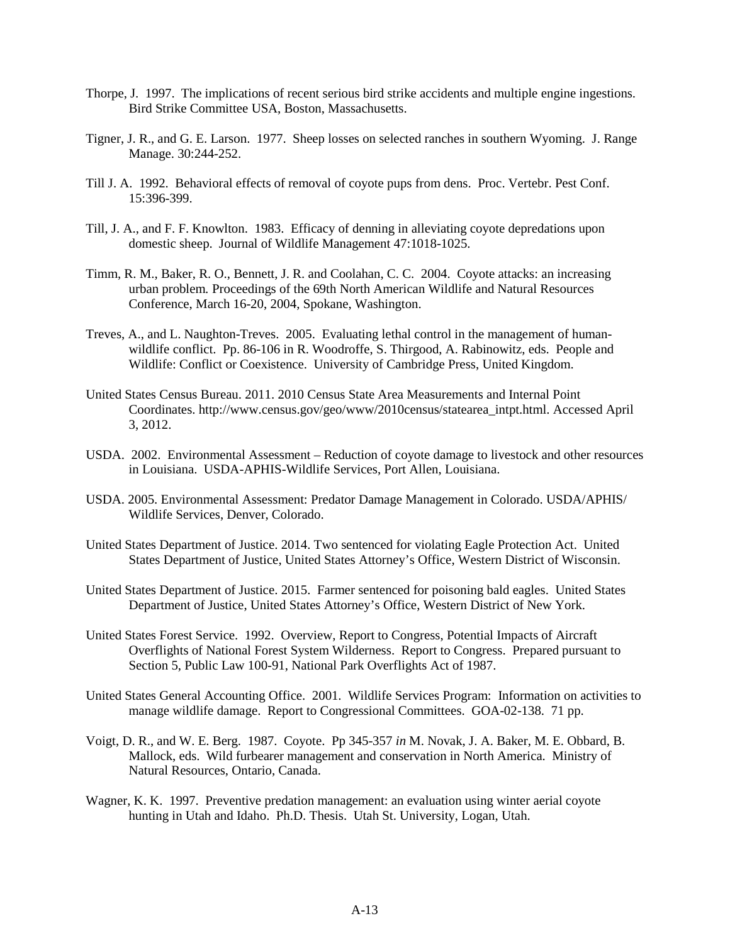- Thorpe, J. 1997. The implications of recent serious bird strike accidents and multiple engine ingestions. Bird Strike Committee USA, Boston, Massachusetts.
- Tigner, J. R., and G. E. Larson. 1977. Sheep losses on selected ranches in southern Wyoming. J. Range Manage. 30:244-252.
- Till J. A. 1992. Behavioral effects of removal of coyote pups from dens. Proc. Vertebr. Pest Conf. 15:396-399.
- Till, J. A., and F. F. Knowlton. 1983. Efficacy of denning in alleviating coyote depredations upon domestic sheep. Journal of Wildlife Management 47:1018-1025.
- Timm, R. M., Baker, R. O., Bennett, J. R. and Coolahan, C. C. 2004. Coyote attacks: an increasing urban problem*.* Proceedings of the 69th North American Wildlife and Natural Resources Conference, March 16-20, 2004, Spokane, Washington.
- Treves, A., and L. Naughton-Treves. 2005. Evaluating lethal control in the management of humanwildlife conflict. Pp. 86-106 in R. Woodroffe, S. Thirgood, A. Rabinowitz, eds. People and Wildlife: Conflict or Coexistence. University of Cambridge Press, United Kingdom.
- United States Census Bureau. 2011. 2010 Census State Area Measurements and Internal Point Coordinates. http://www.census.gov/geo/www/2010census/statearea\_intpt.html. Accessed April 3, 2012.
- USDA. 2002. Environmental Assessment Reduction of coyote damage to livestock and other resources in Louisiana. USDA-APHIS-Wildlife Services, Port Allen, Louisiana.
- USDA. 2005. Environmental Assessment: Predator Damage Management in Colorado. USDA/APHIS/ Wildlife Services, Denver, Colorado.
- United States Department of Justice. 2014. Two sentenced for violating Eagle Protection Act. United States Department of Justice, United States Attorney's Office, Western District of Wisconsin.
- United States Department of Justice. 2015. Farmer sentenced for poisoning bald eagles. United States Department of Justice, United States Attorney's Office, Western District of New York.
- United States Forest Service. 1992. Overview, Report to Congress, Potential Impacts of Aircraft Overflights of National Forest System Wilderness. Report to Congress. Prepared pursuant to Section 5, Public Law 100-91, National Park Overflights Act of 1987.
- United States General Accounting Office. 2001. Wildlife Services Program: Information on activities to manage wildlife damage. Report to Congressional Committees. GOA-02-138. 71 pp.
- Voigt, D. R., and W. E. Berg. 1987. Coyote. Pp 345-357 *in* M. Novak, J. A. Baker, M. E. Obbard, B. Mallock, eds. Wild furbearer management and conservation in North America*.* Ministry of Natural Resources, Ontario, Canada.
- Wagner, K. K. 1997. Preventive predation management: an evaluation using winter aerial coyote hunting in Utah and Idaho. Ph.D. Thesis. Utah St. University, Logan, Utah.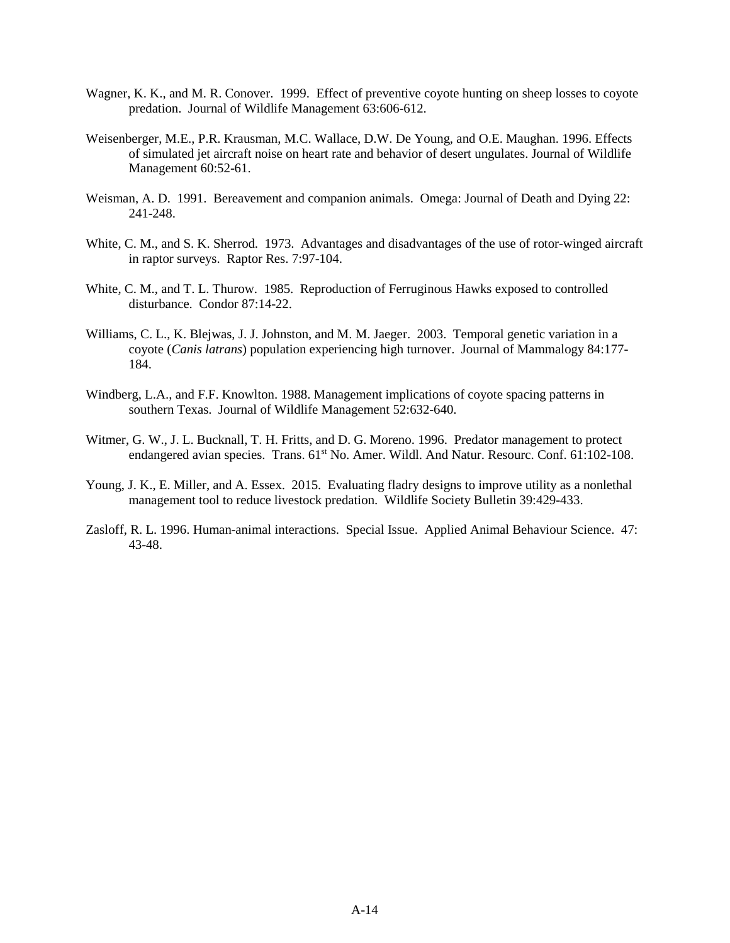- Wagner, K. K., and M. R. Conover. 1999. Effect of preventive coyote hunting on sheep losses to coyote predation. Journal of Wildlife Management 63:606-612.
- Weisenberger, M.E., P.R. Krausman, M.C. Wallace, D.W. De Young, and O.E. Maughan. 1996. Effects of simulated jet aircraft noise on heart rate and behavior of desert ungulates. Journal of Wildlife Management 60:52-61.
- Weisman, A. D. 1991. Bereavement and companion animals. Omega: Journal of Death and Dying 22: 241-248.
- White, C. M., and S. K. Sherrod. 1973. Advantages and disadvantages of the use of rotor-winged aircraft in raptor surveys. Raptor Res. 7:97-104.
- White, C. M., and T. L. Thurow. 1985. Reproduction of Ferruginous Hawks exposed to controlled disturbance. Condor 87:14-22.
- Williams, C. L., K. Blejwas, J. J. Johnston, and M. M. Jaeger. 2003. Temporal genetic variation in a coyote (*Canis latrans*) population experiencing high turnover. Journal of Mammalogy 84:177- 184.
- Windberg, L.A., and F.F. Knowlton. 1988. Management implications of coyote spacing patterns in southern Texas. Journal of Wildlife Management 52:632-640.
- Witmer, G. W., J. L. Bucknall, T. H. Fritts, and D. G. Moreno. 1996. Predator management to protect endangered avian species. Trans. 61<sup>st</sup> No. Amer. Wildl. And Natur. Resourc. Conf. 61:102-108.
- Young, J. K., E. Miller, and A. Essex. 2015. Evaluating fladry designs to improve utility as a nonlethal management tool to reduce livestock predation. Wildlife Society Bulletin 39:429-433.
- Zasloff, R. L. 1996. Human-animal interactions. Special Issue. Applied Animal Behaviour Science. 47: 43-48.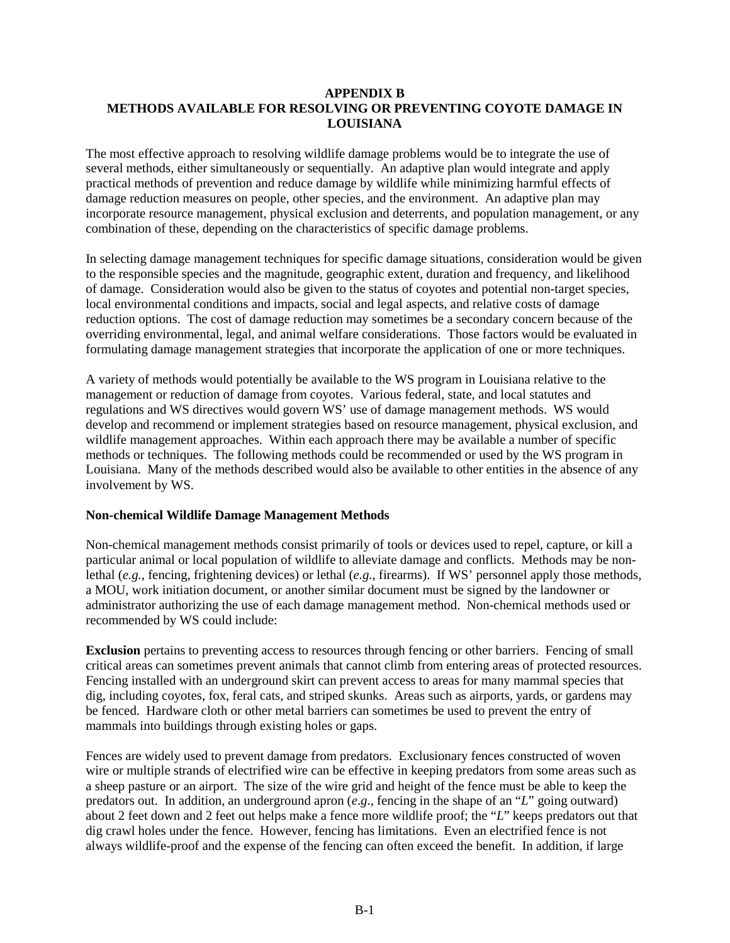#### **APPENDIX B METHODS AVAILABLE FOR RESOLVING OR PREVENTING COYOTE DAMAGE IN LOUISIANA**

The most effective approach to resolving wildlife damage problems would be to integrate the use of several methods, either simultaneously or sequentially. An adaptive plan would integrate and apply practical methods of prevention and reduce damage by wildlife while minimizing harmful effects of damage reduction measures on people, other species, and the environment. An adaptive plan may incorporate resource management, physical exclusion and deterrents, and population management, or any combination of these, depending on the characteristics of specific damage problems.

In selecting damage management techniques for specific damage situations, consideration would be given to the responsible species and the magnitude, geographic extent, duration and frequency, and likelihood of damage. Consideration would also be given to the status of coyotes and potential non-target species, local environmental conditions and impacts, social and legal aspects, and relative costs of damage reduction options. The cost of damage reduction may sometimes be a secondary concern because of the overriding environmental, legal, and animal welfare considerations. Those factors would be evaluated in formulating damage management strategies that incorporate the application of one or more techniques.

A variety of methods would potentially be available to the WS program in Louisiana relative to the management or reduction of damage from coyotes. Various federal, state, and local statutes and regulations and WS directives would govern WS' use of damage management methods. WS would develop and recommend or implement strategies based on resource management, physical exclusion, and wildlife management approaches. Within each approach there may be available a number of specific methods or techniques. The following methods could be recommended or used by the WS program in Louisiana. Many of the methods described would also be available to other entities in the absence of any involvement by WS.

### **Non-chemical Wildlife Damage Management Methods**

Non-chemical management methods consist primarily of tools or devices used to repel, capture, or kill a particular animal or local population of wildlife to alleviate damage and conflicts. Methods may be nonlethal (*e.g.*, fencing, frightening devices) or lethal (*e.g.*, firearms). If WS' personnel apply those methods, a MOU, work initiation document, or another similar document must be signed by the landowner or administrator authorizing the use of each damage management method. Non-chemical methods used or recommended by WS could include:

**Exclusion** pertains to preventing access to resources through fencing or other barriers. Fencing of small critical areas can sometimes prevent animals that cannot climb from entering areas of protected resources. Fencing installed with an underground skirt can prevent access to areas for many mammal species that dig, including coyotes, fox, feral cats, and striped skunks. Areas such as airports, yards, or gardens may be fenced. Hardware cloth or other metal barriers can sometimes be used to prevent the entry of mammals into buildings through existing holes or gaps.

Fences are widely used to prevent damage from predators. Exclusionary fences constructed of woven wire or multiple strands of electrified wire can be effective in keeping predators from some areas such as a sheep pasture or an airport. The size of the wire grid and height of the fence must be able to keep the predators out. In addition, an underground apron (*e*.*g*., fencing in the shape of an "*L*" going outward) about 2 feet down and 2 feet out helps make a fence more wildlife proof; the "*L*" keeps predators out that dig crawl holes under the fence. However, fencing has limitations. Even an electrified fence is not always wildlife-proof and the expense of the fencing can often exceed the benefit. In addition, if large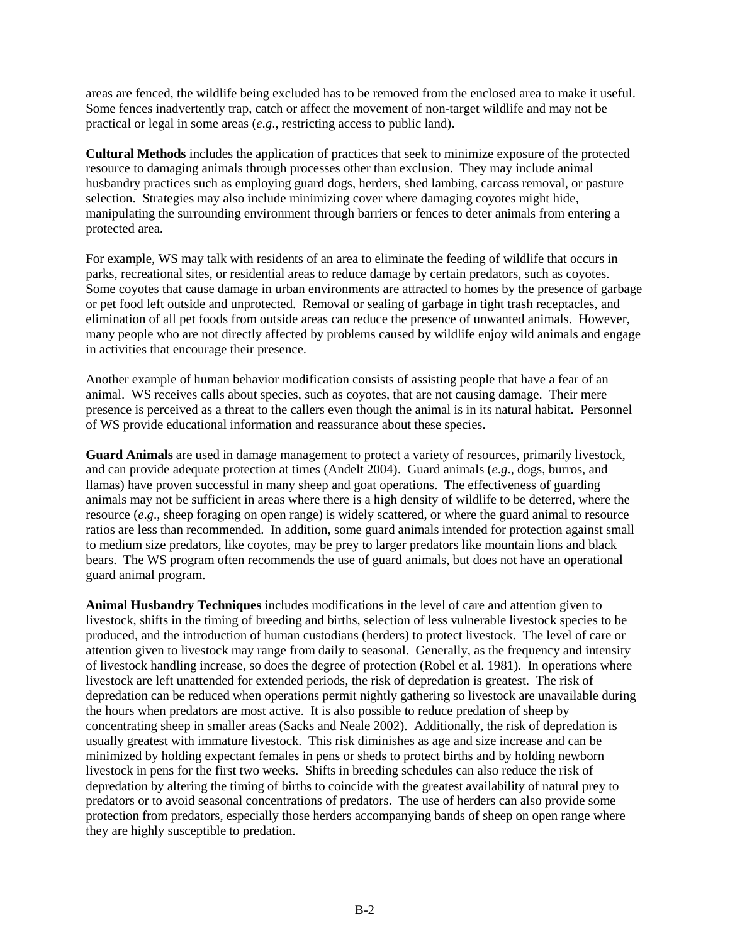areas are fenced, the wildlife being excluded has to be removed from the enclosed area to make it useful. Some fences inadvertently trap, catch or affect the movement of non-target wildlife and may not be practical or legal in some areas (*e*.*g*., restricting access to public land).

**Cultural Methods** includes the application of practices that seek to minimize exposure of the protected resource to damaging animals through processes other than exclusion. They may include animal husbandry practices such as employing guard dogs, herders, shed lambing, carcass removal, or pasture selection. Strategies may also include minimizing cover where damaging coyotes might hide, manipulating the surrounding environment through barriers or fences to deter animals from entering a protected area.

For example, WS may talk with residents of an area to eliminate the feeding of wildlife that occurs in parks, recreational sites, or residential areas to reduce damage by certain predators, such as coyotes. Some coyotes that cause damage in urban environments are attracted to homes by the presence of garbage or pet food left outside and unprotected. Removal or sealing of garbage in tight trash receptacles, and elimination of all pet foods from outside areas can reduce the presence of unwanted animals. However, many people who are not directly affected by problems caused by wildlife enjoy wild animals and engage in activities that encourage their presence.

Another example of human behavior modification consists of assisting people that have a fear of an animal. WS receives calls about species, such as coyotes, that are not causing damage. Their mere presence is perceived as a threat to the callers even though the animal is in its natural habitat. Personnel of WS provide educational information and reassurance about these species.

**Guard Animals** are used in damage management to protect a variety of resources, primarily livestock, and can provide adequate protection at times (Andelt 2004). Guard animals (*e*.*g*., dogs, burros, and llamas) have proven successful in many sheep and goat operations. The effectiveness of guarding animals may not be sufficient in areas where there is a high density of wildlife to be deterred, where the resource (*e*.*g*., sheep foraging on open range) is widely scattered, or where the guard animal to resource ratios are less than recommended. In addition, some guard animals intended for protection against small to medium size predators, like coyotes, may be prey to larger predators like mountain lions and black bears. The WS program often recommends the use of guard animals, but does not have an operational guard animal program.

**Animal Husbandry Techniques** includes modifications in the level of care and attention given to livestock, shifts in the timing of breeding and births, selection of less vulnerable livestock species to be produced, and the introduction of human custodians (herders) to protect livestock. The level of care or attention given to livestock may range from daily to seasonal. Generally, as the frequency and intensity of livestock handling increase, so does the degree of protection (Robel et al. 1981). In operations where livestock are left unattended for extended periods, the risk of depredation is greatest. The risk of depredation can be reduced when operations permit nightly gathering so livestock are unavailable during the hours when predators are most active. It is also possible to reduce predation of sheep by concentrating sheep in smaller areas (Sacks and Neale 2002). Additionally, the risk of depredation is usually greatest with immature livestock. This risk diminishes as age and size increase and can be minimized by holding expectant females in pens or sheds to protect births and by holding newborn livestock in pens for the first two weeks. Shifts in breeding schedules can also reduce the risk of depredation by altering the timing of births to coincide with the greatest availability of natural prey to predators or to avoid seasonal concentrations of predators. The use of herders can also provide some protection from predators, especially those herders accompanying bands of sheep on open range where they are highly susceptible to predation.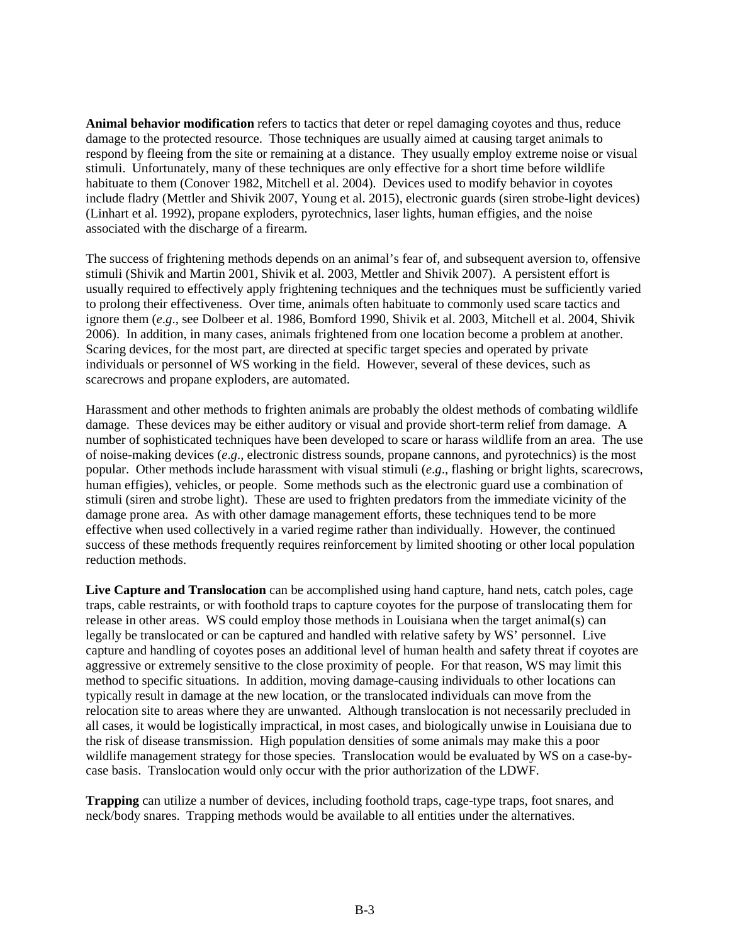**Animal behavior modification** refers to tactics that deter or repel damaging coyotes and thus, reduce damage to the protected resource. Those techniques are usually aimed at causing target animals to respond by fleeing from the site or remaining at a distance. They usually employ extreme noise or visual stimuli. Unfortunately, many of these techniques are only effective for a short time before wildlife habituate to them (Conover 1982, Mitchell et al. 2004). Devices used to modify behavior in coyotes include fladry (Mettler and Shivik 2007, Young et al. 2015), electronic guards (siren strobe-light devices) (Linhart et al. 1992), propane exploders, pyrotechnics, laser lights, human effigies, and the noise associated with the discharge of a firearm.

The success of frightening methods depends on an animal's fear of, and subsequent aversion to, offensive stimuli (Shivik and Martin 2001, Shivik et al. 2003, Mettler and Shivik 2007). A persistent effort is usually required to effectively apply frightening techniques and the techniques must be sufficiently varied to prolong their effectiveness. Over time, animals often habituate to commonly used scare tactics and ignore them (*e*.*g*., see Dolbeer et al. 1986, Bomford 1990, Shivik et al. 2003, Mitchell et al. 2004, Shivik 2006). In addition, in many cases, animals frightened from one location become a problem at another. Scaring devices, for the most part, are directed at specific target species and operated by private individuals or personnel of WS working in the field. However, several of these devices, such as scarecrows and propane exploders, are automated.

Harassment and other methods to frighten animals are probably the oldest methods of combating wildlife damage. These devices may be either auditory or visual and provide short-term relief from damage. A number of sophisticated techniques have been developed to scare or harass wildlife from an area. The use of noise-making devices (*e*.*g*., electronic distress sounds, propane cannons, and pyrotechnics) is the most popular. Other methods include harassment with visual stimuli (*e*.*g*., flashing or bright lights, scarecrows, human effigies), vehicles, or people. Some methods such as the electronic guard use a combination of stimuli (siren and strobe light). These are used to frighten predators from the immediate vicinity of the damage prone area. As with other damage management efforts, these techniques tend to be more effective when used collectively in a varied regime rather than individually. However, the continued success of these methods frequently requires reinforcement by limited shooting or other local population reduction methods.

Live Capture and Translocation can be accomplished using hand capture, hand nets, catch poles, cage traps, cable restraints, or with foothold traps to capture coyotes for the purpose of translocating them for release in other areas. WS could employ those methods in Louisiana when the target animal(s) can legally be translocated or can be captured and handled with relative safety by WS' personnel. Live capture and handling of coyotes poses an additional level of human health and safety threat if coyotes are aggressive or extremely sensitive to the close proximity of people. For that reason, WS may limit this method to specific situations. In addition, moving damage-causing individuals to other locations can typically result in damage at the new location, or the translocated individuals can move from the relocation site to areas where they are unwanted. Although translocation is not necessarily precluded in all cases, it would be logistically impractical, in most cases, and biologically unwise in Louisiana due to the risk of disease transmission. High population densities of some animals may make this a poor wildlife management strategy for those species. Translocation would be evaluated by WS on a case-bycase basis. Translocation would only occur with the prior authorization of the LDWF.

**Trapping** can utilize a number of devices, including foothold traps, cage-type traps, foot snares, and neck/body snares. Trapping methods would be available to all entities under the alternatives.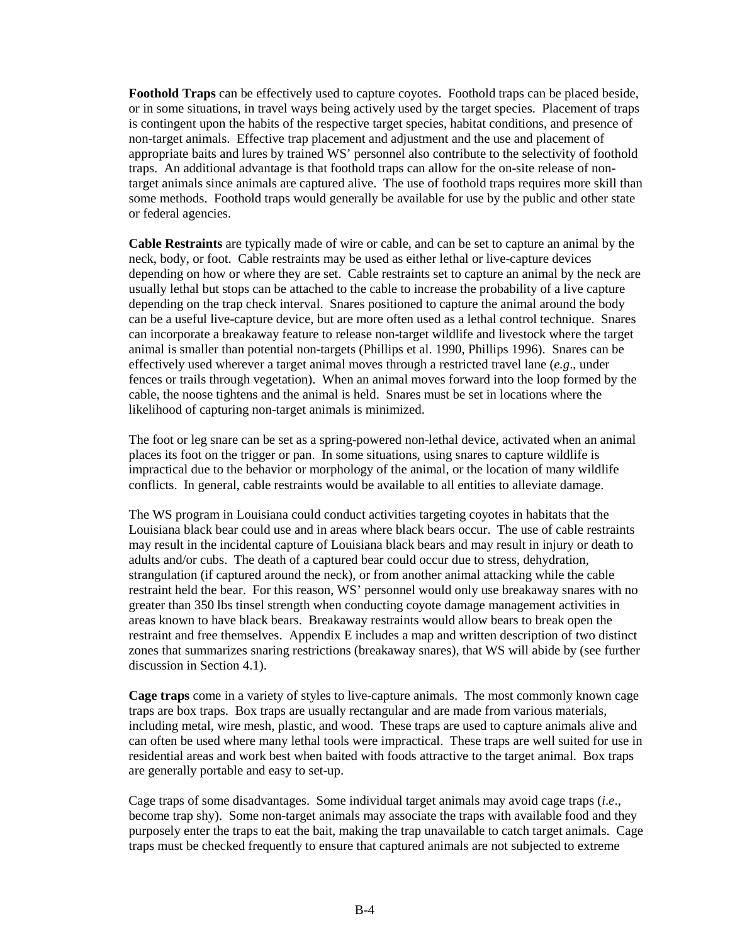**Foothold Traps** can be effectively used to capture coyotes. Foothold traps can be placed beside, or in some situations, in travel ways being actively used by the target species. Placement of traps is contingent upon the habits of the respective target species, habitat conditions, and presence of non-target animals. Effective trap placement and adjustment and the use and placement of appropriate baits and lures by trained WS' personnel also contribute to the selectivity of foothold traps. An additional advantage is that foothold traps can allow for the on-site release of nontarget animals since animals are captured alive. The use of foothold traps requires more skill than some methods. Foothold traps would generally be available for use by the public and other state or federal agencies.

**Cable Restraints** are typically made of wire or cable, and can be set to capture an animal by the neck, body, or foot. Cable restraints may be used as either lethal or live-capture devices depending on how or where they are set. Cable restraints set to capture an animal by the neck are usually lethal but stops can be attached to the cable to increase the probability of a live capture depending on the trap check interval. Snares positioned to capture the animal around the body can be a useful live-capture device, but are more often used as a lethal control technique. Snares can incorporate a breakaway feature to release non-target wildlife and livestock where the target animal is smaller than potential non-targets (Phillips et al. 1990, Phillips 1996). Snares can be effectively used wherever a target animal moves through a restricted travel lane (*e.g*., under fences or trails through vegetation). When an animal moves forward into the loop formed by the cable, the noose tightens and the animal is held. Snares must be set in locations where the likelihood of capturing non-target animals is minimized.

The foot or leg snare can be set as a spring-powered non-lethal device, activated when an animal places its foot on the trigger or pan. In some situations, using snares to capture wildlife is impractical due to the behavior or morphology of the animal, or the location of many wildlife conflicts. In general, cable restraints would be available to all entities to alleviate damage.

The WS program in Louisiana could conduct activities targeting coyotes in habitats that the Louisiana black bear could use and in areas where black bears occur. The use of cable restraints may result in the incidental capture of Louisiana black bears and may result in injury or death to adults and/or cubs. The death of a captured bear could occur due to stress, dehydration, strangulation (if captured around the neck), or from another animal attacking while the cable restraint held the bear. For this reason, WS' personnel would only use breakaway snares with no greater than 350 lbs tinsel strength when conducting coyote damage management activities in areas known to have black bears. Breakaway restraints would allow bears to break open the restraint and free themselves. Appendix E includes a map and written description of two distinct zones that summarizes snaring restrictions (breakaway snares), that WS will abide by (see further discussion in Section 4.1).

**Cage traps** come in a variety of styles to live-capture animals. The most commonly known cage traps are box traps. Box traps are usually rectangular and are made from various materials, including metal, wire mesh, plastic, and wood. These traps are used to capture animals alive and can often be used where many lethal tools were impractical. These traps are well suited for use in residential areas and work best when baited with foods attractive to the target animal. Box traps are generally portable and easy to set-up.

Cage traps of some disadvantages. Some individual target animals may avoid cage traps (*i*.*e*., become trap shy). Some non-target animals may associate the traps with available food and they purposely enter the traps to eat the bait, making the trap unavailable to catch target animals. Cage traps must be checked frequently to ensure that captured animals are not subjected to extreme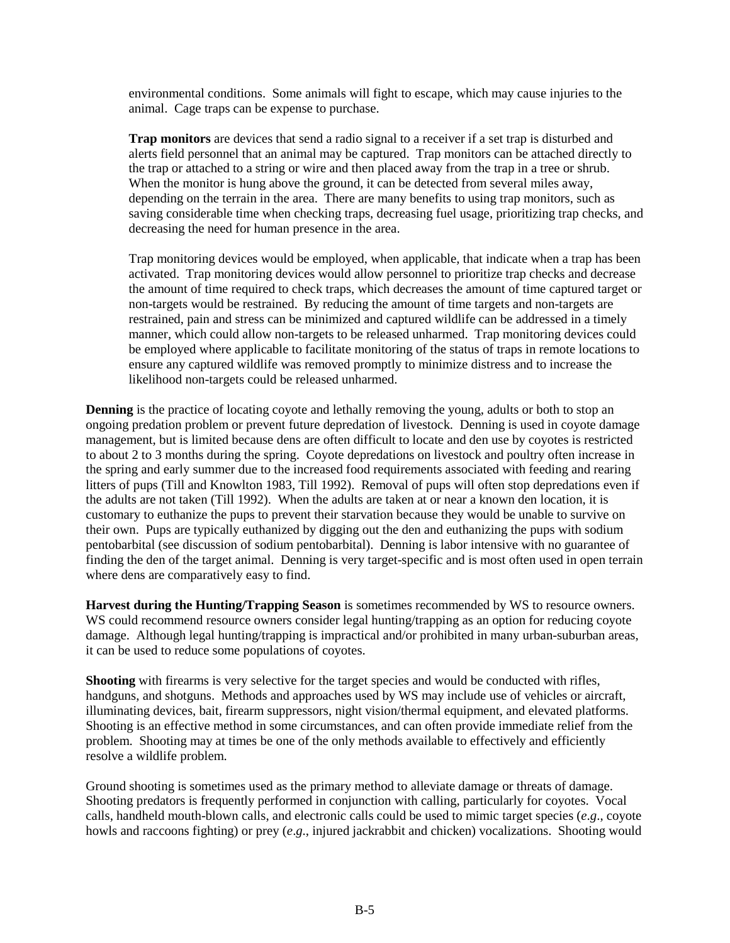environmental conditions. Some animals will fight to escape, which may cause injuries to the animal. Cage traps can be expense to purchase.

**Trap monitors** are devices that send a radio signal to a receiver if a set trap is disturbed and alerts field personnel that an animal may be captured. Trap monitors can be attached directly to the trap or attached to a string or wire and then placed away from the trap in a tree or shrub. When the monitor is hung above the ground, it can be detected from several miles away, depending on the terrain in the area. There are many benefits to using trap monitors, such as saving considerable time when checking traps, decreasing fuel usage, prioritizing trap checks, and decreasing the need for human presence in the area.

Trap monitoring devices would be employed, when applicable, that indicate when a trap has been activated. Trap monitoring devices would allow personnel to prioritize trap checks and decrease the amount of time required to check traps, which decreases the amount of time captured target or non-targets would be restrained. By reducing the amount of time targets and non-targets are restrained, pain and stress can be minimized and captured wildlife can be addressed in a timely manner, which could allow non-targets to be released unharmed. Trap monitoring devices could be employed where applicable to facilitate monitoring of the status of traps in remote locations to ensure any captured wildlife was removed promptly to minimize distress and to increase the likelihood non-targets could be released unharmed.

**Denning** is the practice of locating coyote and lethally removing the young, adults or both to stop an ongoing predation problem or prevent future depredation of livestock. Denning is used in coyote damage management, but is limited because dens are often difficult to locate and den use by coyotes is restricted to about 2 to 3 months during the spring. Coyote depredations on livestock and poultry often increase in the spring and early summer due to the increased food requirements associated with feeding and rearing litters of pups (Till and Knowlton 1983, Till 1992). Removal of pups will often stop depredations even if the adults are not taken (Till 1992). When the adults are taken at or near a known den location, it is customary to euthanize the pups to prevent their starvation because they would be unable to survive on their own. Pups are typically euthanized by digging out the den and euthanizing the pups with sodium pentobarbital (see discussion of sodium pentobarbital). Denning is labor intensive with no guarantee of finding the den of the target animal. Denning is very target-specific and is most often used in open terrain where dens are comparatively easy to find.

**Harvest during the Hunting/Trapping Season** is sometimes recommended by WS to resource owners. WS could recommend resource owners consider legal hunting/trapping as an option for reducing coyote damage. Although legal hunting/trapping is impractical and/or prohibited in many urban-suburban areas, it can be used to reduce some populations of coyotes.

**Shooting** with firearms is very selective for the target species and would be conducted with rifles, handguns, and shotguns. Methods and approaches used by WS may include use of vehicles or aircraft, illuminating devices, bait, firearm suppressors, night vision/thermal equipment, and elevated platforms. Shooting is an effective method in some circumstances, and can often provide immediate relief from the problem. Shooting may at times be one of the only methods available to effectively and efficiently resolve a wildlife problem.

Ground shooting is sometimes used as the primary method to alleviate damage or threats of damage. Shooting predators is frequently performed in conjunction with calling, particularly for coyotes. Vocal calls, handheld mouth-blown calls, and electronic calls could be used to mimic target species (*e*.*g*., coyote howls and raccoons fighting) or prey (*e*.*g*., injured jackrabbit and chicken) vocalizations. Shooting would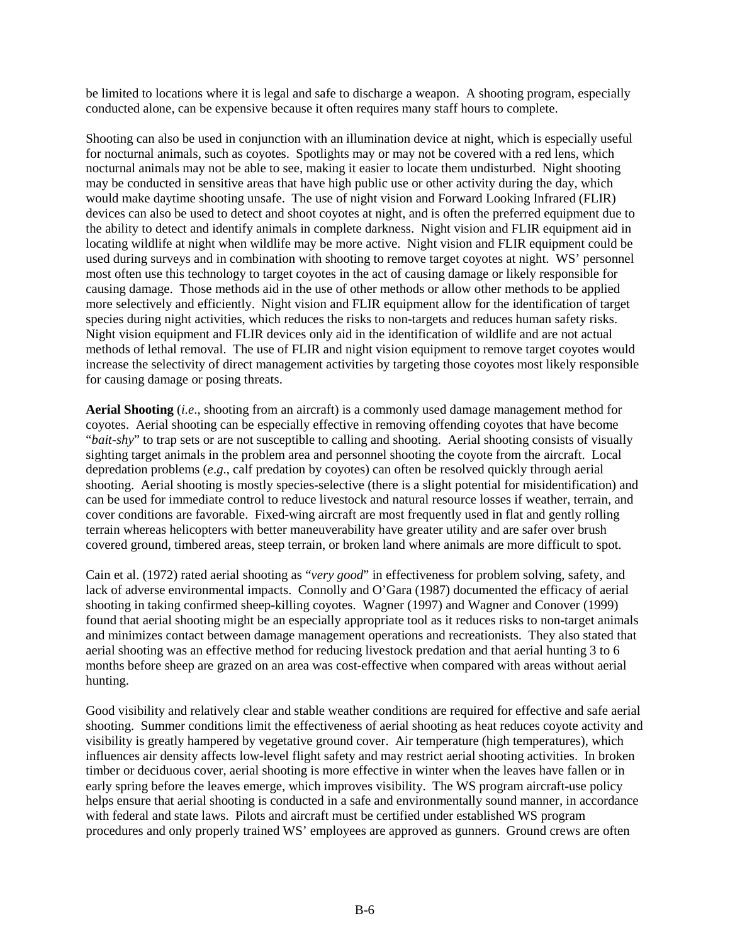be limited to locations where it is legal and safe to discharge a weapon. A shooting program, especially conducted alone, can be expensive because it often requires many staff hours to complete.

Shooting can also be used in conjunction with an illumination device at night, which is especially useful for nocturnal animals, such as coyotes. Spotlights may or may not be covered with a red lens, which nocturnal animals may not be able to see, making it easier to locate them undisturbed. Night shooting may be conducted in sensitive areas that have high public use or other activity during the day, which would make daytime shooting unsafe. The use of night vision and Forward Looking Infrared (FLIR) devices can also be used to detect and shoot coyotes at night, and is often the preferred equipment due to the ability to detect and identify animals in complete darkness. Night vision and FLIR equipment aid in locating wildlife at night when wildlife may be more active. Night vision and FLIR equipment could be used during surveys and in combination with shooting to remove target coyotes at night. WS' personnel most often use this technology to target coyotes in the act of causing damage or likely responsible for causing damage. Those methods aid in the use of other methods or allow other methods to be applied more selectively and efficiently. Night vision and FLIR equipment allow for the identification of target species during night activities, which reduces the risks to non-targets and reduces human safety risks. Night vision equipment and FLIR devices only aid in the identification of wildlife and are not actual methods of lethal removal. The use of FLIR and night vision equipment to remove target coyotes would increase the selectivity of direct management activities by targeting those coyotes most likely responsible for causing damage or posing threats.

**Aerial Shooting** (*i.e*., shooting from an aircraft) is a commonly used damage management method for coyotes. Aerial shooting can be especially effective in removing offending coyotes that have become "*bait-shy*" to trap sets or are not susceptible to calling and shooting. Aerial shooting consists of visually sighting target animals in the problem area and personnel shooting the coyote from the aircraft. Local depredation problems (*e*.*g*., calf predation by coyotes) can often be resolved quickly through aerial shooting. Aerial shooting is mostly species-selective (there is a slight potential for misidentification) and can be used for immediate control to reduce livestock and natural resource losses if weather, terrain, and cover conditions are favorable. Fixed-wing aircraft are most frequently used in flat and gently rolling terrain whereas helicopters with better maneuverability have greater utility and are safer over brush covered ground, timbered areas, steep terrain, or broken land where animals are more difficult to spot.

Cain et al. (1972) rated aerial shooting as "*very good*" in effectiveness for problem solving, safety, and lack of adverse environmental impacts. Connolly and O'Gara (1987) documented the efficacy of aerial shooting in taking confirmed sheep-killing coyotes. Wagner (1997) and Wagner and Conover (1999) found that aerial shooting might be an especially appropriate tool as it reduces risks to non-target animals and minimizes contact between damage management operations and recreationists. They also stated that aerial shooting was an effective method for reducing livestock predation and that aerial hunting 3 to 6 months before sheep are grazed on an area was cost-effective when compared with areas without aerial hunting.

Good visibility and relatively clear and stable weather conditions are required for effective and safe aerial shooting. Summer conditions limit the effectiveness of aerial shooting as heat reduces coyote activity and visibility is greatly hampered by vegetative ground cover. Air temperature (high temperatures), which influences air density affects low-level flight safety and may restrict aerial shooting activities. In broken timber or deciduous cover, aerial shooting is more effective in winter when the leaves have fallen or in early spring before the leaves emerge, which improves visibility. The WS program aircraft-use policy helps ensure that aerial shooting is conducted in a safe and environmentally sound manner, in accordance with federal and state laws. Pilots and aircraft must be certified under established WS program procedures and only properly trained WS' employees are approved as gunners. Ground crews are often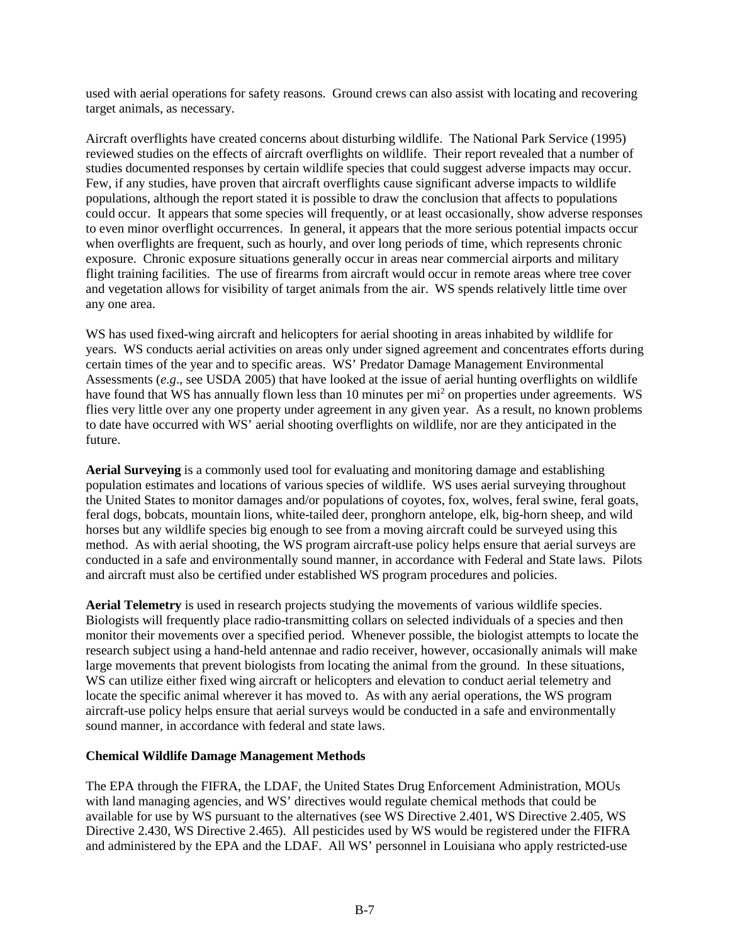used with aerial operations for safety reasons. Ground crews can also assist with locating and recovering target animals, as necessary.

Aircraft overflights have created concerns about disturbing wildlife. The National Park Service (1995) reviewed studies on the effects of aircraft overflights on wildlife. Their report revealed that a number of studies documented responses by certain wildlife species that could suggest adverse impacts may occur. Few, if any studies, have proven that aircraft overflights cause significant adverse impacts to wildlife populations, although the report stated it is possible to draw the conclusion that affects to populations could occur. It appears that some species will frequently, or at least occasionally, show adverse responses to even minor overflight occurrences. In general, it appears that the more serious potential impacts occur when overflights are frequent, such as hourly, and over long periods of time, which represents chronic exposure. Chronic exposure situations generally occur in areas near commercial airports and military flight training facilities. The use of firearms from aircraft would occur in remote areas where tree cover and vegetation allows for visibility of target animals from the air. WS spends relatively little time over any one area.

WS has used fixed-wing aircraft and helicopters for aerial shooting in areas inhabited by wildlife for years. WS conducts aerial activities on areas only under signed agreement and concentrates efforts during certain times of the year and to specific areas. WS' Predator Damage Management Environmental Assessments (*e.g*., see USDA 2005) that have looked at the issue of aerial hunting overflights on wildlife have found that WS has annually flown less than 10 minutes per mi<sup>2</sup> on properties under agreements. WS flies very little over any one property under agreement in any given year. As a result, no known problems to date have occurred with WS' aerial shooting overflights on wildlife, nor are they anticipated in the future.

**Aerial Surveying** is a commonly used tool for evaluating and monitoring damage and establishing population estimates and locations of various species of wildlife. WS uses aerial surveying throughout the United States to monitor damages and/or populations of coyotes, fox, wolves, feral swine, feral goats, feral dogs, bobcats, mountain lions, white-tailed deer, pronghorn antelope, elk, big-horn sheep, and wild horses but any wildlife species big enough to see from a moving aircraft could be surveyed using this method. As with aerial shooting, the WS program aircraft-use policy helps ensure that aerial surveys are conducted in a safe and environmentally sound manner, in accordance with Federal and State laws. Pilots and aircraft must also be certified under established WS program procedures and policies.

**Aerial Telemetry** is used in research projects studying the movements of various wildlife species. Biologists will frequently place radio-transmitting collars on selected individuals of a species and then monitor their movements over a specified period. Whenever possible, the biologist attempts to locate the research subject using a hand-held antennae and radio receiver, however, occasionally animals will make large movements that prevent biologists from locating the animal from the ground. In these situations, WS can utilize either fixed wing aircraft or helicopters and elevation to conduct aerial telemetry and locate the specific animal wherever it has moved to. As with any aerial operations, the WS program aircraft-use policy helps ensure that aerial surveys would be conducted in a safe and environmentally sound manner, in accordance with federal and state laws.

### **Chemical Wildlife Damage Management Methods**

The EPA through the FIFRA, the LDAF, the United States Drug Enforcement Administration, MOUs with land managing agencies, and WS' directives would regulate chemical methods that could be available for use by WS pursuant to the alternatives (see WS Directive 2.401, WS Directive 2.405, WS Directive 2.430, WS Directive 2.465). All pesticides used by WS would be registered under the FIFRA and administered by the EPA and the LDAF. All WS' personnel in Louisiana who apply restricted-use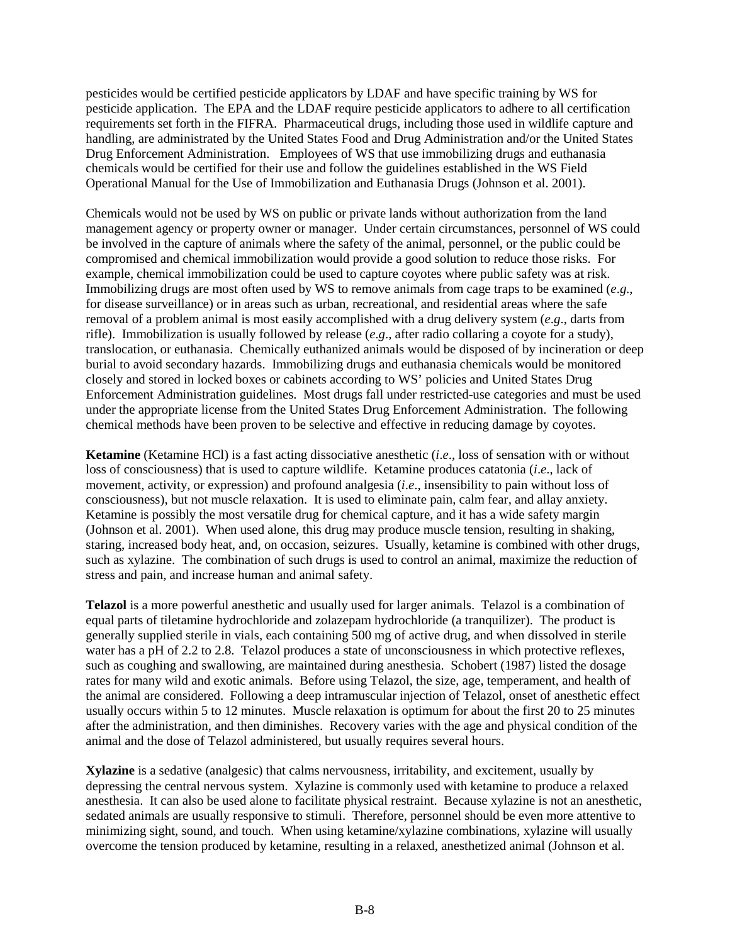pesticides would be certified pesticide applicators by LDAF and have specific training by WS for pesticide application. The EPA and the LDAF require pesticide applicators to adhere to all certification requirements set forth in the FIFRA. Pharmaceutical drugs, including those used in wildlife capture and handling, are administrated by the United States Food and Drug Administration and/or the United States Drug Enforcement Administration. Employees of WS that use immobilizing drugs and euthanasia chemicals would be certified for their use and follow the guidelines established in the WS Field Operational Manual for the Use of Immobilization and Euthanasia Drugs (Johnson et al. 2001).

Chemicals would not be used by WS on public or private lands without authorization from the land management agency or property owner or manager. Under certain circumstances, personnel of WS could be involved in the capture of animals where the safety of the animal, personnel, or the public could be compromised and chemical immobilization would provide a good solution to reduce those risks. For example, chemical immobilization could be used to capture coyotes where public safety was at risk. Immobilizing drugs are most often used by WS to remove animals from cage traps to be examined (*e*.*g*., for disease surveillance) or in areas such as urban, recreational, and residential areas where the safe removal of a problem animal is most easily accomplished with a drug delivery system (*e*.*g*., darts from rifle). Immobilization is usually followed by release (*e*.*g*., after radio collaring a coyote for a study), translocation, or euthanasia. Chemically euthanized animals would be disposed of by incineration or deep burial to avoid secondary hazards. Immobilizing drugs and euthanasia chemicals would be monitored closely and stored in locked boxes or cabinets according to WS' policies and United States Drug Enforcement Administration guidelines. Most drugs fall under restricted-use categories and must be used under the appropriate license from the United States Drug Enforcement Administration. The following chemical methods have been proven to be selective and effective in reducing damage by coyotes.

**Ketamine** (Ketamine HCl) is a fast acting dissociative anesthetic (*i*.*e*., loss of sensation with or without loss of consciousness) that is used to capture wildlife. Ketamine produces catatonia (*i*.*e*., lack of movement, activity, or expression) and profound analgesia (*i*.*e*., insensibility to pain without loss of consciousness), but not muscle relaxation. It is used to eliminate pain, calm fear, and allay anxiety. Ketamine is possibly the most versatile drug for chemical capture, and it has a wide safety margin (Johnson et al. 2001). When used alone, this drug may produce muscle tension, resulting in shaking, staring, increased body heat, and, on occasion, seizures. Usually, ketamine is combined with other drugs, such as xylazine. The combination of such drugs is used to control an animal, maximize the reduction of stress and pain, and increase human and animal safety.

**Telazol** is a more powerful anesthetic and usually used for larger animals. Telazol is a combination of equal parts of tiletamine hydrochloride and zolazepam hydrochloride (a tranquilizer). The product is generally supplied sterile in vials, each containing 500 mg of active drug, and when dissolved in sterile water has a pH of 2.2 to 2.8. Telazol produces a state of unconsciousness in which protective reflexes, such as coughing and swallowing, are maintained during anesthesia. Schobert (1987) listed the dosage rates for many wild and exotic animals. Before using Telazol, the size, age, temperament, and health of the animal are considered. Following a deep intramuscular injection of Telazol, onset of anesthetic effect usually occurs within 5 to 12 minutes. Muscle relaxation is optimum for about the first 20 to 25 minutes after the administration, and then diminishes. Recovery varies with the age and physical condition of the animal and the dose of Telazol administered, but usually requires several hours.

**Xylazine** is a sedative (analgesic) that calms nervousness, irritability, and excitement, usually by depressing the central nervous system. Xylazine is commonly used with ketamine to produce a relaxed anesthesia. It can also be used alone to facilitate physical restraint. Because xylazine is not an anesthetic, sedated animals are usually responsive to stimuli. Therefore, personnel should be even more attentive to minimizing sight, sound, and touch. When using ketamine/xylazine combinations, xylazine will usually overcome the tension produced by ketamine, resulting in a relaxed, anesthetized animal (Johnson et al.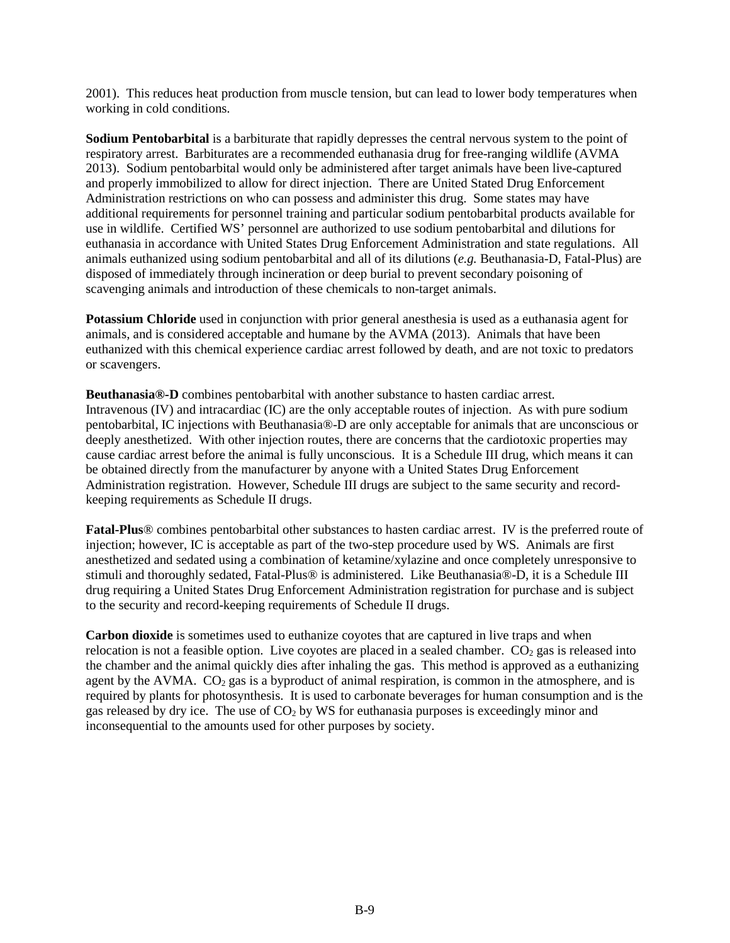2001). This reduces heat production from muscle tension, but can lead to lower body temperatures when working in cold conditions.

**Sodium Pentobarbital** is a barbiturate that rapidly depresses the central nervous system to the point of respiratory arrest. Barbiturates are a recommended euthanasia drug for free-ranging wildlife (AVMA 2013). Sodium pentobarbital would only be administered after target animals have been live-captured and properly immobilized to allow for direct injection. There are United Stated Drug Enforcement Administration restrictions on who can possess and administer this drug. Some states may have additional requirements for personnel training and particular sodium pentobarbital products available for use in wildlife. Certified WS' personnel are authorized to use sodium pentobarbital and dilutions for euthanasia in accordance with United States Drug Enforcement Administration and state regulations. All animals euthanized using sodium pentobarbital and all of its dilutions (*e.g.* Beuthanasia-D, Fatal-Plus) are disposed of immediately through incineration or deep burial to prevent secondary poisoning of scavenging animals and introduction of these chemicals to non-target animals.

**Potassium Chloride** used in conjunction with prior general anesthesia is used as a euthanasia agent for animals, and is considered acceptable and humane by the AVMA (2013). Animals that have been euthanized with this chemical experience cardiac arrest followed by death, and are not toxic to predators or scavengers.

**Beuthanasia®-D** combines pentobarbital with another substance to hasten cardiac arrest. Intravenous (IV) and intracardiac (IC) are the only acceptable routes of injection. As with pure sodium pentobarbital, IC injections with Beuthanasia®-D are only acceptable for animals that are unconscious or deeply anesthetized. With other injection routes, there are concerns that the cardiotoxic properties may cause cardiac arrest before the animal is fully unconscious. It is a Schedule III drug, which means it can be obtained directly from the manufacturer by anyone with a United States Drug Enforcement Administration registration. However, Schedule III drugs are subject to the same security and recordkeeping requirements as Schedule II drugs.

**Fatal-Plus**® combines pentobarbital other substances to hasten cardiac arrest. IV is the preferred route of injection; however, IC is acceptable as part of the two-step procedure used by WS. Animals are first anesthetized and sedated using a combination of ketamine/xylazine and once completely unresponsive to stimuli and thoroughly sedated, Fatal-Plus® is administered. Like Beuthanasia®-D, it is a Schedule III drug requiring a United States Drug Enforcement Administration registration for purchase and is subject to the security and record-keeping requirements of Schedule II drugs.

**Carbon dioxide** is sometimes used to euthanize coyotes that are captured in live traps and when relocation is not a feasible option. Live coyotes are placed in a sealed chamber.  $CO<sub>2</sub>$  gas is released into the chamber and the animal quickly dies after inhaling the gas. This method is approved as a euthanizing agent by the AVMA.  $CO<sub>2</sub>$  gas is a byproduct of animal respiration, is common in the atmosphere, and is required by plants for photosynthesis. It is used to carbonate beverages for human consumption and is the gas released by dry ice. The use of CO<sub>2</sub> by WS for euthanasia purposes is exceedingly minor and inconsequential to the amounts used for other purposes by society.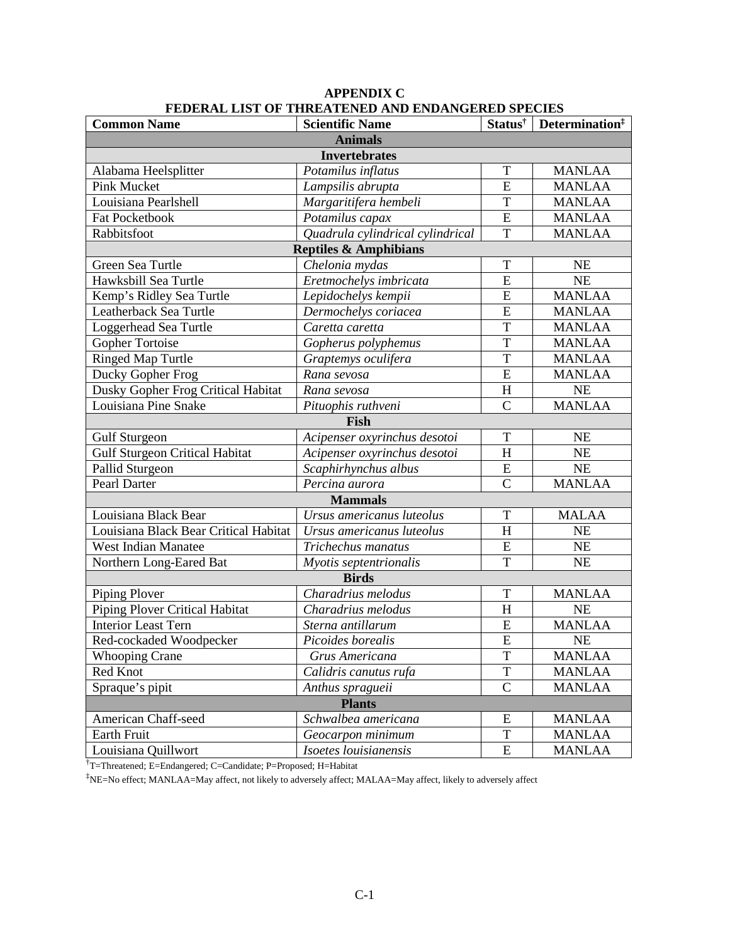| <b>Common Name</b>                    | <b>Scientific Name</b>           |                | Status <sup>†</sup> Determination <sup>‡</sup> |  |
|---------------------------------------|----------------------------------|----------------|------------------------------------------------|--|
| <b>Animals</b>                        |                                  |                |                                                |  |
|                                       | <b>Invertebrates</b>             |                |                                                |  |
| Alabama Heelsplitter                  | Potamilus inflatus               | T              | <b>MANLAA</b>                                  |  |
| <b>Pink Mucket</b>                    | Lampsilis abrupta                | E              | <b>MANLAA</b>                                  |  |
| Louisiana Pearlshell                  | Margaritifera hembeli            | T              | <b>MANLAA</b>                                  |  |
| <b>Fat Pocketbook</b>                 | Potamilus capax                  | E              | <b>MANLAA</b>                                  |  |
| Rabbitsfoot                           | Quadrula cylindrical cylindrical | T              | <b>MANLAA</b>                                  |  |
| <b>Reptiles &amp; Amphibians</b>      |                                  |                |                                                |  |
| Green Sea Turtle                      | Chelonia mydas                   | T              | <b>NE</b>                                      |  |
| Hawksbill Sea Turtle                  | Eretmochelys imbricata           | E              | <b>NE</b>                                      |  |
| Kemp's Ridley Sea Turtle              | Lepidochelys kempii              | E              | <b>MANLAA</b>                                  |  |
| Leatherback Sea Turtle                | Dermochelys coriacea             | E              | <b>MANLAA</b>                                  |  |
| Loggerhead Sea Turtle                 | Caretta caretta                  | T              | <b>MANLAA</b>                                  |  |
| Gopher Tortoise                       | Gopherus polyphemus              | T              | <b>MANLAA</b>                                  |  |
| <b>Ringed Map Turtle</b>              | Graptemys oculifera              | $\mathbf T$    | <b>MANLAA</b>                                  |  |
| Ducky Gopher Frog                     | Rana sevosa                      | $\overline{E}$ | <b>MANLAA</b>                                  |  |
| Dusky Gopher Frog Critical Habitat    | Rana sevosa                      | H              | <b>NE</b>                                      |  |
| Louisiana Pine Snake                  | Pituophis ruthveni               | $\overline{C}$ | <b>MANLAA</b>                                  |  |
|                                       | Fish                             |                |                                                |  |
| <b>Gulf Sturgeon</b>                  | Acipenser oxyrinchus desotoi     | T              | <b>NE</b>                                      |  |
| <b>Gulf Sturgeon Critical Habitat</b> | Acipenser oxyrinchus desotoi     | H              | <b>NE</b>                                      |  |
| Pallid Sturgeon                       | Scaphirhynchus albus             | E              | NE                                             |  |
| Pearl Darter                          | Percina aurora                   | $\overline{C}$ | <b>MANLAA</b>                                  |  |
| <b>Mammals</b>                        |                                  |                |                                                |  |
| Louisiana Black Bear                  | Ursus americanus luteolus        | $\mathbf T$    | <b>MALAA</b>                                   |  |
| Louisiana Black Bear Critical Habitat | Ursus americanus luteolus        | H              | <b>NE</b>                                      |  |
| <b>West Indian Manatee</b>            | Trichechus manatus               | E              | <b>NE</b>                                      |  |
| Northern Long-Eared Bat               | Myotis septentrionalis           | T              | <b>NE</b>                                      |  |
| <b>Birds</b>                          |                                  |                |                                                |  |
| Piping Plover                         | Charadrius melodus               | T              | <b>MANLAA</b>                                  |  |
| Piping Plover Critical Habitat        | Charadrius melodus               | H              | NE                                             |  |
| <b>Interior Least Tern</b>            | Sterna antillarum                | ${\bf E}$      | <b>MANLAA</b>                                  |  |
| Red-cockaded Woodpecker               | Picoides borealis                | E              | <b>NE</b>                                      |  |
| <b>Whooping Crane</b>                 | Grus Americana                   | T              | <b>MANLAA</b>                                  |  |
| Red Knot                              | Calidris canutus rufa            | T              | <b>MANLAA</b>                                  |  |
| Spraque's pipit                       | Anthus spragueii                 | $\overline{C}$ | <b>MANLAA</b>                                  |  |
| <b>Plants</b>                         |                                  |                |                                                |  |
| American Chaff-seed                   | Schwalbea americana              | E              | <b>MANLAA</b>                                  |  |
| Earth Fruit                           | Geocarpon minimum                | $\mathbf T$    | <b>MANLAA</b>                                  |  |
| Louisiana Quillwort                   | Isoetes louisianensis            | E              | <b>MANLAA</b>                                  |  |

### **APPENDIX C FEDERAL LIST OF THREATENED AND ENDANGERED SPECIES**

† T=Threatened; E=Endangered; C=Candidate; P=Proposed; H=Habitat

‡ NE=No effect; MANLAA=May affect, not likely to adversely affect; MALAA=May affect, likely to adversely affect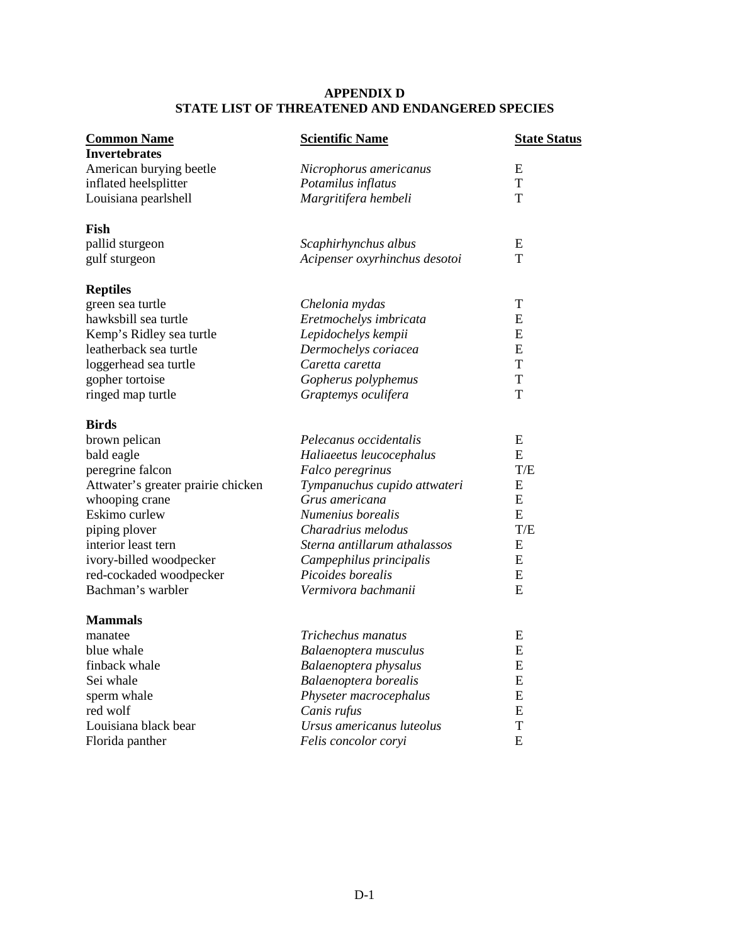## **APPENDIX D STATE LIST OF THREATENED AND ENDANGERED SPECIES**

| <b>Common Name</b>                 | <b>Scientific Name</b>        | <b>State Status</b> |
|------------------------------------|-------------------------------|---------------------|
| <b>Invertebrates</b>               |                               |                     |
| American burying beetle            | Nicrophorus americanus        | E                   |
| inflated heelsplitter              | Potamilus inflatus            | T                   |
| Louisiana pearlshell               | Margritifera hembeli          | т                   |
| Fish                               |                               |                     |
| pallid sturgeon                    | Scaphirhynchus albus          | E                   |
| gulf sturgeon                      | Acipenser oxyrhinchus desotoi | T                   |
| <b>Reptiles</b>                    |                               |                     |
| green sea turtle                   | Chelonia mydas                | T                   |
| hawksbill sea turtle               | Eretmochelys imbricata        | E                   |
| Kemp's Ridley sea turtle           | Lepidochelys kempii           | E                   |
| leatherback sea turtle             | Dermochelys coriacea          | E                   |
| loggerhead sea turtle              | Caretta caretta               | T                   |
| gopher tortoise                    | Gopherus polyphemus           | T                   |
| ringed map turtle                  | Graptemys oculifera           | T                   |
| <b>Birds</b>                       |                               |                     |
| brown pelican                      | Pelecanus occidentalis        | E                   |
| bald eagle                         | Haliaeetus leucocephalus      | E                   |
| peregrine falcon                   | Falco peregrinus              | T/E                 |
| Attwater's greater prairie chicken | Tympanuchus cupido attwateri  | E                   |
| whooping crane                     | Grus americana                | ${\bf E}$           |
| Eskimo curlew                      | Numenius borealis             | E                   |
| piping plover                      | Charadrius melodus            | T/E                 |
| interior least tern                | Sterna antillarum athalassos  | ${\bf E}$           |
| ivory-billed woodpecker            | Campephilus principalis       | E                   |
| red-cockaded woodpecker            | Picoides borealis             | E                   |
| Bachman's warbler                  | Vermivora bachmanii           | E                   |
| <b>Mammals</b>                     |                               |                     |
| manatee                            | Trichechus manatus            | E                   |
| blue whale                         | Balaenoptera musculus         | E                   |
| finback whale                      | Balaenoptera physalus         | E                   |
| Sei whale                          | Balaenoptera borealis         | ${\bf E}$           |
| sperm whale                        | Physeter macrocephalus        | E                   |
| red wolf                           | Canis rufus                   | E                   |
| Louisiana black bear               | Ursus americanus luteolus     | T                   |
| Florida panther                    | Felis concolor coryi          | E                   |
|                                    |                               |                     |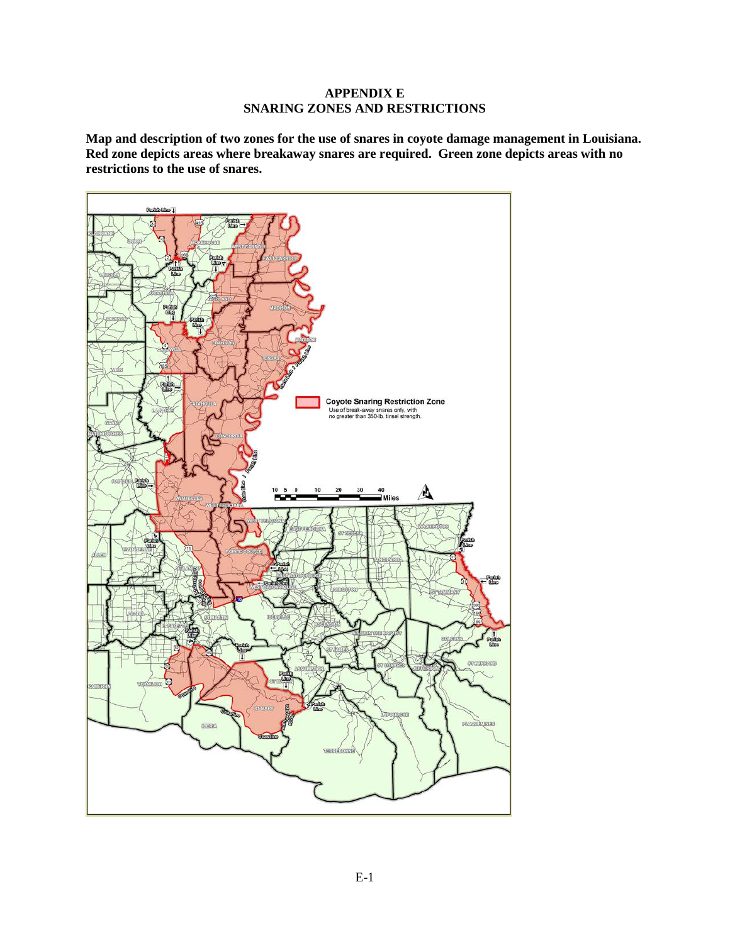### **APPENDIX E SNARING ZONES AND RESTRICTIONS**

**Map and description of two zones for the use of snares in coyote damage management in Louisiana. Red zone depicts areas where breakaway snares are required. Green zone depicts areas with no restrictions to the use of snares.**

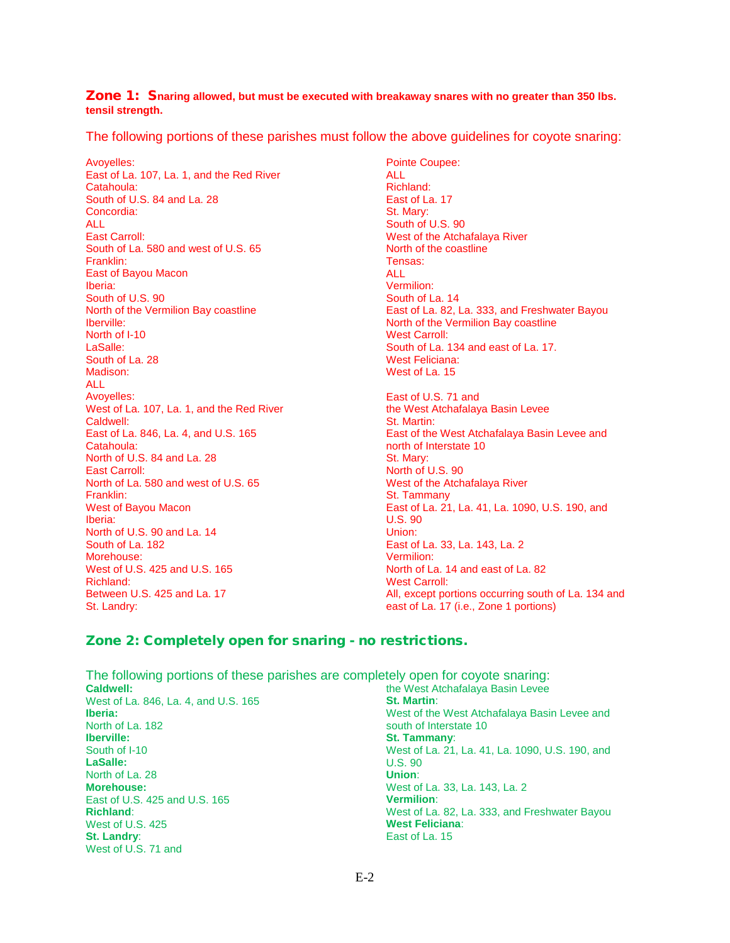#### Zone 1: S**naring allowed, but must be executed with breakaway snares with no greater than 350 lbs. tensil strength.**

The following portions of these parishes must follow the above guidelines for coyote snaring:

Avoyelles: East of La. 107, La. 1, and the Red River Catahoula: South of U.S. 84 and La. 28 Concordia: ALL East Carroll: South of La. 580 and west of U.S. 65 Franklin: East of Bayou Macon Iberia: South of U.S. 90 North of the Vermilion Bay coastline Iberville: North of I-10 LaSalle: South of La. 28 Madison: ALL Avoyelles: West of La. 107, La. 1, and the Red River Caldwell: East of La. 846, La. 4, and U.S. 165 Catahoula: North of U.S. 84 and La. 28 East Carroll: North of La. 580 and west of U.S. 65 Franklin: West of Bayou Macon Iberia: North of U.S. 90 and La. 14 South of La. 182 Morehouse: West of U.S. 425 and U.S. 165 Richland: Between U.S. 425 and La. 17 St. Landry:

Pointe Coupee: ALL Richland: East of La. 17 St. Mary: South of U.S. 90 West of the Atchafalaya River North of the coastline Tensas: ALL Vermilion: South of La. 14 East of La. 82, La. 333, and Freshwater Bayou North of the Vermilion Bay coastline West Carroll: South of La. 134 and east of La. 17. West Feliciana: West of La. 15 East of U.S. 71 and

the West Atchafalaya Basin Levee St. Martin: East of the West Atchafalaya Basin Levee and north of Interstate 10 St. Mary: North of U.S. 90 West of the Atchafalaya River St. Tammany East of La. 21, La. 41, La. 1090, U.S. 190, and U.S. 90 Union: East of La. 33, La. 143, La. 2 Vermilion: North of La. 14 and east of La. 82 West Carroll: All, except portions occurring south of La. 134 and east of La. 17 (i.e., Zone 1 portions)

## Zone 2: Completely open for snaring - no restrictions.

| The following portions of these parishes are completely open for coyote snaring: |  |
|----------------------------------------------------------------------------------|--|
| the West Atchafalaya Basin Levee                                                 |  |
| <b>St. Martin:</b>                                                               |  |
| West of the West Atchafalaya Basin Levee and                                     |  |
| south of Interstate 10                                                           |  |
| <b>St. Tammany:</b>                                                              |  |
| West of La. 21, La. 41, La. 1090, U.S. 190, and                                  |  |
| U.S.90                                                                           |  |
| Union:                                                                           |  |
| West of La. 33, La. 143, La. 2                                                   |  |
| <b>Vermilion:</b>                                                                |  |
| West of La. 82, La. 333, and Freshwater Bayou                                    |  |
| <b>West Feliciana:</b>                                                           |  |
| East of La. 15                                                                   |  |
|                                                                                  |  |
|                                                                                  |  |